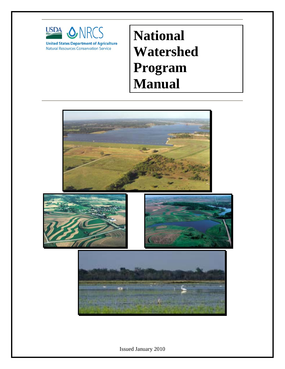

# **National Watershed Program Manual**



Issued January 2010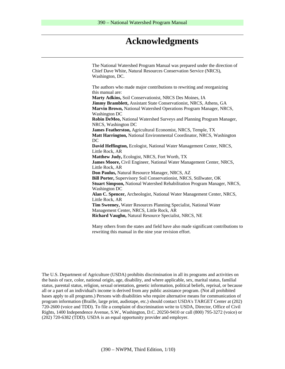# **Acknowledgments**

The National Watershed Program Manual was prepared under the direction of Chief Dave White, Natural Resources Conservation Service (NRCS), Washington, DC.

The authors who made major contributions to rewriting and reorganizing this manual are: **Marty Adkins,** Soil Conservationist, NRCS Des Moines, IA **Jimmy Bramblett,** Assistant State Conservationist, NRCS, Athens, GA **Marvin Brown,** National Watershed Operations Program Manager, NRCS, Washington DC **Robin DeMeo,** National Watershed Surveys and Planning Program Manager, NRCS, Washington DC **James Featherston,** Agricultural Economist, NRCS, Temple, TX **Matt Harrington,** National Environmental Coordinator, NRCS, Washington DC **David Heffington,** Ecologist, National Water Management Center, NRCS, Little Rock, AR **Matthew Judy,** Ecologist, NRCS, Fort Worth, TX **James Moore,** Civil Engineer, National Water Management Center, NRCS, Little Rock, AR **Don Paulus,** Natural Resource Manager, NRCS, AZ **Bill Porter,** Supervisory Soil Conservationist, NRCS, Stillwater, OK **Stuart Simpson,** National Watershed Rehabilitation Program Manager, NRCS, Washington DC **Alan C. Spencer,** Archeologist, National Water Management Center, NRCS, Little Rock, AR **Tim Sweeney,** Water Resources Planning Specialist, National Water Management Center, NRCS, Little Rock, AR **Richard Vaughn,** Natural Resource Specialist, NRCS, NE

Many others from the states and field have also made significant contributions to rewriting this manual in the nine year revision effort.

The U.S. Department of Agriculture (USDA) prohibits discrimination in all its programs and activities on the basis of race, color, national origin, age, disability, and where applicable, sex, marital status, familial status, parental status, religion, sexual orientation, genetic information, political beliefs, reprisal, or because all or a part of an individual's income is derived from any public assistance program. (Not all prohibited bases apply to all programs.) Persons with disabilities who require alternative means for communication of program information (Braille, large print, audiotape, etc.) should contact USDA's TARGET Center at (202) 720-2600 (voice and TDD). To file a complaint of discrimination write to USDA, Director, Office of Civil Rights, 1400 Independence Avenue, S.W., Washington, D.C. 20250-9410 or call (800) 795-3272 (voice) or (202) 720-6382 (TDD). USDA is an equal opportunity provider and employer.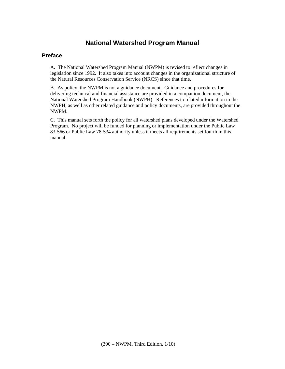# **National Watershed Program Manual**

# <span id="page-2-1"></span><span id="page-2-0"></span>**Preface**

A. The National Watershed Program Manual (NWPM) is revised to reflect changes in legislation since 1992. It also takes into account changes in the organizational structure of the Natural Resources Conservation Service (NRCS) since that time.

B. As policy, the NWPM is not a guidance document. Guidance and procedures for delivering technical and financial assistance are provided in a companion document, the National Watershed Program Handbook (NWPH). References to related information in the NWPH, as well as other related guidance and policy documents, are provided throughout the NWPM.

C. This manual sets forth the policy for all watershed plans developed under the Watershed Program. No project will be funded for planning or implementation under the Public Law 83-566 or Public Law 78-534 authority unless it meets all requirements set fourth in this manual.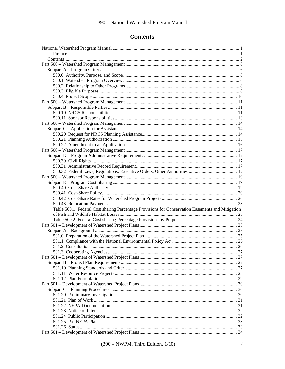# **Contents**

<span id="page-3-0"></span>

| Table 500.1 Federal Cost sharing Percentage Provisions for Conservation Easements and Mitigation |  |  |
|--------------------------------------------------------------------------------------------------|--|--|
|                                                                                                  |  |  |
|                                                                                                  |  |  |
|                                                                                                  |  |  |
|                                                                                                  |  |  |
|                                                                                                  |  |  |
|                                                                                                  |  |  |
|                                                                                                  |  |  |
|                                                                                                  |  |  |
|                                                                                                  |  |  |
|                                                                                                  |  |  |
|                                                                                                  |  |  |
|                                                                                                  |  |  |
|                                                                                                  |  |  |
|                                                                                                  |  |  |
|                                                                                                  |  |  |
|                                                                                                  |  |  |
|                                                                                                  |  |  |
|                                                                                                  |  |  |
|                                                                                                  |  |  |
|                                                                                                  |  |  |
|                                                                                                  |  |  |
|                                                                                                  |  |  |
|                                                                                                  |  |  |
|                                                                                                  |  |  |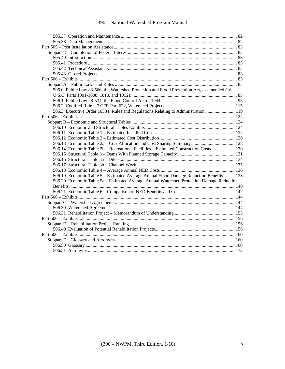| 506.0 Public Law 83-566, the Watershed Protection and Flood Prevention Act, as amended (16 |  |
|--------------------------------------------------------------------------------------------|--|
|                                                                                            |  |
|                                                                                            |  |
|                                                                                            |  |
| 506.3 Executive Order 10584, Rules and Regulations Relating to Administration  119         |  |
|                                                                                            |  |
|                                                                                            |  |
|                                                                                            |  |
|                                                                                            |  |
|                                                                                            |  |
|                                                                                            |  |
| 506.14 Economic Table 2b - Recreational Facilities—Estimated Construction Costs 130        |  |
|                                                                                            |  |
|                                                                                            |  |
|                                                                                            |  |
|                                                                                            |  |
| 506.19 Economic Table 5 - Estimated Average Annual Flood Damage Reduction Benefits  138    |  |
| 506.20 Economic Table 5a - Estimated Average Annual Watershed Protection Damage Reduction  |  |
|                                                                                            |  |
|                                                                                            |  |
|                                                                                            |  |
|                                                                                            |  |
|                                                                                            |  |
|                                                                                            |  |
|                                                                                            |  |
|                                                                                            |  |
|                                                                                            |  |
|                                                                                            |  |
|                                                                                            |  |
|                                                                                            |  |
|                                                                                            |  |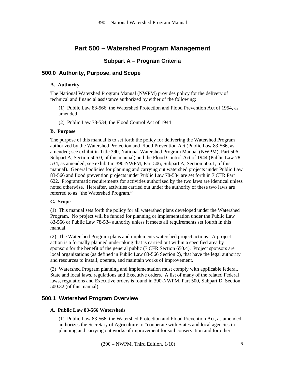# **Part 500 – Watershed Program Management**

# **Subpart A – Program Criteria**

# <span id="page-7-2"></span><span id="page-7-1"></span><span id="page-7-0"></span>**500.0 Authority, Purpose, and Scope**

#### **A. Authority**

The National Watershed Program Manual (NWPM) provides policy for the delivery of technical and financial assistance authorized by either of the following:

(1) Public Law 83-566, the Watershed Protection and Flood Prevention Act of 1954, as amended

(2) Public Law 78-534, the Flood Control Act of 1944

#### **B. Purpose**

The purpose of this manual is to set forth the policy for delivering the Watershed Program authorized by the Watershed Protection and Flood Prevention Act (Public Law 83-566, as amended; see exhibit in Title 390, National Watershed Program Manual (NWPM), Part 506, Subpart A, Section 506.0, of this manual) and the Flood Control Act of 1944 (Public Law 78- 534, as amended; see exhibit in 390-NWPM, Part 506, Subpart A, Section 506.1, of this manual). General policies for planning and carrying out watershed projects under Public Law 83-566 and flood prevention projects under Public Law 78-534 are set forth in 7 CFR Part 622. Programmatic requirements for activities authorized by the two laws are identical unless noted otherwise. Hereafter, activities carried out under the authority of these two laws are referred to as "the Watershed Program."

#### **C. Scope**

(1) This manual sets forth the policy for all watershed plans developed under the Watershed Program. No project will be funded for planning or implementation under the Public Law 83-566 or Public Law 78-534 authority unless it meets all requirements set fourth in this manual.

(2) The Watershed Program plans and implements watershed project actions. A project action is a formally planned undertaking that is carried out within a specified area by sponsors for the benefit of the general public (7 CFR Section 650.4). Project sponsors are local organizations (as defined in Public Law 83-566 Section 2), that have the legal authority and resources to install, operate, and maintain works of improvement.

(3) Watershed Program planning and implementation must comply with applicable federal, State and local laws, regulations and Executive orders. A list of many of the related Federal laws, regulations and Executive orders is found in 390-NWPM, Part 500, Subpart D, Section 500.32 (of this manual).

# <span id="page-7-3"></span>**500.1 Watershed Program Overview**

#### **A. Public Law 83-566 Watersheds**

(1) Public Law 83-566, the Watershed Protection and Flood Prevention Act, as amended, authorizes the Secretary of Agriculture to "cooperate with States and local agencies in planning and carrying out works of improvement for soil conservation and for other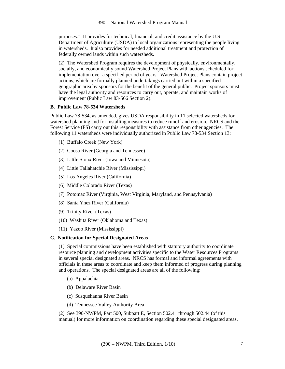purposes." It provides for technical, financial, and credit assistance by the U.S. Department of Agriculture (USDA) to local organizations representing the people living in watersheds. It also provides for needed additional treatment and protection of federally owned lands within such watersheds.

(2) The Watershed Program requires the development of physically, environmentally, socially, and economically sound Watershed Project Plans with actions scheduled for implementation over a specified period of years. Watershed Project Plans contain project actions, which are formally planned undertakings carried out within a specified geographic area by sponsors for the benefit of the general public. Project sponsors must have the legal authority and resources to carry out, operate, and maintain works of improvement (Public Law 83-566 Section 2).

#### **B. Public Law 78-534 Watersheds**

Public Law 78-534, as amended, gives USDA responsibility in 11 selected watersheds for watershed planning and for installing measures to reduce runoff and erosion. NRCS and the Forest Service (FS) carry out this responsibility with assistance from other agencies. The following 11 watersheds were individually authorized in Public Law 78-534 Section 13:

- (1) Buffalo Creek (New York)
- (2) Coosa River (Georgia and Tennessee)
- (3) Little Sioux River (Iowa and Minnesota)
- (4) Little Tallahatchie River (Mississippi)
- (5) Los Angeles River (California)
- (6) Middle Colorado River (Texas)
- (7) Potomac River (Virginia, West Virginia, Maryland, and Pennsylvania)
- (8) Santa Ynez River (California)
- (9) Trinity River (Texas)
- (10) Washita River (Oklahoma and Texas)
- (11) Yazoo River (Mississippi)

#### **C. Notification for Special Designated Areas**

(1) Special commissions have been established with statutory authority to coordinate resource planning and development activities specific to the Water Resources Programs in several special designated areas. NRCS has formal and informal agreements with officials in these areas to coordinate and keep them informed of progress during planning and operations. The special designated areas are all of the following:

- (a) Appalachia
- (b) Delaware River Basin
- (c) Susquehanna River Basin
- (d) Tennessee Valley Authority Area

(2) See 390-NWPM, Part 500, Subpart E, Section 502.41 through 502.44 (of this manual) for more information on coordination regarding these special designated areas.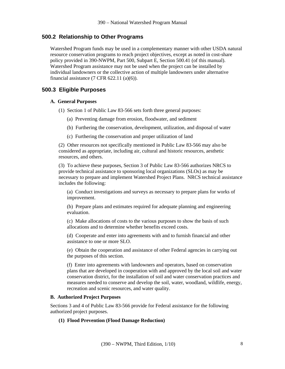# <span id="page-9-0"></span>**500.2 Relationship to Other Programs**

Watershed Program funds may be used in a complementary manner with other USDA natural resource conservation programs to reach project objectives, except as noted in cost-share policy provided in 390-NWPM, Part 500, Subpart E, Section 500.41 (of this manual). Watershed Program assistance may not be used when the project can be installed by individual landowners or the collective action of multiple landowners under alternative financial assistance  $(7 \text{ CFR } 622.11 \text{ (a)}(6))$ .

### <span id="page-9-1"></span>**500.3 Eligible Purposes**

#### **A. General Purposes**

(1) Section 1 of Public Law 83-566 sets forth three general purposes:

- (a) Preventing damage from erosion, floodwater, and sediment
- (b) Furthering the conservation, development, utilization, and disposal of water
- (c) Furthering the conservation and proper utilization of land

(2) Other resources not specifically mentioned in Public Law 83-566 may also be considered as appropriate, including air, cultural and historic resources, aesthetic resources, and others.

(3) To achieve these purposes, Section 3 of Public Law 83-566 authorizes NRCS to provide technical assistance to sponsoring local organizations (SLOs) as may be necessary to prepare and implement Watershed Project Plans. NRCS technical assistance includes the following:

(a) Conduct investigations and surveys as necessary to prepare plans for works of improvement.

(b) Prepare plans and estimates required for adequate planning and engineering evaluation.

(c) Make allocations of costs to the various purposes to show the basis of such allocations and to determine whether benefits exceed costs.

(d) Cooperate and enter into agreements with and to furnish financial and other assistance to one or more SLO.

(e) Obtain the cooperation and assistance of other Federal agencies in carrying out the purposes of this section.

(f) Enter into agreements with landowners and operators, based on conservation plans that are developed in cooperation with and approved by the local soil and water conservation district, for the installation of soil and water conservation practices and measures needed to conserve and develop the soil, water, woodland, wildlife, energy, recreation and scenic resources, and water quality.

#### **B. Authorized Project Purposes**

Sections 3 and 4 of Public Law 83-566 provide for Federal assistance for the following authorized project purposes.

#### **(1) Flood Prevention (Flood Damage Reduction)**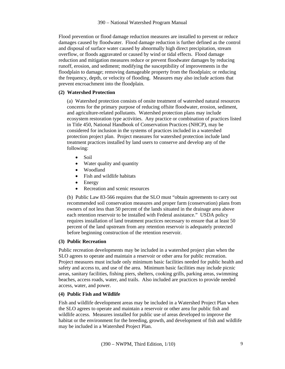Flood prevention or flood damage reduction measures are installed to prevent or reduce damages caused by floodwater. Flood damage reduction is further defined as the control and disposal of surface water caused by abnormally high direct precipitation, stream overflow, or floods aggravated or caused by wind or tidal effects. Flood damage reduction and mitigation measures reduce or prevent floodwater damages by reducing runoff, erosion, and sediment; modifying the susceptibility of improvements in the floodplain to damage; removing damageable property from the floodplain; or reducing the frequency, depth, or velocity of flooding. Measures may also include actions that prevent encroachment into the floodplain.

#### **(2) Watershed Protection**

(a) Watershed protection consists of onsite treatment of watershed natural resources concerns for the primary purpose of reducing offsite floodwater, erosion, sediment, and agriculture-related pollutants. Watershed protection plans may include ecosystem restoration type activities. Any practice or combination of practices listed in Title 450, National Handbook of Conservation Practices (NHCP), may be considered for inclusion in the systems of practices included in a watershed protection project plan. Project measures for watershed protection include land treatment practices installed by land users to conserve and develop any of the following:

- $\bullet$  Soil
- Water quality and quantity
- Woodland
- Fish and wildlife habitats
- Energy
- Recreation and scenic resources

(b) Public Law 83-566 requires that the SLO must "obtain agreements to carry out recommended soil conservation measures and proper farm (conservation) plans from owners of not less than 50 percent of the lands situated in the drainage area above each retention reservoir to be installed with Federal assistance." USDA policy requires installation of land treatment practices necessary to ensure that at least 50 percent of the land upstream from any retention reservoir is adequately protected before beginning construction of the retention reservoir.

#### **(3) Public Recreation**

Public recreation developments may be included in a watershed project plan when the SLO agrees to operate and maintain a reservoir or other area for public recreation. Project measures must include only minimum basic facilities needed for public health and safety and access to, and use of the area. Minimum basic facilities may include picnic areas, sanitary facilities, fishing piers, shelters, cooking grills, parking areas, swimming beaches, access roads, water, and trails. Also included are practices to provide needed access, water, and power.

# **(4) Public Fish and Wildlife**

Fish and wildlife development areas may be included in a Watershed Project Plan when the SLO agrees to operate and maintain a reservoir or other area for public fish and wildlife access. Measures installed for public use of areas developed to improve the habitat or the environment for the breeding, growth, and development of fish and wildlife may be included in a Watershed Project Plan.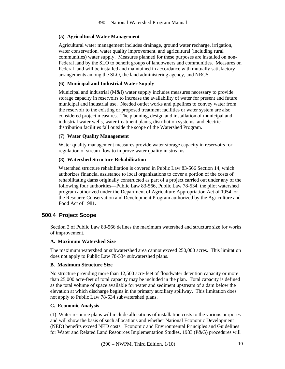#### **(5) Agricultural Water Management**

Agricultural water management includes drainage, ground water recharge, irrigation, water conservation, water quality improvement, and agricultural (including rural communities) water supply. Measures planned for these purposes are installed on non-Federal land by the SLO to benefit groups of landowners and communities. Measures on Federal land will be installed and maintained in accordance with mutually satisfactory arrangements among the SLO, the land administering agency, and NRCS.

# **(6) Municipal and Industrial Water Supply**

Municipal and industrial (M&I) water supply includes measures necessary to provide storage capacity in reservoirs to increase the availability of water for present and future municipal and industrial use. Needed outlet works and pipelines to convey water from the reservoir to the existing or proposed treatment facilities or water system are also considered project measures. The planning, design and installation of municipal and industrial water wells, water treatment plants, distribution systems, and electric distribution facilities fall outside the scope of the Watershed Program.

#### **(7) Water Quality Management**

Water quality management measures provide water storage capacity in reservoirs for regulation of stream flow to improve water quality in streams.

#### **(8) Watershed Structure Rehabilitation**

Watershed structure rehabilitation is covered in Public Law 83-566 Section 14, which authorizes financial assistance to local organizations to cover a portion of the costs of rehabilitating dams originally constructed as part of a project carried out under any of the following four authorities—Public Law 83-566, Public Law 78-534, the pilot watershed program authorized under the Department of Agriculture Appropriation Act of 1954, or the Resource Conservation and Development Program authorized by the Agriculture and Food Act of 1981.

# <span id="page-11-0"></span>**500.4 Project Scope**

Section 2 of Public Law 83-566 defines the maximum watershed and structure size for works of improvement.

#### **A. Maximum Watershed Size**

The maximum watershed or subwatershed area cannot exceed 250,000 acres. This limitation does not apply to Public Law 78-534 subwatershed plans.

#### **B. Maximum Structure Size**

No structure providing more than 12,500 acre-feet of floodwater detention capacity or more than 25,000 acre-feet of total capacity may be included in the plan. Total capacity is defined as the total volume of space available for water and sediment upstream of a dam below the elevation at which discharge begins in the primary auxiliary spillway. This limitation does not apply to Public Law 78-534 subwatershed plans.

#### **C. Economic Analysis**

(1) Water resource plans will include allocations of installation costs to the various purposes and will show the basis of such allocations and whether National Economic Development (NED) benefits exceed NED costs. Economic and Environmental Principles and Guidelines for Water and Related Land Resources Implementation Studies, 1983 (P&G) procedures will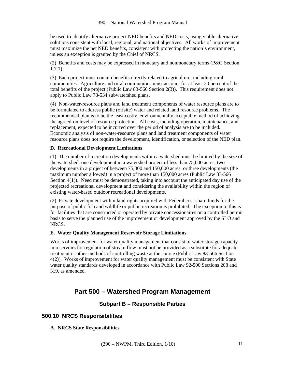be used to identify alternative project NED benefits and NED costs, using viable alternative solutions consistent with local, regional, and national objectives. All works of improvement must maximize the net NED benefits, consistent with protecting the nation's environment, unless an exception is granted by the Chief of NRCS.

(2) Benefits and costs may be expressed in monetary and nonmonetary terms (P&G Section 1.7.1).

(3) Each project must contain benefits directly related to agriculture, including rural communities. Agriculture and rural communities must account for at least 20 percent of the total benefits of the project (Public Law 83-566 Section 2(3)). This requirement does not apply to Public Law 78-534 subwatershed plans.

(4) Non-water-resource plans and land treatment components of water resource plans are to be formulated to address public (offsite) water and related land resource problems. The recommended plan is to be the least costly, environmentally acceptable method of achieving the agreed-on level of resource protection. All costs, including operation, maintenance, and replacement, expected to be incurred over the period of analysis are to be included. Economic analysis of non-water-resource plans and land treatment components of water resource plans does not require the development, identification, or selection of the NED plan.

#### **D. Recreational Development Limitations**

(1) The number of recreation developments within a watershed must be limited by the size of the watershed: one development in a watershed project of less than 75,000 acres, two developments in a project of between 75,000 and 150,000 acres, or three developments (the maximum number allowed) in a project of more than 150,000 acres (Public Law 83-566 Section  $4(1)$ ). Need must be demonstrated, taking into account the anticipated day use of the projected recreational development and considering the availability within the region of existing water-based outdoor recreational developments.

(2) Private development within land rights acquired with Federal cost-share funds for the purpose of public fish and wildlife or public recreation is prohibited. The exception to this is for facilities that are constructed or operated by private concessionaires on a controlled permit basis to serve the planned use of the improvement or development approved by the SLO and NRCS.

#### **E. Water Quality Management Reservoir Storage Limitations**

Works of improvement for water quality management that consist of water storage capacity in reservoirs for regulation of stream flow must not be provided as a substitute for adequate treatment or other methods of controlling waste at the source (Public Law 83-566 Section 4(2)). Works of improvement for water quality management must be consistent with State water quality standards developed in accordance with Public Law 92-500 Sections 208 and 319, as amended.

# **Part 500 – Watershed Program Management**

# **Subpart B – Responsible Parties**

#### <span id="page-12-2"></span><span id="page-12-1"></span><span id="page-12-0"></span>**500.10 NRCS Responsibilities**

**A. NRCS State Responsibilities**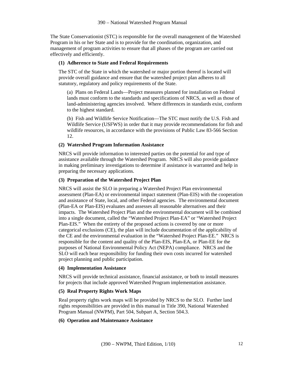The State Conservationist (STC) is responsible for the overall management of the Watershed Program in his or her State and is to provide for the coordination, organization, and management of program activities to ensure that all phases of the program are carried out effectively and efficiently.

#### **(1) Adherence to State and Federal Requirements**

The STC of the State in which the watershed or major portion thereof is located will provide overall guidance and ensure that the watershed project plan adheres to all statutory, regulatory and policy requirements of the State.

(a) Plans on Federal Lands—Project measures planned for installation on Federal lands must conform to the standards and specifications of NRCS, as well as those of land-administering agencies involved. Where differences in standards exist, conform to the highest standard.

(b) Fish and Wildlife Service Notification—The STC must notify the U.S. Fish and Wildlife Service (USFWS) in order that it may provide recommendations for fish and wildlife resources, in accordance with the provisions of Public Law 83-566 Section 12.

#### **(2) Watershed Program Information Assistance**

NRCS will provide information to interested parties on the potential for and type of assistance available through the Watershed Program. NRCS will also provide guidance in making preliminary investigations to determine if assistance is warranted and help in preparing the necessary applications.

#### **(3) Preparation of the Watershed Project Plan**

NRCS will assist the SLO in preparing a Watershed Project Plan environmental assessment (Plan-EA) or environmental impact statement (Plan-EIS) with the cooperation and assistance of State, local, and other Federal agencies. The environmental document (Plan-EA or Plan-EIS) evaluates and assesses all reasonable alternatives and their impacts. The Watershed Project Plan and the environmental document will be combined into a single document, called the "Watershed Project Plan-EA" or "Watershed Project Plan-EIS." When the entirety of the proposed actions is covered by one or more categorical exclusions (CE), the plan will include documentation of the applicability of the CE and the environmental evaluation in the "Watershed Project Plan-EE." NRCS is responsible for the content and quality of the Plan-EIS, Plan-EA, or Plan-EE for the purposes of National Environmental Policy Act (NEPA) compliance. NRCS and the SLO will each bear responsibility for funding their own costs incurred for watershed project planning and public participation.

#### **(4) Implementation Assistance**

NRCS will provide technical assistance, financial assistance, or both to install measures for projects that include approved Watershed Program implementation assistance.

#### **(5) Real Property Rights Work Maps**

Real property rights work maps will be provided by NRCS to the SLO. Further land rights responsibilities are provided in this manual in Title 390, National Watershed Program Manual (NWPM), Part 504, Subpart A, Section 504.3.

#### **(6) Operation and Maintenance Assistance**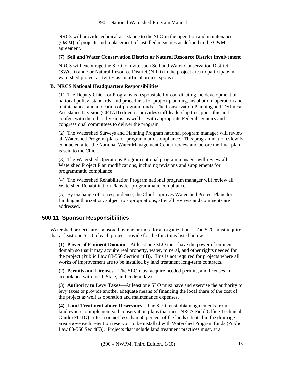NRCS will provide technical assistance to the SLO in the operation and maintenance (O&M) of projects and replacement of installed measures as defined in the O&M agreement.

#### **(7) Soil and Water Conservation District or Natural Resource District Involvement**

NRCS will encourage the SLO to invite each Soil and Water Conservation District (SWCD) and / or Natural Resource District (NRD) in the project area to participate in watershed project activities as an official project sponsor.

#### **B. NRCS National Headquarters Responsibilities**

(1) The Deputy Chief for Programs is responsible for coordinating the development of national policy, standards, and procedures for project planning, installation, operation and maintenance, and allocation of program funds. The Conservation Planning and Technical Assistance Division (CPTAD) director provides staff leadership to support this and confers with the other divisions, as well as with appropriate Federal agencies and congressional committees to deliver the program.

(2) The Watershed Surveys and Planning Program national program manager will review all Watershed Program plans for programmatic compliance. This programmatic review is conducted after the National Water Management Center review and before the final plan is sent to the Chief.

(3) The Watershed Operations Program national program manager will review all Watershed Project Plan modifications, including revisions and supplements for programmatic compliance.

(4) The Watershed Rehabilitation Program national program manager will review all Watershed Rehabilitation Plans for programmatic compliance.

(5) By exchange of correspondence, the Chief approves Watershed Project Plans for funding authorization, subject to appropriations, after all reviews and comments are addressed.

# <span id="page-14-0"></span>**500.11 Sponsor Responsibilities**

Watershed projects are sponsored by one or more local organizations. The STC must require that at least one SLO of each project provide for the functions listed below:

**(1) Power of Eminent Domain—**At least one SLO must have the power of eminent domain so that it may acquire real property, water, mineral, and other rights needed for the project (Public Law 83-566 Section 4(4)). This is not required for projects where all works of improvement are to be installed by land treatment long-term contracts.

**(2) Permits and Licenses—**The SLO must acquire needed permits, and licenses in accordance with local, State, and Federal laws.

**(3) Authority to Levy Taxes—**At least one SLO must have and exercise the authority to levy taxes or provide another adequate means of financing the local share of the cost of the project as well as operation and maintenance expenses.

**(4) Land Treatment above Reservoirs—**The SLO must obtain agreements from landowners to implement soil conservation plans that meet NRCS Field Office Technical Guide (FOTG) criteria on not less than 50 percent of the lands situated in the drainage area above each retention reservoir to be installed with Watershed Program funds (Public Law 83-566 Sec 4(5)). Projects that include land treatment practices must, at a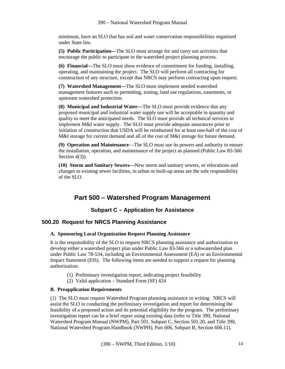minimum, have an SLO that has soil and water conservation responsibilities organized under State law.

**(5) Public Participation—**The SLO must arrange for and carry out activities that encourage the public to participate in the watershed project planning process.

**(6) Financial—**The SLO must show evidence of commitment for funding, installing, operating, and maintaining the project. The SLO will perform all contracting for construction of any structure, except that NRCS may perform contracting upon request.

**(7) Watershed Management—**The SLO must implement needed watershed management features such as permitting, zoning, land use regulations, easements, or upstream watershed protection.

**(8) Municipal and Industrial Water—**The SLO must provide evidence that any proposed municipal and industrial water supply use will be acceptable in quantity and quality to meet the anticipated needs. The SLO must provide all technical services to implement M&I water supply. The SLO must provide adequate assurances prior to initiation of construction that USDA will be reimbursed for at least one-half of the cost of M&I storage for current demand and all of the cost of M&I storage for future demand.

**(9) Operation and Maintenance**—The SLO must use its powers and authority to ensure the installation, operation, and maintenance of the project as planned (Public Law 83-566 Section 4(3)).

**(10) Storm and Sanitary Sewers—**New storm and sanitary sewers, or relocations and changes to existing sewer facilities, in urban or built-up areas are the sole responsibility of the SLO.

# **Part 500 – Watershed Program Management**

# **Subpart C – Application for Assistance**

# <span id="page-15-2"></span><span id="page-15-1"></span><span id="page-15-0"></span>**500.20 Request for NRCS Planning Assistance**

#### **A. Sponsoring Local Organization Request Planning Assistance**

It is the responsibility of the SLO to request NRCS planning assistance and authorization to develop either a watershed project plan under Public Law 83-566 or a subwatershed plan under Public Law 78-534, including an Environmental Assessment (EA) or an Environmental Impact Statement (EIS). The following items are needed to support a request for planning authorization:

- (1) Preliminary investigation report, indicating project feasibility
- (2) Valid application Standard Form (SF) 424

#### **B. Preapplication Requirements**

(1) The SLO must request Watershed Program planning assistance in writing. NRCS will assist the SLO in conducting the preliminary investigation and report for determining the feasibility of a proposed action and its potential eligibility for the program. The preliminary investigation report can be a brief report using existing data (refer to Title 390, National Watershed Program Manual (NWPM), Part 501, Subpart C, Section 501.20, and Title 390, National Watershed Program Handbook (NWPH), Part 606, Subpart B, Section 606.11).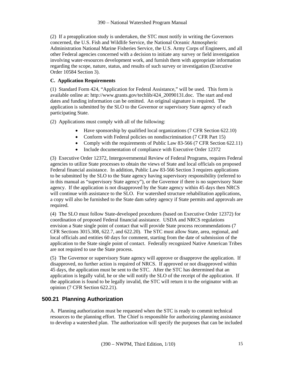(2) If a preapplication study is undertaken, the STC must notify in writing the Governors concerned, the U.S. Fish and Wildlife Service, the National Oceanic Atmospheric Administration National Marine Fisheries Service, the U.S. Army Corps of Engineers, and all other Federal agencies concerned with a decision to initiate any survey or field investigation involving water-resources development work, and furnish them with appropriate information regarding the scope, nature, status, and results of such survey or investigation (Executive Order 10584 Section 3).

#### **C. Application Requirements**

(1) Standard Form 424, "Application for Federal Assistance," will be used. This form is available online at: [http://www.grants.gov/techlib/424\\_20090131.doc](http://www.grants.gov/techlib/424_20090131.doc). The start and end dates and funding information can be omitted. An original signature is required. The application is submitted by the SLO to the Governor or supervisory State agency of each participating State.

(2) Applications must comply with all of the following:

- Have sponsorship by qualified local organizations (7 CFR Section 622.10)
- Conform with Federal policies on nondiscrimination (7 CFR Part 15)
- Comply with the requirements of Public Law 83-566 (7 CFR Section 622.11)
- Include documentation of compliance with Executive Order 12372

(3) Executive Order 12372, Intergovernmental Review of Federal Programs, requires Federal agencies to utilize State processes to obtain the views of State and local officials on proposed Federal financial assistance. In addition, Public Law 83-566 Section 3 requires applications to be submitted by the SLO to the State agency having supervisory responsibility (referred to in this manual as "supervisory State agency"), or the Governor if there is no supervisory State agency. If the application is not disapproved by the State agency within 45 days then NRCS will continue with assistance to the SLO. For watershed structure rehabilitation applications, a copy will also be furnished to the State dam safety agency if State permits and approvals are required.

(4) The SLO must follow State-developed procedures (based on Executive Order 12372) for coordination of proposed Federal financial assistance. USDA and NRCS regulations envision a State single point of contact that will provide State process recommendations (7 CFR Sections 3015.308, 622.7, and 622.20). The STC must allow State, area, regional, and local officials and entities 60 days for comment, starting from the date of submission of the application to the State single point of contact. Federally recognized Native American Tribes are not required to use the State process.

(5) The Governor or supervisory State agency will approve or disapprove the application. If disapproved, no further action is required of NRCS. If approved or not disapproved within 45 days, the application must be sent to the STC. After the STC has determined that an application is legally valid, he or she will notify the SLO of the receipt of the application. If the application is found to be legally invalid, the STC will return it to the originator with an opinion (7 CFR Section 622.21).

# <span id="page-16-0"></span>**500.21 Planning Authorization**

A. Planning authorization must be requested when the STC is ready to commit technical resources to the planning effort. The Chief is responsible for authorizing planning assistance to develop a watershed plan. The authorization will specify the purposes that can be included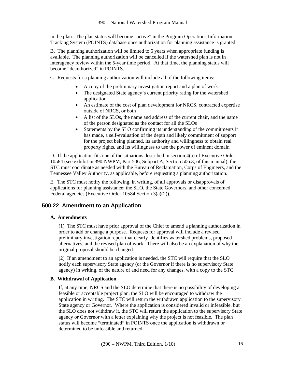in the plan. The plan status will become "active" in the Program Operations Information Tracking System (POINTS) database once authorization for planning assistance is granted.

B. The planning authorization will be limited to 5 years when appropriate funding is available. The planning authorization will be cancelled if the watershed plan is not in interagency review within the 5-year time period. At that time, the planning status will become "deauthorized" in POINTS.

C. Requests for a planning authorization will include all of the following items:

- A copy of the preliminary investigation report and a plan of work
- The designated State agency's current priority rating for the watershed application
- An estimate of the cost of plan development for NRCS, contracted expertise outside of NRCS, or both
- A list of the SLOs, the name and address of the current chair, and the name of the person designated as the contact for all the SLOs
- Statements by the SLO confirming its understanding of the commitments it has made, a self-evaluation of the depth and likely commitment of support for the project being planned, its authority and willingness to obtain real property rights, and its willingness to use the power of eminent domain

D. If the application fits one of the situations described in section 4(a) of Executive Order 10584 (see exhibit in 390-NWPM, Part 506, Subpart A, Section 506.3, of this manual), the STC must coordinate as needed with the Bureau of Reclamation, Corps of Engineers, and the Tennessee Valley Authority, as applicable, before requesting a planning authorization.

E. The STC must notify the following, in writing, of all approvals or disapprovals of applications for planning assistance: the SLO, the State Governors, and other concerned Federal agencies (Executive Order 10584 Section 3(a)(2)).

# <span id="page-17-0"></span>**500.22 Amendment to an Application**

# **A. Amendments**

(1) The STC must have prior approval of the Chief to amend a planning authorization in order to add or change a purpose. Requests for approval will include a revised preliminary investigation report that clearly identifies watershed problems, proposed alternatives, and the revised plan of work. There will also be an explanation of why the original proposal should be changed.

(2) If an amendment to an application is needed, the STC will require that the SLO notify each supervisory State agency (or the Governor if there is no supervisory State agency) in writing, of the nature of and need for any changes, with a copy to the STC.

# **B. Withdrawal of Application**

If, at any time, NRCS and the SLO determine that there is no possibility of developing a feasible or acceptable project plan, the SLO will be encouraged to withdraw the application in writing. The STC will return the withdrawn application to the supervisory State agency or Governor. Where the application is considered invalid or infeasible, but the SLO does not withdraw it, the STC will return the application to the supervisory State agency or Governor with a letter explaining why the project is not feasible. The plan status will become "terminated" in POINTS once the application is withdrawn or determined to be unfeasible and returned.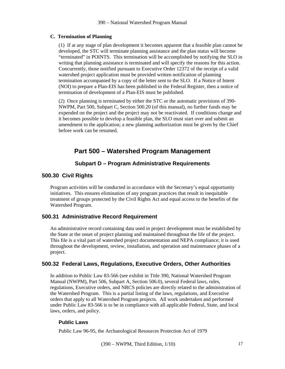#### **C. Termination of Planning**

(1) If at any stage of plan development it becomes apparent that a feasible plan cannot be developed, the STC will terminate planning assistance and the plan status will become "terminated" in POINTS. This termination will be accomplished by notifying the SLO in writing that planning assistance is terminated and will specify the reasons for this action. Concurrently, those notified pursuant to Executive Order 12372 of the receipt of a valid watershed project application must be provided written notification of planning termination accompanied by a copy of the letter sent to the SLO. If a Notice of Intent (NOI) to prepare a Plan-EIS has been published in the Federal Register, then a notice of termination of development of a Plan-EIS must be published.

(2) Once planning is terminated by either the STC or the automatic provisions of 390- NWPM, Part 500, Subpart C, Section 500.20 (of this manual), no further funds may be expended on the project and the project may not be reactivated. If conditions change and it becomes possible to develop a feasible plan, the SLO must start over and submit an amendment to the application; a new planning authorization must be given by the Chief before work can be resumed.

# **Part 500 – Watershed Program Management**

# **Subpart D – Program Administrative Requirements**

# <span id="page-18-2"></span><span id="page-18-1"></span><span id="page-18-0"></span>**500.30 Civil Rights**

Program activities will be conducted in accordance with the Secretary's equal opportunity initiatives. This ensures elimination of any program practices that result in inequitable treatment of groups protected by the Civil Rights Act and equal access to the benefits of the Watershed Program.

# <span id="page-18-3"></span>**500.31 Administrative Record Requirement**

An administrative record containing data used in project development must be established by the State at the onset of project planning and maintained throughout the life of the project. This file is a vital part of watershed project documentation and NEPA compliance; it is used throughout the development, review, installation, and operation and maintenance phases of a project.

# <span id="page-18-4"></span>**500.32 Federal Laws, Regulations, Executive Orders, Other Authorities**

In addition to Public Law 83-566 (see exhibit in Title 390, National Watershed Program Manual (NWPM), Part 506, Subpart A, Section 506.0), several Federal laws, rules, regulations, Executive orders, and NRCS policies are directly related to the administration of the Watershed Program. This is a partial listing of the laws, regulations, and Executive orders that apply to all Watershed Program projects. All work undertaken and performed under Public Law 83-566 is to be in compliance with all applicable Federal, State, and local laws, orders, and policy.

# **Public Laws**

Public Law 96-95, the Archaeological Resources Protection Act of 1979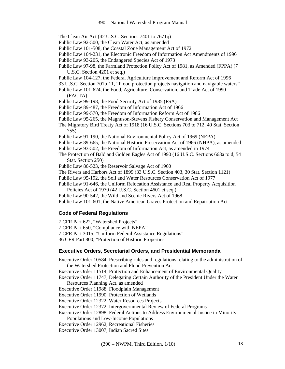390 – National Watershed Program Manual

The Clean Air Act (42 U.S.C. Sections 7401 to 7671q)

Public Law 92-500, the Clean Water Act, as amended

Public Law 101-508, the Coastal Zone Management Act of 1972

Public Law 104-231, the Electronic Freedom of Information Act Amendments of 1996

Public Law 93-205, the Endangered Species Act of 1973

Public Law 97-98, the Farmland Protection Policy Act of 1981, as Amended (FPPA) (7 U.S.C. Section 4201 et seq.)

Public Law 104-127, the Federal Agriculture Improvement and Reform Act of 1996

33 U.S.C. Section 701b-11, "Flood protection projects navigation and navigable waters"

Public Law 101-624, the Food, Agriculture, Conservation, and Trade Act of 1990 (FACTA)

Public Law 99-198, the Food Security Act of 1985 (FSA)

Public Law 89-487, the Freedom of Information Act of 1966

Public Law 99-570, the Freedom of Information Reform Act of 1986

Public Law 95-265, the Magnuson-Stevens Fishery Conservation and Management Act

The Migratory Bird Treaty Act of 1918 (16 U.S.C. Sections 703 to 712, 40 Stat. Section 755)

Public Law 91-190, the National Environmental Policy Act of 1969 (NEPA)

Public Law 89-665, the National Historic Preservation Act of 1966 (NHPA), as amended Public Law 93-502, the Freedom of Information Act, as amended in 1974

The Protection of Bald and Golden Eagles Act of 1990 (16 U.S.C. Sections 668a to d, 54 Stat. Section 250)

Public Law 86-523, the Reservoir Salvage Act of 1960

The Rivers and Harbors Act of 1899 (33 U.S.C. Section 403, 30 Stat. Section 1121)

Public Law 95-192, the Soil and Water Resources Conservation Act of 1977

Public Law 91-646, the Uniform Relocation Assistance and Real Property Acquisition Policies Act of 1970 (42 U.S.C. Section 4601 et seq.)

Public Law 90-542, the Wild and Scenic Rivers Act of 1968

Public Law 101-601, the Native American Graves Protection and Repatriation Act

#### **Code of Federal Regulations**

7 CFR Part 622, "Watershed Projects" 7 CFR Part 650, "Compliance with NEPA" 7 CFR Part 3015, "Uniform Federal Assistance Regulations" 36 CFR Part 800, "Protection of Historic Properties"

#### **Executive Orders, Secretarial Orders, and Presidential Memoranda**

Executive Order 10584, Prescribing rules and regulations relating to the administration of the Watershed Protection and Flood Prevention Act

Executive Order 11514, Protection and Enhancement of Environmental Quality

Executive Order 11747, Delegating Certain Authority of the President Under the Water Resources Planning Act, as amended

Executive Order 11988, Floodplain Management

Executive Order 11990, Protection of Wetlands

Executive Order 12322, Water Resources Projects

Executive Order 12372, Intergovernmental Review of Federal Programs

Executive Order 12898, Federal Actions to Address Environmental Justice in Minority Populations and Low-Income Populations

Executive Order 12962, Recreational Fisheries

Executive Order 13007, Indian Sacred Sites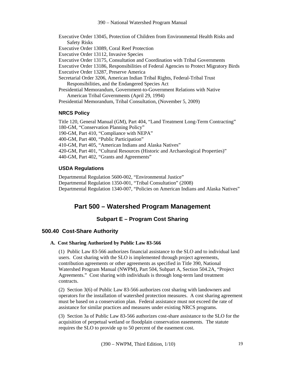390 – National Watershed Program Manual

Executive Order 13045, Protection of Children from Environmental Health Risks and Safety Risks Executive Order 13089, Coral Reef Protection Executive Order 13112, Invasive Species Executive Order 13175, Consultation and Coordination with Tribal Governments Executive Order 13186, Responsibilities of Federal Agencies to Protect Migratory Birds Executive Order 13287, Preserve America Secretarial Order 3206, American Indian Tribal Rights, Federal-Tribal Trust Responsibilities, and the Endangered Species Act Presidential Memorandum, Government-to-Government Relations with Native American Tribal Governments (April 29, 1994) Presidential Memorandum, Tribal Consultation, (November 5, 2009)

# **NRCS Policy**

Title 120, General Manual (GM), Part 404, "Land Treatment Long-Term Contracting" 180-GM, "Conservation Planning Policy" 190-GM, Part 410, "Compliance with NEPA" 400-GM, Part 400, "Public Participation" 410-GM, Part 405, "American Indians and Alaska Natives" 420-GM, Part 401, "Cultural Resources (Historic and Archaeological Properties)" 440-GM, Part 402, "Grants and Agreements"

#### **USDA Regulations**

Departmental Regulation 5600-002, "Environmental Justice" Departmental Regulation 1350-001, "Tribal Consultation" (2008) Departmental Regulation 1340-007, "Policies on American Indians and Alaska Natives"

# **Part 500 – Watershed Program Management**

# **Subpart E – Program Cost Sharing**

# <span id="page-20-2"></span><span id="page-20-1"></span><span id="page-20-0"></span>**500.40 Cost-Share Authority**

#### **A. Cost Sharing Authorized by Public Law 83-566**

(1) Public Law 83-566 authorizes financial assistance to the SLO and to individual land users. Cost sharing with the SLO is implemented through project agreements, contribution agreements or other agreements as specified in Title 390, National Watershed Program Manual (NWPM), Part 504, Subpart A, Section 504.2A, "Project Agreements." Cost sharing with individuals is through long-term land treatment contracts.

(2) Section 3(6) of Public Law 83-566 authorizes cost sharing with landowners and operators for the installation of watershed protection measures. A cost sharing agreement must be based on a conservation plan. Federal assistance must not exceed the rate of assistance for similar practices and measures under existing NRCS programs.

(3) Section 3a of Public Law 83-566 authorizes cost-share assistance to the SLO for the acquisition of perpetual wetland or floodplain conservation easements. The statute requires the SLO to provide up to 50 percent of the easement cost.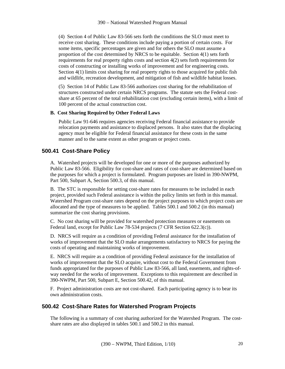(4) Section 4 of Public Law 83-566 sets forth the conditions the SLO must meet to receive cost sharing. These conditions include paying a portion of certain costs. For some items, specific percentages are given and for others the SLO must assume a proportion of the cost determined by NRCS to be equitable. Section 4(1) sets forth requirements for real property rights costs and section 4(2) sets forth requirements for costs of constructing or installing works of improvement and for engineering costs. Section 4(1) limits cost sharing for real property rights to those acquired for public fish and wildlife, recreation development, and mitigation of fish and wildlife habitat losses.

(5) Section 14 of Public Law 83-566 authorizes cost sharing for the rehabilitation of structures constructed under certain NRCS programs. The statute sets the Federal costshare at 65 percent of the total rehabilitation cost (excluding certain items), with a limit of 100 percent of the actual construction cost.

#### **B. Cost Sharing Required by Other Federal Laws**

Public Law 91-646 requires agencies receiving Federal financial assistance to provide relocation payments and assistance to displaced persons. It also states that the displacing agency must be eligible for Federal financial assistance for these costs in the same manner and to the same extent as other program or project costs.

# <span id="page-21-0"></span>**500.41 Cost-Share Policy**

A. Watershed projects will be developed for one or more of the purposes authorized by Public Law 83-566. Eligibility for cost-share and rates of cost-share are determined based on the purposes for which a project is formulated. Program purposes are listed in 390-NWPM, Part 500, Subpart A, Section 500.3, of this manual.

B. The STC is responsible for setting cost-share rates for measures to be included in each project, provided such Federal assistance is within the policy limits set forth in this manual. Watershed Program cost-share rates depend on the project purposes to which project costs are allocated and the type of measures to be applied. Tables 500.1 and 500.2 (in this manual) summarize the cost sharing provisions.

C. No cost sharing will be provided for watershed protection measures or easements on Federal land, except for Public Law 78-534 projects (7 CFR Section 622.3(c)).

D. NRCS will require as a condition of providing Federal assistance for the installation of works of improvement that the SLO make arrangements satisfactory to NRCS for paying the costs of operating and maintaining works of improvement.

E. NRCS will require as a condition of providing Federal assistance for the installation of works of improvement that the SLO acquire, without cost to the Federal Government from funds appropriated for the purposes of Public Law 83-566, all land, easements, and rights-ofway needed for the works of improvement. Exceptions to this requirement are described in 390-NWPM, Part 500, Subpart E, Section 500.42, of this manual.

F. Project administration costs are not cost-shared. Each participating agency is to bear its own administration costs.

# <span id="page-21-1"></span>**500.42 Cost-Share Rates for Watershed Program Projects**

The following is a summary of cost sharing authorized for the Watershed Program. The costshare rates are also displayed in tables 500.1 and 500.2 in this manual.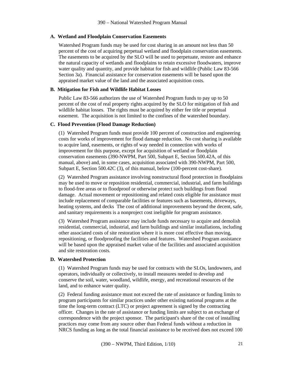#### **A. Wetland and Floodplain Conservation Easements**

Watershed Program funds may be used for cost sharing in an amount not less than 50 percent of the cost of acquiring perpetual wetland and floodplain conservation easements. The easements to be acquired by the SLO will be used to perpetuate, restore and enhance the natural capacity of wetlands and floodplains to retain excessive floodwaters, improve water quality and quantity, and provide habitat for fish and wildlife (Public Law 83-566 Section 3a). Financial assistance for conservation easements will be based upon the appraised market value of the land and the associated acquisition costs.

#### **B. Mitigation for Fish and Wildlife Habitat Losses**

Public Law 83-566 authorizes the use of Watershed Program funds to pay up to 50 percent of the cost of real property rights acquired by the SLO for mitigation of fish and wildlife habitat losses. The rights must be acquired by either fee title or perpetual easement. The acquisition is not limited to the confines of the watershed boundary.

#### **C. Flood Prevention (Flood Damage Reduction)**

(1) Watershed Program funds must provide 100 percent of construction and engineering costs for works of improvement for flood damage reduction. No cost sharing is available to acquire land, easements, or rights of way needed in connection with works of improvement for this purpose, except for acquisition of wetland or floodplain conservation easements (390-NWPM, Part 500, Subpart E, Section 500.42A, of this manual, above) and, in some cases, acquisition associated with 390-NWPM, Part 500, Subpart E, Section 500.42C (3), of this manual, below (100-percent cost-share).

(2) Watershed Program assistance involving nonstructural flood protection in floodplains may be used to move or reposition residential, commercial, industrial, and farm buildings to flood-free areas or to floodproof or otherwise protect such buildings from flood damage. Actual movement or repositioning and related costs eligible for assistance must include replacement of comparable facilities or features such as basements, driveways, heating systems, and decks The cost of additional improvements beyond the decent, safe, and sanitary requirements is a nonproject cost ineligible for program assistance.

(3) Watershed Program assistance may include funds necessary to acquire and demolish residential, commercial, industrial, and farm buildings and similar installations, including other associated costs of site restoration where it is more cost effective than moving, repositioning, or floodproofing the facilities and features. Watershed Program assistance will be based upon the appraised market value of the facilities and associated acquisition and site restoration costs.

#### **D. Watershed Protection**

(1) Watershed Program funds may be used for contracts with the SLOs, landowners, and operators, individually or collectively, to install measures needed to develop and conserve the soil, water, woodland, wildlife, energy, and recreational resources of the land, and to enhance water quality.

(2) Federal funding assistance must not exceed the rate of assistance or funding limits to program participants for similar practices under other existing national programs at the time the long-term contract (LTC) or project agreement is signed by the contracting officer. Changes in the rate of assistance or funding limits are subject to an exchange of correspondence with the project sponsor. The participant's share of the cost of installing practices may come from any source other than Federal funds without a reduction in NRCS funding as long as the total financial assistance to be received does not exceed 100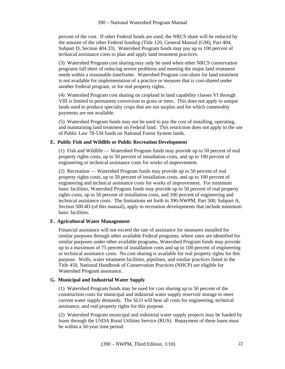percent of the cost. If other Federal funds are used, the NRCS share will be reduced by the amount of the other Federal funding (Title 120, General Manual (GM), Part 404, Subpart D, Section 404.33). Watershed Program funds may pay up to 100 percent of technical assistance costs to plan and apply land treatment practices.

(3) Watershed Program cost sharing may only be used when other NRCS conservation programs fall short of reducing severe problems and meeting the major land treatment needs within a reasonable timeframe. Watershed Program cost-share for land treatment is not available for implementation of a practice or measure that is cost-shared under another Federal program, or for real property rights.

(4) Watershed Program cost sharing on cropland in land capability classes VI through VIII is limited to permanent conversion to grass or trees. This does not apply to unique lands used to produce specialty crops that are not surplus and for which commodity payments are not available.

(5) Watershed Program funds may not be used to pay the cost of installing, operating, and maintaining land treatment on Federal land. This restriction does not apply to the use of Public Law 78-534 funds on National Forest System lands.

#### **E. Public Fish and Wildlife or Public Recreation Development**

(1) Fish and Wildlife — Watershed Program funds may provide up to 50 percent of real property rights costs, up to 50 percent of installation costs, and up to 100 percent of engineering or technical assistance costs for works of improvement.

(2) Recreation — Watershed Program funds may provide up to 50 percent of real property rights costs, up to 50 percent of installation costs, and up to 100 percent of engineering and technical assistance costs for works of improvement. For minimum basic facilities, Watershed Program funds may provide up to 50 percent of real property rights costs, up to 50 percent of installation costs, and 100 percent of engineering and technical assistance costs. The limitations set forth in 390-NWPM, Part 500, Subpart A, Section 500.4D (of this manual), apply to recreation developments that include minimum basic facilities.

#### **F. Agricultural Water Management**

Financial assistance will not exceed the rate of assistance for measures installed for similar purposes through other available Federal programs; where rates are identified for similar purposes under other available programs, Watershed Program funds may provide up to a maximum of 75 percent of installation costs and up to 100 percent of engineering or technical assistance costs. No cost sharing is available for real property rights for this purpose. Wells, water treatment facilities, pipelines, and similar practices listed in the Title 450, National Handbook of Conservation Practices (NHCP) are eligible for Watershed Program assistance.

#### **G. Municipal and Industrial Water Supply**

(1) Watershed Program funds may be used for cost sharing up to 50 percent of the construction costs for municipal and industrial water supply reservoir storage to meet current water supply demands. The SLO will bear all costs for engineering, technical assistance, and real property rights for this purpose.

(2) Watershed Program municipal and industrial water supply projects may be funded by loans through the USDA Rural Utilities Service (RUS). Repayment of these loans must be within a 50-year time period.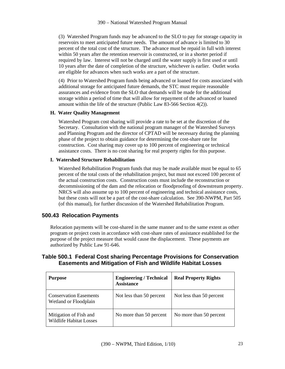(3) Watershed Program funds may be advanced to the SLO to pay for storage capacity in reservoirs to meet anticipated future needs. The amount of advance is limited to 30 percent of the total cost of the structure. The advance must be repaid in full with interest within 50 years after the retention reservoir is constructed, or in a shorter period if required by law. Interest will not be charged until the water supply is first used or until 10 years after the date of completion of the structure, whichever is earlier. Outlet works are eligible for advances when such works are a part of the structure.

(4) Prior to Watershed Program funds being advanced or loaned for costs associated with additional storage for anticipated future demands, the STC must require reasonable assurances and evidence from the SLO that demands will be made for the additional storage within a period of time that will allow for repayment of the advanced or loaned amount within the life of the structure (Public Law 83-566 Section 4(2)).

#### **H. Water Quality Management**

Watershed Program cost sharing will provide a rate to be set at the discretion of the Secretary. Consultation with the national program manager of the Watershed Surveys and Planning Program and the director of CPTAD will be necessary during the planning phase of the project to obtain guidance for determining the cost-share rate for construction. Cost sharing may cover up to 100 percent of engineering or technical assistance costs. There is no cost sharing for real property rights for this purpose.

#### **I. Watershed Structure Rehabilitation**

Watershed Rehabilitation Program funds that may be made available must be equal to 65 percent of the total costs of the rehabilitation project, but must not exceed 100 percent of the actual construction costs. Construction costs must include the reconstruction or decommissioning of the dam and the relocation or floodproofing of downstream property. NRCS will also assume up to 100 percent of engineering and technical assistance costs, but these costs will not be a part of the cost-share calculation. See 390-NWPM, Part 505 (of this manual), for further discussion of the Watershed Rehabilitation Program.

# <span id="page-24-0"></span>**500.43 Relocation Payments**

Relocation payments will be cost-shared in the same manner and to the same extent as other program or project costs in accordance with cost-share rates of assistance established for the purpose of the project measure that would cause the displacement. These payments are authorized by Public Law 91-646.

# <span id="page-24-1"></span>**Table 500.1 Federal Cost sharing Percentage Provisions for Conservation Easements and Mitigation of Fish and Wildlife Habitat Losses**

| <b>Purpose</b>                                           | <b>Engineering / Technical</b><br><b>Assistance</b> | <b>Real Property Rights</b> |
|----------------------------------------------------------|-----------------------------------------------------|-----------------------------|
| <b>Conservation Easements</b><br>Wetland or Floodplain   | Not less than 50 percent                            | Not less than 50 percent    |
| Mitigation of Fish and<br><b>Wildlife Habitat Losses</b> | No more than 50 percent                             | No more than 50 percent     |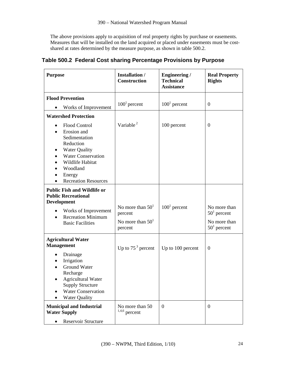The above provisions apply to acquisition of real property rights by purchase or easements. Measures that will be installed on the land acquired or placed under easements must be costshared at rates determined by the measure purpose, as shown in table 500.2.

| <b>Purpose</b>                                                                                                                                                                                                  | <b>Installation</b> /<br><b>Construction</b>                   | <b>Engineering /</b><br><b>Technical</b><br><b>Assistance</b> | <b>Real Property</b><br><b>Rights</b>                          |
|-----------------------------------------------------------------------------------------------------------------------------------------------------------------------------------------------------------------|----------------------------------------------------------------|---------------------------------------------------------------|----------------------------------------------------------------|
| <b>Flood Prevention</b><br>Works of Improvement                                                                                                                                                                 | $1001$ percent                                                 | $1001$ percent                                                | $\overline{0}$                                                 |
| <b>Watershed Protection</b>                                                                                                                                                                                     |                                                                |                                                               |                                                                |
| Flood Control<br>Erosion and<br>Sedimentation<br>Reduction<br><b>Water Quality</b><br><b>Water Conservation</b><br>Wildlife Habitat<br>Woodland<br>Energy<br><b>Recreation Resources</b>                        | Variable <sup>2</sup>                                          | 100 percent                                                   | $\overline{0}$                                                 |
| <b>Public Fish and Wildlife or</b><br><b>Public Recreational</b><br><b>Development</b><br>Works of Improvement<br><b>Recreation Minimum</b><br><b>Basic Facilities</b>                                          | No more than $501$<br>percent<br>No more than $501$<br>percent | $1001$ percent                                                | No more than<br>$501$ percent<br>No more than<br>$501$ percent |
| <b>Agricultural Water</b><br><b>Management</b><br>Drainage<br>٠<br>Irrigation<br>Ground Water<br>Recharge<br>Agricultural Water<br><b>Supply Structure</b><br><b>Water Conservation</b><br><b>Water Quality</b> | Up to $75^3$ percent                                           | Up to 100 percent                                             | $\boldsymbol{0}$                                               |
| <b>Municipal and Industrial</b><br><b>Water Supply</b><br><b>Reservoir Structure</b>                                                                                                                            | No more than 50<br>$^{1,4,6}$ percent                          | $\boldsymbol{0}$                                              | $\boldsymbol{0}$                                               |

# <span id="page-25-0"></span>**Table 500.2 Federal Cost sharing Percentage Provisions by Purpose**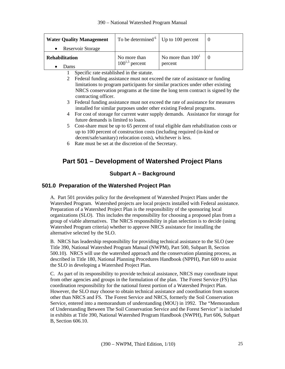| <b>Water Quality Management</b> | To be determined $6 \mid$ Up to 100 percent |                     |  |
|---------------------------------|---------------------------------------------|---------------------|--|
| • Reservoir Storage             |                                             |                     |  |
| <b>Rehabilitation</b>           | No more than<br>$100^{1,5}$ percent         | No more than $1001$ |  |
| Dams                            |                                             | percent             |  |

- 1 Specific rate established in the statute.
- 2 Federal funding assistance must not exceed the rate of assistance or funding limitations to program participants for similar practices under other existing NRCS conservation programs at the time the long term contract is signed by the contracting officer.
- 3 Federal funding assistance must not exceed the rate of assistance for measures installed for similar purposes under other existing Federal programs.
- 4 For cost of storage for current water supply demands. Assistance for storage for future demands is limited to loans.
- 5 Cost-share must be up to 65 percent of total eligible dam rehabilitation costs or up to 100 percent of construction costs (including required (in-kind or decent/safe/sanitary) relocation costs), whichever is less.
- 6 Rate must be set at the discretion of the Secretary.

# **Part 501 – Development of Watershed Project Plans**

# **Subpart A – Background**

# <span id="page-26-2"></span><span id="page-26-1"></span><span id="page-26-0"></span>**501.0 Preparation of the Watershed Project Plan**

A. Part 501 provides policy for the development of Watershed Project Plans under the Watershed Program. Watershed projects are local projects installed with Federal assistance. Preparation of a Watershed Project Plan is the responsibility of the sponsoring local organizations (SLO). This includes the responsibility for choosing a proposed plan from a group of viable alternatives. The NRCS responsibility in plan selection is to decide (using Watershed Program criteria) whether to approve NRCS assistance for installing the alternative selected by the SLO.

B. NRCS has leadership responsibility for providing technical assistance to the SLO (see Title 390, National Watershed Program Manual (NWPM), Part 500, Subpart B, Section 500.10). NRCS will use the watershed approach and the conservation planning process, as described in Title 180, National Planning Procedures Handbook (NPPH), Part 600 to assist the SLO in developing a Watershed Project Plan.

C. As part of its responsibility to provide technical assistance, NRCS may coordinate input from other agencies and groups in the formulation of the plan. The Forest Service (FS) has coordination responsibility for the national forest portion of a Watershed Project Plan. However, the SLO may choose to obtain technical assistance and coordination from sources other than NRCS and FS. The Forest Service and NRCS, formerly the Soil Conservation Service, entered into a memorandum of understanding (MOU) in 1992. The "Memorandum of Understanding Between The Soil Conservation Service and the Forest Service" is included in exhibits at Title 390, National Watershed Program Handbook (NWPH), Part 606, Subpart B, Section 606.10.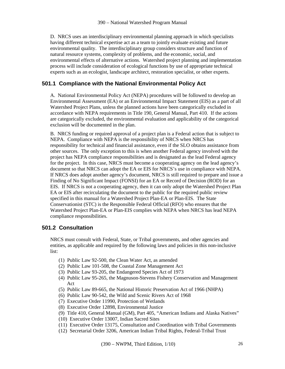D. NRCS uses an interdisciplinary environmental planning approach in which specialists having different technical expertise act as a team to jointly evaluate existing and future environmental quality. The interdisciplinary group considers structure and function of natural resource systems, complexity of problems, and the economic, social, and environmental effects of alternative actions. Watershed project planning and implementation process will include consideration of ecological functions by use of appropriate technical experts such as an ecologist, landscape architect, restoration specialist, or other experts.

# <span id="page-27-0"></span>**501.1 Compliance with the National Environmental Policy Act**

A. National Environmental Policy Act (NEPA) procedures will be followed to develop an Environmental Assessment (EA) or an Environmental Impact Statement (EIS) as a part of all Watershed Project Plans, unless the planned actions have been categorically excluded in accordance with NEPA requirements in Title 190, General Manual, Part 410. If the actions are categorically excluded, the environmental evaluation and applicability of the categorical exclusion will be documented in the plan.

B. NRCS funding or required approval of a project plan is a Federal action that is subject to NEPA. Compliance with NEPA is the responsibility of NRCS when NRCS has responsibility for technical and financial assistance, even if the SLO obtains assistance from other sources. The only exception to this is when another Federal agency involved with the project has NEPA compliance responsibilities and is designated as the lead Federal agency for the project. In this case, NRCS must become a cooperating agency on the lead agency's document so that NRCS can adopt the EA or EIS for NRCS's use in compliance with NEPA. If NRCS does adopt another agency's document, NRCS is still required to prepare and issue a Finding of No Significant Impact (FONSI) for an EA or Record of Decision (ROD) for an EIS. If NRCS is not a cooperating agency, then it can only adopt the Watershed Project Plan EA or EIS after recirculating the document to the public for the required public review specified in this manual for a Watershed Project Plan-EA or Plan-EIS. The State Conservationist (STC) is the Responsible Federal Official (RFO) who ensures that the Watershed Project Plan-EA or Plan-EIS complies with NEPA when NRCS has lead NEPA compliance responsibilities.

# <span id="page-27-1"></span>**501.2 Consultation**

NRCS must consult with Federal, State, or Tribal governments, and other agencies and entities, as applicable and required by the following laws and policies in this non-inclusive list:

- (1) Public Law 92-500, the Clean Water Act, as amended
- (2) Public Law 101-508, the Coastal Zone Management Act
- (3) Public Law 93-205, the Endangered Species Act of 1973
- (4) Public Law 95-265, the Magnuson-Stevens Fishery Conservation and Management Act
- (5) Public Law 89-665, the National Historic Preservation Act of 1966 (NHPA)
- (6) Public Law 90-542, the Wild and Scenic Rivers Act of 1968
- (7) Executive Order 11990, Protection of Wetlands
- (8) Executive Order 12898, Environmental Justice
- (9) Title 410, General Manual (GM), Part 405, "American Indians and Alaska Natives"
- (10) Executive Order 13007, Indian Sacred Sites
- (11) Executive Order 13175, Consultation and Coordination with Tribal Governments
- (12) Secretarial Order 3206, American Indian Tribal Rights, Federal-Tribal Trust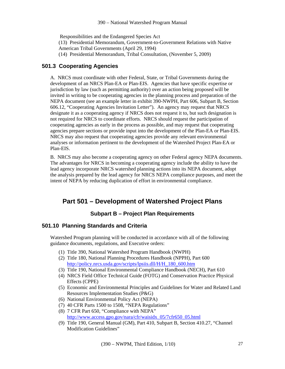Responsibilities and the Endangered Species Act (13) Presidential Memorandum, Government-to-Government Relations with Native American Tribal Governments (April 29, 1994) (14) Presidential Memorandum, Tribal Consultation, (November 5, 2009)

# <span id="page-28-0"></span>**501.3 Cooperating Agencies**

A. NRCS must coordinate with other Federal, State, or Tribal Governments during the development of an NRCS Plan-EA or Plan-EIS. Agencies that have specific expertise or jurisdiction by law (such as permitting authority) over an action being proposed will be invited in writing to be cooperating agencies in the planning process and preparation of the NEPA document (see an example letter in exhibit 390-NWPH, Part 606, Subpart B, Section 606.12, "Cooperating Agencies Invitation Letter"). An agency may request that NRCS designate it as a cooperating agency if NRCS does not request it to, but such designation is not required for NRCS to coordinate efforts. NRCS should request the participation of cooperating agencies as early in the process as possible, and may request that cooperating agencies prepare sections or provide input into the development of the Plan-EA or Plan-EIS. NRCS may also request that cooperating agencies provide any relevant environmental analyses or information pertinent to the development of the Watershed Project Plan-EA or Plan-EIS.

B. NRCS may also become a cooperating agency on other Federal agency NEPA documents. The advantages for NRCS in becoming a cooperating agency include the ability to have the lead agency incorporate NRCS watershed planning actions into its NEPA document, adopt the analysis prepared by the lead agency for NRCS NEPA compliance purposes, and meet the intent of NEPA by reducing duplication of effort in environmental compliance.

# **Part 501 – Development of Watershed Project Plans**

# **Subpart B – Project Plan Requirements**

# <span id="page-28-3"></span><span id="page-28-2"></span><span id="page-28-1"></span>**501.10 Planning Standards and Criteria**

Watershed Program planning will be conducted in accordance with all of the following guidance documents, regulations, and Executive orders:

- (1) Title 390, National Watershed Program Handbook (NWPH)
- (2) Title 180, National Planning Procedures Handbook (NPPH), Part 600 [http://policy.nrcs.usda.gov/scripts/lpsiis.dll/H/H\\_180\\_600.htm](http://policy.nrcs.usda.gov/scripts/lpsiis.dll/H/H_180_600.htm)
- (3) Title 190, National Environmental Compliance Handbook (NECH), Part 610
- (4) NRCS Field Office Technical Guide (FOTG) and Conservation Practice Physical Effects (CPPE)
- (5) Economic and Environmental Principles and Guidelines for Water and Related Land Resources Implementation Studies (P&G)
- (6) National Environmental Policy Act (NEPA)
- (7) 40 CFR Parts 1500 to 1508, "NEPA Regulations"
- (8) 7 CFR Part 650, "Compliance with NEPA" [http://www.access.gpo.gov/nara/cfr/waisidx\\_05/7cfr650\\_05.html](http://www.access.gpo.gov/nara/cfr/waisidx_05/7cfr650_05.html)
- (9) Title 190, General Manual (GM), Part 410, Subpart B, Section 410.27, "Channel Modification Guidelines"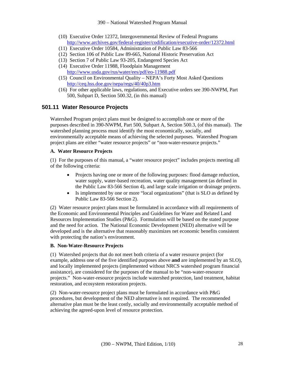- (10) Executive Order 12372, Intergovernmental Review of Federal Programs <http://www.archives.gov/federal-register/codification/executive-order/12372.html>
- (11) Executive Order 10584, Administration of Public Law 83-566
- (12) Section 106 of Public Law 89-665, National Historic Preservation Act
- (13) Section 7 of Public Law 93-205, Endangered Species Act (14) Executive Order 11988, Floodplain Management
- <http://www.usda.gov/rus/water/ees/pdf/eo-11988.pdf>
- (15) Council on Environmental Quality NEPA's Forty Most Asked Questions <http://ceq.hss.doe.gov/nepa/regs/40/40p3.htm>
- (16) For other applicable laws, regulations, and Executive orders see 390-NWPM, Part 500, Subpart D, Section 500.32, (in this manual)

# <span id="page-29-0"></span>**501.11 Water Resource Projects**

Watershed Program project plans must be designed to accomplish one or more of the purposes described in 390-NWPM, Part 500, Subpart A, Section 500.3, (of this manual). The watershed planning process must identify the most economically, socially, and environmentally acceptable means of achieving the selected purposes. Watershed Program project plans are either "water resource projects" or "non-water-resource projects."

#### **A. Water Resource Projects**

(1) For the purposes of this manual, a "water resource project" includes projects meeting all of the following criteria:

- Projects having one or more of the following purposes: flood damage reduction, water supply, water-based recreation, water quality management (as defined in the Public Law 83-566 Section 4), and large scale irrigation or drainage projects.
- Is implemented by one or more "local organizations" (that is SLO as defined by Public Law 83-566 Section 2).

(2) Water resource project plans must be formulated in accordance with all requirements of the Economic and Environmental Principles and Guidelines for Water and Related Land Resources Implementation Studies (P&G). Formulation will be based on the stated purpose and the need for action. The National Economic Development (NED) alternative will be developed and is the alternative that reasonably maximizes net economic benefits consistent with protecting the nation's environment.

#### **B. Non-Water-Resource Projects**

(1) Watershed projects that do not meet both criteria of a water resource project (for example, address one of the five identified purposes above **and** are implemented by an SLO), and locally implemented projects (implemented without NRCS watershed program financial assistance), are considered for the purposes of the manual to be "non-water-resource projects." Non-water-resource projects include watershed protection, land treatment, habitat restoration, and ecosystem restoration projects.

(2) Non-water-resource project plans must be formulated in accordance with P&G procedures, but development of the NED alternative is not required. The recommended alternative plan must be the least costly, socially and environmentally acceptable method of achieving the agreed-upon level of resource protection.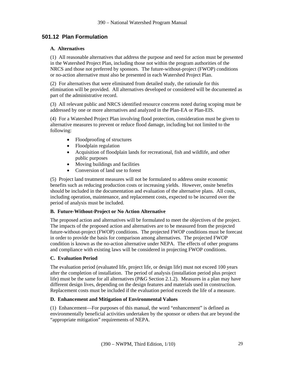# <span id="page-30-0"></span>**501.12 Plan Formulation**

#### **A. Alternatives**

(1) All reasonable alternatives that address the purpose and need for action must be presented in the Watershed Project Plan, including those not within the program authorities of the NRCS and those not preferred by sponsors. The future-without-project (FWOP) conditions or no-action alternative must also be presented in each Watershed Project Plan.

(2) For alternatives that were eliminated from detailed study, the rationale for this elimination will be provided. All alternatives developed or considered will be documented as part of the administrative record.

(3) All relevant public and NRCS identified resource concerns noted during scoping must be addressed by one or more alternatives and analyzed in the Plan-EA or Plan-EIS.

(4) For a Watershed Project Plan involving flood protection, consideration must be given to alternative measures to prevent or reduce flood damage, including but not limited to the following:

- Floodproofing of structures
- Floodplain regulation
- Acquisition of floodplain lands for recreational, fish and wildlife, and other public purposes
- Moving buildings and facilities
- Conversion of land use to forest

(5) Project land treatment measures will not be formulated to address onsite economic benefits such as reducing production costs or increasing yields. However, onsite benefits should be included in the documentation and evaluation of the alternative plans. All costs, including operation, maintenance, and replacement costs, expected to be incurred over the period of analysis must be included.

#### **B. Future-Without-Project or No Action Alternative**

The proposed action and alternatives will be formulated to meet the objectives of the project. The impacts of the proposed action and alternatives are to be measured from the projected future-without-project (FWOP) conditions. The projected FWOP conditions must be forecast in order to provide the basis for comparison among alternatives. The projected FWOP condition is known as the no-action alternative under NEPA. The effects of other programs and compliance with existing laws will be considered in projecting FWOP conditions.

#### **C. Evaluation Period**

The evaluation period (evaluated life, project life, or design life) must not exceed 100 years after the completion of installation. The period of analysis (installation period plus project life) must be the same for all alternatives (P&G Section 2.1.2). Measures in a plan may have different design lives, depending on the design features and materials used in construction. Replacement costs must be included if the evaluation period exceeds the life of a measure.

#### **D. Enhancement and Mitigation of Environmental Values**

(1) Enhancement—For purposes of this manual, the word "enhancement" is defined as environmentally beneficial activities undertaken by the sponsor or others that are beyond the "appropriate mitigation" requirements of NEPA.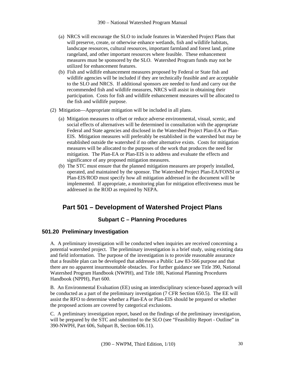- (a) NRCS will encourage the SLO to include features in Watershed Project Plans that will preserve, create, or otherwise enhance wetlands, fish and wildlife habitats, landscape resources, cultural resources, important farmland and forest land, prime rangeland, and other important resources where feasible. These enhancement measures must be sponsored by the SLO. Watershed Program funds may not be utilized for enhancement features.
- (b) Fish and wildlife enhancement measures proposed by Federal or State fish and wildlife agencies will be included if they are technically feasible and are acceptable to the SLO and NRCS. If additional sponsors are needed to fund and carry out the recommended fish and wildlife measures, NRCS will assist in obtaining their participation. Costs for fish and wildlife enhancement measures will be allocated to the fish and wildlife purpose.
- (2) Mitigation—Appropriate mitigation will be included in all plans.
	- (a) Mitigation measures to offset or reduce adverse environmental, visual, scenic, and social effects of alternatives will be determined in consultation with the appropriate Federal and State agencies and disclosed in the Watershed Project Plan-EA or Plan-EIS. Mitigation measures will preferably be established in the watershed but may be established outside the watershed if no other alternative exists. Costs for mitigation measures will be allocated to the purposes of the work that produces the need for mitigation. The Plan-EA or Plan-EIS is to address and evaluate the effects and significance of any proposed mitigation measures.
	- (b) The STC must ensure that the planned mitigation measures are properly installed, operated, and maintained by the sponsor. The Watershed Project Plan-EA/FONSI or Plan-EIS/ROD must specify how all mitigation addressed in the document will be implemented. If appropriate, a monitoring plan for mitigation effectiveness must be addressed in the ROD as required by NEPA.

# **Part 501 – Development of Watershed Project Plans**

# **Subpart C – Planning Procedures**

# <span id="page-31-2"></span><span id="page-31-1"></span><span id="page-31-0"></span>**501.20 Preliminary Investigation**

A. A preliminary investigation will be conducted when inquiries are received concerning a potential watershed project. The preliminary investigation is a brief study, using existing data and field information. The purpose of the investigation is to provide reasonable assurance that a feasible plan can be developed that addresses a Public Law 83-566 purpose and that there are no apparent insurmountable obstacles. For further guidance see Title 390, National Watershed Program Handbook (NWPH), and Title 180, National Planning Procedures Handbook (NPPH), Part 600.

B. An Environmental Evaluation (EE) using an interdisciplinary science-based approach will be conducted as a part of the preliminary investigation (7 CFR Section 650.5). The EE will assist the RFO to determine whether a Plan-EA or Plan-EIS should be prepared or whether the proposed actions are covered by categorical exclusions.

C. A preliminary investigation report, based on the findings of the preliminary investigation, will be prepared by the STC and submitted to the SLO (see "Feasibility Report - Outline" in 390-NWPH, Part 606, Subpart B, Section 606.11).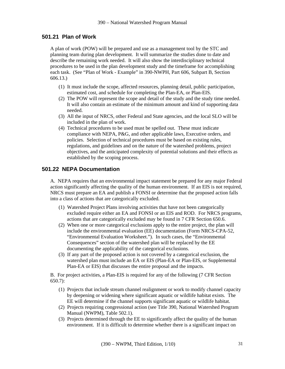# <span id="page-32-0"></span>**501.21 Plan of Work**

A plan of work (POW) will be prepared and use as a management tool by the STC and planning team during plan development. It will summarize the studies done to date and describe the remaining work needed. It will also show the interdisciplinary technical procedures to be used in the plan development study and the timeframe for accomplishing each task. (See "Plan of Work - Example" in 390-NWPH, Part 606, Subpart B, Section 606.13.)

- (1) It must include the scope, affected resources, planning detail, public participation, estimated cost, and schedule for completing the Plan-EA, or Plan-EIS.
- (2) The POW will represent the scope and detail of the study and the study time needed. It will also contain an estimate of the minimum amount and kind of supporting data needed.
- (3) All the input of NRCS, other Federal and State agencies, and the local SLO will be included in the plan of work.
- (4) Technical procedures to be used must be spelled out. These must indicate compliance with NEPA, P&G, and other applicable laws, Executive orders, and policies. Selection of technical procedures must be based on existing rules, regulations, and guidelines and on the nature of the watershed problems, project objectives, and the anticipated complexity of potential solutions and their effects as established by the scoping process.

# <span id="page-32-1"></span>**501.22 NEPA Documentation**

A. NEPA requires that an environmental impact statement be prepared for any major Federal action significantly affecting the quality of the human environment. If an EIS is not required, NRCS must prepare an EA and publish a FONSI or determine that the proposed action falls into a class of actions that are categorically excluded.

- (1) Watershed Project Plans involving activities that have not been categorically excluded require either an EA and FONSI or an EIS and ROD. For NRCS programs, actions that are categorically excluded may be found in 7 CFR Section 650.6.
- (2) When one or more categorical exclusions apply to the entire project, the plan will include the environmental evaluation (EE) documentation (Form NRCS-CPA-52, "Environmental Evaluation Worksheet."). In such cases, the "Environmental Consequences" section of the watershed plan will be replaced by the EE documenting the applicability of the categorical exclusions.
- (3) If any part of the proposed action is not covered by a categorical exclusion, the watershed plan must include an EA or EIS (Plan-EA or Plan-EIS, or Supplemental Plan-EA or EIS) that discusses the entire proposal and the impacts.

B. For project activities, a Plan-EIS is required for any of the following (7 CFR Section 650.7):

- (1) Projects that include stream channel realignment or work to modify channel capacity by deepening or widening where significant aquatic or wildlife habitat exists. The EE will determine if the channel supports significant aquatic or wildlife habitat.
- (2) Projects requiring congressional action (see Title 390, National Watershed Program Manual (NWPM), Table 502.1).
- (3) Projects determined through the EE to significantly affect the quality of the human environment. If it is difficult to determine whether there is a significant impact on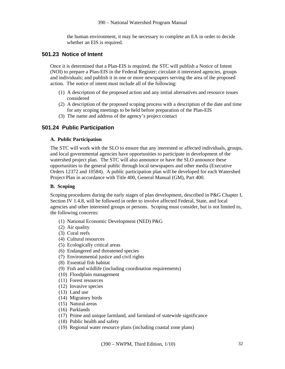the human environment, it may be necessary to complete an EA in order to decide whether an EIS is required.

# <span id="page-33-0"></span>**501.23 Notice of Intent**

Once it is determined that a Plan-EIS is required, the STC will publish a Notice of Intent (NOI) to prepare a Plan-EIS in the Federal Register; circulate it interested agencies, groups and individuals; and publish it in one or more newspapers serving the area of the proposed action. The notice of intent must include all of the following:

- (1) A description of the proposed action and any initial alternatives and resource issues considered
- (2) A description of the proposed scoping process with a description of the date and time for any scoping meetings to be held before preparation of the Plan-EIS
- (3) The name and address of the agency's project contact

# <span id="page-33-1"></span>**501.24 Public Participation**

#### **A. Public Participation**

The STC will work with the SLO to ensure that any interested or affected individuals, groups, and local governmental agencies have opportunities to participate in development of the watershed project plan. The STC will also announce or have the SLO announce these opportunities to the general public through local newspapers and other media (Executive Orders 12372 and 10584). A public participation plan will be developed for each Watershed Project Plan in accordance with Title 400, General Manual (GM), Part 400.

#### **B. Scoping**

Scoping procedures during the early stages of plan development, described in P&G Chapter I, Section IV 1.4.8, will be followed in order to involve affected Federal, State, and local agencies and other interested groups or persons. Scoping must consider, but is not limited to, the following concerns:

- (1) National Economic Development (NED) P&G
- (2) Air quality
- (3) Coral reefs
- (4) Cultural resources
- (5) Ecologically critical areas
- (6) Endangered and threatened species
- (7) Environmental justice and civil rights
- (8) Essential fish habitat
- (9) Fish and wildlife (including coordination requirements)
- (10) Floodplain management
- (11) Forest resources
- (12) Invasive species
- (13) Land use
- (14) Migratory birds
- (15) Natural areas
- (16) Parklands
- (17) Prime and unique farmland, and farmland of statewide significance
- (18) Public health and safety
- (19) Regional water resource plans (including coastal zone plans)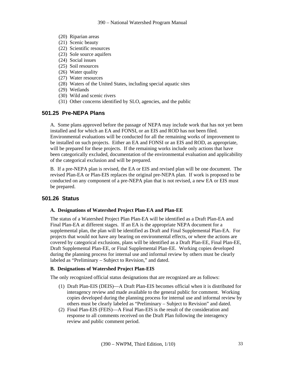390 – National Watershed Program Manual

- (20) Riparian areas
- (21) Scenic beauty
- (22) Scientific resources
- (23) Sole source aquifers
- (24) Social issues
- (25) Soil resources
- (26) Water quality
- (27) Water resources
- (28) Waters of the United States, including special aquatic sites
- (29) Wetlands
- (30) Wild and scenic rivers
- (31) Other concerns identified by SLO, agencies, and the public

# <span id="page-34-0"></span>**501.25 Pre-NEPA Plans**

A. Some plans approved before the passage of NEPA may include work that has not yet been installed and for which an EA and FONSI, or an EIS and ROD has not been filed. Environmental evaluations will be conducted for all the remaining works of improvement to be installed on such projects. Either an EA and FONSI or an EIS and ROD, as appropriate, will be prepared for these projects. If the remaining works include only actions that have been categorically excluded, documentation of the environmental evaluation and applicability of the categorical exclusion and will be prepared.

B. If a pre-NEPA plan is revised, the EA or EIS and revised plan will be one document. The revised Plan-EA or Plan-EIS replaces the original pre-NEPA plan. If work is proposed to be conducted on any component of a pre-NEPA plan that is not revised, a new EA or EIS must be prepared.

# <span id="page-34-1"></span>**501.26 Status**

#### **A. Designations of Watershed Project Plan-EA and Plan-EE**

The status of a Watershed Project Plan Plan-EA will be identified as a Draft Plan-EA and Final Plan-EA at different stages. If an EA is the appropriate NEPA document for a supplemental plan, the plan will be identified as Draft and Final Supplemental Plan-EA. For projects that would not have any bearing on environmental effects, or where the actions are covered by categorical exclusions, plans will be identified as a Draft Plan-EE, Final Plan-EE, Draft Supplemental Plan-EE, or Final Supplemental Plan-EE. Working copies developed during the planning process for internal use and informal review by others must be clearly labeled as "Preliminary – Subject to Revision," and dated.

#### **B. Designations of Watershed Project Plan-EIS**

The only recognized official status designations that are recognized are as follows:

- (1) Draft Plan-EIS (DEIS)—A Draft Plan-EIS becomes official when it is distributed for interagency review and made available to the general public for comment. Working copies developed during the planning process for internal use and informal review by others must be clearly labeled as "Preliminary – Subject to Revision" and dated.
- (2) Final Plan-EIS (FEIS)—A Final Plan-EIS is the result of the consideration and response to all comments received on the Draft Plan following the interagency review and public comment period.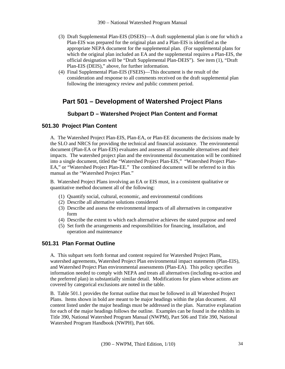- (3) Draft Supplemental Plan-EIS (DSEIS)—A draft supplemental plan is one for which a Plan-EIS was prepared for the original plan and a Plan-EIS is identified as the appropriate NEPA document for the supplemental plan. (For supplemental plans for which the original plan included an EA and the supplemental requires a Plan-EIS, the official designation will be "Draft Supplemental Plan-DEIS"). See item (1), "Draft Plan-EIS (DEIS)," above, for further information.
- (4) Final Supplemental Plan-EIS (FSEIS)—This document is the result of the consideration and response to all comments received on the draft supplemental plan following the interagency review and public comment period.

# **Part 501 – Development of Watershed Project Plans**

# **Subpart D – Watershed Project Plan Content and Format**

### <span id="page-35-2"></span><span id="page-35-1"></span><span id="page-35-0"></span>**501.30 Project Plan Content**

A. The Watershed Project Plan-EIS, Plan-EA, or Plan-EE documents the decisions made by the SLO and NRCS for providing the technical and financial assistance. The environmental document (Plan-EA or Plan-EIS) evaluates and assesses all reasonable alternatives and their impacts. The watershed project plan and the environmental documentation will be combined into a single document, titled the "Watershed Project Plan-EIS," "Watershed Project Plan-EA," or "Watershed Project Plan-EE." The combined document will be referred to in this manual as the "Watershed Project Plan."

B. Watershed Project Plans involving an EA or EIS must, in a consistent qualitative or quantitative method document all of the following:

- (1) Quantify social, cultural, economic, and environmental conditions
- (2) Describe all alternative solutions considered
- (3) Describe and assess the environmental impacts of all alternatives in comparative form
- (4) Describe the extent to which each alternative achieves the stated purpose and need
- (5) Set forth the arrangements and responsibilities for financing, installation, and operation and maintenance

# <span id="page-35-3"></span>**501.31 Plan Format Outline**

A. This subpart sets forth format and content required for Watershed Project Plans, watershed agreements, Watershed Project Plan environmental impact statements (Plan-EIS), and Watershed Project Plan environmental assessments (Plan-EA). This policy specifies information needed to comply with NEPA and treats all alternatives (including no-action and the preferred plan) in substantially similar detail. Modifications for plans whose actions are covered by categorical exclusions are noted in the table.

B. Table 501.1 provides the format outline that must be followed in all Watershed Project Plans. Items shown in bold are meant to be major headings within the plan document. All content listed under the major headings must be addressed in the plan. Narrative explanation for each of the major headings follows the outline. Examples can be found in the exhibits in Title 390, National Watershed Program Manual (NWPM), Part 506 and Title 390, National Watershed Program Handbook (NWPH), Part 606.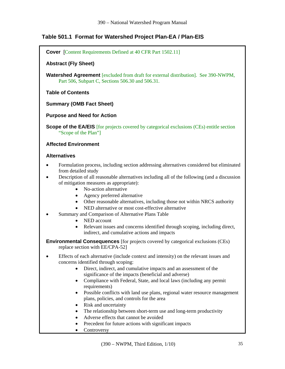# **Table 501.1 Format for Watershed Project Plan-EA / Plan-EIS**

**Cover** [Content Requirements Defined at 40 CFR Part 1502.11]

# **Abstract (Fly Sheet)**

**Watershed Agreement** [excluded from draft for external distribution]. See 390-NWPM, Part 506, Subpart C, Sections 506.30 and 506.31.

# **Table of Contents**

# **Summary (OMB Fact Sheet)**

# **Purpose and Need for Action**

**Scope of the EA/EIS** [for projects covered by categorical exclusions (CEs) entitle section "Scope of the Plan"]

# **Affected Environment**

# **Alternatives**

- Formulation process, including section addressing alternatives considered but eliminated from detailed study
- Description of all reasonable alternatives including all of the following (and a discussion of mitigation measures as appropriate):
	- No-action alternative
	- Agency preferred alternative
	- Other reasonable alternatives, including those not within NRCS authority
	- NED alternative or most cost-effective alternative
- Summary and Comparison of Alternative Plans Table
	- NED account
	- Relevant issues and concerns identified through scoping, including direct, indirect, and cumulative actions and impacts
- **Environmental Consequences** [for projects covered by categorical exclusions (CEs) replace section with EE/CPA-52]
- Effects of each alternative (include context and intensity) on the relevant issues and concerns identified through scoping:
	- Direct, indirect, and cumulative impacts and an assessment of the significance of the impacts (beneficial and adverse)
	- Compliance with Federal, State, and local laws (including any permit requirements)
	- Possible conflicts with land use plans, regional water resource management plans, policies, and controls for the area
	- Risk and uncertainty
	- The relationship between short-term use and long-term productivity
	- Adverse effects that cannot be avoided
	- Precedent for future actions with significant impacts
	- Controversy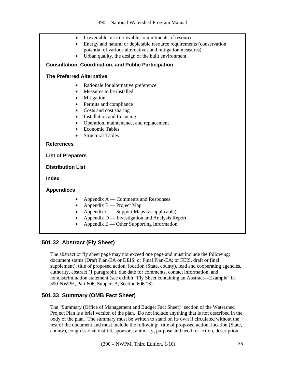|                                  | Irreversible or irretrievable commitments of resources               |  |  |  |
|----------------------------------|----------------------------------------------------------------------|--|--|--|
| $\bullet$                        | Energy and natural or depletable resource requirements (conservation |  |  |  |
|                                  | potential of various alternatives and mitigation measures)           |  |  |  |
| $\bullet$                        | Urban quality, the design of the built environment                   |  |  |  |
|                                  | <b>Consultation, Coordination, and Public Participation</b>          |  |  |  |
| <b>The Preferred Alternative</b> |                                                                      |  |  |  |
| $\bullet$                        | Rationale for alternative preference                                 |  |  |  |
| $\bullet$                        | Measures to be installed                                             |  |  |  |
| $\bullet$                        | Mitigation                                                           |  |  |  |
| $\bullet$                        | Permits and compliance                                               |  |  |  |
| $\bullet$                        | Costs and cost sharing                                               |  |  |  |
|                                  | Installation and financing                                           |  |  |  |
|                                  |                                                                      |  |  |  |
| $\bullet$                        | Operation, maintenance, and replacement<br><b>Economic Tables</b>    |  |  |  |
| $\bullet$                        |                                                                      |  |  |  |
|                                  | <b>Structural Tables</b>                                             |  |  |  |
| <b>References</b>                |                                                                      |  |  |  |
| <b>List of Preparers</b>         |                                                                      |  |  |  |
| <b>Distribution List</b>         |                                                                      |  |  |  |
| <b>Index</b>                     |                                                                      |  |  |  |
| <b>Appendices</b>                |                                                                      |  |  |  |
|                                  | Appendix A — Comments and Responses                                  |  |  |  |
| $\bullet$                        | Appendix B — Project Map                                             |  |  |  |
| $\bullet$                        | Appendix $C$ — Support Maps (as applicable)                          |  |  |  |
|                                  |                                                                      |  |  |  |
|                                  | Appendix D — Investigation and Analysis Report                       |  |  |  |
|                                  | Appendix $E$ — Other Supporting Information                          |  |  |  |
|                                  |                                                                      |  |  |  |

# **501.32 Abstract (Fly Sheet)**

The abstract or fly sheet page may not exceed one page and must include the following: document status (Draft Plan-EA or DEIS; or Final Plan-EA; or FEIS, draft or final supplement), title of proposed action, location (State, county), lead and cooperating agencies, authority, abstract (1 paragraph), due date for comments, contact information, and nondiscrimination statement (see exhibit "Fly Sheet containing an Abstract—Example" in 390-NWPH, Part 606, Subpart B, Section 606.16).

# **501.33 Summary (OMB Fact Sheet)**

The "Summary (Office of Management and Budget Fact Sheet)" section of the Watershed Project Plan is a brief version of the plan. Do not include anything that is not described in the body of the plan. The summary must be written to stand on its own if circulated without the rest of the document and must include the following: title of proposed action, location (State, county), congressional district, sponsors, authority, purpose and need for action, description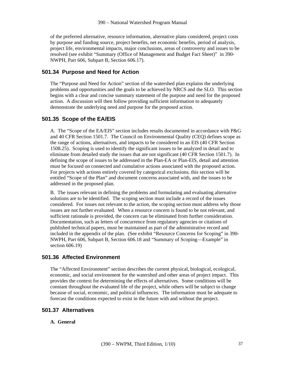of the preferred alternative, resource information, alternative plans considered, project costs by purpose and funding source, project benefits, net economic benefits, period of analysis, project life, environmental impacts, major conclusions, areas of controversy and issues to be resolved (see exhibit "Summary (Office of Management and Budget Fact Sheet)" in 390- NWPH, Part 606, Subpart B, Section 606.17).

### **501.34 Purpose and Need for Action**

The "Purpose and Need for Action" section of the watershed plan explains the underlying problems and opportunities and the goals to be achieved by NRCS and the SLO. This section begins with a clear and concise summary statement of the purpose and need for the proposed action. A discussion will then follow providing sufficient information to adequately demonstrate the underlying need and purpose for the proposed action.

### **501.35 Scope of the EA/EIS**

A. The "Scope of the EA/EIS" section includes results documented in accordance with P&G and 40 CFR Section 1501.7. The Council on Environmental Quality (CEQ) defines scope as the range of actions, alternatives, and impacts to be considered in an EIS (40 CFR Section 1508.25). Scoping is used to identify the significant issues to be analyzed in detail and to eliminate from detailed study the issues that are not significant (40 CFR Section 1501.7). In defining the scope of issues to be addressed in the Plan-EA or Plan-EIS, detail and attention must be focused on connected and cumulative actions associated with the proposed action. For projects with actions entirely covered by categorical exclusions, this section will be entitled "Scope of the Plan" and document concerns associated with, and the issues to be addressed in the proposed plan.

B. The issues relevant in defining the problems and formulating and evaluating alternative solutions are to be identified. The scoping section must include a record of the issues considered. For issues not relevant to the action, the scoping section must address why those issues are not further evaluated. When a resource concern is found to be not relevant, and sufficient rationale is provided, the concern can be eliminated from further consideration. Documentation, such as letters of concurrence from regulatory agencies or citations of published technical papers, must be maintained as part of the administrative record and included in the appendix of the plan. (See exhibit "Resource Concerns for Scoping" in 390- NWPH, Part 606, Subpart B, Section 606.18 and "Summary of Scoping—Example" in section 606.19)

### **501.36 Affected Environment**

The "Affected Environment" section describes the current physical, biological, ecological, economic, and social environment for the watershed and other areas of project impact. This provides the context for determining the effects of alternatives. Some conditions will be constant throughout the evaluated life of the project, while others will be subject to change because of social, economic, and political influences. The information must be adequate to forecast the conditions expected to exist in the future with and without the project.

# **501.37 Alternatives**

#### **A. General**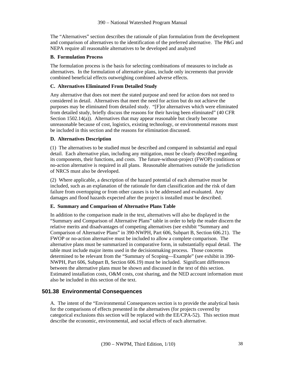The "Alternatives" section describes the rationale of plan formulation from the development and comparison of alternatives to the identification of the preferred alternative. The P&G and NEPA require all reasonable alternatives to be developed and analyzed

#### **B. Formulation Process**

The formulation process is the basis for selecting combinations of measures to include as alternatives. In the formulation of alternative plans, include only increments that provide combined beneficial effects outweighing combined adverse effects.

#### **C. Alternatives Eliminated From Detailed Study**

Any alternative that does not meet the stated purpose and need for action does not need to considered in detail. Alternatives that meet the need for action but do not achieve the purposes may be eliminated from detailed study. "[F]or alternatives which were eliminated from detailed study, briefly discuss the reasons for their having been eliminated" (40 CFR Section 1502.14(a)). Alternatives that may appear reasonable but clearly become unreasonable because of cost, logistics, existing technology, or environmental reasons must be included in this section and the reasons for elimination discussed.

#### **D. Alternatives Description**

(1) The alternatives to be studied must be described and compared in substantial and equal detail. Each alternative plan, including any mitigation, must be clearly described regarding its components, their functions, and costs. The future-without-project (FWOP) conditions or no-action alternative is required in all plans. Reasonable alternatives outside the jurisdiction of NRCS must also be developed.

(2) Where applicable, a description of the hazard potential of each alternative must be included, such as an explanation of the rationale for dam classification and the risk of dam failure from overtopping or from other causes is to be addressed and evaluated. Any damages and flood hazards expected after the project is installed must be described.

### **E. Summary and Comparison of Alternative Plans Table**

In addition to the comparison made in the text, alternatives will also be displayed in the "Summary and Comparison of Alternative Plans" table in order to help the reader discern the relative merits and disadvantages of competing alternatives (see exhibit "Summary and Comparison of Alternative Plans" in 390-NWPH, Part 606, Subpart B, Section 606.21). The FWOP or no-action alternative must be included to allow a complete comparison. The alternative plans must be summarized in comparative form, in substantially equal detail. The table must include major items used in the decisionmaking process. Those concerns determined to be relevant from the "Summary of Scoping—Example" (see exhibit in 390- NWPH, Part 606, Subpart B, Section 606.19) must be included. Significant differences between the alternative plans must be shown and discussed in the text of this section. Estimated installation costs, O&M costs, cost sharing, and the NED account information must also be included in this section of the text.

# **501.38 Environmental Consequences**

A. The intent of the "Environmental Consequences section is to provide the analytical basis for the comparisons of effects presented in the alternatives (for projects covered by categorical exclusions this section will be replaced with the EE/CPA-52). This section must describe the economic, environmental, and social effects of each alternative.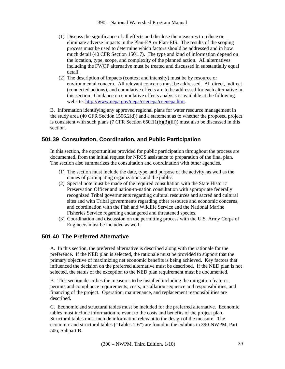- (1) Discuss the significance of all effects and disclose the measures to reduce or eliminate adverse impacts in the Plan-EA or Plan-EIS. The results of the scoping process must be used to determine which factors should be addressed and in how much detail (40 CFR Section 1501.7). The type and kind of information depend on the location, type, scope, and complexity of the planned action. All alternatives including the FWOP alternative must be treated and discussed in substantially equal detail.
- (2) The description of impacts (context and intensity) must be by resource or environmental concern. All relevant concerns must be addressed. All direct, indirect (connected actions), and cumulative effects are to be addressed for each alternative in this section. Guidance on cumulative effects analysis is available at the following website: [http://www.nepa.gov/nepa/ccenepa/ccenepa.htm.](http://www.nepa.gov/nepa/ccenepa/ccenepa.htm)

B. Information identifying any approved regional plans for water resource management in the study area (40 CFR Section 1506.2(d)) and a statement as to whether the proposed project is consistent with such plans (7 CFR Section  $650.11(b)(3)(iii)$ ) must also be discussed in this section.

# **501.39 Consultation, Coordination, and Public Participation**

In this section, the opportunities provided for public participation throughout the process are documented, from the initial request for NRCS assistance to preparation of the final plan. The section also summarizes the consultation and coordination with other agencies.

- (1) The section must include the date, type, and purpose of the activity, as well as the names of participating organizations and the public.
- (2) Special note must be made of the required consultation with the State Historic Preservation Officer and nation-to-nation consultation with appropriate federally recognized Tribal governments regarding cultural resources and sacred and cultural sites and with Tribal governments regarding other resource and economic concerns, and coordination with the Fish and Wildlife Service and the National Marine Fisheries Service regarding endangered and threatened species.
- (3) Coordination and discussion on the permitting process with the U.S. Army Corps of Engineers must be included as well.

# **501.40 The Preferred Alternative**

A. In this section, the preferred alternative is described along with the rationale for the preference. If the NED plan is selected, the rationale must be provided to support that the primary objective of maximizing net economic benefits is being achieved. Key factors that influenced the decision on the preferred alternative must be described. If the NED plan is not selected, the status of the exception to the NED plan requirement must be documented.

B. This section describes the measures to be installed including the mitigation features, permits and compliance requirements, costs, installation sequence and responsibilities, and financing of the project. Operation, maintenance, and replacement responsibilities are described.

C. Economic and structural tables must be included for the preferred alternative. Economic tables must include information relevant to the costs and benefits of the project plan. Structural tables must include information relevant to the design of the measure. The economic and structural tables ("Tables 1-6") are found in the exhibits in 390-NWPM, Part 506, Subpart B.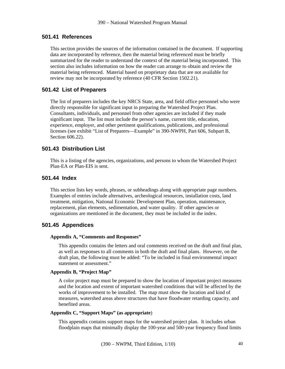# **501.41 References**

This section provides the sources of the information contained in the document. If supporting data are incorporated by reference, then the material being referenced must be briefly summarized for the reader to understand the context of the material being incorporated. This section also includes information on how the reader can arrange to obtain and review the material being referenced. Material based on proprietary data that are not available for review may not be incorporated by reference (40 CFR Section 1502.21).

# **501.42 List of Preparers**

The list of preparers includes the key NRCS State, area, and field office personnel who were directly responsible for significant input in preparing the Watershed Project Plan. Consultants, individuals, and personnel from other agencies are included if they made significant input. The list must include the person's name, current title, education, experience, employer, and other pertinent qualifications, publications, and professional licenses (see exhibit "List of Preparers—Example" in 390-NWPH, Part 606, Subpart B, Section 606.22).

# **501.43 Distribution List**

This is a listing of the agencies, organizations, and persons to whom the Watershed Project Plan-EA or Plan-EIS is sent.

# **501.44 Index**

This section lists key words, phrases, or subheadings along with appropriate page numbers. Examples of entries include alternatives, archeological resources, installation costs, land treatment, mitigation, National Economic Development Plan, operation, maintenance, replacement, plan elements, sedimentation, and water quality. If other agencies or organizations are mentioned in the document, they must be included in the index.

### **501.45 Appendices**

#### **Appendix A, "Comments and Responses"**

This appendix contains the letters and oral comments received on the draft and final plan, as well as responses to all comments in both the draft and final plans. However, on the draft plan, the following must be added: "To be included in final environmental impact statement or assessment."

#### **Appendix B, "Project Map"**

A color project map must be prepared to show the location of important project measures and the location and extent of important watershed conditions that will be affected by the works of improvement to be installed. The map must show the location and kind of measures, watershed areas above structures that have floodwater retarding capacity, and benefited areas.

### **Appendix C, "Support Maps" (as appropriate**)

This appendix contains support maps for the watershed project plan. It includes urban floodplain maps that minimally display the 100-year and 500-year frequency flood limits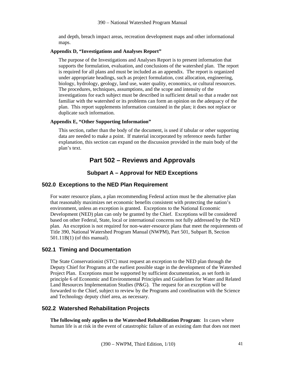and depth, breach impact areas, recreation development maps and other informational maps.

#### **Appendix D, "Investigations and Analyses Report"**

The purpose of the Investigations and Analyses Report is to present information that supports the formulation, evaluation, and conclusions of the watershed plan. The report is required for all plans and must be included as an appendix. The report is organized under appropriate headings, such as project formulation, cost allocation, engineering, biology, hydrology, geology, land use, water quality, economics, or cultural resources. The procedures, techniques, assumptions, and the scope and intensity of the investigations for each subject must be described in sufficient detail so that a reader not familiar with the watershed or its problems can form an opinion on the adequacy of the plan. This report supplements information contained in the plan; it does not replace or duplicate such information.

#### **Appendix E, "Other Supporting Information"**

This section, rather than the body of the document, is used if tabular or other supporting data are needed to make a point. If material incorporated by reference needs further explanation, this section can expand on the discussion provided in the main body of the plan's text.

# **Part 502 – Reviews and Approvals**

### **Subpart A – Approval for NED Exceptions**

#### **502.0 Exceptions to the NED Plan Requirement**

For water resource plans, a plan recommending Federal action must be the alternative plan that reasonably maximizes net economic benefits consistent with protecting the nation's environment, unless an exception is granted. Exceptions to the National Economic Development (NED) plan can only be granted by the Chief. Exceptions will be considered based on other Federal, State, local or international concerns not fully addressed by the NED plan. An exception is not required for non-water-resource plans that meet the requirements of Title 390, National Watershed Program Manual (NWPM), Part 501, Subpart B, Section 501.11B(1) (of this manual).

### **502.1 Timing and Documentation**

The State Conservationist (STC) must request an exception to the NED plan through the Deputy Chief for Programs at the earliest possible stage in the development of the Watershed Project Plan. Exceptions must be supported by sufficient documentation, as set forth in principle 6 of Economic and Environmental Principles and Guidelines for Water and Related Land Resources Implementation Studies (P&G). The request for an exception will be forwarded to the Chief, subject to review by the Programs and coordination with the Science and Technology deputy chief area, as necessary.

#### **502.2 Watershed Rehabilitation Projects**

**The following only applies to the Watershed Rehabilitation Program**: In cases where human life is at risk in the event of catastrophic failure of an existing dam that does not meet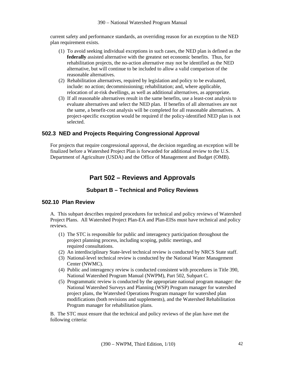current safety and performance standards, an overriding reason for an exception to the NED plan requirement exists.

- (1) To avoid seeking individual exceptions in such cases, the NED plan is defined as the **federally** assisted alternative with the greatest net economic benefits. Thus, for rehabilitation projects, the no-action alternative may not be identified as the NED alternative, but will continue to be included to allow a valid comparison of the reasonable alternatives.
- (2) Rehabilitation alternatives, required by legislation and policy to be evaluated, include: no action; decommissioning; rehabilitation; and, where applicable, relocation of at-risk dwellings, as well as additional alternatives, as appropriate.
- (3) If all reasonable alternatives result in the same benefits, use a least-cost analysis to evaluate alternatives and select the NED plan. If benefits of all alternatives are not the same, a benefit-cost analysis will be completed for all reasonable alternatives. A project-specific exception would be required if the policy-identified NED plan is not selected.

# **502.3 NED and Projects Requiring Congressional Approval**

For projects that require congressional approval, the decision regarding an exception will be finalized before a Watershed Project Plan is forwarded for additional review to the U.S. Department of Agriculture (USDA) and the Office of Management and Budget (OMB).

# **Part 502 – Reviews and Approvals**

# **Subpart B – Technical and Policy Reviews**

# **502.10 Plan Review**

A. This subpart describes required procedures for technical and policy reviews of Watershed Project Plans. All Watershed Project Plan-EA and Plan-EISs must have technical and policy reviews.

- (1) The STC is responsible for public and interagency participation throughout the project planning process, including scoping, public meetings, and required consultations.
- (2) An interdisciplinary State-level technical review is conducted by NRCS State staff.
- (3) National-level technical review is conducted by the National Water Management Center (NWMC).
- (4) Public and interagency review is conducted consistent with procedures in Title 390, National Watershed Program Manual (NWPM), Part 502, Subpart C.
- (5) Programmatic review is conducted by the appropriate national program manager: the National Watershed Surveys and Planning (WSP) Program manager for watershed project plans, the Watershed Operations Program manager for watershed plan modifications (both revisions and supplements), and the Watershed Rehabilitation Program manager for rehabilitation plans.

B. The STC must ensure that the technical and policy reviews of the plan have met the following criteria: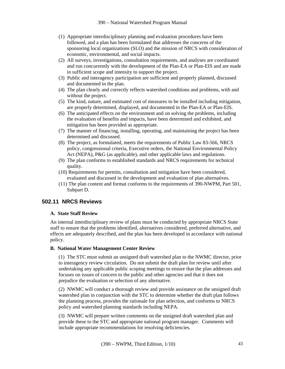- (1) Appropriate interdisciplinary planning and evaluation procedures have been followed, and a plan has been formulated that addresses the concerns of the sponsoring local organizations (SLO) and the mission of NRCS with consideration of economic, environmental, and social impacts.
- (2) All surveys, investigations, consultation requirements, and analyses are coordinated and run concurrently with the development of the Plan-EA or Plan-EIS and are made in sufficient scope and intensity to support the project.
- (3) Public and interagency participation are sufficient and properly planned, discussed and documented in the plan.
- (4) The plan clearly and correctly reflects watershed conditions and problems, with and without the project.
- (5) The kind, nature, and estimated cost of measures to be installed including mitigation, are properly determined, displayed, and documented in the Plan-EA or Plan-EIS.
- (6) The anticipated effects on the environment and on solving the problems, including the evaluation of benefits and impacts, have been determined and exhibited, and mitigation has been provided as appropriate.
- (7) The manner of financing, installing, operating, and maintaining the project has been determined and discussed.
- (8) The project, as formulated, meets the requirements of Public Law 83-566, NRCS policy, congressional criteria, Executive orders, the National Environmental Policy Act (NEPA), P&G (as applicable), and other applicable laws and regulations.
- (9) The plan conforms to established standards and NRCS requirements for technical quality.
- (10) Requirements for permits, consultation and mitigation have been considered, evaluated and discussed in the development and evaluation of plan alternatives.
- (11) The plan content and format conforms to the requirements of 390-NWPM, Part 501, Subpart D.

# **502.11 NRCS Reviews**

### **A. State Staff Review**

An internal interdisciplinary review of plans must be conducted by appropriate NRCS State staff to ensure that the problems identified, alternatives considered, preferred alternative, and effects are adequately described, and the plan has been developed in accordance with national policy.

### **B. National Water Management Center Review**

(1) The STC must submit an unsigned draft watershed plan to the NWMC director, prior to interagency review circulation. Do not submit the draft plan for review until after undertaking any applicable public scoping meetings to ensure that the plan addresses and focuses on issues of concern to the public and other agencies and that it does not prejudice the evaluation or selection of any alternative.

(2) NWMC will conduct a thorough review and provide assistance on the unsigned draft watershed plan in conjunction with the STC to determine whether the draft plan follows the planning process, provides the rationale for plan selection, and conforms to NRCS policy and watershed planning standards including NEPA.

(3) NWMC will prepare written comments on the unsigned draft watershed plan and provide these to the STC and appropriate national program manager. Comments will include appropriate recommendations for resolving deficiencies.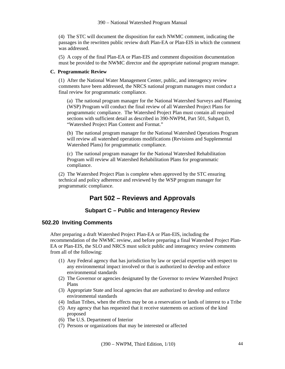(4) The STC will document the disposition for each NWMC comment, indicating the passages in the rewritten public review draft Plan-EA or Plan-EIS in which the comment was addressed.

(5) A copy of the final Plan-EA or Plan-EIS and comment disposition documentation must be provided to the NWMC director and the appropriate national program manager.

#### **C. Programmatic Review**

(1) After the National Water Management Center, public, and interagency review comments have been addressed, the NRCS national program managers must conduct a final review for programmatic compliance.

(a) The national program manager for the National Watershed Surveys and Planning (WSP) Program will conduct the final review of all Watershed Project Plans for programmatic compliance. The Watershed Project Plan must contain all required sections with sufficient detail as described in 390-NWPM, Part 501, Subpart D, "Watershed Project Plan Content and Format."

(b) The national program manager for the National Watershed Operations Program will review all watershed operations modifications (Revisions and Supplemental Watershed Plans) for programmatic compliance.

(c) The national program manager for the National Watershed Rehabilitation Program will review all Watershed Rehabilitation Plans for programmatic compliance.

(2) The Watershed Project Plan is complete when approved by the STC ensuring technical and policy adherence and reviewed by the WSP program manager for programmatic compliance.

# **Part 502 – Reviews and Approvals**

# **Subpart C – Public and Interagency Review**

# **502.20 Inviting Comments**

After preparing a draft Watershed Project Plan-EA or Plan-EIS, including the recommendation of the NWMC review, and before preparing a final Watershed Project Plan-EA or Plan-EIS, the SLO and NRCS must solicit public and interagency review comments from all of the following:

- (1) Any Federal agency that has jurisdiction by law or special expertise with respect to any environmental impact involved or that is authorized to develop and enforce environmental standards
- (2) The Governor or agencies designated by the Governor to review Watershed Project Plans
- (3) Appropriate State and local agencies that are authorized to develop and enforce environmental standards
- (4) Indian Tribes, when the effects may be on a reservation or lands of interest to a Tribe
- (5) Any agency that has requested that it receive statements on actions of the kind proposed
- (6) The U.S. Department of Interior
- (7) Persons or organizations that may be interested or affected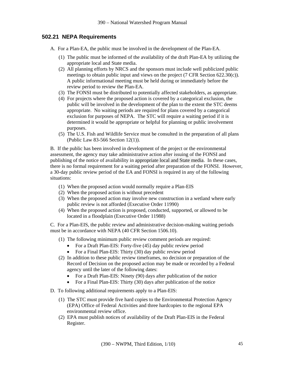# **502.21 NEPA Requirements**

- A. For a Plan-EA, the public must be involved in the development of the Plan-EA.
	- (1) The public must be informed of the availability of the draft Plan-EA by utilizing the appropriate local and State media.
	- (2) All planning efforts by NRCS and the sponsors must include well publicized public meetings to obtain public input and views on the project (7 CFR Section 622.30(c)). A public informational meeting must be held during or immediately before the review period to review the Plan-EA.
	- (3) The FONSI must be distributed to potentially affected stakeholders, as appropriate.
	- (4) For projects where the proposed action is covered by a categorical exclusion, the public will be involved in the development of the plan to the extent the STC deems appropriate. No waiting periods are required for plans covered by a categorical exclusion for purposes of NEPA. The STC will require a waiting period if it is determined it would be appropriate or helpful for planning or public involvement purposes.
	- (5) The U.S. Fish and Wildlife Service must be consulted in the preparation of all plans (Public Law 83-566 Section 12(1)).

B. If the public has been involved in development of the project or the environmental assessment, the agency may take administrative action after issuing of the FONSI and publishing of the notice of availability in appropriate local and State media. In these cases, there is no formal requirement for a waiting period after preparation of the FONSI. However, a 30-day public review period of the EA and FONSI is required in any of the following situations:

- (1) When the proposed action would normally require a Plan-EIS
- (2) When the proposed action is without precedent
- (3) When the proposed action may involve new construction in a wetland where early public review is not afforded (Executive Order 11990)
- (4) When the proposed action is proposed, conducted, supported, or allowed to be located in a floodplain (Executive Order 11988)

C. For a Plan-EIS, the public review and administrative decision-making waiting periods must be in accordance with NEPA (40 CFR Section 1506.10).

- (1) The following minimum public review comment periods are required:
	- For a Draft Plan-EIS: Forty-five (45) day public review period
	- For a Final Plan-EIS: Thirty (30) day public review period
- (2) In addition to these public review timeframes, no decision or preparation of the Record of Decision on the proposed action may be made or recorded by a Federal agency until the later of the following dates:
	- For a Draft Plan-EIS: Ninety (90) days after publication of the notice
	- For a Final Plan-EIS: Thirty (30) days after publication of the notice
- D. To following additional requirements apply to a Plan-EIS:
	- (1) The STC must provide five hard copies to the Environmental Protection Agency (EPA) Office of Federal Activities and three hardcopies to the regional EPA environmental review office.
	- (2) EPA must publish notices of availability of the Draft Plan-EIS in the Federal Register.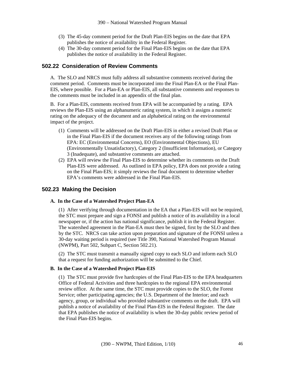- (3) The 45-day comment period for the Draft Plan-EIS begins on the date that EPA publishes the notice of availability in the Federal Register.
- (4) The 30-day comment period for the Final Plan-EIS begins on the date that EPA publishes the notice of availability in the Federal Register.

### **502.22 Consideration of Review Comments**

A. The SLO and NRCS must fully address all substantive comments received during the comment period. Comments must be incorporated into the Final Plan-EA or the Final Plan-EIS, where possible. For a Plan-EA or Plan-EIS, all substantive comments and responses to the comments must be included in an appendix of the final plan.

B. For a Plan-EIS, comments received from EPA will be accompanied by a rating. EPA reviews the Plan-EIS using an alphanumeric rating system, in which it assigns a numeric rating on the adequacy of the document and an alphabetical rating on the environmental impact of the project.

- (1) Comments will be addressed on the Draft Plan-EIS in either a revised Draft Plan or in the Final Plan-EIS if the document receives any of the following ratings from EPA: EC (Environmental Concerns), EO (Environmental Objections), EU (Environmentally Unsatisfactory), Category 2 (Insufficient Information), or Category 3 (Inadequate), and substantive comments are attached.
- (2) EPA will review the Final Plan-EIS to determine whether its comments on the Draft Plan-EIS were addressed. As outlined in EPA policy, EPA does not provide a rating on the Final Plan-EIS; it simply reviews the final document to determine whether EPA's comments were addressed in the Final Plan-EIS.

#### **502.23 Making the Decision**

#### **A. In the Case of a Watershed Project Plan-EA**

(1) After verifying through documentation in the EA that a Plan-EIS will not be required, the STC must prepare and sign a FONSI and publish a notice of its availability in a local newspaper or, if the action has national significance, publish it in the Federal Register. The watershed agreement in the Plan-EA must then be signed, first by the SLO and then by the STC. NRCS can take action upon preparation and signature of the FONSI unless a 30-day waiting period is required (see Title 390, National Watershed Program Manual (NWPM), Part 502, Subpart C, Section 502.21).

(2) The STC must transmit a manually signed copy to each SLO and inform each SLO that a request for funding authorization will be submitted to the Chief.

#### **B. In the Case of a Watershed Project Plan-EIS**

(1) The STC must provide five hardcopies of the Final Plan-EIS to the EPA headquarters Office of Federal Activities and three hardcopies to the regional EPA environmental review office. At the same time, the STC must provide copies to the SLO, the Forest Service; other participating agencies; the U.S. Department of the Interior; and each agency, group, or individual who provided substantive comments on the draft. EPA will publish a notice of availability of the Final Plan-EIS in the Federal Register. The date that EPA publishes the notice of availability is when the 30-day public review period of the Final Plan-EIS begins.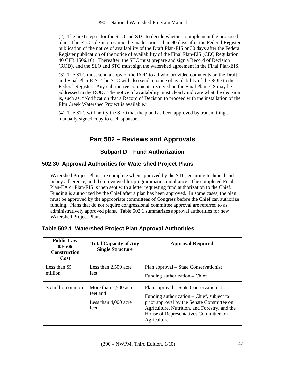(2) The next step is for the SLO and STC to decide whether to implement the proposed plan. The STC's decision cannot be made sooner than 90 days after the Federal Register publication of the notice of availability of the Draft Plan-EIS or 30 days after the Federal Register publication of the notice of availability of the Final Plan-EIS (CEQ Regulation 40 CFR 1506.10). Thereafter, the STC must prepare and sign a Record of Decision (ROD), and the SLO and STC must sign the watershed agreement in the Final Plan-EIS.

(3) The STC must send a copy of the ROD to all who provided comments on the Draft and Final Plan-EIS. The STC will also send a notice of availability of the ROD to the Federal Register. Any substantive comments received on the Final Plan-EIS may be addressed in the ROD. The notice of availability must clearly indicate what the decision is, such as, "Notification that a Record of Decision to proceed with the installation of the Elm Creek Watershed Project is available."

(4) The STC will notify the SLO that the plan has been approved by transmitting a manually signed copy to each sponsor.

# **Part 502 – Reviews and Approvals**

# **Subpart D – Fund Authorization**

# **502.30 Approval Authorities for Watershed Project Plans**

Watershed Project Plans are complete when approved by the STC, ensuring technical and policy adherence, and then reviewed for programmatic compliance. The completed Final Plan-EA or Plan-EIS is then sent with a letter requesting fund authorization to the Chief. Funding is authorized by the Chief after a plan has been approved. In some cases, the plan must be approved by the appropriate committees of Congress before the Chief can authorize funding. Plans that do not require congressional committee approval are referred to as administratively approved plans. Table 502.1 summarizes approval authorities for new Watershed Project Plans.

| <b>Public Law</b><br>83-566<br><b>Construction</b><br><b>Cost</b> | <b>Total Capacity of Any</b><br><b>Single Structure</b>          | <b>Approval Required</b>                                                                                                                                                                                                                 |
|-------------------------------------------------------------------|------------------------------------------------------------------|------------------------------------------------------------------------------------------------------------------------------------------------------------------------------------------------------------------------------------------|
| Less than \$5<br>million                                          | Less than 2,500 acre<br>feet                                     | Plan approval – State Conservationist<br>Funding authorization – Chief                                                                                                                                                                   |
| \$5 million or more                                               | More than 2,500 acre<br>feet and<br>Less than 4,000 acre<br>feet | Plan approval – State Conservationist<br>Funding authorization – Chief, subject to<br>prior approval by the Senate Committee on<br>Agriculture, Nutrition, and Forestry, and the<br>House of Representatives Committee on<br>Agriculture |

# **Table 502.1 Watershed Project Plan Approval Authorities**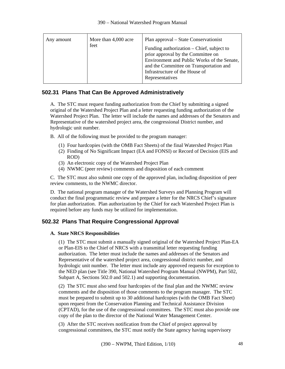| Any amount | More than 4,000 acre<br>feet | Plan approval – State Conservationist<br>Funding authorization – Chief, subject to<br>prior approval by the Committee on<br>Environment and Public Works of the Senate,<br>and the Committee on Transportation and<br>Infrastructure of the House of<br>Representatives |
|------------|------------------------------|-------------------------------------------------------------------------------------------------------------------------------------------------------------------------------------------------------------------------------------------------------------------------|
|------------|------------------------------|-------------------------------------------------------------------------------------------------------------------------------------------------------------------------------------------------------------------------------------------------------------------------|

# **502.31 Plans That Can Be Approved Administratively**

A. The STC must request funding authorization from the Chief by submitting a signed original of the Watershed Project Plan and a letter requesting funding authorization of the Watershed Project Plan. The letter will include the names and addresses of the Senators and Representative of the watershed project area, the congressional District number, and hydrologic unit number.

B. All of the following must be provided to the program manager:

- (1) Four hardcopies (with the OMB Fact Sheets) of the final Watershed Project Plan
- (2) Finding of No Significant Impact (EA and FONSI) or Record of Decision (EIS and ROD)
- (3) An electronic copy of the Watershed Project Plan
- (4) NWMC (peer review) comments and disposition of each comment

C. The STC must also submit one copy of the approved plan, including disposition of peer review comments, to the NWMC director.

D. The national program manager of the Watershed Surveys and Planning Program will conduct the final programmatic review and prepare a letter for the NRCS Chief's signature for plan authorization. Plan authorization by the Chief for each Watershed Project Plan is required before any funds may be utilized for implementation.

# **502.32 Plans That Require Congressional Approval**

### **A. State NRCS Responsibilities**

(1) The STC must submit a manually signed original of the Watershed Project Plan-EA or Plan-EIS to the Chief of NRCS with a transmittal letter requesting funding authorization. The letter must include the names and addresses of the Senators and Representative of the watershed project area, congressional district number, and hydrologic unit number. The letter must include any approved requests for exception to the NED plan (see Title 390, National Watershed Program Manual (NWPM), Part 502, Subpart A, Sections 502.0 and 502.1) and supporting documentation.

(2) The STC must also send four hardcopies of the final plan and the NWMC review comments and the disposition of those comments to the program manager. The STC must be prepared to submit up to 30 additional hardcopies (with the OMB Fact Sheet) upon request from the Conservation Planning and Technical Assistance Division (CPTAD), for the use of the congressional committees. The STC must also provide one copy of the plan to the director of the National Water Management Center.

(3) After the STC receives notification from the Chief of project approval by congressional committees, the STC must notify the State agency having supervisory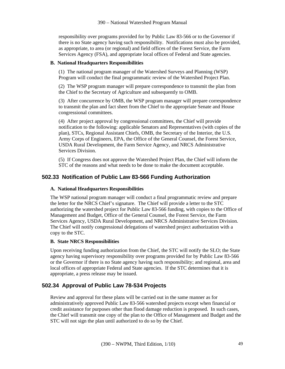responsibility over programs provided for by Public Law 83-566 or to the Governor if there is no State agency having such responsibility. Notifications must also be provided, as appropriate, to area (or regional) and field offices of the Forest Service, the Farm Services Agency (FSA), and appropriate local offices of Federal and State agencies.

### **B. National Headquarters Responsibilities**

(1) The national program manager of the Watershed Surveys and Planning (WSP) Program will conduct the final programmatic review of the Watershed Project Plan.

(2) The WSP program manager will prepare correspondence to transmit the plan from the Chief to the Secretary of Agriculture and subsequently to OMB.

(3) After concurrence by OMB, the WSP program manager will prepare correspondence to transmit the plan and fact sheet from the Chief to the appropriate Senate and House congressional committees.

(4) After project approval by congressional committees, the Chief will provide notification to the following: applicable Senators and Representatives (with copies of the plan), STCs, Regional Assistant Chiefs, OMB, the Secretary of the Interior, the U.S. Army Corps of Engineers, EPA, the Office of the General Counsel, the Forest Service, USDA Rural Development, the Farm Service Agency, and NRCS Administrative Services Division.

(5) If Congress does not approve the Watershed Project Plan, the Chief will inform the STC of the reasons and what needs to be done to make the document acceptable.

# **502.33 Notification of Public Law 83-566 Funding Authorization**

### **A. National Headquarters Responsibilities**

The WSP national program manager will conduct a final programmatic review and prepare the letter for the NRCS Chief's signature. The Chief will provide a letter to the STC authorizing the watershed project for Public Law 83-566 funding, with copies to the Office of Management and Budget, Office of the General Counsel, the Forest Service, the Farm Services Agency, USDA Rural Development, and NRCS Administrative Services Division. The Chief will notify congressional delegations of watershed project authorization with a copy to the STC.

### **B. State NRCS Responsibilities**

Upon receiving funding authorization from the Chief, the STC will notify the SLO; the State agency having supervisory responsibility over programs provided for by Public Law 83-566 or the Governor if there is no State agency having such responsibility; and regional, area and local offices of appropriate Federal and State agencies. If the STC determines that it is appropriate, a press release may be issued.

# **502.34 Approval of Public Law 78-534 Projects**

Review and approval for these plans will be carried out in the same manner as for administratively approved Public Law 83-566 watershed projects except when financial or credit assistance for purposes other than flood damage reduction is proposed. In such cases, the Chief will transmit one copy of the plan to the Office of Management and Budget and the STC will not sign the plan until authorized to do so by the Chief.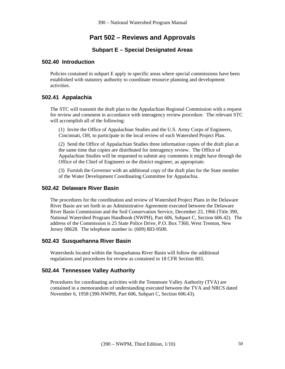# **Part 502 – Reviews and Approvals**

# **Subpart E – Special Designated Areas**

### **502.40 Introduction**

Policies contained in subpart E apply in specific areas where special commissions have been established with statutory authority to coordinate resource planning and development activities.

# **502.41 Appalachia**

The STC will transmit the draft plan to the Appalachian Regional Commission with a request for review and comment in accordance with interagency review procedure. The relevant STC will accomplish all of the following:

(1) Invite the Office of Appalachian Studies and the U.S. Army Corps of Engineers, Cincinnati, OH, to participate in the local review of each Watershed Project Plan.

(2) Send the Office of Appalachian Studies three information copies of the draft plan at the same time that copies are distributed for interagency review. The Office of Appalachian Studies will be requested to submit any comments it might have through the Office of the Chief of Engineers or the district engineer, as appropriate.

(3) Furnish the Governor with an additional copy of the draft plan for the State member of the Water Development Coordinating Committee for Appalachia.

# **502.42 Delaware River Basin**

The procedures for the coordination and review of Watershed Project Plans in the Delaware River Basin are set forth in an Administrative Agreement executed between the Delaware River Basin Commission and the Soil Conservation Service, December 23, 1966 (Title 390, National Watershed Program Handbook (NWPH), Part 606, Subpart C, Section 606.42). The address of the Commission is 25 State Police Drive, P.O. Box 7360, West Trenton, New Jersey 08628. The telephone number is: (609) 883-9500.

# **502.43 Susquehanna River Basin**

Watersheds located within the Susquehanna River Basin will follow the additional regulations and procedures for review as contained in 18 CFR Section 803.

# **502.44 Tennessee Valley Authority**

Procedures for coordinating activities with the Tennessee Valley Authority (TVA) are contained in a memorandum of understanding executed between the TVA and NRCS dated November 6, 1958 (390-NWPH, Part 606, Subpart C, Section 606.43).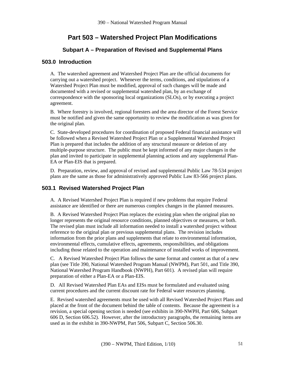# **Part 503 – Watershed Project Plan Modifications**

# **Subpart A – Preparation of Revised and Supplemental Plans**

# **503.0 Introduction**

A. The watershed agreement and Watershed Project Plan are the official documents for carrying out a watershed project. Whenever the terms, conditions, and stipulations of a Watershed Project Plan must be modified, approval of such changes will be made and documented with a revised or supplemental watershed plan, by an exchange of correspondence with the sponsoring local organizations (SLOs), or by executing a project agreement.

B. Where forestry is involved, regional foresters and the area director of the Forest Service must be notified and given the same opportunity to review the modification as was given for the original plan.

C. State-developed procedures for coordination of proposed Federal financial assistance will be followed when a Revised Watershed Project Plan or a Supplemental Watershed Project Plan is prepared that includes the addition of any structural measure or deletion of any multiple-purpose structure. The public must be kept informed of any major changes in the plan and invited to participate in supplemental planning actions and any supplemental Plan-EA or Plan-EIS that is prepared.

D. Preparation, review, and approval of revised and supplemental Public Law 78-534 project plans are the same as those for administratively approved Public Law 83-566 project plans.

# **503.1 Revised Watershed Project Plan**

A.A Revised Watershed Project Plan is required if new problems that require Federal assistance are identified or there are numerous complex changes in the planned measures.

B. A Revised Watershed Project Plan replaces the existing plan when the original plan no longer represents the original resource conditions, planned objectives or measures, or both. The revised plan must include all information needed to install a watershed project without reference to the original plan or previous supplemental plans. The revision includes information from the prior plans and supplements that relate to environmental information, environmental effects, cumulative effects, agreements, responsibilities, and obligations including those related to the operation and maintenance of installed works of improvement.

C. A Revised Watershed Project Plan follows the same format and content as that of a new plan (see Title 390, National Watershed Program Manual (NWPM), Part 501, and Title 390, National Watershed Program Handbook (NWPH), Part 601). A revised plan will require preparation of either a Plan-EA or a Plan-EIS.

D. All Revised Watershed Plan EAs and EISs must be formulated and evaluated using current procedures and the current discount rate for Federal water resources planning.

E. Revised watershed agreements must be used with all Revised Watershed Project Plans and placed at the front of the document behind the table of contents. Because the agreement is a revision, a special opening section is needed (see exhibits in 390-NWPH, Part 606, Subpart 606 D, Section 606.52). However, after the introductory paragraphs, the remaining items are used as in the exhibit in 390-NWPM, Part 506, Subpart C, Section 506.30.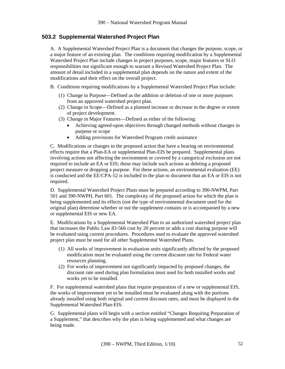# **503.2 Supplemental Watershed Project Plan**

A. A Supplemental Watershed Project Plan is a document that changes the purpose, scope, or a major feature of an existing plan. The conditions requiring modification by a Supplemental Watershed Project Plan include changes in project purposes, scope, major features or SLO responsibilities not significant enough to warrant a Revised Watershed Project Plan. The amount of detail included in a supplemental plan depends on the nature and extent of the modifications and their effect on the overall project.

- B. Conditions requiring modifications by a Supplemental Watershed Project Plan include:
	- (1) Change in Purpose—Defined as the addition or deletion of one or more purposes from an approved watershed project plan.
	- (2) Change in Scope—Defined as a planned increase or decrease in the degree or extent of project development.
	- (3) Change in Major Features—Defined as either of the following:
		- Achieving agreed-upon objectives through changed methods without changes in purpose or scope
		- Adding provisions for Watershed Program credit assistance

C. Modifications or changes to the proposed action that have a bearing on environmental effects require that a Plan-EA or supplemental Plan-EIS be prepared. Supplemental plans involving actions not affecting the environment or covered by a categorical exclusion are not required to include an EA or EIS; these may include such actions as deleting a proposed project measure or dropping a purpose. For these actions, an environmental evaluation (EE) is conducted and the EE/CPA-52 is included in the plan to document that an EA or EIS is not required.

D. Supplemental Watershed Project Plans must be prepared according to 390-NWPM, Part 501 and 390-NWPH, Part 601. The complexity of the proposed action for which the plan is being supplemented and its effects (not the type of environmental document used for the original plan) determine whether or not the supplement contains or is accompanied by a new or supplemental EIS or new EA.

E. Modifications by a Supplemental Watershed Plan to an authorized watershed project plan that increases the Public Law 83-566 cost by 20 percent or adds a cost sharing purpose will be evaluated using current procedures. Procedures used to evaluate the approved watershed project plan must be used for all other Supplemental Watershed Plans.

- (1) All works of improvement in evaluation units significantly affected by the proposed modification must be evaluated using the current discount rate for Federal water resources planning.
- (2) For works of improvement not significantly impacted by proposed changes, the discount rate used during plan formulation must used for both installed works and works yet to be installed.

F. For supplemental watershed plans that require preparation of a new or supplemental EIS, the works of improvement yet to be installed must be evaluated along with the portions already installed using both original and current discount rates, and must be displayed in the Supplemental Watershed Plan-EIS.

G. Supplemental plans will begin with a section entitled "Changes Requiring Preparation of a Supplement," that describes why the plan is being supplemented and what changes are being made.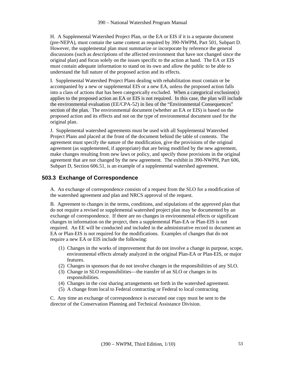H. A Supplemental Watershed Project Plan, or the EA or EIS if it is a separate document (pre-NEPA), must contain the same content as required by 390-NWPM, Part 501, Subpart D. However, the supplemental plan must summarize or incorporate by reference the general discussions (such as descriptions of the affected environment that have not changed since the original plan) and focus solely on the issues specific to the action at hand. The EA or EIS must contain adequate information to stand on its own and allow the public to be able to understand the full nature of the proposed action and its effects.

I. Supplemental Watershed Project Plans dealing with rehabilitation must contain or be accompanied by a new or supplemental EIS or a new EA, unless the proposed action falls into a class of actions that has been categorically excluded. When a categorical exclusion(s) applies to the proposed action an EA or EIS is not required. In this case, the plan will include the environmental evaluation (EE/CPA-52) in lieu of the "Environmental Consequences" section of the plan. The environmental document (whether an EA or EIS) is based on the proposed action and its effects and not on the type of environmental document used for the original plan.

J. Supplemental watershed agreements must be used with all Supplemental Watershed Project Plans and placed at the front of the document behind the table of contents. The agreement must specify the nature of the modification, give the provisions of the original agreement (as supplemented, if appropriate) that are being modified by the new agreement, make changes resulting from new laws or policy, and specify those provisions in the original agreement that are not changed by the new agreement. The exhibit in 390-NWPH, Part 606, Subpart D, Section 606.51, is an example of a supplemental watershed agreement.

# **503.3 Exchange of Correspondence**

A. An exchange of correspondence consists of a request from the SLO for a modification of the watershed agreement and plan and NRCS approval of the request.

B. Agreement to changes in the terms, conditions, and stipulations of the approved plan that do not require a revised or supplemental watershed project plan may be documented by an exchange of correspondence. If there are no changes in environmental effects or significant changes in information on the project, then a supplemental Plan-EA or Plan-EIS is not required. An EE will be conducted and included in the administrative record to document an EA or Plan-EIS is not required for the modifications. Examples of changes that do not require a new EA or EIS include the following:

- (1) Changes in the works of improvement that do not involve a change in purpose, scope, environmental effects already analyzed in the original Plan-EA or Plan-EIS, or major features.
- (2) Changes in sponsors that do not involve changes in the responsibilities of any SLO.
- (3) Change in SLO responsibilities—the transfer of an SLO or changes in its responsibilities.
- (4) Changes in the cost sharing arrangements set forth in the watershed agreement.
- (5) A change from local to Federal contracting or Federal to local contracting

C. Any time an exchange of correspondence is executed one copy must be sent to the director of the Conservation Planning and Technical Assistance Division.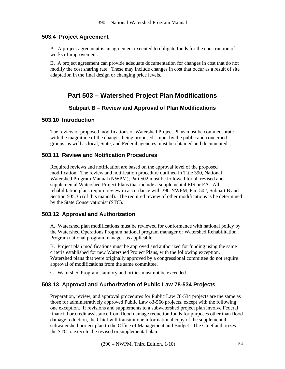### **503.4 Project Agreement**

A. A project agreement is an agreement executed to obligate funds for the construction of works of improvement.

B. A project agreement can provide adequate documentation for changes in cost that do not modify the cost sharing rate. These may include changes in cost that occur as a result of site adaptation in the final design or changing price levels.

# **Part 503 – Watershed Project Plan Modifications**

# **Subpart B – Review and Approval of Plan Modifications**

# **503.10 Introduction**

The review of proposed modifications of Watershed Project Plans must be commensurate with the magnitude of the changes being proposed. Input by the public and concerned groups, as well as local, State, and Federal agencies must be obtained and documented.

### **503.11 Review and Notification Procedures**

Required reviews and notification are based on the approval level of the proposed modification. The review and notification procedure outlined in Title 390, National Watershed Program Manual (NWPM), Part 502 must be followed for all revised and supplemental Watershed Project Plans that include a supplemental EIS or EA. All rehabilitation plans require review in accordance with 390-NWPM, Part 502, Subpart B and Section 505.35 (of this manual). The required review of other modifications is be determined by the State Conservationist (STC).

### **503.12 Approval and Authorization**

A. Watershed plan modifications must be reviewed for conformance with national policy by the Watershed Operations Program national program manager or Watershed Rehabilitation Program national program manager, as applicable.

B. Project plan modifications must be approved and authorized for funding using the same criteria established for new Watershed Project Plans, with the following exception. Watershed plans that were originally approved by a congressional committee do not require approval of modifications from the same committee.

C. Watershed Program statutory authorities must not be exceeded.

# **503.13 Approval and Authorization of Public Law 78-534 Projects**

Preparation, review, and approval procedures for Public Law 78-534 projects are the same as those for administratively approved Public Law 83-566 projects, except with the following one exception. If revisions and supplements to a subwatershed project plan involve Federal financial or credit assistance from flood damage reduction funds for purposes other than flood damage reduction, the Chief will transmit one informational copy of the supplemental subwatershed project plan to the Office of Management and Budget. The Chief authorizes the STC to execute the revised or supplemental plan.

(390 – NWPM, Third Edition, 1/10) 54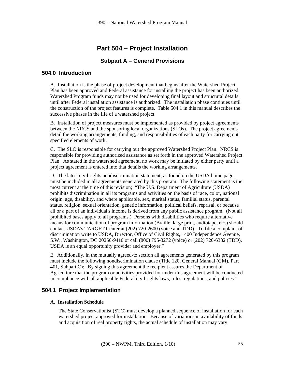# **Part 504 – Project Installation**

# **Subpart A – General Provisions**

# **504.0 Introduction**

A. Installation is the phase of project development that begins after the Watershed Project Plan has been approved and Federal assistance for installing the project has been authorized. Watershed Program funds may not be used for developing final layout and structural details until after Federal installation assistance is authorized. The installation phase continues until the construction of the project features is complete. Table 504.1 in this manual describes the successive phases in the life of a watershed project.

B. Installation of project measures must be implemented as provided by project agreements between the NRCS and the sponsoring local organizations (SLOs). The project agreements detail the working arrangements, funding, and responsibilities of each party for carrying out specified elements of work.

C. The SLO is responsible for carrying out the approved Watershed Project Plan. NRCS is responsible for providing authorized assistance as set forth in the approved Watershed Project Plan. As stated in the watershed agreement, no work may be initiated by either party until a project agreement is entered into that details the working arrangements.

D. The latest civil rights nondiscrimination statement, as found on the USDA home page, must be included in all agreements generated by this program. The following statement is the most current at the time of this revision; "The U.S. Department of Agriculture (USDA) prohibits discrimination in all its programs and activities on the basis of race, color, national origin, age, disability, and where applicable, sex, marital status, familial status, parental status, religion, sexual orientation, genetic information, political beliefs, reprisal, or because all or a part of an individual's income is derived from any public assistance program. (Not all prohibited bases apply to all programs.) Persons with disabilities who require alternative means for communication of program information (Braille, large print, audiotape, etc.) should contact USDA's TARGET Center at (202) 720-2600 (voice and TDD). To file a complaint of discrimination write to USDA, Director, Office of Civil Rights, 1400 Independence Avenue, S.W., Washington, DC 20250-9410 or call (800) 795-3272 (voice) or (202) 720-6382 (TDD). USDA is an equal opportunity provider and employer."

E. Additionally, in the mutually agreed-to section all agreements generated by this program must include the following nondiscrimination clause (Title 120, General Manual (GM), Part 401, Subpart C): "By signing this agreement the recipient assures the Department of Agriculture that the program or activities provided for under this agreement will be conducted in compliance with all applicable Federal civil rights laws, rules, regulations, and policies."

# **504.1 Project Implementation**

### **A. Installation Schedule**

The State Conservationist (STC) must develop a planned sequence of installation for each watershed project approved for installation. Because of variations in availability of funds and acquisition of real property rights, the actual schedule of installation may vary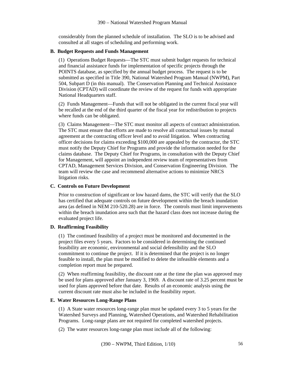considerably from the planned schedule of installation. The SLO is to be advised and consulted at all stages of scheduling and performing work.

#### **B. Budget Requests and Funds Management**

(1) Operations Budget Requests—The STC must submit budget requests for technical and financial assistance funds for implementation of specific projects through the POINTS database, as specified by the annual budget process. The request is to be submitted as specified in Title 390, National Watershed Program Manual (NWPM), Part 504, Subpart D (in this manual). The Conservation Planning and Technical Assistance Division (CPTAD) will coordinate the review of the request for funds with appropriate National Headquarters staff.

(2) Funds Management—Funds that will not be obligated in the current fiscal year will be recalled at the end of the third quarter of the fiscal year for redistribution to projects where funds can be obligated.

(3) Claims Management—The STC must monitor all aspects of contract administration. The STC must ensure that efforts are made to resolve all contractual issues by mutual agreement at the contracting officer level and to avoid litigation. When contracting officer decisions for claims exceeding \$100,000 are appealed by the contractor, the STC must notify the Deputy Chief for Programs and provide the information needed for the claims database. The Deputy Chief for Programs, in consultation with the Deputy Chief for Management, will appoint an independent review team of representatives from CPTAD, Management Services Division, and Conservation Engineering Division. The team will review the case and recommend alternative actions to minimize NRCS litigation risks.

#### **C. Controls on Future Development**

Prior to construction of significant or low hazard dams, the STC will verify that the SLO has certified that adequate controls on future development within the breach inundation area (as defined in NEM 210-520.28) are in force. The controls must limit improvements within the breach inundation area such that the hazard class does not increase during the evaluated project life.

#### **D. Reaffirming Feasibility**

(1) The continued feasibility of a project must be monitored and documented in the project files every 5 years. Factors to be considered in determining the continued feasibility are economic, environmental and social defensibility and the SLO commitment to continue the project. If it is determined that the project is no longer feasible to install, the plan must be modified to delete the infeasible elements and a completion report must be prepared.

(2) When reaffirming feasibility, the discount rate at the time the plan was approved may be used for plans approved after January 3, 1969. A discount rate of 3.25 percent must be used for plans approved before that date. Results of an economic analysis using the current discount rate must also be included in the feasibility report.

#### **E. Water Resources Long-Range Plans**

(1) A State water resources long-range plan must be updated every 3 to 5 years for the Watershed Surveys and Planning, Watershed Operations, and Watershed Rehabilitation Programs. Long-range plans are not required for completed watershed projects.

(2) The water resources long-range plan must include all of the following: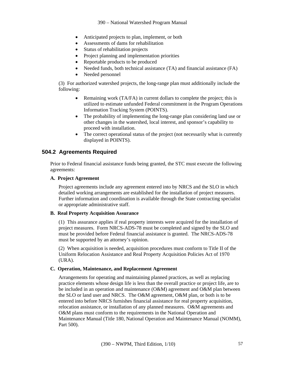- Anticipated projects to plan, implement, or both
- Assessments of dams for rehabilitation
- Status of rehabilitation projects
- Project planning and implementation priorities
- Reportable products to be produced
- Needed funds, both technical assistance (TA) and financial assistance (FA)
- Needed personnel

(3) For authorized watershed projects, the long-range plan must additionally include the following:

- Remaining work (TA/FA) in current dollars to complete the project; this is utilized to estimate unfunded Federal commitment in the Program Operations Information Tracking System (POINTS).
- The probability of implementing the long-range plan considering land use or other changes in the watershed, local interest, and sponsor's capability to proceed with installation.
- The correct operational status of the project (not necessarily what is currently displayed in POINTS).

### **504.2 Agreements Required**

Prior to Federal financial assistance funds being granted, the STC must execute the following agreements:

#### **A. Project Agreement**

Project agreements include any agreement entered into by NRCS and the SLO in which detailed working arrangements are established for the installation of project measures. Further information and coordination is available through the State contracting specialist or appropriate administrative staff.

#### **B. Real Property Acquisition Assurance**

(1) This assurance applies if real property interests were acquired for the installation of project measures. Form NRCS-ADS-78 must be completed and signed by the SLO and must be provided before Federal financial assistance is granted. The NRCS-ADS-78 must be supported by an attorney's opinion.

(2) When acquisition is needed, acquisition procedures must conform to Title II of the Uniform Relocation Assistance and Real Property Acquisition Policies Act of 1970 (URA).

### **C. Operation, Maintenance, and Replacement Agreement**

Arrangements for operating and maintaining planned practices, as well as replacing practice elements whose design life is less than the overall practice or project life, are to be included in an operation and maintenance (O&M) agreement and O&M plan between the SLO or land user and NRCS. The O&M agreement, O&M plan, or both is to be entered into before NRCS furnishes financial assistance for real property acquisition, relocation assistance, or installation of any planned measures. O&M agreements and O&M plans must conform to the requirements in the National Operation and Maintenance Manual (Title 180, National Operation and Maintenance Manual (NOMM), Part 500).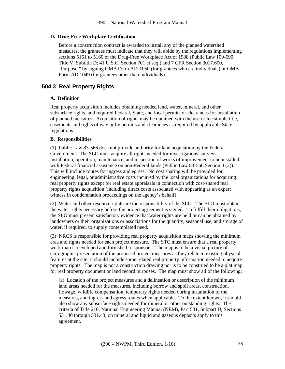### **D. Drug-Free Workplace Certification**

Before a construction contract is awarded to install any of the planned watershed measures, the grantees must indicate that they will abide by the regulations implementing sections 5151 to 5160 of the Drug-Free Workplace Act of 1988 (Public Law 100-690, Title V, Subtitle D; 41 U.S.C. Section 701 et seq.) and 7 CFR Section 3017.600, "Purpose," by signing OMB Form AD-1050 (for grantees who are individuals) or OMB Form AD 1049 (for grantees other than individuals).

# **504.3 Real Property Rights**

### **A. Definition**

Real property acquisition includes obtaining needed land, water, mineral, and other subsurface rights, and required Federal, State, and local permits or clearances for installation of planned measures. Acquisition of rights may be obtained with the use of fee simple title, easements and rights of way or by permits and clearances as required by applicable State regulations.

### **B. Responsibilities**

(1) Public Law 83-566 does not provide authority for land acquisition by the Federal Government. The SLO must acquire all rights needed for investigations, surveys, installation, operation, maintenance, and inspection of works of improvement to be installed with Federal financial assistance on non-Federal lands (Public Law 83-566 Section 4 (2)). This will include routes for ingress and egress. No cost sharing will be provided for engineering, legal, or administrative costs incurred by the local organizations for acquiring real property rights except for real estate appraisals in connection with cost-shared real property rights acquisition (including direct costs associated with appearing as an expert witness in condemnation proceedings on the agency's behalf).

(2) Water and other resource rights are the responsibility of the SLO. The SLO must obtain the water rights necessary before the project agreement is signed. To fulfill their obligations, the SLO must present satisfactory evidence that water rights are held or can be obtained by landowners or their organizations or associations for the quantity, seasonal use, and storage of water, if required, to supply contemplated need.

(3) NRCS is responsible for providing real property acquisition maps showing the minimum area and rights needed for each project measure. The STC must ensure that a real property work map is developed and furnished to sponsors. The map is to be a visual picture of cartographic presentation of the proposed project measures as they relate to existing physical features at the site; it should include some related real property information needed to acquire property rights. The map is not a construction drawing nor is to be construed to be a plat map for real property document or land record purposes. The map must show all of the following:

(a) Location of the project measures and a delineation or description of the minimum land areas needed for the measures, including borrow and spoil areas, construction, flowage, wildlife compensation, temporary rights needed during installation of the measures, and ingress and egress routes when applicable. To the extent known, it should also show any subsurface rights needed for mineral or other outstanding rights. The criteria of Title 210, National Engineering Manual (NEM), Part 531, Subpart D, Sections 531.40 through 531.43, on mineral and liquid and gaseous deposits apply to this agreement.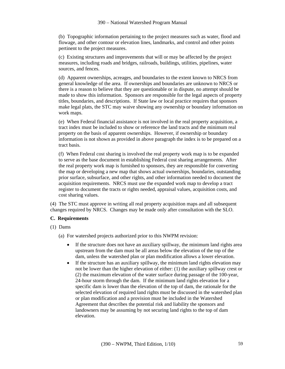(b) Topographic information pertaining to the project measures such as water, flood and flowage, and other contour or elevation lines, landmarks, and control and other points pertinent to the project measures.

(c) Existing structures and improvements that will or may be affected by the project measures, including roads and bridges, railroads, buildings, utilities, pipelines, water sources, and fences.

(d) Apparent ownerships, acreages, and boundaries to the extent known to NRCS from general knowledge of the area. If ownerships and boundaries are unknown to NRCS or there is a reason to believe that they are questionable or in dispute, no attempt should be made to show this information. Sponsors are responsible for the legal aspects of property titles, boundaries, and descriptions. If State law or local practice requires that sponsors make legal plats, the STC may waive showing any ownership or boundary information on work maps.

(e) When Federal financial assistance is not involved in the real property acquisition, a tract index must be included to show or reference the land tracts and the minimum real property on the basis of apparent ownerships. However, if ownership or boundary information is not shown as provided in above paragraph the index is to be prepared on a tract basis.

(f) When Federal cost sharing is involved the real property work map is to be expanded to serve as the base document in establishing Federal cost sharing arrangements. After the real property work map is furnished to sponsors, they are responsible for converting the map or developing a new map that shows actual ownerships, boundaries, outstanding prior surface, subsurface, and other rights, and other information needed to document the acquisition requirements. NRCS must use the expanded work map to develop a tract register to document the tracts or rights needed, appraisal values, acquisition costs, and cost sharing values.

(4) The STC must approve in writing all real property acquisition maps and all subsequent changes required by NRCS. Changes may be made only after consultation with the SLO.

#### **C. Requirements**

#### (1) Dams

- (a) For watershed projects authorized prior to this NWPM revision:
	- If the structure does not have an auxiliary spillway, the minimum land rights area upstream from the dam must be all areas below the elevation of the top of the dam, unless the watershed plan or plan modification allows a lower elevation.
	- If the structure has an auxiliary spillway, the minimum land rights elevation may not be lower than the higher elevation of either: (1) the auxiliary spillway crest or (2) the maximum elevation of the water surface during passage of the 100-year, 24-hour storm through the dam. If the minimum land rights elevation for a specific dam is lower than the elevation of the top of dam, the rationale for the selected elevation of required land rights must be discussed in the watershed plan or plan modification and a provision must be included in the Watershed Agreement that describes the potential risk and liability the sponsors and landowners may be assuming by not securing land rights to the top of dam elevation.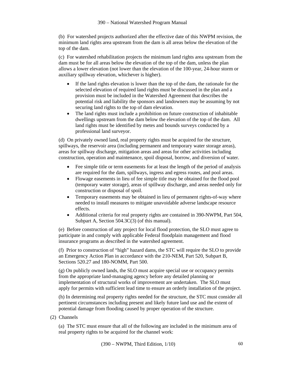(b) For watershed projects authorized after the effective date of this NWPM revision, the minimum land rights area upstream from the dam is all areas below the elevation of the top of the dam.

(c) For watershed rehabilitation projects the minimum land rights area upstream from the dam must be for all areas below the elevation of the top of the dam, unless the plan allows a lower elevation (not lower than the elevation of the 100-year, 24-hour storm or auxiliary spillway elevation, whichever is higher).

- If the land rights elevation is lower than the top of the dam, the rationale for the selected elevation of required land rights must be discussed in the plan and a provision must be included in the Watershed Agreement that describes the potential risk and liability the sponsors and landowners may be assuming by not securing land rights to the top of dam elevation.
- The land rights must include a prohibition on future construction of inhabitable dwellings upstream from the dam below the elevation of the top of the dam. All land rights must be identified by metes and bounds surveys conducted by a professional land surveyor.

(d) On privately owned land, real property rights must be acquired for the structure, spillways, the reservoir area (including permanent and temporary water storage areas), areas for spillway discharge, mitigation areas and areas for other activities including construction, operation and maintenance, spoil disposal, borrow, and diversion of water.

- Fee simple title or term easements for at least the length of the period of analysis are required for the dam, spillways, ingress and egress routes, and pool areas.
- Flowage easements in lieu of fee simple title may be obtained for the flood pool (temporary water storage), areas of spillway discharge, and areas needed only for construction or disposal of spoil.
- Temporary easements may be obtained in lieu of permanent rights-of-way where needed to install measures to mitigate unavoidable adverse landscape resource effects.
- Additional criteria for real property rights are contained in 390-NWPM, Part 504, Subpart A, Section 504.3C(3) (of this manual).

(e) Before construction of any project for local flood protection, the SLO must agree to participate in and comply with applicable Federal floodplain management and flood insurance programs as described in the watershed agreement.

(f) Prior to construction of "high" hazard dams, the STC will require the SLO to provide an Emergency Action Plan in accordance with the 210-NEM, Part 520, Subpart B, Sections 520.27 and 180-NOMM, Part 500.

(g) On publicly owned lands, the SLO must acquire special use or occupancy permits from the appropriate land-managing agency before any detailed planning or implementation of structural works of improvement are undertaken. The SLO must apply for permits with sufficient lead time to ensure an orderly installation of the project.

(h) In determining real property rights needed for the structure, the STC must consider all pertinent circumstances including present and likely future land use and the extent of potential damage from flooding caused by proper operation of the structure.

(2) Channels

(a) The STC must ensure that all of the following are included in the minimum area of real property rights to be acquired for the channel work:

 $(390 - NWPM, Third Edition, 1/10)$  60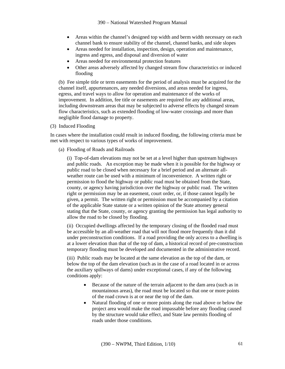- Areas within the channel's designed top width and berm width necessary on each channel bank to ensure stability of the channel, channel banks, and side slopes
- Areas needed for installation, inspection, design, operation and maintenance, ingress and egress, and disposal and diversion of water
- Areas needed for environmental protection features
- Other areas adversely affected by changed stream flow characteristics or induced flooding

(b) Fee simple title or term easements for the period of analysis must be acquired for the channel itself, appurtenances, any needed diversions, and areas needed for ingress, egress, and travel ways to allow for operation and maintenance of the works of improvement. In addition, fee title or easements are required for any additional areas, including downstream areas that may be subjected to adverse effects by changed stream flow characteristics, such as extended flooding of low-water crossings and more than negligible flood damage to property.

(3) Induced Flooding

In cases where the installation could result in induced flooding, the following criteria must be met with respect to various types of works of improvement.

(a) Flooding of Roads and Railroads

(i) Top-of-dam elevations may not be set at a level higher than upstream highways and public roads. An exception may be made when it is possible for the highway or public road to be closed when necessary for a brief period and an alternate allweather route can be used with a minimum of inconvenience. A written right or permission to flood the highway or public road must be obtained from the State, county, or agency having jurisdiction over the highway or public road. The written right or permission may be an easement, court order, or, if those cannot legally be given, a permit. The written right or permission must be accompanied by a citation of the applicable State statute or a written opinion of the State attorney general stating that the State, county, or agency granting the permission has legal authority to allow the road to be closed by flooding.

(ii) Occupied dwellings affected by the temporary closing of the flooded road must be accessible by an all-weather road that will not flood more frequently than it did under preconstruction conditions. If a road providing the only access to a dwelling is at a lower elevation than that of the top of dam, a historical record of pre-construction temporary flooding must be developed and documented in the administrative record.

(iii) Public roads may be located at the same elevation as the top of the dam, or below the top of the dam elevation (such as in the case of a road located in or across the auxiliary spillways of dams) under exceptional cases, if any of the following conditions apply:

- Because of the nature of the terrain adjacent to the dam area (such as in mountainous areas), the road must be located so that one or more points of the road crown is at or near the top of the dam.
- Natural flooding of one or more points along the road above or below the project area would make the road impassable before any flooding caused by the structure would take effect, and State law permits flooding of roads under those conditions.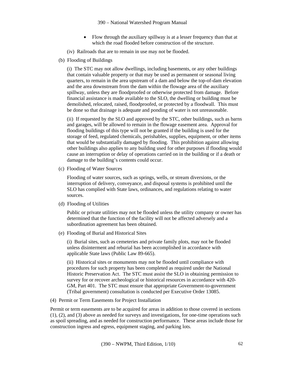- Flow through the auxiliary spillway is at a lesser frequency than that at which the road flooded before construction of the structure.
- (iv) Railroads that are to remain in use may not be flooded.
- (b) Flooding of Buildings

(i) The STC may not allow dwellings, including basements, or any other buildings that contain valuable property or that may be used as permanent or seasonal living quarters, to remain in the area upstream of a dam and below the top-of-dam elevation and the area downstream from the dam within the flowage area of the auxiliary spillway, unless they are floodproofed or otherwise protected from damage. Before financial assistance is made available to the SLO, the dwelling or building must be demolished, relocated, raised, floodproofed, or protected by a floodwall. This must be done so that drainage is adequate and ponding of water is not unreasonable.

(ii) If requested by the SLO and approved by the STC, other buildings, such as barns and garages, will be allowed to remain in the flowage easement area. Approval for flooding buildings of this type will not be granted if the building is used for the storage of feed, regulated chemicals, perishables, supplies, equipment, or other items that would be substantially damaged by flooding. This prohibition against allowing other buildings also applies to any building used for other purposes if flooding would cause an interruption or delay of operations carried on in the building or if a death or damage to the building's contents could occur.

(c) Flooding of Water Sources

Flooding of water sources, such as springs, wells, or stream diversions, or the interruption of delivery, conveyance, and disposal systems is prohibited until the SLO has complied with State laws, ordinances, and regulations relating to water sources.

(d) Flooding of Utilities

Public or private utilities may not be flooded unless the utility company or owner has determined that the function of the facility will not be affected adversely and a subordination agreement has been obtained.

(e) Flooding of Burial and Historical Sites

(i) Burial sites, such as cemeteries and private family plots, may not be flooded unless disinterment and reburial has been accomplished in accordance with applicable State laws (Public Law 89-665).

(ii) Historical sites or monuments may not be flooded until compliance with procedures for such property has been completed as required under the National Historic Preservation Act. The STC must assist the SLO in obtaining permission to survey for or recover archeological or historical resources in accordance with 420- GM, Part 401. The STC must ensure that appropriate Government-to-government (Tribal government) consultation is conducted per Executive Order 13085.

(4) Permit or Term Easements for Project Installation

Permit or term easements are to be acquired for areas in addition to those covered in sections (1), (2), and (3) above as needed for surveys and investigations, for one-time operations such as spoil spreading, and as needed for construction performance. These areas include those for construction ingress and egress, equipment staging, and parking lots.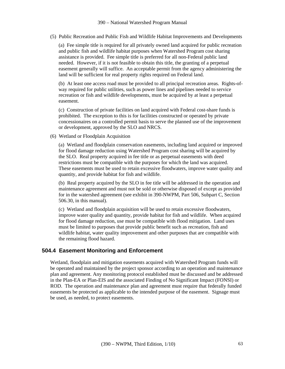(5) Public Recreation and Public Fish and Wildlife Habitat Improvements and Developments

(a) Fee simple title is required for all privately owned land acquired for public recreation and public fish and wildlife habitat purposes when Watershed Program cost sharing assistance is provided. Fee simple title is preferred for all non-Federal public land needed. However, if it is not feasible to obtain this title, the granting of a perpetual easement generally will suffice. An acceptable permit from the agency administering the land will be sufficient for real property rights required on Federal land.

(b) At least one access road must be provided to all principal recreation areas. Rights-ofway required for public utilities, such as power lines and pipelines needed to service recreation or fish and wildlife developments, must be acquired by at least a perpetual easement.

(c) Construction of private facilities on land acquired with Federal cost-share funds is prohibited. The exception to this is for facilities constructed or operated by private concessionaires on a controlled permit basis to serve the planned use of the improvement or development, approved by the SLO and NRCS.

(6) Wetland or Floodplain Acquisition

(a) Wetland and floodplain conservation easements, including land acquired or improved for flood damage reduction using Watershed Program cost sharing will be acquired by the SLO. Real property acquired in fee title or as perpetual easements with deed restrictions must be compatible with the purposes for which the land was acquired. These easements must be used to retain excessive floodwaters, improve water quality and quantity, and provide habitat for fish and wildlife.

(b) Real property acquired by the SLO in fee title will be addressed in the operation and maintenance agreement and must not be sold or otherwise disposed of except as provided for in the watershed agreement (see exhibit in 390-NWPM, Part 506, Subpart C, Section 506.30, in this manual).

(c) Wetland and floodplain acquisition will be used to retain excessive floodwaters, improve water quality and quantity, provide habitat for fish and wildlife. When acquired for flood damage reduction, use must be compatible with flood mitigation. Land uses must be limited to purposes that provide public benefit such as recreation, fish and wildlife habitat, water quality improvement and other purposes that are compatible with the remaining flood hazard.

### **504.4 Easement Monitoring and Enforcement**

Wetland, floodplain and mitigation easements acquired with Watershed Program funds will be operated and maintained by the project sponsor according to an operation and maintenance plan and agreement. Any monitoring protocol established must be discussed and be addressed in the Plan-EA or Plan-EIS and the associated Finding of No Significant Impact (FONSI) or ROD. The operation and maintenance plan and agreement must require that federally funded easements be protected as applicable to the intended purpose of the easement. Signage must be used, as needed, to protect easements.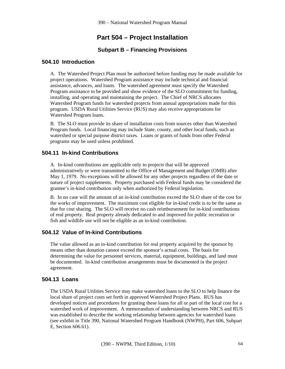# **Part 504 – Project Installation**

# **Subpart B – Financing Provisions**

### **504.10 Introduction**

A. The Watershed Project Plan must be authorized before funding may be made available for project operations. Watershed Program assistance may include technical and financial assistance, advances, and loans. The watershed agreement must specify the Watershed Program assistance to be provided and show evidence of the SLO commitment for funding, installing, and operating and maintaining the project. The Chief of NRCS allocates Watershed Program funds for watershed projects from annual appropriations made for this program. USDA Rural Utilities Service (RUS) may also receive appropriations for Watershed Program loans.

B. The SLO must provide its share of installation costs from sources other than Watershed Program funds. Local financing may include State, county, and other local funds, such as watershed or special purpose district taxes. Loans or grants of funds from other Federal programs may be used unless prohibited.

# **504.11 In-kind Contributions**

A. In-kind contributions are applicable only to projects that will be approved administratively or were transmitted to the Office of Management and Budget (OMB) after May 1, 1979. No exceptions will be allowed for any other projects regardless of the date or nature of project supplements. Property purchased with Federal funds may be considered the grantee's in-kind contribution only when authorized by Federal legislation.

B. In no case will the amount of an in-kind contribution exceed the SLO share of the cost for the works of improvement. The maximum cost eligible for in-kind credit is to be the same as that for cost sharing. The SLO will receive no cash reimbursement for in-kind contributions of real property. Real property already dedicated to and improved for public recreation or fish and wildlife use will not be eligible as an in-kind contribution.

# **504.12 Value of In-kind Contributions**

The value allowed as an in-kind contribution for real property acquired by the sponsor by means other than donation cannot exceed the sponsor's actual costs. The basis for determining the value for personnel services, material, equipment, buildings, and land must be documented. In-kind contribution arrangements must be documented in the project agreement.

### **504.13 Loans**

The USDA Rural Utilities Service may make watershed loans to the SLO to help finance the local share of project costs set forth in approved Watershed Project Plans. RUS has developed notices and procedures for granting these loans for all or part of the local cost for a watershed work of improvement. A memorandum of understanding between NRCS and RUS was established to describe the working relationship between agencies for watershed loans (see exhibit in Title 390, National Watershed Program Handbook (NWPH), Part 606, Subpart E, Section 606.61).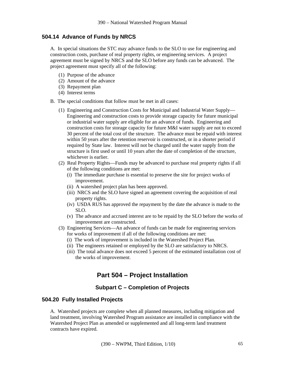### **504.14 Advance of Funds by NRCS**

A. In special situations the STC may advance funds to the SLO to use for engineering and construction costs, purchase of real property rights, or engineering services. A project agreement must be signed by NRCS and the SLO before any funds can be advanced. The project agreement must specify all of the following:

- (1) Purpose of the advance
- (2) Amount of the advance
- (3) Repayment plan
- (4) Interest terms

B. The special conditions that follow must be met in all cases:

- (1) Engineering and Construction Costs for Municipal and Industrial Water Supply— Engineering and construction costs to provide storage capacity for future municipal or industrial water supply are eligible for an advance of funds. Engineering and construction costs for storage capacity for future M&I water supply are not to exceed 30 percent of the total cost of the structure. The advance must be repaid with interest within 50 years after the retention reservoir is constructed, or in a shorter period if required by State law. Interest will not be charged until the water supply from the structure is first used or until 10 years after the date of completion of the structure, whichever is earlier.
- (2) Real Property Rights—Funds may be advanced to purchase real property rights if all of the following conditions are met:
	- (i) The immediate purchase is essential to preserve the site for project works of improvement.
	- (ii) A watershed project plan has been approved.
	- (iii) NRCS and the SLO have signed an agreement covering the acquisition of real property rights.
	- (iv) USDA RUS has approved the repayment by the date the advance is made to the SLO.
	- (v) The advance and accrued interest are to be repaid by the SLO before the works of improvement are constructed.
- (3) Engineering Services—An advance of funds can be made for engineering services for works of improvement if all of the following conditions are met:
	- (i) The work of improvement is included in the Watershed Project Plan.
	- (ii) The engineers retained or employed by the SLO are satisfactory to NRCS.
	- (iii) The total advance does not exceed 5 percent of the estimated installation cost of the works of improvement.

# **Part 504 – Project Installation**

# **Subpart C – Completion of Projects**

### **504.20 Fully Installed Projects**

A. Watershed projects are complete when all planned measures, including mitigation and land treatment, involving Watershed Program assistance are installed in compliance with the Watershed Project Plan as amended or supplemented and all long-term land treatment contracts have expired.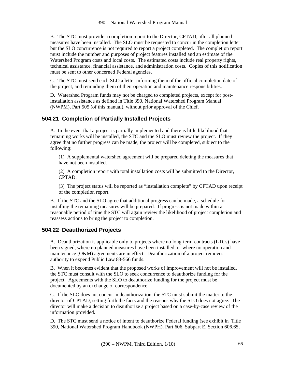B. The STC must provide a completion report to the Director, CPTAD, after all planned measures have been installed. The SLO must be requested to concur in the completion letter but the SLO concurrence is not required to report a project completed. The completion report must include the number and purposes of project features installed and an estimate of the Watershed Program costs and local costs. The estimated costs include real property rights, technical assistance, financial assistance, and administration costs. Copies of this notification must be sent to other concerned Federal agencies.

C. The STC must send each SLO a letter informing them of the official completion date of the project, and reminding them of their operation and maintenance responsibilities.

D. Watershed Program funds may not be charged to completed projects, except for postinstallation assistance as defined in Title 390, National Watershed Program Manual (NWPM), Part 505 (of this manual), without prior approval of the Chief.

# **504.21 Completion of Partially Installed Projects**

A. In the event that a project is partially implemented and there is little likelihood that remaining works will be installed, the STC and the SLO must review the project. If they agree that no further progress can be made, the project will be completed, subject to the following:

(1) A supplemental watershed agreement will be prepared deleting the measures that have not been installed.

(2) A completion report with total installation costs will be submitted to the Director, CPTAD.

(3) The project status will be reported as "installation complete" by CPTAD upon receipt of the completion report.

B. If the STC and the SLO agree that additional progress can be made, a schedule for installing the remaining measures will be prepared. If progress is not made within a reasonable period of time the STC will again review the likelihood of project completion and reassess actions to bring the project to completion.

# **504.22 Deauthorized Projects**

A. Deauthorization is applicable only to projects where no long-term-contracts (LTCs) have been signed, where no planned measures have been installed, or where no operation and maintenance (O&M) agreements are in effect. Deauthorization of a project removes authority to expend Public Law 83-566 funds.

B. When it becomes evident that the proposed works of improvement will not be installed, the STC must consult with the SLO to seek concurrence to deauthorize funding for the project. Agreements with the SLO to deauthorize funding for the project must be documented by an exchange of correspondence.

C. If the SLO does not concur in deauthorization, the STC must submit the matter to the director of CPTAD, setting forth the facts and the reasons why the SLO does not agree. The director will make a decision to deauthorize a project based on a case-by-case review of the information provided.

D. The STC must send a notice of intent to deauthorize Federal funding (see exhibit in Title 390, National Watershed Program Handbook (NWPH), Part 606, Subpart E, Section 606.65,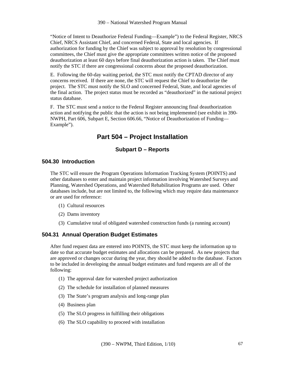"Notice of Intent to Deauthorize Federal Funding—Example") to the Federal Register, NRCS Chief, NRCS Assistant Chief, and concerned Federal, State and local agencies. If authorization for funding by the Chief was subject to approval by resolution by congressional committees, the Chief must give the appropriate committees written notice of the proposed deauthorization at least 60 days before final deauthorization action is taken. The Chief must notify the STC if there are congressional concerns about the proposed deauthorization.

E. Following the 60-day waiting period, the STC must notify the CPTAD director of any concerns received. If there are none, the STC will request the Chief to deauthorize the project. The STC must notify the SLO and concerned Federal, State, and local agencies of the final action. The project status must be recorded as "deauthorized" in the national project status database.

F. The STC must send a notice to the Federal Register announcing final deauthorization action and notifying the public that the action is not being implemented (see exhibit in 390- NWPH, Part 606, Subpart E, Section 606.66, "Notice of Deauthorization of Funding— Example").

# **Part 504 – Project Installation**

# **Subpart D – Reports**

# **504.30 Introduction**

The STC will ensure the Program Operations Information Tracking System (POINTS) and other databases to enter and maintain project information involving Watershed Surveys and Planning, Watershed Operations, and Watershed Rehabilitation Programs are used. Other databases include, but are not limited to, the following which may require data maintenance or are used for reference:

- (1) Cultural resources
- (2) Dams inventory
- (3) Cumulative total of obligated watershed construction funds (a running account)

### **504.31 Annual Operation Budget Estimates**

After fund request data are entered into POINTS, the STC must keep the information up to date so that accurate budget estimates and allocations can be prepared. As new projects that are approved or changes occur during the year, they should be added to the database. Factors to be included in developing the annual budget estimates and fund requests are all of the following:

- (1) The approval date for watershed project authorization
- (2) The schedule for installation of planned measures
- (3) The State's program analysis and long-range plan
- (4) Business plan
- (5) The SLO progress in fulfilling their obligations
- (6) The SLO capability to proceed with installation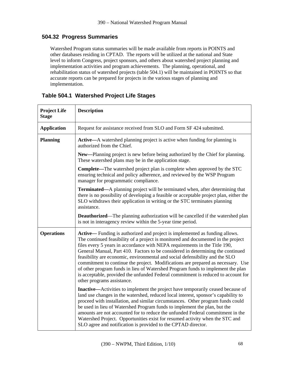# **504.32 Progress Summaries**

Watershed Program status summaries will be made available from reports in POINTS and other databases residing in CPTAD. The reports will be utilized at the national and State level to inform Congress, project sponsors, and others about watershed project planning and implementation activities and program achievements. The planning, operational, and rehabilitation status of watershed projects (table 504.1) will be maintained in POINTS so that accurate reports can be prepared for projects in the various stages of planning and implementation.

| <b>Project Life</b><br><b>Stage</b> | <b>Description</b>                                                                                                                                                                                                                                                                                                                                                                                                                                                                                                                                                                                                                                                                                          |
|-------------------------------------|-------------------------------------------------------------------------------------------------------------------------------------------------------------------------------------------------------------------------------------------------------------------------------------------------------------------------------------------------------------------------------------------------------------------------------------------------------------------------------------------------------------------------------------------------------------------------------------------------------------------------------------------------------------------------------------------------------------|
| <b>Application</b>                  | Request for assistance received from SLO and Form SF 424 submitted.                                                                                                                                                                                                                                                                                                                                                                                                                                                                                                                                                                                                                                         |
| <b>Planning</b>                     | Active—A watershed planning project is active when funding for planning is<br>authorized from the Chief.                                                                                                                                                                                                                                                                                                                                                                                                                                                                                                                                                                                                    |
|                                     | New—Planning project is new before being authorized by the Chief for planning.<br>These watershed plans may be in the application stage.                                                                                                                                                                                                                                                                                                                                                                                                                                                                                                                                                                    |
|                                     | <b>Complete—The watershed project plan is complete when approved by the STC</b><br>ensuring technical and policy adherence, and reviewed by the WSP Program<br>manager for programmatic compliance.                                                                                                                                                                                                                                                                                                                                                                                                                                                                                                         |
|                                     | <b>Terminated—A</b> planning project will be terminated when, after determining that<br>there is no possibility of developing a feasible or acceptable project plan, either the<br>SLO withdraws their application in writing or the STC terminates planning<br>assistance.                                                                                                                                                                                                                                                                                                                                                                                                                                 |
|                                     | <b>Deauthorized—The planning authorization will be cancelled if the watershed plan</b><br>is not in interagency review within the 5-year time period.                                                                                                                                                                                                                                                                                                                                                                                                                                                                                                                                                       |
| <b>Operations</b>                   | Active— Funding is authorized and project is implemented as funding allows.<br>The continued feasibility of a project is monitored and documented in the project<br>files every 5 years in accordance with NEPA requirements in the Title 190,<br>General Manual, Part 410. Factors to be considered in determining the continued<br>feasibility are economic, environmental and social defensibility and the SLO<br>commitment to continue the project. Modifications are prepared as necessary. Use<br>of other program funds in lieu of Watershed Program funds to implement the plan<br>is acceptable, provided the unfunded Federal commitment is reduced to account for<br>other programs assistance. |
|                                     | Inactive—Activities to implement the project have temporarily ceased because of<br>land use changes in the watershed, reduced local interest, sponsor's capability to<br>proceed with installation, and similar circumstances. Other program funds could<br>be used in lieu of Watershed Program funds to implement the plan, but the<br>amounts are not accounted for to reduce the unfunded Federal commitment in the<br>Watershed Project. Opportunities exist for resumed activity when the STC and<br>SLO agree and notification is provided to the CPTAD director.                                                                                                                                    |

# **Table 504.1 Watershed Project Life Stages**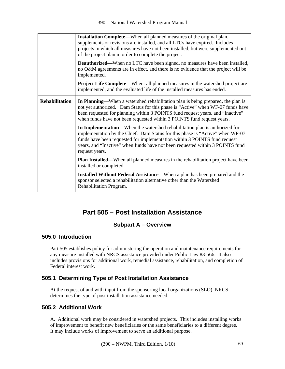|                       | <b>Installation Complete—When all planned measures of the original plan,</b><br>supplements or revisions are installed, and all LTCs have expired. Includes<br>projects in which all measures have not been installed, but were supplemented out<br>of the project plan in order to complete the project.                                   |
|-----------------------|---------------------------------------------------------------------------------------------------------------------------------------------------------------------------------------------------------------------------------------------------------------------------------------------------------------------------------------------|
|                       | <b>Deauthorized—When no LTC have been signed, no measures have been installed,</b><br>no O&M agreements are in effect, and there is no evidence that the project will be<br>implemented.                                                                                                                                                    |
|                       | <b>Project Life Complete—When: all planned measures in the watershed project are</b><br>implemented, and the evaluated life of the installed measures has ended.                                                                                                                                                                            |
| <b>Rehabilitation</b> | In Planning—When a watershed rehabilitation plan is being prepared, the plan is<br>not yet authorized. Dam Status for this phase is "Active" when WF-07 funds have<br>been requested for planning within 3 POINTS fund request years, and "Inactive"<br>when funds have not been requested within 3 POINTS fund request years.              |
|                       | In Implementation—When the watershed rehabilitation plan is authorized for<br>implementation by the Chief. Dam Status for this phase is "Active" when WF-07<br>funds have been requested for implementation within 3 POINTS fund request<br>years, and "Inactive" when funds have not been requested within 3 POINTS fund<br>request years. |
|                       | <b>Plan Installed—When all planned measures in the rehabilitation project have been</b><br>installed or completed.                                                                                                                                                                                                                          |
|                       | Installed Without Federal Assistance—When a plan has been prepared and the<br>sponsor selected a rehabilitation alternative other than the Watershed<br>Rehabilitation Program.                                                                                                                                                             |

# **Part 505 – Post Installation Assistance**

# **Subpart A – Overview**

# **505.0 Introduction**

Part 505 establishes policy for administering the operation and maintenance requirements for any measure installed with NRCS assistance provided under Public Law 83-566. It also includes provisions for additional work, remedial assistance, rehabilitation, and completion of Federal interest work.

# **505.1 Determining Type of Post Installation Assistance**

At the request of and with input from the sponsoring local organizations (SLO), NRCS determines the type of post installation assistance needed.

# **505.2 Additional Work**

A. Additional work may be considered in watershed projects. This includes installing works of improvement to benefit new beneficiaries or the same beneficiaries to a different degree. It may include works of improvement to serve an additional purpose.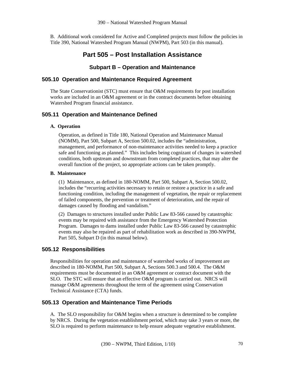B. Additional work considered for Active and Completed projects must follow the policies in Title 390, National Watershed Program Manual (NWPM), Part 503 (in this manual).

# **Part 505 – Post Installation Assistance**

# **Subpart B – Operation and Maintenance**

### **505.10 Operation and Maintenance Required Agreement**

The State Conservationist (STC) must ensure that O&M requirements for post installation works are included in an O&M agreement or in the contract documents before obtaining Watershed Program financial assistance.

### **505.11 Operation and Maintenance Defined**

#### **A. Operation**

Operation, as defined in Title 180, National Operation and Maintenance Manual (NOMM), Part 500, Subpart A, Section 500.02, includes the "administration, management, and performance of non-maintenance activities needed to keep a practice safe and functioning as planned." This includes being cognizant of changes in watershed conditions, both upstream and downstream from completed practices, that may alter the overall function of the project, so appropriate actions can be taken promptly.

#### **B. Maintenance**

(1) Maintenance, as defined in 180-NOMM, Part 500, Subpart A, Section 500.02, includes the "recurring activities necessary to retain or restore a practice in a safe and functioning condition, including the management of vegetation, the repair or replacement of failed components, the prevention or treatment of deterioration, and the repair of damages caused by flooding and vandalism."

(2) Damages to structures installed under Public Law 83-566 caused by catastrophic events may be repaired with assistance from the Emergency Watershed Protection Program. Damages to dams installed under Public Law 83-566 caused by catastrophic events may also be repaired as part of rehabilitation work as described in 390-NWPM, Part 505, Subpart D (in this manual below).

# **505.12 Responsibilities**

Responsibilities for operation and maintenance of watershed works of improvement are described in 180-NOMM, Part 500, Subpart A, Sections 500.3 and 500.4. The O&M requirements must be documented in an O&M agreement or contract document with the SLO. The STC will ensure that an effective O&M program is carried out. NRCS will manage O&M agreements throughout the term of the agreement using Conservation Technical Assistance (CTA) funds.

# **505.13 Operation and Maintenance Time Periods**

A. The SLO responsibility for O&M begins when a structure is determined to be complete by NRCS. During the vegetation establishment period, which may take 3 years or more, the SLO is required to perform maintenance to help ensure adequate vegetative establishment.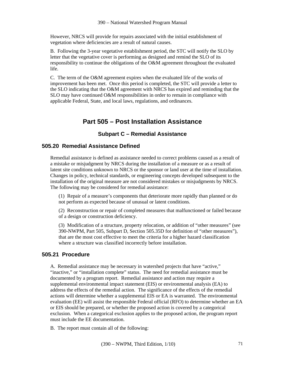However, NRCS will provide for repairs associated with the initial establishment of vegetation where deficiencies are a result of natural causes.

B. Following the 3-year vegetative establishment period, the STC will notify the SLO by letter that the vegetative cover is performing as designed and remind the SLO of its responsibility to continue the obligations of the O&M agreement throughout the evaluated life.

C. The term of the O&M agreement expires when the evaluated life of the works of improvement has been met. Once this period is completed, the STC will provide a letter to the SLO indicating that the O&M agreement with NRCS has expired and reminding that the SLO may have continued O&M responsibilities in order to remain in compliance with applicable Federal, State, and local laws, regulations, and ordinances.

# **Part 505 – Post Installation Assistance**

# **Subpart C – Remedial Assistance**

# **505.20 Remedial Assistance Defined**

Remedial assistance is defined as assistance needed to correct problems caused as a result of a mistake or misjudgment by NRCS during the installation of a measure or as a result of latent site conditions unknown to NRCS or the sponsor or land user at the time of installation. Changes in policy, technical standards, or engineering concepts developed subsequent to the installation of the original measure are not considered mistakes or misjudgments by NRCS. The following may be considered for remedial assistance:

(1) Repair of a measure's components that deteriorate more rapidly than planned or do not perform as expected because of unusual or latent conditions.

(2) Reconstruction or repair of completed measures that malfunctioned or failed because of a design or construction deficiency.

(3) Modification of a structure, property relocation, or addition of "other measures" (see 390-NWPM, Part 505, Subpart D, Section 505.35D for definition of "other measures"), that are the most cost effective to meet the criteria for a higher hazard classification where a structure was classified incorrectly before installation.

# **505.21 Procedure**

A. Remedial assistance may be necessary in watershed projects that have "active," "inactive," or "installation complete" status. The need for remedial assistance must be documented by a program report. Remedial assistance and action may require a supplemental environmental impact statement (EIS) or environmental analysis (EA) to address the effects of the remedial action. The significance of the effects of the remedial actions will determine whether a supplemental EIS or EA is warranted. The environmental evaluation (EE) will assist the responsible Federal official (RFO) to determine whether an EA or EIS should be prepared, or whether the proposed action is covered by a categorical exclusion. When a categorical exclusion applies to the proposed action, the program report must include the EE documentation.

B. The report must contain all of the following: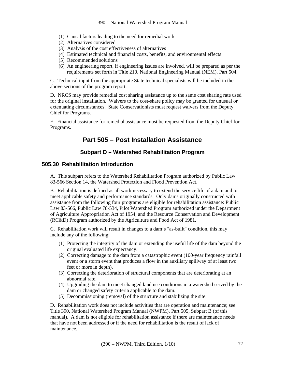- (1) Causal factors leading to the need for remedial work
- (2) Alternatives considered
- (3) Analysis of the cost effectiveness of alternatives
- (4) Estimated technical and financial costs, benefits, and environmental effects
- (5) Recommended solutions
- (6) An engineering report, if engineering issues are involved, will be prepared as per the requirements set forth in Title 210, National Engineering Manual (NEM), Part 504.

C. Technical input from the appropriate State technical specialists will be included in the above sections of the program report.

D. NRCS may provide remedial cost sharing assistance up to the same cost sharing rate used for the original installation. Waivers to the cost-share policy may be granted for unusual or extenuating circumstances. State Conservationists must request waivers from the Deputy Chief for Programs.

E. Financial assistance for remedial assistance must be requested from the Deputy Chief for Programs.

# **Part 505 – Post Installation Assistance**

# **Subpart D – Watershed Rehabilitation Program**

# **505.30 Rehabilitation Introduction**

A. This subpart refers to the Watershed Rehabilitation Program authorized by Public Law 83-566 Section 14, the Watershed Protection and Flood Prevention Act.

B. Rehabilitation is defined as all work necessary to extend the service life of a dam and to meet applicable safety and performance standards. Only dams originally constructed with assistance from the following four programs are eligible for rehabilitation assistance: Public Law 83-566, Public Law 78-534, Pilot Watershed Program authorized under the Department of Agriculture Appropriation Act of 1954, and the Resource Conservation and Development (RC&D) Program authorized by the Agriculture and Food Act of 1981.

C. Rehabilitation work will result in changes to a dam's "as-built" condition, this may include any of the following:

- (1) Protecting the integrity of the dam or extending the useful life of the dam beyond the original evaluated life expectancy.
- (2) Correcting damage to the dam from a catastrophic event (100-year frequency rainfall event or a storm event that produces a flow in the auxiliary spillway of at least two feet or more in depth).
- (3) Correcting the deterioration of structural components that are deteriorating at an abnormal rate.
- (4) Upgrading the dam to meet changed land use conditions in a watershed served by the dam or changed safety criteria applicable to the dam.
- (5) Decommissioning (removal) of the structure and stabilizing the site.

D. Rehabilitation work does not include activities that are operation and maintenance; see Title 390, National Watershed Program Manual (NWPM), Part 505, Subpart B (of this manual). A dam is not eligible for rehabilitation assistance if there are maintenance needs that have not been addressed or if the need for rehabilitation is the result of lack of maintenance.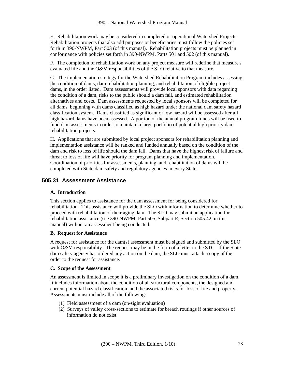E. Rehabilitation work may be considered in completed or operational Watershed Projects. Rehabilitation projects that also add purposes or beneficiaries must follow the policies set forth in 390-NWPM, Part 503 (of this manual). Rehabilitation projects must be planned in conformance with policies set forth in 390-NWPM, Parts 501 and 502 (of this manual).

F. The completion of rehabilitation work on any project measure will redefine that measure's evaluated life and the O&M responsibilities of the SLO relative to that measure.

G. The implementation strategy for the Watershed Rehabilitation Program includes assessing the condition of dams, dam rehabilitation planning, and rehabilitation of eligible project dams, in the order listed. Dam assessments will provide local sponsors with data regarding the condition of a dam, risks to the public should a dam fail, and estimated rehabilitation alternatives and costs. Dam assessments requested by local sponsors will be completed for all dams, beginning with dams classified as high hazard under the national dam safety hazard classification system. Dams classified as significant or low hazard will be assessed after all high hazard dams have been assessed. A portion of the annual program funds will be used to fund dam assessments in order to maintain a large portfolio of potential high priority dam rehabilitation projects.

H. Applications that are submitted by local project sponsors for rehabilitation planning and implementation assistance will be ranked and funded annually based on the condition of the dam and risk to loss of life should the dam fail. Dams that have the highest risk of failure and threat to loss of life will have priority for program planning and implementation. Coordination of priorities for assessments, planning, and rehabilitation of dams will be completed with State dam safety and regulatory agencies in every State.

# **505.31 Assessment Assistance**

# **A. Introduction**

This section applies to assistance for the dam assessment for being considered for rehabilitation. This assistance will provide the SLO with information to determine whether to proceed with rehabilitation of their aging dam. The SLO may submit an application for rehabilitation assistance (see 390-NWPM, Part 505, Subpart E, Section 505.42, in this manual) without an assessment being conducted.

# **B. Request for Assistance**

A request for assistance for the dam(s) assessment must be signed and submitted by the SLO with O&M responsibility. The request may be in the form of a letter to the STC. If the State dam safety agency has ordered any action on the dam, the SLO must attach a copy of the order to the request for assistance.

### **C. Scope of the Assessment**

An assessment is limited in scope it is a preliminary investigation on the condition of a dam. It includes information about the condition of all structural components, the designed and current potential hazard classification, and the associated risks for loss of life and property. Assessments must include all of the following:

- (1) Field assessment of a dam (on-sight evaluation)
- (2) Surveys of valley cross-sections to estimate for breach routings if other sources of information do not exist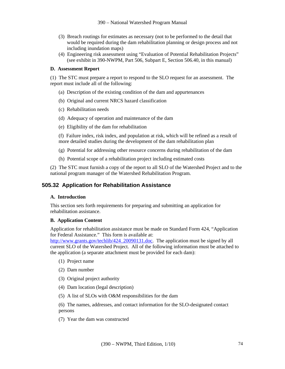- (3) Breach routings for estimates as necessary (not to be performed to the detail that would be required during the dam rehabilitation planning or design process and not including inundation maps)
- (4) Engineering risk assessment using "Evaluation of Potential Rehabilitation Projects" (see exhibit in 390-NWPM, Part 506, Subpart E, Section 506.40, in this manual)

#### **D. Assessment Report**

(1) The STC must prepare a report to respond to the SLO request for an assessment. The report must include all of the following:

- (a) Description of the existing condition of the dam and appurtenances
- (b) Original and current NRCS hazard classification
- (c) Rehabilitation needs
- (d) Adequacy of operation and maintenance of the dam
- (e) Eligibility of the dam for rehabilitation

(f) Failure index, risk index, and population at risk, which will be refined as a result of more detailed studies during the development of the dam rehabilitation plan

- (g) Potential for addressing other resource concerns during rehabilitation of the dam
- (h) Potential scope of a rehabilitation project including estimated costs

(2) The STC must furnish a copy of the report to all SLO of the Watershed Project and to the national program manager of the Watershed Rehabilitation Program.

# **505.32 Application for Rehabilitation Assistance**

#### **A. Introduction**

This section sets forth requirements for preparing and submitting an application for rehabilitation assistance.

#### **B. Application Content**

Application for rehabilitation assistance must be made on Standard Form 424, "Application for Federal Assistance." This form is available at:

[http://www.grants.gov/techlib/424\\_20090131.doc.](http://www.grants.gov/techlib/424_20090131.doc) The application must be signed by all current SLO of the Watershed Project. All of the following information must be attached to the application (a separate attachment must be provided for each dam):

- (1) Project name
- (2) Dam number
- (3) Original project authority
- (4) Dam location (legal description)
- (5) A list of SLOs with O&M responsibilities for the dam

(6) The names, addresses, and contact information for the SLO-designated contact persons

(7) Year the dam was constructed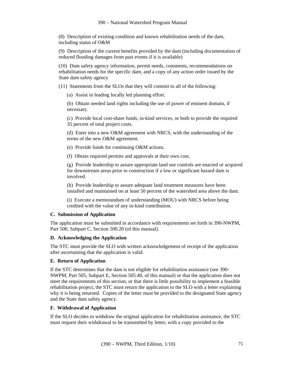(8) Description of existing condition and known rehabilitation needs of the dam, including status of O&M

(9) Description of the current benefits provided by the dam (including documentation of reduced flooding damages from past events if it is available)

(10) Dam safety agency information, permit needs, comments, recommendations on rehabilitation needs for the specific dam, and a copy of any action order issued by the State dam safety agency

(11) Statements from the SLOs that they will commit to all of the following:

(a) Assist in leading locally led planning effort.

(b) Obtain needed land rights including the use of power of eminent domain, if necessary.

(c) Provide local cost-share funds, in-kind services, or both to provide the required 35 percent of total project costs.

(d) Enter into a new O&M agreement with NRCS, with the understanding of the terms of the new O&M agreement.

(e) Provide funds for continuing O&M actions.

(f) Obtain required permits and approvals at their own cost.

(g) Provide leadership to assure appropriate land use controls are enacted or acquired for downstream areas prior to construction if a low or significant hazard dam is involved.

(h) Provide leadership to assure adequate land treatment measures have been installed and maintained on at least 50 percent of the watershed area above the dam.

(i) Execute a memorandum of understanding (MOU) with NRCS before being credited with the value of any in-kind contribution.

# **C. Submission of Application**

The application must be submitted in accordance with requirements set forth in 390-NWPM, Part 500, Subpart C, Section 500.20 (of this manual).

# **D. Acknowledging the Application**

The STC must provide the SLO with written acknowledgement of receipt of the application after ascertaining that the application is valid.

# **E. Return of Application**

If the STC determines that the dam is not eligible for rehabilitation assistance (see 390- NWPM, Part 505, Subpart E, Section 505.40, of this manual) or that the application does not meet the requirements of this section, or that there is little possibility to implement a feasible rehabilitation project, the STC must return the application to the SLO with a letter explaining why it is being returned. Copies of the letter must be provided to the designated State agency and the State dam safety agency.

# **F. Withdrawal of Application**

If the SLO decides to withdraw the original application for rehabilitation assistance, the STC must request their withdrawal to be transmitted by letter, with a copy provided to the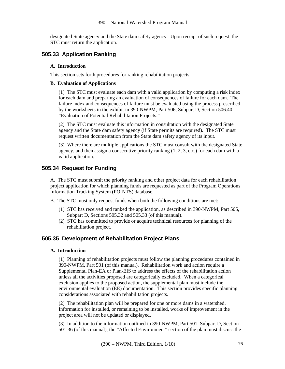designated State agency and the State dam safety agency. Upon receipt of such request, the STC must return the application.

# **505.33 Application Ranking**

#### **A. Introduction**

This section sets forth procedures for ranking rehabilitation projects.

#### **B. Evaluation of Applications**

(1) The STC must evaluate each dam with a valid application by computing a risk index for each dam and preparing an evaluation of consequences of failure for each dam. The failure index and consequences of failure must be evaluated using the process prescribed by the worksheets in the exhibit in 390-NWPM, Part 506, Subpart D, Section 506.40 "Evaluation of Potential Rehabilitation Projects."

(2) The STC must evaluate this information in consultation with the designated State agency and the State dam safety agency (if State permits are required). The STC must request written documentation from the State dam safety agency of its input.

(3) Where there are multiple applications the STC must consult with the designated State agency, and then assign a consecutive priority ranking (1, 2, 3, etc.) for each dam with a valid application.

# **505.34 Request for Funding**

A. The STC must submit the priority ranking and other project data for each rehabilitation project application for which planning funds are requested as part of the Program Operations Information Tracking System (POINTS) database.

B. The STC must only request funds when both the following conditions are met:

- (1) STC has received and ranked the application, as described in 390-NWPM, Part 505, Subpart D, Sections 505.32 and 505.33 (of this manual).
- (2) STC has committed to provide or acquire technical resources for planning of the rehabilitation project.

# **505.35 Development of Rehabilitation Project Plans**

#### **A. Introduction**

(1) Planning of rehabilitation projects must follow the planning procedures contained in 390-NWPM, Part 501 (of this manual). Rehabilitation work and action require a Supplemental Plan-EA or Plan-EIS to address the effects of the rehabilitation action unless all the activities proposed are categorically excluded. When a categorical exclusion applies to the proposed action, the supplemental plan must include the environmental evaluation (EE) documentation. This section provides specific planning considerations associated with rehabilitation projects.

(2) The rehabilitation plan will be prepared for one or more dams in a watershed. Information for installed, or remaining to be installed, works of improvement in the project area will not be updated or displayed.

(3) In addition to the information outlined in 390-NWPM, Part 501, Subpart D, Section 501.36 (of this manual), the "Affected Environment" section of the plan must discuss the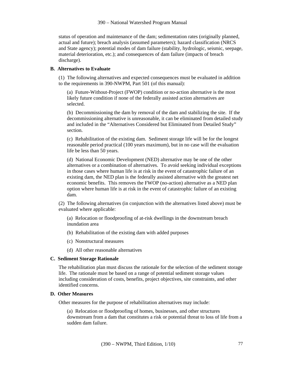status of operation and maintenance of the dam; sedimentation rates (originally planned, actual and future); breach analysis (assumed parameters); hazard classification (NRCS and State agency); potential modes of dam failure (stability, hydrologic, seismic, seepage, material deterioration, etc.); and consequences of dam failure (impacts of breach discharge).

### **B. Alternatives to Evaluate**

(1) The following alternatives and expected consequences must be evaluated in addition to the requirements in 390-NWPM, Part 501 (of this manual):

(a) Future-Without-Project (FWOP) condition or no-action alternative is the most likely future condition if none of the federally assisted action alternatives are selected.

(b) Decommissioning the dam by removal of the dam and stabilizing the site. If the decommissioning alternative is unreasonable, it can be eliminated from detailed study and included in the "Alternatives Considered but Eliminated from Detailed Study" section.

(c) Rehabilitation of the existing dam. Sediment storage life will be for the longest reasonable period practical (100 years maximum), but in no case will the evaluation life be less than 50 years.

(d) National Economic Development (NED) alternative may be one of the other alternatives or a combination of alternatives. To avoid seeking individual exceptions in those cases where human life is at risk in the event of catastrophic failure of an existing dam, the NED plan is the federally assisted alternative with the greatest net economic benefits. This removes the FWOP (no-action) alternative as a NED plan option where human life is at risk in the event of catastrophic failure of an existing dam.

(2) The following alternatives (in conjunction with the alternatives listed above) must be evaluated where applicable:

(a) Relocation or floodproofing of at-risk dwellings in the downstream breach inundation area

(b) Rehabilitation of the existing dam with added purposes

(c) Nonstructural measures

(d) All other reasonable alternatives

## **C. Sediment Storage Rationale**

The rehabilitation plan must discuss the rationale for the selection of the sediment storage life. The rationale must be based on a range of potential sediment storage values including consideration of costs, benefits, project objectives, site constraints, and other identified concerns.

#### **D. Other Measures**

Other measures for the purpose of rehabilitation alternatives may include:

(a) Relocation or floodproofing of homes, businesses, and other structures downstream from a dam that constitutes a risk or potential threat to loss of life from a sudden dam failure.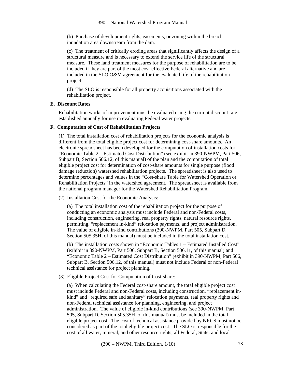(b) Purchase of development rights, easements, or zoning within the breach inundation area downstream from the dam.

(c) The treatment of critically eroding areas that significantly affects the design of a structural measure and is necessary to extend the service life of the structural measure. These land treatment measures for the purpose of rehabilitation are to be included if they are part of the most cost-effective Federal alternative and are included in the SLO O&M agreement for the evaluated life of the rehabilitation project.

(d) The SLO is responsible for all property acquisitions associated with the rehabilitation project.

### **E. Discount Rates**

Rehabilitation works of improvement must be evaluated using the current discount rate established annually for use in evaluating Federal water projects.

### **F. Computation of Cost of Rehabilitation Projects**

(1) The total installation cost of rehabilitation projects for the economic analysis is different from the total eligible project cost for determining cost-share amounts. An electronic spreadsheet has been developed for the computation of installation costs for "Economic Table 2 – Estimated Cost Distribution" (see exhibit in 390-NWPM, Part 506, Subpart B, Section 506.12, of this manual) of the plan and the computation of total eligible project cost for determination of cost-share amounts for single purpose (flood damage reduction) watershed rehabilitation projects. The spreadsheet is also used to determine percentages and values in the "Cost-share Table for Watershed Operation or Rehabilitation Projects" in the watershed agreement. The spreadsheet is available from the national program manager for the Watershed Rehabilitation Program.

(2) Installation Cost for the Economic Analysis:

(a) The total installation cost of the rehabilitation project for the purpose of conducting an economic analysis must include Federal and non-Federal costs, including construction, engineering, real property rights, natural resource rights, permitting, "replacement in-kind" relocation payments, and project administration. The value of eligible in-kind contributions (390-NWPM, Part 505, Subpart D, Section 505.35H, of this manual) must be included in the total installation cost.

(b) The installation costs shown in "Economic Tables 1 – Estimated Installed Cost" (exhibit in 390-NWPM, Part 506, Subpart B, Section 506.11, of this manual) and "Economic Table 2 – Estimated Cost Distribution" (exhibit in 390-NWPM, Part 506, Subpart B, Section 506.12, of this manual) must not include Federal or non-Federal technical assistance for project planning.

(3) Eligible Project Cost for Computation of Cost-share:

(a) When calculating the Federal cost-share amount, the total eligible project cost must include Federal and non-Federal costs, including construction, "replacement inkind" and "required safe and sanitary" relocation payments, real property rights and non-Federal technical assistance for planning, engineering, and project administration. The value of eligible in-kind contributions (see 390-NWPM, Part 505, Subpart D, Section 505.35H, of this manual) must be included in the total eligible project cost. The cost of technical assistance provided by NRCS must not be considered as part of the total eligible project cost. The SLO is responsible for the cost of all water, mineral, and other resource rights; all Federal, State, and local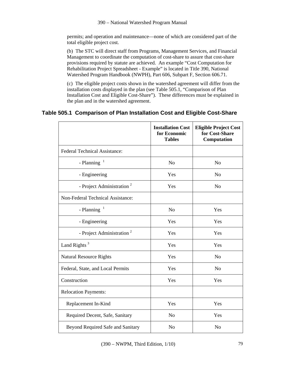permits; and operation and maintenance—none of which are considered part of the total eligible project cost.

(b) The STC will direct staff from Programs, Management Services, and Financial Management to coordinate the computation of cost-share to assure that cost-share provisions required by statute are achieved. An example "Cost Computation for Rehabilitation Project Spreadsheet - Example" is located in Title 390, National Watershed Program Handbook (NWPH), Part 606, Subpart F, Section 606.71.

(c) The eligible project costs shown in the watershed agreement will differ from the installation costs displayed in the plan (see Table 505.1, "Comparison of Plan Installation Cost and Eligible Cost-Share"). These differences must be explained in the plan and in the watershed agreement.

# **Table 505.1 Comparison of Plan Installation Cost and Eligible Cost-Share**

|                                       | <b>Installation Cost</b><br>for Economic<br><b>Tables</b> | <b>Eligible Project Cost</b><br>for Cost-Share<br>Computation |
|---------------------------------------|-----------------------------------------------------------|---------------------------------------------------------------|
| <b>Federal Technical Assistance:</b>  |                                                           |                                                               |
| - Planning $1$                        | N <sub>o</sub>                                            | N <sub>0</sub>                                                |
| - Engineering                         | Yes                                                       | N <sub>o</sub>                                                |
| - Project Administration <sup>2</sup> | Yes                                                       | N <sub>0</sub>                                                |
| Non-Federal Technical Assistance:     |                                                           |                                                               |
| - Planning $1$                        | N <sub>o</sub>                                            | Yes                                                           |
| - Engineering                         | Yes                                                       | Yes                                                           |
| - Project Administration <sup>2</sup> | Yes                                                       | Yes                                                           |
| Land Rights <sup>3</sup>              | Yes                                                       | Yes                                                           |
| <b>Natural Resource Rights</b>        | Yes                                                       | N <sub>o</sub>                                                |
| Federal, State, and Local Permits     | Yes                                                       | No                                                            |
| Construction                          | Yes                                                       | Yes                                                           |
| <b>Relocation Payments:</b>           |                                                           |                                                               |
| Replacement In-Kind                   | Yes                                                       | Yes                                                           |
| Required Decent, Safe, Sanitary       | N <sub>o</sub>                                            | Yes                                                           |
| Beyond Required Safe and Sanitary     | N <sub>0</sub>                                            | N <sub>o</sub>                                                |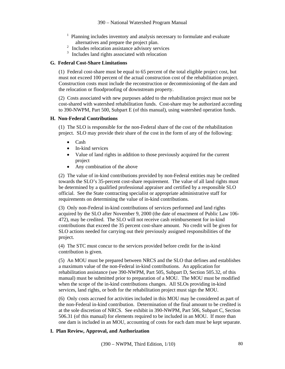- <sup>1</sup> Planning includes inventory and analysis necessary to formulate and evaluate alternatives and prepare the project plan.
- 2 Includes relocation assistance advisory services
- <sup>3</sup> Includes land rights associated with relocation

# **G. Federal Cost-Share Limitations**

(1) Federal cost-share must be equal to 65 percent of the total eligible project cost, but must not exceed 100 percent of the actual construction cost of the rehabilitation project. Construction costs must include the reconstruction or decommissioning of the dam and the relocation or floodproofing of downstream property.

(2) Costs associated with new purposes added to the rehabilitation project must not be cost-shared with watershed rehabilitation funds. Cost-share may be authorized according to 390-NWPM, Part 500, Subpart E (of this manual), using watershed operation funds.

### **H. Non-Federal Contributions**

(1) The SLO is responsible for the non-Federal share of the cost of the rehabilitation project. SLO may provide their share of the cost in the form of any of the following:

- Cash
- In-kind services
- Value of land rights in addition to those previously acquired for the current project
- Any combination of the above

(2) The value of in-kind contributions provided by non-Federal entities may be credited towards the SLO's 35-percent cost-share requirement. The value of all land rights must be determined by a qualified professional appraiser and certified by a responsible SLO official. See the State contracting specialist or appropriate administrative staff for requirements on determining the value of in-kind contributions.

(3) Only non-Federal in-kind contributions of services performed and land rights acquired by the SLO after November 9, 2000 (the date of enactment of Public Law 106- 472), may be credited. The SLO will not receive cash reimbursement for in-kind contributions that exceed the 35 percent cost-share amount. No credit will be given for SLO actions needed for carrying out their previously assigned responsibilities of the project.

(4) The STC must concur to the services provided before credit for the in-kind contribution is given.

(5) An MOU must be prepared between NRCS and the SLO that defines and establishes a maximum value of the non-Federal in-kind contributions. An application for rehabilitation assistance (see 390-NWPM, Part 505, Subpart D, Section 505.32, of this manual) must be submitted prior to preparation of a MOU. The MOU must be modified when the scope of the in-kind contributions changes. All SLOs providing in-kind services, land rights, or both for the rehabilitation project must sign the MOU.

(6) Only costs accrued for activities included in this MOU may be considered as part of the non-Federal in-kind contribution. Determination of the final amount to be credited is at the sole discretion of NRCS. See exhibit in 390-NWPM, Part 506, Subpart C, Section 506.31 (of this manual) for elements required to be included in an MOU. If more than one dam is included in an MOU, accounting of costs for each dam must be kept separate.

# **I. Plan Review, Approval, and Authorization**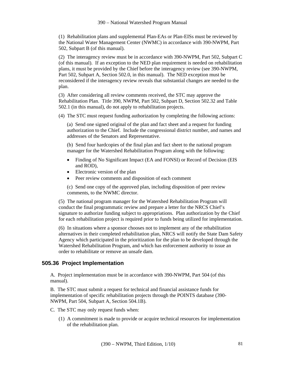(1) Rehabilitation plans and supplemental Plan-EAs or Plan-EISs must be reviewed by the National Water Management Center (NWMC) in accordance with 390-NWPM, Part 502, Subpart B (of this manual).

(2) The interagency review must be in accordance with 390-NWPM, Part 502, Subpart C (of this manual). If an exception to the NED plan requirement is needed on rehabilitation plans, it must be provided by the Chief before the interagency review (see 390-NWPM, Part 502, Subpart A, Section 502.0, in this manual). The NED exception must be reconsidered if the interagency review reveals that substantial changes are needed to the plan.

(3) After considering all review comments received, the STC may approve the Rehabilitation Plan. Title 390, NWPM, Part 502, Subpart D, Section 502.32 and Table 502.1 (in this manual), do not apply to rehabilitation projects.

(4) The STC must request funding authorization by completing the following actions:

(a) Send one signed original of the plan and fact sheet and a request for funding authorization to the Chief. Include the congressional district number, and names and addresses of the Senators and Representative.

(b) Send four hardcopies of the final plan and fact sheet to the national program manager for the Watershed Rehabilitation Program along with the following:

- Finding of No Significant Impact (EA and FONSI) or Record of Decision (EIS and ROD),
- Electronic version of the plan
- Peer review comments and disposition of each comment

(c) Send one copy of the approved plan, including disposition of peer review comments, to the NWMC director.

(5) The national program manager for the Watershed Rehabilitation Program will conduct the final programmatic review and prepare a letter for the NRCS Chief's signature to authorize funding subject to appropriations. Plan authorization by the Chief for each rehabilitation project is required prior to funds being utilized for implementation.

(6) In situations where a sponsor chooses not to implement any of the rehabilitation alternatives in their completed rehabilitation plan, NRCS will notify the State Dam Safety Agency which participated in the prioritization for the plan to be developed through the Watershed Rehabilitation Program, and which has enforcement authority to issue an order to rehabilitate or remove an unsafe dam.

# **505.36 Project Implementation**

A. Project implementation must be in accordance with 390-NWPM, Part 504 (of this manual).

B. The STC must submit a request for technical and financial assistance funds for implementation of specific rehabilitation projects through the POINTS database (390- NWPM, Part 504, Subpart A, Section 504.1B).

C. The STC may only request funds when:

(1) A commitment is made to provide or acquire technical resources for implementation of the rehabilitation plan.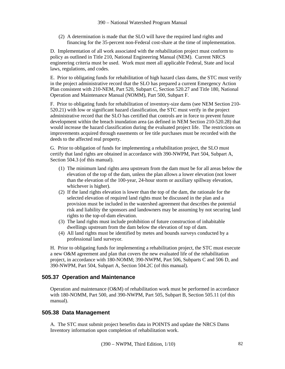(2) A determination is made that the SLO will have the required land rights and financing for the 35-percent non-Federal cost-share at the time of implementation.

D. Implementation of all work associated with the rehabilitation project must conform to policy as outlined in Title 210, National Engineering Manual (NEM). Current NRCS engineering criteria must be used. Work must meet all applicable Federal, State and local laws, regulations, and codes.

E. Prior to obligating funds for rehabilitation of high hazard class dams, the STC must verify in the project administrative record that the SLO has prepared a current Emergency Action Plan consistent with 210-NEM, Part 520, Subpart C, Section 520.27 and Title 180, National Operation and Maintenance Manual (NOMM), Part 500, Subpart F.

F. Prior to obligating funds for rehabilitation of inventory-size dams (see NEM Section 210- 520.21) with low or significant hazard classification, the STC must verify in the project administrative record that the SLO has certified that controls are in force to prevent future development within the breach inundation area (as defined in NEM Section 210-520.28) that would increase the hazard classification during the evaluated project life. The restrictions on improvements acquired through easements or fee title purchases must be recorded with the deeds to the affected real property.

G. Prior to obligation of funds for implementing a rehabilitation project, the SLO must certify that land rights are obtained in accordance with 390-NWPM, Part 504, Subpart A, Section 504.3 (of this manual).

- (1) The minimum land rights area upstream from the dam must be for all areas below the elevation of the top of the dam, unless the plan allows a lower elevation (not lower than the elevation of the 100-year, 24-hour storm or auxiliary spillway elevation, whichever is higher).
- (2) If the land rights elevation is lower than the top of the dam, the rationale for the selected elevation of required land rights must be discussed in the plan and a provision must be included in the watershed agreement that describes the potential risk and liability the sponsors and landowners may be assuming by not securing land rights to the top-of-dam elevation.
- (3) The land rights must include prohibition of future construction of inhabitable dwellings upstream from the dam below the elevation of top of dam.
- (4) All land rights must be identified by metes and bounds surveys conducted by a professional land surveyor.

H. Prior to obligating funds for implementing a rehabilitation project, the STC must execute a new O&M agreement and plan that covers the new evaluated life of the rehabilitation project, in accordance with 180-NOMM; 390-NWPM, Part 506, Subparts C and 506 D, and 390-NWPM, Part 504, Subpart A, Section 504.2C (of this manual).

# **505.37 Operation and Maintenance**

Operation and maintenance (O&M) of rehabilitation work must be performed in accordance with 180-NOMM, Part 500, and 390-NWPM, Part 505, Subpart B, Section 505.11 (of this manual).

# **505.38 Data Management**

A. The STC must submit project benefits data in POINTS and update the NRCS Dams Inventory information upon completion of rehabilitation work.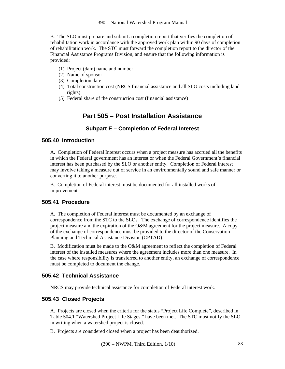B. The SLO must prepare and submit a completion report that verifies the completion of rehabilitation work in accordance with the approved work plan within 90 days of completion of rehabilitation work. The STC must forward the completion report to the director of the Financial Assistance Programs Division, and ensure that the following information is provided:

- (1) Project (dam) name and number
- (2) Name of sponsor
- (3) Completion date
- (4) Total construction cost (NRCS financial assistance and all SLO costs including land rights)
- (5) Federal share of the construction cost (financial assistance)

# **Part 505 – Post Installation Assistance**

# **Subpart E – Completion of Federal Interest**

# **505.40 Introduction**

A. Completion of Federal Interest occurs when a project measure has accrued all the benefits in which the Federal government has an interest or when the Federal Government's financial interest has been purchased by the SLO or another entity. Completion of Federal interest may involve taking a measure out of service in an environmentally sound and safe manner or converting it to another purpose.

B. Completion of Federal interest must be documented for all installed works of improvement.

# **505.41 Procedure**

A. The completion of Federal interest must be documented by an exchange of correspondence from the STC to the SLOs. The exchange of correspondence identifies the project measure and the expiration of the O&M agreement for the project measure. A copy of the exchange of correspondence must be provided to the director of the Conservation Planning and Technical Assistance Division (CPTAD).

B. Modification must be made to the O&M agreement to reflect the completion of Federal interest of the installed measures where the agreement includes more than one measure. In the case where responsibility is transferred to another entity, an exchange of correspondence must be completed to document the change.

# **505.42 Technical Assistance**

NRCS may provide technical assistance for completion of Federal interest work.

# **505.43 Closed Projects**

A. Projects are closed when the criteria for the status "Project Life Complete", described in Table 504.1 "Watershed Project Life Stages," have been met. The STC must notify the SLO in writing when a watershed project is closed.

B. Projects are considered closed when a project has been deauthorized.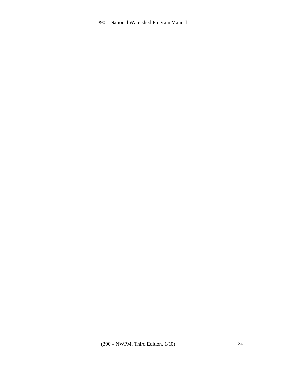390 – National Watershed Program Manual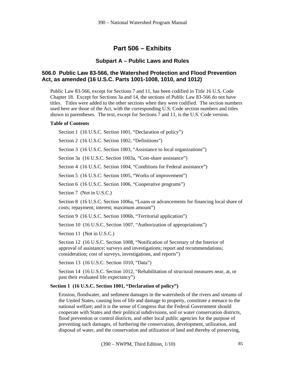# **Part 506 – Exhibits**

# **Subpart A – Public Laws and Rules**

# **506.0 Public Law 83-566, the Watershed Protection and Flood Prevention Act, as amended (16 U.S.C. Parts 1001-1008, 1010, and 1012)**

Public Law 83-566, except for Sections 7 and 11, has been codified in Title 16 U.S. Code Chapter 18. Except for Sections 3a and 14, the sections of Public Law 83-566 do not have titles. Titles were added to the other sections when they were codified. The section numbers used here are those of the Act, with the corresponding U.S. Code section numbers and titles shown in parentheses. The text, except for Sections 7 and 11, is the U.S. Code version.

### **Table of Contents**

Section 1 (16 U.S.C. Section 1001, "Declaration of policy")

Section 2 (16 U.S.C. Section 1002, "Definitions")

Section 3 (16 U.S.C. Section 1003, "Assistance to local organizations")

Section 3a (16 U.S.C. Section 1003a, "Cost-share assistance")

Section 4 (16 U.S.C. Section 1004, "Conditions for Federal assistance")

Section 5 (16 U.S.C. Section 1005, "Works of improvement")

Section 6 (16 U.S.C. Section 1006, "Cooperative programs")

Section 7 (Not in U.S.C.)

Section 8 (16 U.S.C. Section 1006a, "Loans or advancements for financing local share of costs; repayment; interest; maximum amount")

Section 9 (16 U.S.C. Section 1006b, "Territorial application")

Section 10 (16 U.S.C. Section 1007, "Authorization of appropriations")

Section 11 (Not in U.S.C.)

Section 12 (16 U.S.C. Section 1008, "Notification of Secretary of the Interior of approval of assistance; surveys and investigations; report and recommendations; consideration; cost of surveys, investigations, and reports")

Section 13 (16 U.S.C. Section 1010, "Data")

Section 14 (16 U.S.C. Section 1012, "Rehabilitation of structural measures near, at, or past their evaluated life expectancy")

### **Section 1 (16 U.S.C. Section 1001, "Declaration of policy")**

Erosion, floodwater, and sediment damages in the watersheds of the rivers and streams of the United States, causing loss of life and damage to property, constitute a menace to the national welfare; and it is the sense of Congress that the Federal Government should cooperate with States and their political subdivisions, soil or water conservation districts, flood prevention or control districts, and other local public agencies for the purpose of preventing such damages, of furthering the conservation, development, utilization, and disposal of water, and the conservation and utilization of land and thereby of preserving,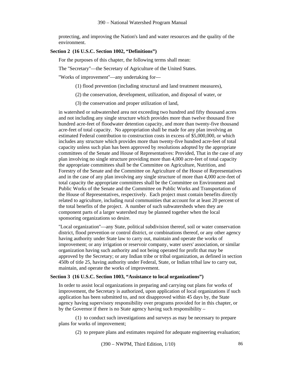protecting, and improving the Nation's land and water resources and the quality of the environment.

### **Section 2 (16 U.S.C. Section 1002, "Definitions")**

For the purposes of this chapter, the following terms shall mean:

The ''Secretary''—the Secretary of Agriculture of the United States.

''Works of improvement''—any undertaking for—

- (1) flood prevention (including structural and land treatment measures),
- (2) the conservation, development, utilization, and disposal of water, or
- (3) the conservation and proper utilization of land,

in watershed or subwatershed area not exceeding two hundred and fifty thousand acres and not including any single structure which provides more than twelve thousand five hundred acre-feet of floodwater detention capacity, and more than twenty-five thousand acre-feet of total capacity. No appropriation shall be made for any plan involving an estimated Federal contribution to construction costs in excess of \$5,000,000, or which includes any structure which provides more than twenty-five hundred acre-feet of total capacity unless such plan has been approved by resolutions adopted by the appropriate committees of the Senate and House of Representatives: Provided, That in the case of any plan involving no single structure providing more than 4,000 acre-feet of total capacity the appropriate committees shall be the Committee on Agriculture, Nutrition, and Forestry of the Senate and the Committee on Agriculture of the House of Representatives and in the case of any plan involving any single structure of more than 4,000 acre-feet of total capacity the appropriate committees shall be the Committee on Environment and Public Works of the Senate and the Committee on Public Works and Transportation of the House of Representatives, respectively. Each project must contain benefits directly related to agriculture, including rural communities that account for at least 20 percent of the total benefits of the project. A number of such subwatersheds when they are component parts of a larger watershed may be planned together when the local sponsoring organizations so desire.

''Local organization''—any State, political subdivision thereof, soil or water conservation district, flood prevention or control district, or combinations thereof, or any other agency having authority under State law to carry out, maintain and operate the works of improvement; or any irrigation or reservoir company, water users' association, or similar organization having such authority and not being operated for profit that may be approved by the Secretary; or any Indian tribe or tribal organization, as defined in section 450b of title 25, having authority under Federal, State, or Indian tribal law to carry out, maintain, and operate the works of improvement.

#### **Section 3 (16 U.S.C. Section 1003, "Assistance to local organizations")**

In order to assist local organizations in preparing and carrying out plans for works of improvement, the Secretary is authorized, upon application of local organizations if such application has been submitted to, and not disapproved within 45 days by, the State agency having supervisory responsibility over programs provided for in this chapter, or by the Governor if there is no State agency having such responsibility –

(1) to conduct such investigations and surveys as may be necessary to prepare plans for works of improvement;

(2) to prepare plans and estimates required for adequate engineering evaluation;

 $(390 - NWPM, Third Edition, 1/10)$  86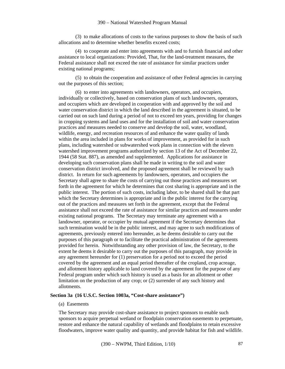### 390 – National Watershed Program Manual

(3) to make allocations of costs to the various purposes to show the basis of such allocations and to determine whether benefits exceed costs;

(4) to cooperate and enter into agreements with and to furnish financial and other assistance to local organizations: Provided, That, for the land-treatment measures, the Federal assistance shall not exceed the rate of assistance for similar practices under existing national programs;

(5) to obtain the cooperation and assistance of other Federal agencies in carrying out the purposes of this section;

(6) to enter into agreements with landowners, operators, and occupiers, individually or collectively, based on conservation plans of such landowners, operators, and occupiers which are developed in cooperation with and approved by the soil and water conservation district in which the land described in the agreement is situated, to be carried out on such land during a period of not to exceed ten years, providing for changes in cropping systems and land uses and for the installation of soil and water conservation practices and measures needed to conserve and develop the soil, water, woodland, wildlife, energy, and recreation resources of and enhance the water quality of lands within the area included in plans for works of improvement, as provided for in such plans, including watershed or subwatershed work plans in connection with the eleven watershed improvement programs authorized by section 13 of the Act of December 22, 1944 (58 Stat. 887), as amended and supplemented. Applications for assistance in developing such conservation plans shall be made in writing to the soil and water conservation district involved, and the proposed agreement shall be reviewed by such district. In return for such agreements by landowners, operators, and occupiers the Secretary shall agree to share the costs of carrying out those practices and measures set forth in the agreement for which he determines that cost sharing is appropriate and in the public interest. The portion of such costs, including labor, to be shared shall be that part which the Secretary determines is appropriate and in the public interest for the carrying out of the practices and measures set forth in the agreement, except that the Federal assistance shall not exceed the rate of assistance for similar practices and measures under existing national programs. The Secretary may terminate any agreement with a landowner, operator, or occupier by mutual agreement if the Secretary determines that such termination would be in the public interest, and may agree to such modifications of agreements, previously entered into hereunder, as he deems desirable to carry out the purposes of this paragraph or to facilitate the practical administration of the agreements provided for herein. Notwithstanding any other provision of law, the Secretary, to the extent he deems it desirable to carry out the purposes of this paragraph, may provide in any agreement hereunder for (1) preservation for a period not to exceed the period covered by the agreement and an equal period thereafter of the cropland, crop acreage, and allotment history applicable to land covered by the agreement for the purpose of any Federal program under which such history is used as a basis for an allotment or other limitation on the production of any crop; or (2) surrender of any such history and allotments.

#### **Section 3a (16 U.S.C. Section 1003a, "Cost-share assistance")**

## (a) Easements

The Secretary may provide cost-share assistance to project sponsors to enable such sponsors to acquire perpetual wetland or floodplain conservation easements to perpetuate, restore and enhance the natural capability of wetlands and floodplains to retain excessive floodwaters, improve water quality and quantity, and provide habitat for fish and wildlife.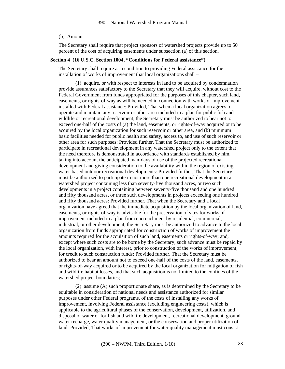#### (b) Amount

The Secretary shall require that project sponsors of watershed projects provide up to 50 percent of the cost of acquiring easements under subsection (a) of this section.

### **Section 4 (16 U.S.C. Section 1004, "Conditions for Federal assistance")**

The Secretary shall require as a condition to providing Federal assistance for the installation of works of improvement that local organizations shall –

(1) acquire, or with respect to interests in land to be acquired by condemnation provide assurances satisfactory to the Secretary that they will acquire, without cost to the Federal Government from funds appropriated for the purposes of this chapter, such land, easements, or rights-of-way as will be needed in connection with works of improvement installed with Federal assistance: Provided, That when a local organization agrees to operate and maintain any reservoir or other area included in a plan for public fish and wildlife or recreational development, the Secretary must be authorized to bear not to exceed one-half of the costs of (a) the land, easements, or rights-of-way acquired or to be acquired by the local organization for such reservoir or other area, and (b) minimum basic facilities needed for public health and safety, access to, and use of such reservoir or other area for such purposes: Provided further, That the Secretary must be authorized to participate in recreational development in any watershed project only to the extent that the need therefore is demonstrated in accordance with standards established by him, taking into account the anticipated man-days of use of the projected recreational development and giving consideration to the availability within the region of existing water-based outdoor recreational developments: Provided further, That the Secretary must be authorized to participate in not more than one recreational development in a watershed project containing less than seventy-five thousand acres, or two such developments in a project containing between seventy-five thousand and one hundred and fifty thousand acres, or three such developments in projects exceeding one hundred and fifty thousand acres: Provided further, That when the Secretary and a local organization have agreed that the immediate acquisition by the local organization of land, easements, or rights-of-way is advisable for the preservation of sites for works of improvement included in a plan from encroachment by residential, commercial, industrial, or other development, the Secretary must be authorized to advance to the local organization from funds appropriated for construction of works of improvement the amounts required for the acquisition of such land, easements or rights-of-way; and, except where such costs are to be borne by the Secretary, such advance must be repaid by the local organization, with interest, prior to construction of the works of improvement, for credit to such construction funds: Provided further, That the Secretary must be authorized to bear an amount not to exceed one-half of the costs of the land, easements, or rights-of-way acquired or to be acquired by the local organization for mitigation of fish and wildlife habitat losses, and that such acquisition is not limited to the confines of the watershed project boundaries;

(2) assume (A) such proportionate share, as is determined by the Secretary to be equitable in consideration of national needs and assistance authorized for similar purposes under other Federal programs, of the costs of installing any works of improvement, involving Federal assistance (excluding engineering costs), which is applicable to the agricultural phases of the conservation, development, utilization, and disposal of water or for fish and wildlife development, recreational development, ground water recharge, water quality management, or the conservation and proper utilization of land: Provided, That works of improvement for water quality management must consist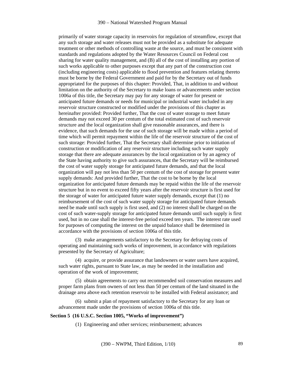#### 390 – National Watershed Program Manual

primarily of water storage capacity in reservoirs for regulation of streamflow, except that any such storage and water releases must not be provided as a substitute for adequate treatment or other methods of controlling waste at the source, and must be consistent with standards and regulations adopted by the Water Resources Council on Federal cost sharing for water quality management, and (B) all of the cost of installing any portion of such works applicable to other purposes except that any part of the construction cost (including engineering costs) applicable to flood prevention and features relating thereto must be borne by the Federal Government and paid for by the Secretary out of funds appropriated for the purposes of this chapter: Provided, That, in addition to and without limitation on the authority of the Secretary to make loans or advancements under section 1006a of this title, the Secretary may pay for any storage of water for present or anticipated future demands or needs for municipal or industrial water included in any reservoir structure constructed or modified under the provisions of this chapter as hereinafter provided: Provided further, That the cost of water storage to meet future demands may not exceed 30 per centum of the total estimated cost of such reservoir structure and the local organization shall give reasonable assurances, and there is evidence, that such demands for the use of such storage will be made within a period of time which will permit repayment within the life of the reservoir structure of the cost of such storage: Provided further, That the Secretary shall determine prior to initiation of construction or modification of any reservoir structure including such water supply storage that there are adequate assurances by the local organization or by an agency of the State having authority to give such assurances, that the Secretary will be reimbursed the cost of water supply storage for anticipated future demands, and that the local organization will pay not less than 50 per centum of the cost of storage for present water supply demands: And provided further, That the cost to be borne by the local organization for anticipated future demands may be repaid within the life of the reservoir structure but in no event to exceed fifty years after the reservoir structure is first used for the storage of water for anticipated future water supply demands, except that (1) no reimbursement of the cost of such water supply storage for anticipated future demands need be made until such supply is first used, and (2) no interest shall be charged on the cost of such water-supply storage for anticipated future demands until such supply is first used, but in no case shall the interest-free period exceed ten years. The interest rate used for purposes of computing the interest on the unpaid balance shall be determined in accordance with the provisions of section 1006a of this title.

(3) make arrangements satisfactory to the Secretary for defraying costs of operating and maintaining such works of improvement, in accordance with regulations presented by the Secretary of Agriculture;

(4) acquire, or provide assurance that landowners or water users have acquired, such water rights, pursuant to State law, as may be needed in the installation and operation of the work of improvement;

(5) obtain agreements to carry out recommended soil conservation measures and proper farm plans from owners of not less than 50 per centum of the land situated in the drainage area above each retention reservoir to be installed with Federal assistance; and

(6) submit a plan of repayment satisfactory to the Secretary for any loan or advancement made under the provisions of section 1006a of this title.

#### **Section 5 (16 U.S.C. Section 1005, "Works of improvement")**

(1) Engineering and other services; reimbursement; advances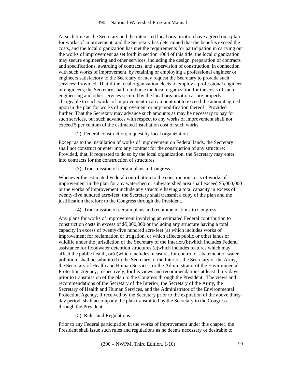At such time as the Secretary and the interested local organization have agreed on a plan for works of improvement, and the Secretary has determined that the benefits exceed the costs, and the local organization has met the requirements for participation in carrying out the works of improvement as set forth in section 1004 of this title, the local organization may secure engineering and other services, including the design, preparation of contracts and specifications, awarding of contracts, and supervision of construction, in connection with such works of improvement, by retaining or employing a professional engineer or engineers satisfactory to the Secretary or may request the Secretary to provide such services: Provided, That if the local organization elects to employ a professional engineer or engineers, the Secretary shall reimburse the local organization for the costs of such engineering and other services secured by the local organization as are properly chargeable to such works of improvement in an amount not to exceed the amount agreed upon in the plan for works of improvement or any modification thereof: Provided further, That the Secretary may advance such amounts as may be necessary to pay for such services, but such advances with respect to any works of improvement shall not exceed 5 per centum of the estimated installation cost of such works.

(2) Federal construction; request by local organization

Except as to the installation of works of improvement on Federal lands, the Secretary shall not construct or enter into any contract for the construction of any structure: Provided, that, if requested to do so by the local organization, the Secretary may enter into contracts for the construction of structures.

(3) Transmission of certain plans to Congress.

Whenever the estimated Federal contribution to the construction costs of works of improvement in the plan for any watershed or subwatershed area shall exceed \$5,000,000 or the works of improvement include any structure having a total capacity in excess of twenty-five hundred acre-feet, the Secretary shall transmit a copy of the plan and the justification therefore to the Congress through the President.

(4) Transmission of certain plans and recommendations to Congress.

Any plans for works of improvement involving an estimated Federal contribution to construction costs in excess of \$5,000,000 or including any structure having a total capacity in excess of twenty-five hundred acre-feet (a) which includes works of improvement for reclamation or irrigation, or which affects public or other lands or wildlife under the jurisdiction of the Secretary of the Interior,(b)which includes Federal assistance for floodwater detention structures,(c)which includes features which may affect the public health, or(d)which includes measures for control or abatement of water pollution, shall be submitted to the Secretary of the Interior, the Secretary of the Army, the Secretary of Health and Human Services, or the Administrator of the Environmental Protection Agency, respectively, for his views and recommendations at least thirty days prior to transmission of the plan to the Congress through the President. The views and recommendations of the Secretary of the Interior, the Secretary of the Army, the Secretary of Health and Human Services, and the Administrator of the Environmental Protection Agency, if received by the Secretary prior to the expiration of the above thirtyday period, shall accompany the plan transmitted by the Secretary to the Congress through the President.

(5) Rules and Regulations

Prior to any Federal participation in the works of improvement under this chapter, the President shall issue such rules and regulations as he deems necessary or desirable to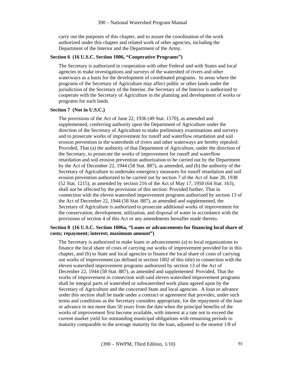carry out the purposes of this chapter, and to assure the coordination of the work authorized under this chapter and related work of other agencies, including the Department of the Interior and the Department of the Army.

### **Section 6 (16 U.S.C. Section 1006, "Cooperative Programs")**

The Secretary is authorized in cooperation with other Federal and with States and local agencies to make investigations and surveys of the watershed of rivers and other waterways as a basis for the development of coordinated programs. In areas where the programs of the Secretary of Agriculture may affect public or other lands under the jurisdiction of the Secretary of the Interior, the Secretary of the Interior is authorized to cooperate with the Secretary of Agriculture in the planning and development of works or programs for such lands.

#### **Section 7 (Not in U.S.C.)**

The provisions of the Act of June 22, 1936 (49 Stat. 1570), as amended and supplemented, conferring authority upon the Department of Agriculture under the direction of the Secretary of Agriculture to make preliminary examinations and surveys and to prosecute works of improvement for runoff and waterflow retardation and soil erosion prevention in the watersheds of rivers and other waterways are hereby repealed: Provided, That (a) the authority of that Department of Agriculture, under the direction of the Secretary, to prosecute the works of improvement for runoff and waterflow retardation and soil erosion prevention authorization to be carried out by the Department by the Act of December 22, 1944 (58 Stat. 887), as amended, and (b) the authority of the Secretary of Agriculture to undertake emergency measures for runoff retardation and soil erosion prevention authorized to be carried out by section 7 of the Act of June 28, 1938 (52 Stat. 1215), as amended by section 216 of the Act of May 17, 1950 (64 Stat. 163), shall not be affected by the provisions of this section: Provided further, That in connection with the eleven watershed improvement programs authorized by section 13 of the Act of December 22, 1944 (58 Stat. 887), as amended and supplemented, the Secretary of Agriculture is authorized to prosecute additional works of improvement for the conservation, development, utilization, and disposal of water in accordance with the provisions of section 4 of this Act or any amendments hereafter made thereto.

#### **Section 8 (16 U.S.C. Section 1006a, "Loans or advancements for financing local share of costs; repayment; interest; maximum amount")**

The Secretary is authorized to make loans or advancements (a) to local organizations to finance the local share of costs of carrying out works of improvement provided for in this chapter, and (b) to State and local agencies to finance the local share of costs of carrying out works of improvement (as defined in section 1002 of this title) in connection with the eleven watershed improvement programs authorized by section 13 of the Act of December 22, 1944 (58 Stat. 887), as amended and supplemented: Provided, That the works of improvement in connection with said eleven watershed improvement programs shall be integral parts of watershed or subwatershed work plans agreed upon by the Secretary of Agriculture and the concerned State and local agencies. A loan or advance under this section shall be made under a contract or agreement that provides, under such terms and conditions as the Secretary considers appropriate, for the repayment of the loan or advance in not more than 50 years from the date when the principal benefits of the works of improvement first become available, with interest at a rate not to exceed the current market yield for outstanding municipal obligations with remaining periods to maturity comparable to the average maturity for the loan, adjusted to the nearest 1/8 of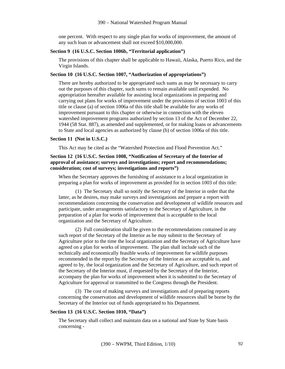one percent. With respect to any single plan for works of improvement, the amount of any such loan or advancement shall not exceed \$10,000,000.

### **Section 9 (16 U.S.C. Section 1006b, "Territorial application")**

The provisions of this chapter shall be applicable to Hawaii, Alaska, Puerto Rico, and the Virgin Islands.

### **Section 10 (16 U.S.C. Section 1007, "Authorization of appropriations")**

There are hereby authorized to be appropriated such sums as may be necessary to carry out the purposes of this chapter, such sums to remain available until expended. No appropriation hereafter available for assisting local organizations in preparing and carrying out plans for works of improvement under the provisions of section 1003 of this title or clause (a) of section 1006a of this title shall be available for any works of improvement pursuant to this chapter or otherwise in connection with the eleven watershed improvement programs authorized by section 13 of the Act of December 22, 1944 (58 Stat. 887), as amended and supplemented, or for making loans or advancements to State and local agencies as authorized by clause (b) of section 1006a of this title.

#### **Section 11 (Not in U.S.C.)**

This Act may be cited as the "Watershed Protection and Flood Prevention Act."

# **Section 12 (16 U.S.C. Section 1008, "Notification of Secretary of the Interior of approval of assistance; surveys and investigations; report and recommendations; consideration; cost of surveys; investigations and reports")**

When the Secretary approves the furnishing of assistance to a local organization in preparing a plan for works of improvement as provided for in section 1003 of this title:

 (1) The Secretary shall so notify the Secretary of the Interior in order that the latter, as he desires, may make surveys and investigations and prepare a report with recommendations concerning the conservation and development of wildlife resources and participate, under arrangements satisfactory to the Secretary of Agriculture, in the preparation of a plan for works of improvement that is acceptable to the local organization and the Secretary of Agriculture.

 (2) Full consideration shall be given to the recommendations contained in any such report of the Secretary of the Interior as he may submit to the Secretary of Agriculture prior to the time the local organization and the Secretary of Agriculture have agreed on a plan for works of improvement. The plan shall include such of the technically and economically feasible works of improvement for wildlife purposes recommended in the report by the Secretary of the Interior as are acceptable to, and agreed to by, the local organization and the Secretary of Agriculture, and such report of the Secretary of the Interior must, if requested by the Secretary of the Interior, accompany the plan for works of improvement when it is submitted to the Secretary of Agriculture for approval or transmitted to the Congress through the President.

 (3) The cost of making surveys and investigations and of preparing reports concerning the conservation and development of wildlife resources shall be borne by the Secretary of the Interior out of funds appropriated to his Department.

#### **Section 13 (16 U.S.C. Section 1010, "Data")**

The Secretary shall collect and maintain data on a national and State by State basis concerning -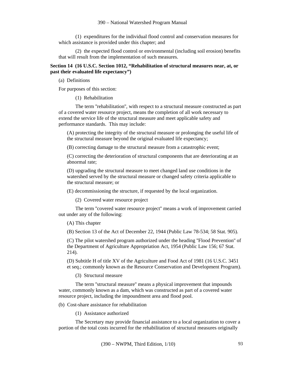390 – National Watershed Program Manual

 (1) expenditures for the individual flood control and conservation measures for which assistance is provided under this chapter; and

 (2) the expected flood control or environmental (including soil erosion) benefits that will result from the implementation of such measures.

# **Section 14 (16 U.S.C. Section 1012, "Rehabilitation of structural measures near, at, or past their evaluated life expectancy")**

(a) Definitions

For purposes of this section:

(1) Rehabilitation

 The term ''rehabilitation'', with respect to a structural measure constructed as part of a covered water resource project, means the completion of all work necessary to extend the service life of the structural measure and meet applicable safety and performance standards. This may include:

(A) protecting the integrity of the structural measure or prolonging the useful life of the structural measure beyond the original evaluated life expectancy;

(B) correcting damage to the structural measure from a catastrophic event;

(C) correcting the deterioration of structural components that are deteriorating at an abnormal rate;

(D) upgrading the structural measure to meet changed land use conditions in the watershed served by the structural measure or changed safety criteria applicable to the structural measure; or

(E) decommissioning the structure, if requested by the local organization.

(2) Covered water resource project

 The term ''covered water resource project'' means a work of improvement carried out under any of the following:

(A) This chapter

(B) Section 13 of the Act of December 22, 1944 (Public Law 78-534; 58 Stat. 905).

(C) The pilot watershed program authorized under the heading ''Flood Prevention'' of the Department of Agriculture Appropriation Act, 1954 (Public Law 156; 67 Stat. 214).

(D) Subtitle H of title XV of the Agriculture and Food Act of 1981 (16 U.S.C. 3451 et seq.; commonly known as the Resource Conservation and Development Program).

(3) Structural measure

 The term ''structural measure'' means a physical improvement that impounds water, commonly known as a dam, which was constructed as part of a covered water resource project, including the impoundment area and flood pool.

(b) Cost-share assistance for rehabilitation

(1) Assistance authorized

 The Secretary may provide financial assistance to a local organization to cover a portion of the total costs incurred for the rehabilitation of structural measures originally

(390 – NWPM, Third Edition, 1/10) 93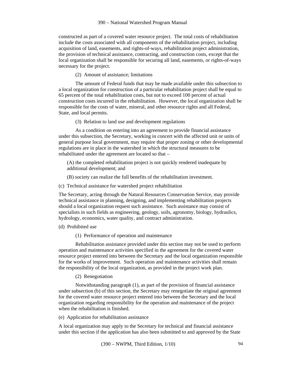constructed as part of a covered water resource project. The total costs of rehabilitation include the costs associated with all components of the rehabilitation project, including acquisition of land, easements, and rights-of-ways, rehabilitation project administration, the provision of technical assistance, contracting, and construction costs, except that the local organization shall be responsible for securing all land, easements, or rights-of-ways necessary for the project.

(2) Amount of assistance; limitations

 The amount of Federal funds that may be made available under this subsection to a local organization for construction of a particular rehabilitation project shall be equal to 65 percent of the total rehabilitation costs, but not to exceed 100 percent of actual construction costs incurred in the rehabilitation. However, the local organization shall be responsible for the costs of water, mineral, and other resource rights and all Federal, State, and local permits.

(3) Relation to land use and development regulations

 As a condition on entering into an agreement to provide financial assistance under this subsection, the Secretary, working in concert with the affected unit or units of general purpose local government, may require that proper zoning or other developmental regulations are in place in the watershed in which the structural measures to be rehabilitated under the agreement are located so that –

(A) the completed rehabilitation project is not quickly rendered inadequate by additional development; and

(B) society can realize the full benefits of the rehabilitation investment.

(c) Technical assistance for watershed project rehabilitation

The Secretary, acting through the Natural Resources Conservation Service, may provide technical assistance in planning, designing, and implementing rehabilitation projects should a local organization request such assistance. Such assistance may consist of specialists in such fields as engineering, geology, soils, agronomy, biology, hydraulics, hydrology, economics, water quality, and contract administration.

(d) Prohibited use

(1) Performance of operation and maintenance

 Rehabilitation assistance provided under this section may not be used to perform operation and maintenance activities specified in the agreement for the covered water resource project entered into between the Secretary and the local organization responsible for the works of improvement. Such operation and maintenance activities shall remain the responsibility of the local organization, as provided in the project work plan.

#### (2) Renegotiation

 Notwithstanding paragraph (1), as part of the provision of financial assistance under subsection (b) of this section, the Secretary may renegotiate the original agreement for the covered water resource project entered into between the Secretary and the local organization regarding responsibility for the operation and maintenance of the project when the rehabilitation is finished.

(e) Application for rehabilitation assistance

A local organization may apply to the Secretary for technical and financial assistance under this section if the application has also been submitted to and approved by the State

(390 – NWPM, Third Edition, 1/10) 94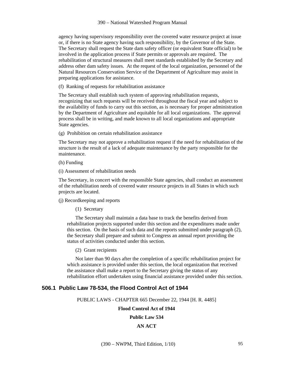agency having supervisory responsibility over the covered water resource project at issue or, if there is no State agency having such responsibility, by the Governor of the State. The Secretary shall request the State dam safety officer (or equivalent State official) to be involved in the application process if State permits or approvals are required. The rehabilitation of structural measures shall meet standards established by the Secretary and address other dam safety issues. At the request of the local organization, personnel of the Natural Resources Conservation Service of the Department of Agriculture may assist in preparing applications for assistance.

(f) Ranking of requests for rehabilitation assistance

The Secretary shall establish such system of approving rehabilitation requests, recognizing that such requests will be received throughout the fiscal year and subject to the availability of funds to carry out this section, as is necessary for proper administration by the Department of Agriculture and equitable for all local organizations. The approval process shall be in writing, and made known to all local organizations and appropriate State agencies.

(g) Prohibition on certain rehabilitation assistance

The Secretary may not approve a rehabilitation request if the need for rehabilitation of the structure is the result of a lack of adequate maintenance by the party responsible for the maintenance.

- (h) Funding
- (i) Assessment of rehabilitation needs

The Secretary, in concert with the responsible State agencies, shall conduct an assessment of the rehabilitation needs of covered water resource projects in all States in which such projects are located.

(j) Recordkeeping and reports

(1) Secretary

 The Secretary shall maintain a data base to track the benefits derived from rehabilitation projects supported under this section and the expenditures made under this section. On the basis of such data and the reports submitted under paragraph (2), the Secretary shall prepare and submit to Congress an annual report providing the status of activities conducted under this section.

(2) Grant recipients

 Not later than 90 days after the completion of a specific rehabilitation project for which assistance is provided under this section, the local organization that received the assistance shall make a report to the Secretary giving the status of any rehabilitation effort undertaken using financial assistance provided under this section.

# **506.1 Public Law 78-534, the Flood Control Act of 1944**

PUBLIC LAWS - CHAPTER 665 December 22, 1944 [H. R. 4485]

# **Flood Control Act of 1944**

#### **Public Law 534**

### **AN ACT**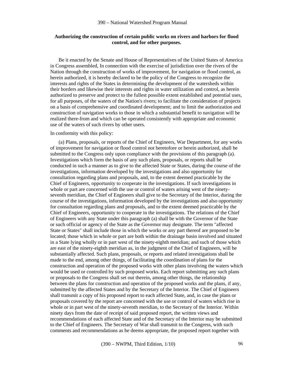# **Authorizing the construction of certain public works on rivers and harbors for flood control, and for other purposes.**

 Be it enacted by the Senate and House of Representatives of the United States of America in Congress assembled, In connection with the exercise of jurisdiction over the rivers of the Nation through the construction of works of improvement, for navigation or flood control, as herein authorized, it is hereby declared to be the policy of the Congress to recognize the interests and rights of the States in determining the development of the watersheds within their borders and likewise their interests and rights in water utilization and control, as herein authorized to preserve and protect to the fullest possible extent established and potential uses, for all purposes, of the waters of the Nation's rivers; to facilitate the consideration of projects on a basis of comprehensive and coordinated development; and to limit the authorization and construction of navigation works to those in which a substantial benefit to navigation will be realized there-from and which can be operated consistently with appropriate and economic use of the waters of such rivers by other users.

# In conformity with this policy:

 (a) Plans, proposals, or reports of the Chief of Engineers, War Department, for any works of improvement for navigation or flood control not heretofore or herein authorized, shall be submitted to the Congress only upon compliance with the provisions of this paragraph (a). Investigations which form the basis of any such plans, proposals, or reports shall be conducted in such a manner as to give to the affected State or States, during the course of the investigations, information developed by the investigations and also opportunity for consultation regarding plans and proposals, and, to the extent deemed practicable by the Chief of Engineers, opportunity to cooperate in the investigations. If such investigations in whole or part are concerned with the use or control of waters arising west of the ninetyseventh meridian, the Chief of Engineers shall give to the Secretary of the Interior, during the course of the investigations, information developed by the investigations and also opportunity for consultation regarding plans and proposals, and to the extent deemed practicable by the Chief of Engineers, opportunity to cooperate in the investigations. The relations of the Chief of Engineers with any State under this paragraph (a) shall be with the Governor of the State or such official or agency of the State as the Governor may designate. The term "affected State or States" shall include those in which the works or any part thereof are proposed to be located; those which in whole or part are both within the drainage basin involved and situated in a State lying wholly or in part west of the ninety-eighth meridian; and such of those which are east of the ninety-eighth meridian as, in the judgment of the Chief of Engineers, will be substantially affected. Such plans, proposals, or reports and related investigations shall be made to the end, among other things, of facilitating the coordination of plans for the construction and operation of the proposed works with other plans involving the waters which would be used or controlled by such proposed works. Each report submitting any such plans or proposals to the Congress shall set out therein, among other things, the relationship between the plans for construction and operation of the proposed works and the plans, if any, submitted by the affected States and by the Secretary of the Interior. The Chief of Engineers shall transmit a copy of his proposed report to each affected State, and, in case the plans or proposals covered by the report are concerned with the use or control of waters which rise in whole or in part west of the ninety-seventh meridian, to the Secretary of the Interior. Within ninety days from the date of receipt of said proposed report, the written views and recommendations of each affected State and of the Secretary of the Interior may be submitted to the Chief of Engineers. The Secretary of War shall transmit to the Congress, with such comments and recommendations as he deems appropriate, the proposed report together with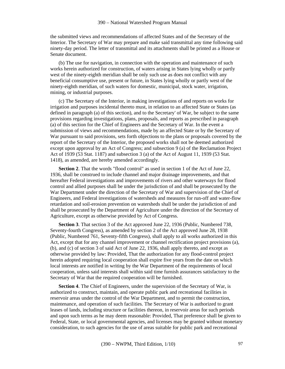the submitted views and recommendations of affected States and of the Secretary of the Interior. The Secretary of War may prepare and make said transmittal any time following said ninety-day period. The letter of transmittal and its attachments shall be printed as a House or Senate document.

 (b) The use for navigation, in connection with the operation and maintenance of such works herein authorized for construction, of waters arising in States lying wholly or partly west of the ninety-eighth meridian shall be only such use as does not conflict with any beneficial consumptive use, present or future, in States lying wholly or partly west of the ninety-eighth meridian, of such waters for domestic, municipal, stock water, irrigation, mining, or industrial purposes.

 (c) The Secretary of the Interior, in making investigations of and reports on works for irrigation and purposes incidental thereto must, in relation to an affected State or States (as defined in paragraph (a) of this section), and to the Secretary' of War, be subject to the same provisions regarding investigations, plans, proposals, and reports as prescribed in paragraph (a) of this section for the Chief of Engineers and the Secretary of War. In the event a submission of views and recommendations, made by an affected State or by the Secretary of War pursuant to said provisions, sets forth objections to the plans or proposals covered by the report of the Secretary of the Interior, the proposed works shall not be deemed authorized except upon approval by an Act of Congress; and subsection 9 (a) of the Reclamation Project Act of 1939 (53 Stat. 1187) and subsection 3 (a) of the Act of August 11, 1939 (53 Stat. 1418), as amended, are hereby amended accordingly.

**Section 2**. That the words "flood control" as used in section 1 of the Act of June 22, 1936, shall be construed to include channel and major drainage improvements, and that hereafter Federal investigations and improvements of rivers and other waterways for flood control and allied purposes shall be under the jurisdiction of and shall be prosecuted by the War Department under the direction of the Secretary of War and supervision of the Chief of Engineers, and Federal investigations of watersheds and measures for run-off and water-flow retardation and soil-erosion prevention on watersheds shall be under the jurisdiction of and shall be prosecuted by the Department of Agriculture under the direction of the Secretary of Agriculture, except as otherwise provided by Act of Congress.

**Section 3**. That section 3 of the Act approved June 22, 1936 (Public, Numbered 738, Seventy-fourth Congress), as amended by section 2 of the Act approved June 28, 1938 (Public, Numbered 761, Seventy-fifth Congress), shall apply to all works authorized in this Act, except that for any channel improvement or channel rectification project provisions (a), (b), and (c) of section 3 of said Act of June 22, 1936, shall apply thereto, and except as otherwise provided by law: Provided, That the authorization for any flood-control project herein adopted requiring local cooperation shall expire five years from the date on which local interests are notified in writing by the War Department of the requirements of local cooperation, unless said interests shall within said time furnish assurances satisfactory to the Secretary of War that the required cooperation will be furnished.

**Section 4.** The Chief of Engineers, under the supervision of the Secretary of War, is authorized to construct, maintain, and operate public park and recreational facilities in reservoir areas under the control of the War Department, and to permit the construction, maintenance, and operation of such facilities. The Secretary of War is authorized to grant leases of lands, including structure or facilities thereon, in reservoir areas for such periods and upon such terms as he may deem reasonable: Provided, That preference shall be given to Federal, State, or local governmental agencies, and licenses may be granted without monetary consideration, to such agencies for the use of areas suitable for public park and recreational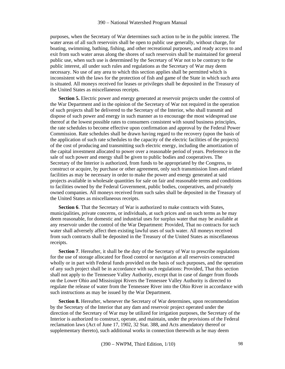purposes, when the Secretary of War determines such action to be in the public interest. The water areas of all such reservoirs shall be open to public use generally, without charge, for boating, swimming, bathing, fishing, and other recreational purposes, and ready access to and exit from such water areas along the shores of such reservoirs shall be maintained for general public use, when such use is determined by the Secretary of War not to be contrary to the public interest, all under such rules and regulations as the Secretary of War may deem necessary. No use of any area to which this section applies shall be permitted which is inconsistent with the laws for the protection of fish and game of the State in which such area is situated. All moneys received for leases or privileges shall be deposited in the Treasury of the United States as miscellaneous receipts.

**Section 5.** Electric power and energy generated at reservoir projects under the control of the War Department and in the opinion of the Secretary of War not required in the operation of such projects shall be delivered to the Secretary of the Interior, who shall transmit and dispose of such power and energy in such manner as to encourage the most widespread use thereof at the lowest possible rates to consumers consistent with sound business principles, the rate schedules to become effective upon confirmation and approval by the Federal Power Commission. Rate schedules shall be drawn having regard to the recovery (upon the basis of the application of such rate schedules to the capacity of the electric facilities of the projects) of the cost of producing and transmitting such electric energy, including the amortization of the capital investment allocated to power over a reasonable period of years. Preference in the sale of such power and energy shall be given to public bodies and cooperatives. The Secretary of the Interior is authorized, from funds to be appropriated by the Congress, to construct or acquire, by purchase or other agreement, only such transmission lines and related facilities as may be necessary in order to make the power and energy generated at said projects available in wholesale quantities for sale on fair and reasonable terms and conditions to facilities owned by the Federal Government, public bodies, cooperatives, and privately owned companies. All moneys received from such sales shall be deposited in the Treasury of the United States as miscellaneous receipts.

**Section 6**. That the Secretary of War is authorized to make contracts with States, municipalities, private concerns, or individuals, at such prices and on such terms as he may deem reasonable, for domestic and industrial uses for surplus water that may be available at any reservoir under the control of the War Department: Provided, That no contracts for such water shall adversely affect then existing lawful uses of such water. All moneys received from such contracts shall be deposited in the Treasury of the United States as miscellaneous receipts.

**Section 7**. Hereafter, it shall be the duty of the Secretary of War to prescribe regulations for the use of storage allocated for flood control or navigation at all reservoirs constructed wholly or in part with Federal funds provided on the basis of such purposes, and the operation of any such project shall be in accordance with such regulations: Provided, That this section shall not apply to the Tennessee Valley Authority, except that in case of danger from floods on the Lower Ohio and Mississippi Rivers the Tennessee Valley Authority is directed to regulate the release of water from the Tennessee River into the Ohio River in accordance with such instructions as may be issued by the War Department.

**Section 8.** Hereafter, whenever the Secretary of War determines, upon recommendation by the Secretary of the Interior that any dam and reservoir project operated under the direction of the Secretary of War may be utilized for irrigation purposes, the Secretary of the Interior is authorized to construct, operate, and maintain, under the provisions of the Federal reclamation laws (Act of June 17, 1902, 32 Stat. 388, and Acts amendatory thereof or supplementary thereto), such additional works in connection therewith as he may deem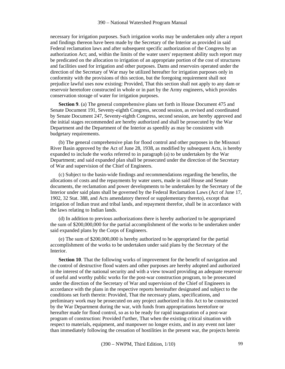necessary for irrigation purposes. Such irrigation works may be undertaken only after a report and findings thereon have been made by the Secretary of the Interior as provided in said Federal reclamation laws and after subsequent specific authorization of the Congress by an authorization Act; and, within the limits of the water users' repayment ability such report may be predicated on the allocation to irrigation of an appropriate portion of the cost of structures and facilities used for irrigation and other purposes. Dams and reservoirs operated under the direction of the Secretary of War may be utilized hereafter for irrigation purposes only in conformity with the provisions of this section, but the foregoing requirement shall not prejudice lawful uses now existing: Provided, That this section shall not apply to any dam or reservoir heretofore constructed in whole or in part by the Army engineers, which provides conservation storage of water for irrigation purposes.

**Section 9**. (a) The general comprehensive plans set forth in House Document 475 and Senate Document 191, Seventy-eighth Congress, second session, as revised and coordinated by Senate Document 247, Seventy-eighth Congress, second session, are hereby approved and the initial stages recommended are hereby authorized and shall be prosecuted by the War Department and the Department of the Interior as speedily as may be consistent with budgetary requirements.

 (b) The general comprehensive plan for flood control and other purposes in the Missouri River Basin approved by the Act of June 28, 1938, as modified by subsequent Acts, is hereby expanded to include the works referred to in paragraph (a) to be undertaken by the War Department; and said expanded plan shall be prosecuted under the direction of the Secretary of War and supervision of the Chief of Engineers.

 (c) Subject to the basin-wide findings and recommendations regarding the benefits, the allocations of costs and the repayments by water users, made in said House and Senate documents, the reclamation and power developments to be undertaken by the Secretary of the Interior under said plans shall be governed by the Federal Reclamation Laws (Act of June 17, 1902, 32 Stat. 388, and Acts amendatory thereof or supplementary thereto), except that irrigation of Indian trust and tribal lands, and repayment therefor, shall be in accordance with the laws relating to Indian lands.

 (d) In addition to previous authorizations there is hereby authorized to be appropriated the sum of \$200,000,000 for the partial accomplishment of the works to be undertaken under said expanded plans by the Corps of Engineers.

 (e) The sum of \$200,000,000 is hereby authorized to be appropriated for the partial accomplishment of the works to be undertaken under said plans by the Secretary of the Interior.

**Section 10**. That the following works of improvement for the benefit of navigation and the control of destructive flood waters and other purposes are hereby adopted and authorized in the interest of the national security and with a view toward providing an adequate reservoir of useful and worthy public works for the post-war construction program, to be prosecuted under the direction of the Secretary of War and supervision of the Chief of Engineers in accordance with the plans in the respective reports hereinafter designated and subject to the conditions set forth therein: Provided, That the necessary plans, specifications, and preliminary work may be prosecuted on any project authorized in this Act to be constructed by the War Department during the war, with funds from appropriations heretofore or hereafter made for flood control, so as to be ready for rapid inauguration of a post-war program of construction: Provided f'urther, That when the existing critical situation with respect to materials, equipment, and manpower no longer exists, and in any event not later than immediately following the cessation of hostilities in the present war, the projects herein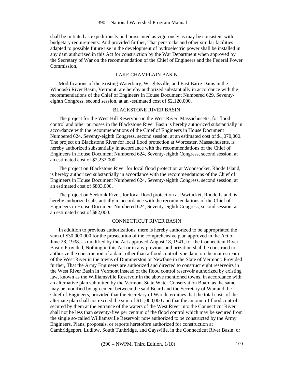shall be initiated as expeditiously and prosecuted as vigorously as may be consistent with budgetary requirements: And provided further, That penstocks and other similar facilities adapted to possible future use in the development of hydroelectric power shall be installed in any dam authorized in this Act for construction by the War Department when approved by the Secretary of War on the recommendation of the Chief of Engineers and the Federal Power Commission.

### LAKE CHAMPLAIN BASIN

 Modifications of the existing Waterbury, Wrightsville, and East Barre Dams in the Winooski River Basin, Vermont, are hereby authorized substantially in accordance with the recommendations of the Chief of Engineers in House Document Numbered 629, Seventyeighth Congress, second session, at an -estimated cost of \$2,120,000.

### BLACKSTONE RIVER BASIN

 The project for the West Hill Reservoir on the West River, Massachusetts, for flood control and other purposes in the Blackstone River Basin is hereby authorized substantially in accordance with the recommendations of the Chief of Engineers in House Document Numbered 624, Seventy-eighth Congress, second session, at an estimated cost of \$1,070,000. The project on Blackstone River for local flood protection at Worcester, Massachusetts, is hereby authorized substantially in accordance with the recommendations of the Chief of Engineers in House Document Numbered 624, Seventy-eighth Congress, second session, at an estimated cost of \$2,232,000.

 The project on Blackstone River for local flood protection at Woonsocket, Rhode Island, is hereby authorized substantially in accordance with the recommendations of the Chief of Engineers in House Document Numbered 624, Seventy-eighth Congress, second session, at an estimated cost of \$803,000.

 The project on Seekonk River, for local flood protection at Pawtucket, Rhode Island, is hereby authorized substantially in accordance with the recommendations of the Chief of Engineers in House Document Numbered 624, Seventy-eighth Congress, second session, at an estimated cost of \$82,000.

#### CONNECTICUT RIVER BASIN

 In addition to previous authorizations, there is hereby authorized to be appropriated the sum of \$30,000,000 for the prosecution of the comprehensive plan approved in the Act of June 28, 1938. as modified by the Act approved August 18, 1941, for the Connecticut River Basin: Provided, Nothing in this Act or in any previous authorization shall be construed to authorize the construction of a dam, other than a flood control type dam, on the main stream of the West River in the towns of Dummerston or Newfane in the State of Vermont: Provided further, That the Army Engineers are authorized and directed to construct eight reservoirs in the West River Basin in Vermont instead of the flood control reservoir authorized by existing law, known as the Williamsville Reservoir in the above mentioned towns, in accordance with an alternative plan submitted by the Vermont State Water Conservation Board as the same may be modified by agreement between the said Board and the Secretary of War and the Chief of Engineers, provided that the Secretary of War determines that the total costs of the alternate plan shall not exceed the sum of \$11,000,000 and that the amount of flood control secured by them at the entrance of the waters of the West River into the Connecticut River shall not be less than seventy-five per centum of the flood control which may be secured from the single so-called Williamsville Reservoir now authorized to be constructed by the Army Engineers. Plans, proposals, or reports heretofore authorized for construction at Cambridgeport, Ludlow, South Tunbridge, and Gaysville, in the Connecticut River Basin, or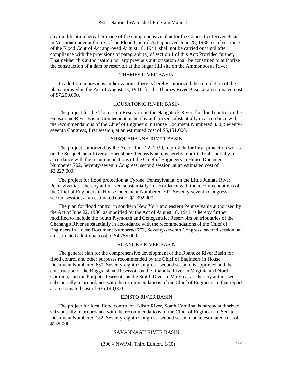any modification hereafter made of the comprehensive plan for the Connecticut River Basin in Vermont under authority of the Flood Control Act approved June 28, 1938, or of section 3 of the Flood Control Act approved August 18, 1941, shall not be carried out until after compliance with the provisions of paragraph (a) of section 1 of this Act: Provided further, That neither this authorization nor any previous authorization shall be construed to authorize the construction of a dam or reservoir at the Sugar Hill site on the Ammonoosuc River.

#### THAMES RIVER BASIN

 In addition to previous authorizations, there is hereby authorized the completion of the plan approved in the Act of August 18, 1941, for the Thames River Basin at an estimated cost of \$7,200,000.

#### HOUSATONIC RIVER BASIN

 The project for the Thomaston Reservoir on the Naugatuck River, for flood control in the Housatonic River Basin, Connecticut, is hereby authorized substantially in accordance with the recommendations of the Chief of Engineers in House Document Numbered 338, Seventyseventh Congress, first session, at an estimated cost of \$5,151,000.

#### SUSQUEHANNA RIVER BASIN

 The project authorized by the Act of June 22, 1939, to provide for local protection works on the Susquehanna River at Harrisburg, Pennsylvania, is hereby modified substantially in accordance with the recommendations of the Chief of Engineers in House Document Numbered 702, Seventy-seventh Congress, second session, at an estimated cost of \$2,227,000.

 The project for flood protection at Tyrone, Pennsylvania, on the Little Juniata River, Pennsylvania, is hereby authorized substantially in accordance with the recommendations of the Chief of Engineers in House Document Numbered 702, Seventy-seventh Congress, second session, at an estimated cost of \$1,392,000.

 The plan for flood control in southern New York and eastern Pennsylvania authorized by the Act of June 22, 1936, as modified by the Act of August 18, 1941, is hereby further modified to include the South Plymouth and Genegantslet Reservoirs on tributaries of the Chenango River substantially in accordance with the recommendations of the Chief of Engineers in House Document Numbered 702, Seventy-seventh Congress, second session, at an estimated additional cost of \$4,755,000.

### ROANOKE RIVER BASIN

 The general plan for the comprehensive development of the Roanoke River Basin for flood control and other purposes recommended by the Chief of Engineers in House Document Numbered 650, Seventy-eighth Congress, second session, is approved and the construction of the Buggs Island Reservoir on the Roanoke River in Virginia and North Carolina, and the Philpott Reservoir on the Smith River in Virginia, are hereby authorized substantially in accordance with the recommendations of the Chief of Engineers in that report at an estimated cost of \$36,140,000.

# EDISTO RIVER BASIN

 The project for local flood control on Edisto River, South Carolina, is hereby authorized substantially in accordance with the recommendations of the Chief of Engineers in Senate Document Numbered 182, Seventy-eighth Congress, second session, at an estimated cost of \$139,000.

#### SAVANNAAH RIVER BASIN

 $(390 - NWPM, Third Edition, 1/10)$  101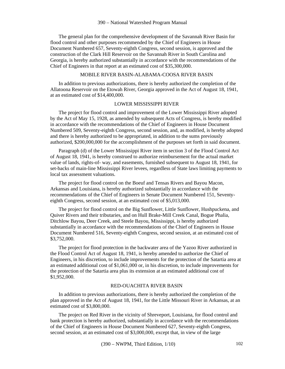The general plan for the comprehensive development of the Savannah River Basin for flood control and other purposes recommended by the Chief of Engineers in House Document Numbered 657, Seventy-eighth Congress, second session, is approved and the construction of the Clark Hill Reservoir on the Savannah River in South Carolina and Georgia, is hereby authorized substantially in accordance with the recommendations of the Chief of Engineers in that report at an estimated cost of \$35,300,000.

# MOBILE RIVER BASIN-ALABAMA-COOSA RIVER BASIN

 In addition to previous authorizations, there is hereby authorized the completion of the Allatoona Reservoir on the Etowah River, Georgia approved in the Act of August 18, 1941, at an estimated cost of \$14,400,000.

#### LOWER MISSISSIPPI RIVER

 The project for flood control and improvement of the Lower Mississippi River adopted by the Act of May 15, 1928, as amended by subsequent Acts of Congress, is hereby modified in accordance with the recommendations of the Chief of Engineers in House Document Numbered 509, Seventy-eighth Congress, second session, and, as modified, is hereby adopted and there is hereby authorized to be appropriated, in addition to the sums previously authorized, \$200,000,000 for the accomplishment of the purposes set forth in said document.

 Paragraph (d) of the Lower Mississippi River item in section 3 of the Flood Control Act of August 18, 1941, is hereby construed to authorize reimbursement for the actual market value of lands, rights-of- way, and easements, furnished subsequent to August 18, 1941, for set-backs of main-line Mississippi River levees, regardless of State laws limiting payments to local tax assessment valuations.

 The project for flood control on the Boeuf and Tensas Rivers and Bayou Macon, Arkansas and Louisiana, is hereby authorized substantially in accordance with the recommendations of the Chief of Engineers in Senate Document Numbered 151, Seventyeighth Congress, second session, at an estimated cost of \$5,013,000.

 The project for flood control on the Big Sunflower, Little Sunflower, Hushpuckena, and Quiver Rivers and their tributaries, and on Hull Brake-Mill Creek Canal, Bogue Phalia, Ditchlow Bayou, Deer Creek, and Steele Bayou, Mississippi, is hereby authorized substantially in accordance with the recommendations of the Chief of Engineers in House Document Numbered 516, Seventy-eighth Congress, second session, at an estimated cost of \$3,752,000.

 The project for flood protection in the backwater area of the Yazoo River authorized in the Flood Control Act of August 18, 1941, is hereby amended to authorize the Chief of Engineers, in his discretion, to include improvements for the protection of the Satartia area at an estimated additional cost of \$1,061,000 or, in his discretion, to include improvements for the protection of the Satartia area plus its extension at an estimated additional cost of \$1,952,000.

#### RED-OUACHITA RIVER BASIN

 In addition to previous authorizations, there is hereby authorized the completion of the plan approved in the Act of August 18, 1941, for the Little Missouri River in Arkansas, at an estimated cost of \$3,800,000.

 The project on Red River in the vicinity of Shreveport, Louisiana, for flood control and bank protection is hereby authorized, substantially in accordance with the recommendations of the Chief of Engineers in House Document Numbered 627, Seventy-eighth Congress, second session, at an estimated cost of \$3,000,000, except that, in view of the large

 $(390 - NWPM, Third Edition, 1/10)$  102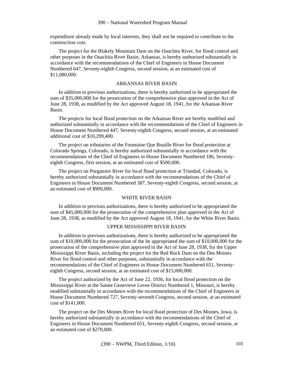expenditure already made by local interests, they shall not be required to contribute to the construction cost.

 The project for the Blakely Mountain Dam on the Ouachita River, for flood control and other purposes in the Ouachita River Basin, Arkansas, is hereby authorized substantially in accordance with the recommendations of the Chief of Engineers in House Document Numbered 647, Seventy-eighth Congress, second session, at an estimated cost of \$11,080,000.

#### ARKANSAS RIVER BASIN

 In addition to previous authorizations, there is hereby authorized to be appropriated the sum of \$35,000,000 for the prosecution of the comprehensive plan approved in the Act of June 28, 1938, as modified by the Act approved August 18, 1941, for the Arkansas River Basin.

 The projects for local flood protection on the Arkansas River are hereby modified and authorized substantially in accordance with the recommendations of the Chief of Engineers in House Document Numbered 447, Seventy-eighth Congress, second session, at an estimated additional cost of \$10,299,400.

 The project on tributaries of the Fountaine Que Bouille River for flood protection at Colorado Springs, Colorado, is hereby authorized substantially in accordance with the recommendations of the Chief of Engineers in House Document Numbered 186, Seventyeighth Congress, first session, at an estimated cost of \$500,000.

 The project on Purgatoire River for local flood protection at Trinidad, Colorado, is hereby authorized substantially in accordance with the recommendations of the Chief of Engineers in House Document Numbered 387, Seventy-eighth Congress, second session, at an estimated cost of \$909,000.

# WHITE RIVER BASIN

 In addition to previous authorizations, there is hereby authorized to be appropriated the sum of \$45,000,000 for the prosecution of the comprehensive plan approved in the Act of June 28, 1938, as modified by the Act approved August 18, 1941, for the White River Basin.

### UPPER MISSISSIPPI RIVER BASIN

 In addition to previous authorizations, there is hereby authorized to be appropriated the sum of \$10,000,000 for the prosecution of the be appropriated the sum of \$10,000,000 for the prosecution of the comprehensive plan approved in the Act of June 28, 1938, for the Upper Mississippi River Basin, including the project for the Red Rock Dam on the Des Moines River for flood control and other purposes, substantially in accordance with the recommendations of the Chief of Engineers in House Document Numbered 651, Seventyeighth Congress, second session, at an estimated cost of \$15,000,000.

 The project authorized by the Act of June 22, 1936, for local flood protection on the Mississippi River at the Sainte Genevieve Levee District Numbered 1, Missouri, is hereby modified substantially in accordance with the recommendations of the Chief of Engineers in House Document Numbered 727, Seventy-seventh Congress, second session, at an estimated cost of \$141,000.

 The project on the Des Moines River for local flood protection of Des Moines, Iowa, is hereby authorized substantially in accordance with the recommendations of the Chief of Engineers in House Document Numbered 651, Seventy-eighth Congress, second session, at an estimated cost of \$270,000.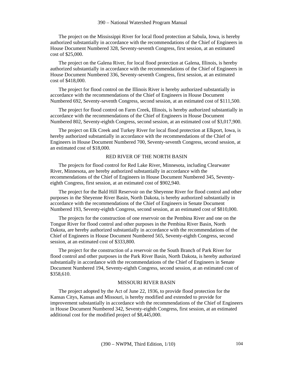The project on the Mississippi River for local flood protection at Sabula, Iowa, is hereby authorized substantially in accordance with the recommendations of the Chief of Engineers in House Document Numbered 328, Seventy-seventh Congress, first session, at an estimated cost of \$25,000.

 The project on the Galena River, for local flood protection at Galena, Illinois, is hereby authorized substantially in accordance with the recommendations of the Chief of Engineers in House Document Numbered 336, Seventy-seventh Congress, first session, at an estimated cost of \$418,000.

 The project for flood control on the Illinois River is hereby authorized substantially in accordance with the recommendations of the Chief of Engineers in House Document Numbered 692, Seventy-seventh Congress, second session, at an estimated cost of \$111,500.

 The project for flood control on Farm Creek, Illinois, is hereby authorized substantially in accordance with the recommendations of the Chief of Engineers in House Document Numbered 802, Seventy-eighth Congress, second session, at an estimated cost of \$3,017,900.

 The project on Elk Creek and Turkey River for local flood protection at Elkport, Iowa, is hereby authorized substantially in accordance with the recommendations of the Chief of Engineers in House Document Numbered 700, Seventy-seventh Congress, second session, at an estimated cost of \$18,000.

### RED RIVER OF THE NORTH BASIN

 The projects for flood control for Red Lake River, Minnesota, including Clearwater River, Minnesota, are hereby authorized substantially in accordance with the recommendations of the Chief of Engineers in House Document Numbered 345, Seventyeighth Congress, first session, at an estimated cost of \$902,940.

 The project for the Bald Hill Reservoir on the Sheyenne River for flood control and other purposes in the Sheyenne River Basin, North Dakota, is hereby authorized substantially in accordance with the recommendations of the Chief of Engineers in Senate Document Numbered 193, Seventy-eighth Congress, second session, at an estimated cost of \$810,000.

 The projects for the construction of one reservoir on the Pembina River and one on the Tongue River for flood control and other purposes in the Pembina River Basin, North Dakota, are hereby authorized substantially in accordance with the recommendations of the Chief of Engineers in House Document Numbered 565, Seventy-eighth Congress, second session, at an estimated cost of \$333,800.

 The project for the construction of a reservoir on the South Branch of Park River for flood control and other purposes in the Park River Basin, North Dakota, is hereby authorized substantially in accordance with the recommendations of the Chief of Engineers in Senate Document Numbered 194, Seventy-eighth Congress, second session, at an estimated cost of \$358,610.

#### MISSOURI RIVER BASIN

 The project adopted by the Act of June 22, 1936, to provide flood protection for the Kansas Citys, Kansas and Missouri, is hereby modified and extended to provide for improvement substantially in accordance with the recommendations of the Chief of Engineers in House Document Numbered 342, Seventy-eighth Congress, first session, at an estimated additional cost for the modified project of \$8,445,000.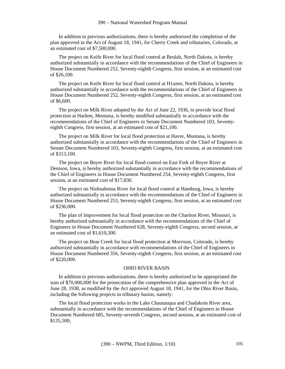In addition to previous authorizations, there is hereby authorized the completion of the plan approved in the Act of August 18, 1941, for Cherry Creek and tributaries, Colorado, at an estimated cost of \$7,500,000.

 The project on Knife River for local flood control at Beulah, North Dakota, is hereby authorized substantially in accordance with the recommendations of the Chief of Engineers in House Document Numbered 252, Seventy-eighth Congress, first session, at an estimated cost of \$26,100.

 The project on Knife River for local flood control at H1azen, North Dakota, is hereby authorized substantially in accordance with the recommendations of the Chief of Engineers in House Document Numbered 252, Seventy-eighth Congress, first session, at an estimated cost of \$6,600.

 The project on Milk River adopted by the Act of June 22, 1936, to provide local flood protection at Harlem, Montana, is hereby modified substantially in accordance with the recommendations of the Chief of Engineers in Senate Document Numbered 103, Seventyeighth Congress, first session, at an estimated cost of \$21,100.

 The project on Milk River for local flood protection at Havre, Montana, is hereby authorized substantially in accordance with the recommendations of the Chief of Engineers in Senate Document Numbered 103, Seventy-eighth Congress, first session, at an estimated cost of \$313,100.

 The project on Boyer River for local flood control on East Fork of Boyer River at Denison, Iowa, is hereby authorized substantially in accordance with the recommendations of the Chief of Engineers in House Document Numbered 254, Seventy-eighth Congress, first session, at an estimated cost of \$17,830.

 The project on Nishnabotna River for local flood control at Hamburg, Iowa, is hereby authorized substantially in accordance with the recommendations of the Chief of Engineers in House Document Numbered 253, Seventy-eighth Congress, first session, at an estimated cost of \$236,000.

 The plan of improvement for local flood protection on the Chariton River, Missouri, is hereby authorized substantially in accordance with the recommendations of the Chief of Engineers in House Document Numbered 628, Seventy-eighth Congress, second session, at an estimated cost of \$1,610,300.

 The project on Bear Creek for local flood protection at Morrison, Colorado, is hereby authorized substantially in accordance with recommendations of the Chief of Engineers in House Document Numbered 356, Seventy-eighth Congress, first session, at an estimated cost of \$220,000.

#### OHIO RIVER BASIN

 In addition to previous authorizations, there is hereby authorized to be appropriated the sum of \$70,000,000 for the prosecution of the comprehensive plan approved in the Act of June 28, 1938, as modified by the Act approved August 18, 1941, for the Ohio River Basin, including the following projects in tributary basins, namely:

 The local flood protection works in the Lake Chautauqua and Chadakoin River area, substantially in accordance with the recommendations of the Chief of Engineers in House Document Numbered 685, Seventy-seventh Congress, second session, at an estimated cost of \$135,500;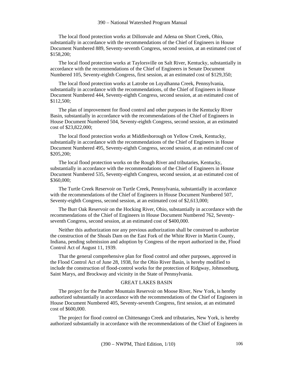The local flood protection works at Dillonvale and Adena on Short Creek, Ohio, substantially in accordance with the recommendations of the Chief of Engineers in House Document Numbered 889, Seventy-seventh Congress, second session, at an estimated cost of \$158,200;

 The local flood protection works at Taylorsville on Salt River, Kentucky, substantially in accordance with the recommendations of the Chief of Engineers in Senate Document Numbered 105, Seventy-eighth Congress, first session, at an estimated cost of \$129,350;

 The local flood protection works at Latrobe on Loyalhanna Creek, Pennsylvania, substantially in accordance with the recommendations, of the Chief of Engineers in House Document Numbered 444, Seventy-eighth Congress, second session, at an estimated cost of \$112,500;

 The plan of improvement for flood control and other purposes in the Kentucky River Basin, substantially in accordance with the recommendations of the Chief of Engineers in House Document Numbered 504, Seventy-eighth Congress, second session, at an estimated cost of \$23,822,000;

 The local flood protection works at Middlesborough on Yellow Creek, Kentucky, substantially in accordance with the recommendations of the Chief of Engineers in House Document Numbered 495, Seventy-eighth Congress, second session, at an estimated cost of \$205,200;

 The local flood protection works on the Rough River and tributaries, Kentucky, substantially in accordance with the recommendations of the Chief of Engineers in House Document Numbered 535, Seventy-eighth Congress, second session, at an estimated cost of \$360,000;

 The Turtle Creek Reservoir on Turtle Creek, Pennsylvania, substantially in accordance with the recommendations of the Chief of Engineers in House Document Numbered 507, Seventy-eighth Congress, second session, at an estimated cost of \$2,613,000;

 The Burr Oak Reservoir on the Hocking River, Ohio, substantially in accordance with the recommendations of the Chief of Engineers in House Document Numbered 762, Seventyseventh Congress, second session, at an estimated cost of \$400,000.

 Neither this authorization nor any previous authorization shall be construed to authorize the construction of the Shoals Dam on the East Fork of the White River in Martin County, Indiana, pending submission and adoption by Congress of the report authorized in the, Flood Control Act of August 11, 1939.

 That the general comprehensive plan for flood control and other purposes, approved in the Flood Control Act of June 28, 1938, for the Ohio River Basin, is hereby modified to include the construction of flood-control works for the protection of Ridgway, Johnsonburg, Saint Marys, and Brockway and vicinity in the State of Pennsylvania.

#### GREAT LAKES BASIN

 The project for the Panther Mountain Reservoir on Moose River, New York, is hereby authorized substantially in accordance with the recommendations of the Chief of Engineers in House Document Numbered 405, Seventy-seventh Congress, first session, at an estimated cost of \$600,000.

 The project for flood control on Chittenango Creek and tributaries, New York, is hereby authorized substantially in accordance with the recommendations of the Chief of Engineers in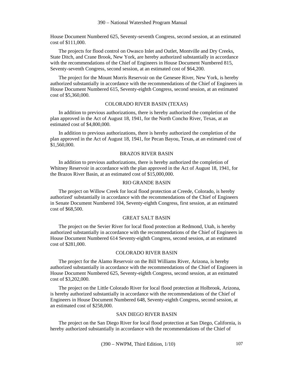House Document Numbered 625, Seventy-seventh Congress, second session, at an estimated cost of \$111,000.

 The projects for flood control on Owasco Inlet and Outlet, Montville and Dry Creeks, State Ditch, and Crane Brook, New York, are hereby authorized substantially in accordance with the recommendations of the Chief of Engineers in House Document Numbered 815, Seventy-seventh Congress, second session, at an estimated cost of \$64,200.

 The project for the Mount Morris Reservoir on the Genesee River, New York, is hereby authorized substantially in accordance with the recommendations of the Chief of Engineers in House Document Numbered 615, Seventy-eighth Congress, second session, at an estimated cost of \$5,360,000.

### COLORADO RIVER BASIN (TEXAS)

 In addition to previous authorizations, there is hereby authorized the completion of the plan approved in the Act of August 18, 1941, for the North Concho River, Texas, at an estimated cost of \$4,800,000.

 In addition to previous authorizations, there is hereby authorized the completion of the plan approved in the Act of August 18, 1941, for Pecan Bayou, Texas, at an estimated cost of \$1,560,000.

#### BRAZOS RIVER BASIN

 In addition to previous authorizations, there is hereby authorized the completion of Whitney Reservoir in accordance with the plan approved in the Act of August 18, 1941, for the Brazos River Basin, at an estimated cost of \$15,000,000.

#### RIO GRANDE BASIN

 The project on Willow Creek for local flood protection at Creede, Colorado, is hereby authorized' substantially in accordance with the recommendations of the Chief of Engineers in Senate Document Numbered 104, Seventy-eighth Congress, first session, at an estimated cost of \$68,500.

### GREAT SALT BASIN

 The project on the Sevier River for local flood protection at Redmond, Utah, is hereby authorized substantially in accordance with the recommendations of the Chief of Engineers in House Document Numbered 614 Seventy-eighth Congress, second session, at an estimated cost of \$281,000.

#### COLORADO RIVER BASIN

 The project for the Alamo Reservoir on the Bill Williams River, Arizona, is hereby authorized substantially in accordance with the recommendations of the Chief of Engineers in House Document Numbered 625, Seventy-eighth Congress, second session, at an estimated cost of \$3,202,000.

 The project on the Little Colorado River for local flood protection at Holbrook, Arizona, is hereby authorized substantially in accordance with the recommendations of the Chief of Engineers in House Document Numbered 648, Seventy-eighth Congress, second session, at an estimated cost of \$258,000.

#### SAN DIEGO RIVER BASIN

 The project on the San Diego River for local flood protection at San Diego, California, is hereby authorized substantially in accordance with the recommendations of the Chief of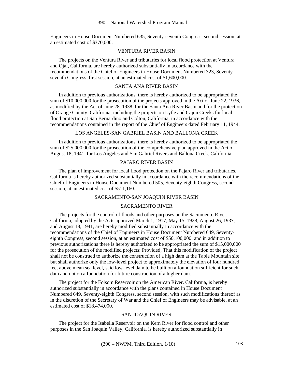Engineers in House Document Numbered 635, Seventy-seventh Congress, second session, at an estimated cost of \$370,000.

## VENTURA RIVER BASIN

 The projects on the Ventura River and tributaries for local flood protection at Ventura and Ojai, California, are hereby authorized substantially in accordance with the recommendations of the Chief of Engineers in House Document Numbered 323, Seventyseventh Congress, first session, at an estimated cost of \$1,600,000.

### SANTA ANA RIVER BASIN

 In addition to previous authorizations, there is hereby authorized to be appropriated the sum of \$10,000,000 for the prosecution of the projects approved in the Act of June 22, 1936, as modified by the Act of June 28, 1938, for the Santa Ana River Basin and for the protection of Orange County, California, including the projects on Lytle and Cajon Creeks for local flood protection at San Bernardino and Colton, California, in accordance with the recommendations contained in the report of the Chief of Engineers dated February 11, 1944.

### LOS ANGELES-SAN GABRIEL BASIN AND BALLONA CREEK

 In addition to previous authorizations, there is hereby authorized to be appropriated the sum of \$25,000,000 for the prosecution of the comprehensive plan approved in the Act of August 18, 1941, for Los Angeles and San Gabriel Rivers and Ballona Creek, California.

### PAJARO RIVER BASIN

 The plan of improvement for local flood protection on the Pajaro River and tributaries, California is hereby authorized substantially in accordance with the recommendations of the Chief of Engineers m House Document Numbered 505, Seventy-eighth Congress, second session, at an estimated cost of \$511,160.

## SACRAMENTO-SAN JOAQUIN RIVER BASIN

#### SACRAMENTO RIVER

 The projects for the control of floods and other purposes on the Sacramento River, California, adopted by the Acts approved March 1, 1917, May 15, 1928, August 26, 1937, and August 18, 1941, are hereby modified substantially in accordance with the recommendations of the Chief of Engineers in House Document Numbered 649, Seventyeighth Congress, second session, at an estimated cost of \$50,100,000; and in addition to previous authorizations there is hereby authorized to be appropriated the sum of \$15,000,000 for the prosecution of the modified projects: Provided, That this modification of the project shall not be construed to authorize the construction of a high dam at the Table Mountain site but shall authorize only the low-level project to approximately the elevation of four hundred feet above mean sea level, said low-level dam to be built on a foundation sufficient for such dam and not on a foundation for future construction of a higher dam.

 The project for the Folsom Reservoir on the American River, California, is hereby authorized substantially in accordance with the plans contained in House Document Numbered 649, Seventy-eighth Congress, second session, with such modifications thereof as in the discretion of the Secretary of War and the Chief of Engineers may be advisable, at an estimated cost of \$18,474,000.

#### SAN JOAQUIN RIVER

 The project for the Isabella Reservoir on the Kern River for flood control and other purposes in the San Joaquin Valley, California, is hereby authorized substantially in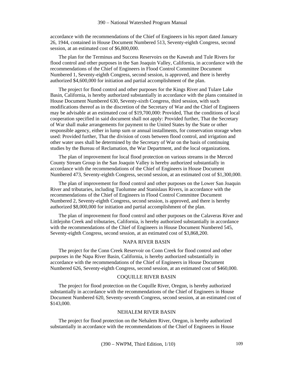accordance with the recommendations of the Chief of Engineers in his report dated January 26, 1944, contained in House Document Numbered 513, Seventy-eighth Congress, second session, at an estimated cost of \$6,800,000.

 The plan for the Terminus and Success Reservoirs on the Kaweah and Tule Rivers for flood control and other purposes in the San Joaquin Valley, California, in accordance with the recommendations of the Chief of Engineers in Flood Control Committee Document Numbered 1, Seventy-eighth Congress, second session, is approved, and there is hereby authorized \$4,600,000 for initiation and partial accomplishment of the plan.

 The project for flood control and other purposes for the Kings River and Tulare Lake Basin, California, is hereby authorized substantially in accordance with the plans contained in House Document Numbered 630, Seventy-sixth Congress, third session, with such modifications thereof as in the discretion of the Secretary of War and the Chief of Engineers may be advisable at an estimated cost of \$19,700,000: Provided, That the conditions of local cooperation specified in said document shall not apply: Provided further, That the Secretary of War shall make arrangements for payment to the United States by the State or other responsible agency, either in lump sum or annual installments, for conservation storage when used: Provided further, That the division of costs between flood control, and irrigation and other water uses shall be determined by the Secretary of War on the basis of continuing studies by the Bureau of Reclamation, the War Department, and the local organizations.

 The plan of improvement for local flood protection on various streams in the Merced County Stream Group in the San Joaquin Valley is hereby authorized substantially in accordance with the recommendations of the Chief of Engineers in House Document Numbered 473, Seventy-eighth Congress, second session, at an estimated cost of \$1,300,000.

 The plan of improvement for flood control and other purposes on the Lower San Joaquin River and tributaries, including Tuolumne and Stanislaus Rivers, in accordance with the recommendations of the Chief of Engineers in Flood Control Committee Document Numbered 2, Seventy-eighth Congress, second session, is approved, and there is hereby authorized \$8,000,000 for initiation and partial accomplishment of the plan.

 The plan of improvement for flood control and other purposes on the Calaveras River and Littlejohn Creek and tributaries, California, is hereby authorized substantially in accordance with the recommendations of the Chief of Engineers in House Document Numbered 545, Seventy-eighth Congress, second session, at an estimated cost of \$3,868,200.

#### NAPA RIVER BASIN

 The project for the Conn Creek Reservoir on Conn Creek for flood control and other purposes in the Napa River Basin, California, is hereby authorized substantially in accordance with the recommendations of the Chief of Engineers in House Document Numbered 626, Seventy-eighth Congress, second session, at an estimated cost of \$460,000.

## COQUILLE RIVER BASIN

 The project for flood protection on the Coquille River, Oregon, is hereby authorized substantially in accordance with the recommendations of the Chief of Engineers in House Document Numbered 620, Seventy-seventh Congress, second session, at an estimated cost of \$143,000.

#### NEHALEM RIVER BASIN

 The project for flood protection on the Nehalem River, Oregon, is hereby authorized substantially in accordance with the recommendations of the Chief of Engineers in House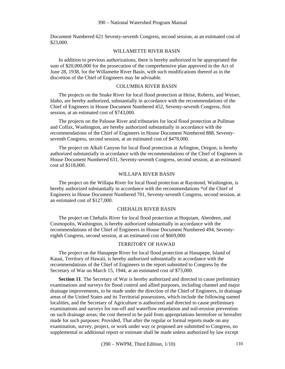Document Numbered 621 Seventy-seventh Congress, second session, at an estimated cost of \$23,000.

### WILLAMETTE RIVER BASIN

 In addition to previous authorizations, there is hereby authorized to be appropriated the sum of \$20,000,000 for the prosecution of the comprehensive plan approved in the Act of June 28, 1938, for the Willamette River Basin, with such modifications thereof as in the discretion of the Chief of Engineers may be advisable.

#### COLUMBIA RIVER BASIN

 The projects on the Snake River for local flood protection at Heise, Roberts, and Weiser, Idaho, are hereby authorized, substantially in accordance with the recommendations of the Chief of Engineers in House Document Numbered 452, Seventy-seventh Congress, first session, at an estimated cost of \$743,000.

 The projects on the Palouse River and tributaries for local flood protection at Pullman and Colfax, Washington, are hereby authorized substantially in accordance with the recommendations of the Chief of Engineers in House Document Numbered 888, Seventyseventh Congress, second session, at an estimated cost of \$478,000.

 The project on Alkali Canyon for local flood protection at Arlington, Oregon, is hereby authorized substantially in accordance with the recommendations of the Chief of Engineers in House Document Numbered 631, Seventy-seventh Congress, second session, at an estimated cost of \$118,000.

## WILLAPA RIVER BASIN

 The project on the Willapa River for local flood protection at Raymond, Washington, is hereby authorized substantially in accordance with the recommendations \*of the Chief of Engineers in House Document Numbered 701, Seventy-seventh Congress, second session, at an estimated cost of \$127,000.

#### CHEHALIS RIVER BASIN

 The project on Chehalis River for local flood protection at Hoquiam, Aberdeen, and Cosmopolis, Washington, is hereby authorized substantially in accordance with the recommendations of the Chief of Engineers in House Document Numbered 494, Seventyeighth Congress, second session, at an estimated cost of \$669,000.

### TERRITORY OF HAWAII

 The project on the Hanapepe River for local flood protection at Hanapepe, Island of Kauai, Territory of Hawaii, is hereby authorized substantially in accordance with the recommendations of the Chief of Engineers in the report submitted to Congress by the Secretary of War on March 15, 1944, at an estimated cost of \$73,000.

**Section 11**. The Secretary of War is hereby authorized and directed to cause preliminary examinations and surveys for flood control and allied purposes, including channel and major drainage improvements, to be made under the direction of the Chief of Engineers, in drainage areas of the United States and its Territorial possessions, which include the following named localities, and the Secretary of Agriculture is authorized and directed to cause preliminary examinations and surveys for run-off and waterflow retardation and soil-erosion prevention on such drainage areas; the cost thereof to be paid from appropriations heretofore or hereafter made for such purposes: Provided, That after the regular or formal reports made on any examination, survey, project, or work under way or proposed are submitted to Congress, no supplemental or additional report or estimate shall be made unless authorized by law except

(390 – NWPM, Third Edition, 1/10) 110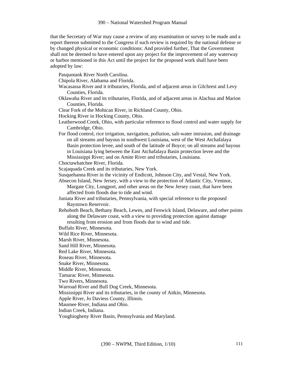that the Secretary of War may cause a review of any examination or survey to be made and a report thereon submitted to the Congress if such review is required by the national defense or by changed physical or economic conditions: And provided further, That the Government shall not be deemed to have entered upon any project for the improvement of any waterway or harbor mentioned in this Act until the project for the proposed work shall have been adopted by law:

Pasquotank River North Carolina.

Chipola River, Alabama and Florida.

- Wacasassa River and it tributaries, Florida, and of adjacent areas in Gilchrest and Levy Counties, Florida.
- Oklawaha River and its tributaries, Florida, and of adjacent areas in Alachua and Marion Counties, Florida.
- Clear Fork of the Mohican River, in Richland County, Ohio.

Hocking River in Hocking County, Ohio.

- Leatherwood Creek, Ohio, with particular reference to flood control and water supply for Cambridge, Ohio.
- For flood control, rice irrigation, navigation, pollution, salt-water intrusion, and drainage on all streams and bayous in southwest Louisiana, west of the West Atchafalaya Basin protection levee, and south of the latitude of Boyce; on all streams and bayous in Louisiana lying between the East Atchafalaya Basin protection levee and the Mississippi River; and on Amite River and tributaries, Louisiana.

Choctawhatchee River, Florida.

Scajaquada Creek and its tributaries, New York.

Susquehanna River in the vicinity of Endicott, Johnson City, and Vestal, New York.

Absecon Island, New Jersey, with a view to the protection of Atlantic City, Ventnor,

Margate City, Longport, and other areas on the New Jersey coast, that have been affected from floods due to tide and wind.

- Juniata River and tributaries, Pennsylvania, with special reference to the proposed Raystown Reservoir.
- Rehoboth Beach, Bethany Beach, Lewes, and Fenwick Island, Delaware, and other points along the Delaware coast, with a view to providing protection against damage resulting from erosion and from floods due to wind and tide.

Buffalo River, Minnesota.

- Wild Rice River, Minnesota.
- Marsh River, Minnesota.
- Sand Hill River, Minnesota.

Red Lake River, Minnesota.

Roseau River, Minnesota.

Snake River, Minnesota.

Middle River, Minnesota.

Tamarac River, Minnesota.

Two Rivers, Minnesota.

Warroad River and Bull Dog Creek, Minnesota.

Mississippi River and its tributaries, in the county of Aitkin, Minnesota.

Apple River, Jo Daviess County, Illinois.

Maumee River, Indiana and Ohio.

Indian Creek, Indiana.

Youghiogheny River Basin, Pennsylvania and Maryland.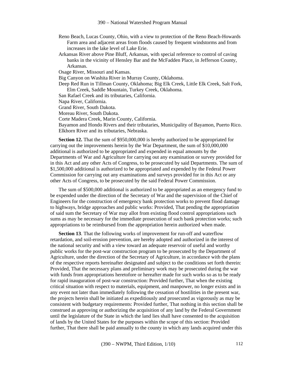- Reno Beach, Lucas County, Ohio, with a view to protection of the Reno Beach-Howards Farm area and adjacent areas from floods caused by frequent windstorms and from increases in the lake level of Lake Erie.
- Arkansas River above Pine Bluff, Arkansas, with special reference to control of caving banks in the vicinity of Hensley Bar and the McFadden Place, in Jefferson County, Arkansas.

Osage River, Missouri and Kansas.

Big Canyon on Washita River in Murray County, Oklahoma.

Deep Red Run in Tillman County, Oklahoma; Big Elk Creek, Little Elk Creek, Salt Fork, Elm Creek, Saddle Mountain, Turkey Creek, Oklahoma.

San Rafael Creek and its tributaries, California.

Napa River, California.

Grand River, South Dakota.

Moreau River, South Dakota.

Corte Madera Creek, Marin County, California.

Bayamon and Hondo Rivers and their tributaries, Municipality of Bayamon, Puerto Rico. Elkhorn River and its tributaries, Nebraska.

**Section 12.** That the sum of \$950,000,000 is hereby authorized to be appropriated for carrying out the improvements herein by the War Department, the sum of \$10,000,000 additional is authorized to be appropriated and expended in equal amounts by the Departments of War and Agriculture for carrying out any examination or survey provided for in this Act and any other Acts of Congress, to be prosecuted by said Departments. The sum of \$1,500,000 additional is authorized to be appropriated and expended by the Federal Power Commission for carrying out any examinations and surveys provided for in this Act or any other Acts of Congress, to be prosecuted by the said Federal Power Commission.

 The sum of \$500,000 additional is authorized to be appropriated as an emergency fund to be expended under the direction of the Secretary of War and the supervision of the Chief of Engineers for the construction of emergency bank protection works to prevent flood damage to highways, bridge approaches and public works: Provided, That pending the appropriation of said sum the Secretary of War may allot from existing flood control appropriations such sums as may be necessary for the immediate prosecution of such bank protection works; such appropriations to be reimbursed from the appropriation herein authorized when made.

**Section 13**. That the following works of improvement for run-off and waterflow retardation, and soil-erosion prevention, are hereby adopted and authorized in the interest of the national security and with a view toward an adequate reservoir of useful and worthy public works for the post-war construction program to be prosecuted by the Department of Agriculture, under the direction of the Secretary of Agriculture, in accordance with the plans of the respective reports hereinafter designated and subject to the conditions set forth therein: Provided, That the necessary plans and preliminary work may be prosecuted during the war with funds from appropriations heretofore or hereafter made for such works so as to be ready for rapid inauguration of post-war construction: Provided further, That when the existing critical situation with respect to materials, equipment, and manpower, no longer exists and in any event not later than immediately following the cessation of hostilities in the present war, the projects herein shall be initiated as expeditiously and prosecuted as vigorously as may be consistent with budgetary requirements: Provided further, That nothing in this section shall be construed as approving or authorizing the acquisition of any land by the Federal Government until the legislature of the State in which the land lies shall have consented to the acquisition of lands by the United States for the purposes within the scope of this section: Provided further, That there shall be paid annually to the county in which any lands acquired under this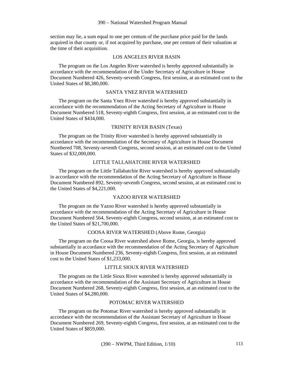section may lie, a sum equal to one per centum of the purchase price paid for the lands acquired in that county or, if not acquired by purchase, one per centum of their valuation at the time of their acquisition.

### LOS ANGELES RIVER BASIN

 The program on the Los Angeles River watershed is hereby approved substantially in accordance with the recommendation of the Under Secretary of Agriculture in House Document Numbered 426, Seventy-seventh Congress, first session, at an estimated cost to the United States of \$8,380,000.

### SANTA YNEZ RIVER WATERSHED

 The program on the Santa Ynez River watershed is hereby approved substantially in accordance with the recommendation of the Acting Secretary of Agriculture in House Document Numbered 518, Seventy-eighth Congress, first session, at an estimated cost to the United States of \$434,000.

### TRINITY RIVER BASIN (Texas)

 The program on the Trinity River watershed is hereby approved substantially in accordance with the recommendation of the Secretary of Agriculture in House Document Numbered 708, Seventy-seventh Congress, second session, at an estimated cost to the United States of \$32,000,000.

## LITTLE TALLAHATCHIE RIVER WATERSHED

 The program on the Little Tallahatchie River watershed is hereby approved substantially in accordance with the recommendation of the Acting Secretary of Agriculture in House Document Numbered 892, Seventy-seventh Congress, second session, at an estimated cost to the United States of \$4,221,000.

## YAZOO RIVER WATERSHED

 The program on the Yazoo River watershed is hereby approved substantially in accordance with the recommendation of the Acting Secretary of Agriculture in House Document Numbered 564, Seventy-eighth Congress, second session, at an estimated cost to the United States of \$21,700,000.

### COOSA RIVER WATERSHED (Above Rome, Georgia)

 The program on the Coosa River watershed above Rome, Georgia, is hereby approved substantially in accordance with the recommendation of the Acting Secretary of Agriculture in House Document Numbered 236, Seventy-eighth Congress, first session, at an estimated cost to the United States of \$1,233,000.

### LITTLE SIOUX RIVER WATERSHED

 The program on the Little Sioux River watershed is hereby approved substantially in accordance with the recommendation of the Assistant Secretary of Agriculture in House Document Numbered 268, Seventy-eighth Congress, first session, at an estimated cost to the United States of \$4,280,000.

## POTOMAC RIVER WATERSHED

 The program on the Potomac River watershed is hereby approved substantially in accordance with the recommendation of the Assistant Secretary of Agriculture in House Document Numbered 269, Seventy-eighth Congress, first session, at an estimated cost to the United States of \$859,000.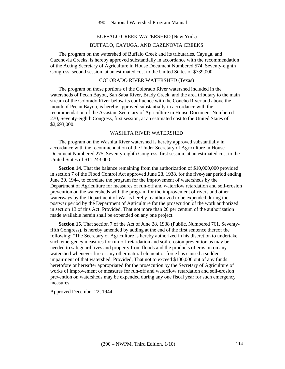### BUFFALO CREEK WATERSHED (New York)

### BUFFALO, CAYUGA, AND CAZENOVIA CREEKS

 The program on the watershed of Buffalo Creek and its tributaries, Cayuga, and Cazenovia Creeks, is hereby approved substantially in accordance with the recommendation of the Acting Secretary of Agriculture in House Document Numbered 574, Seventy-eighth Congress, second session, at an estimated cost to the United States of \$739,000.

### COLORADO RIVER WATERSHED (Texas)

 The program on those portions of the Colorado River watershed included in the watersheds of Pecan Bayou, San Saba River, Brady Creek, and the area tributary to the main stream of the Colorado River below its confluence with the Concho River and above the mouth of Pecan Bayou, is hereby approved substantially in accordance with the recommendation of the Assistant Secretary of Agriculture in House Document Numbered 270, Seventy-eighth Congress, first session, at an estimated cost to the United States of \$2,693,000.

### WASHITA RIVER WATERSHED

 The program on the Washita River watershed is hereby approved substantially in accordance with the recommendation of the Under Secretary of Agriculture in House Document Numbered 275, Seventy-eighth Congress, first session, at an estimated cost to the United States of \$11,243,000.

**Section 14**. That the balance remaining from the authorization of \$10,000,000 provided in section 7 of the Flood Control Act approved June 28, 1938, for the five-year period ending June 30, 1944, to correlate the program for the improvement of watersheds by the Department of Agriculture for measures of run-off and waterflow retardation and soil-erosion prevention on the watersheds with the program for the improvement of rivers and other waterways by the Department of War is hereby reauthorized to be expended during the postwar period by the Department of Agriculture for the prosecution of the work authorized in section 13 of this Act: Provided, That not more than 20 per centum of the authorization made available herein shall be expended on any one project.

 **Section 15**. That section 7 of the Act of June 28, 1938 (Public, Numbered 761, Seventyfifth Congress), is hereby amended by adding at the end of the first sentence thereof the following: "The Secretary of Agriculture is hereby authorized in his discretion to undertake such emergency measures for run-off retardation and soil-erosion prevention as may be needed to safeguard lives and property from floods and the products of erosion on any watershed whenever fire or any other natural element or force has caused a sudden impairment of that watershed: Provided, That not to exceed \$100,000 out of any funds heretofore or hereafter appropriated for the prosecution by the Secretary of Agriculture of works of improvement or measures for run-off and waterflow retardation and soil-erosion prevention on watersheds may be expended during any one fiscal year for such emergency measures."

Approved December 22, 1944.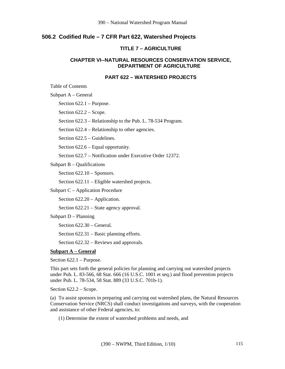## **506.2 Codified Rule – 7 CFR Part 622, Watershed Projects**

### **TITLE 7 – AGRICULTURE**

## **CHAPTER VI--NATURAL RESOURCES CONSERVATION SERVICE, DEPARTMENT OF AGRICULTURE**

## **PART 622 – WATERSHED PROJECTS**

Table of Contents

Subpart A – General

Section 622.1 – Purpose.

Section 622.2 – Scope.

Section 622.3 – Relationship to the Pub. L. 78-534 Program.

Section 622.4 – Relationship to other agencies.

Section 622.5 – Guidelines.

Section 622.6 – Equal opportunity.

Section 622.7 – Notification under Executive Order 12372.

Subpart B – Qualifications

Section 622.10 – Sponsors.

Section 622.11 – Eligible watershed projects.

Subpart C – Application Procedure

Section 622.20 – Application.

Section 622.21 – State agency approval.

Subpart D – Planning

Section 622.30 – General.

Section 622.31 – Basic planning efforts.

Section 622.32 – Reviews and approvals.

### **Subpart A – General**

Section 622.1 – Purpose.

This part sets forth the general policies for planning and carrying out watershed projects under Pub. L. 83-566, 68 Stat. 666 (16 U.S.C. 1001 et seq.) and flood prevention projects under Pub. L. 78-534, 58 Stat. 889 (33 U.S.C. 701b-1).

Section 622.2 – Scope.

(a) To assist sponsors in preparing and carrying out watershed plans, the Natural Resources Conservation Service (NRCS) shall conduct investigations and surveys, with the cooperation and assistance of other Federal agencies, to:

(1) Determine the extent of watershed problems and needs, and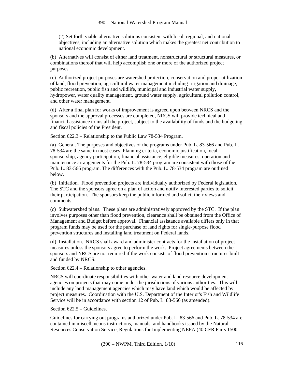### 390 – National Watershed Program Manual

(2) Set forth viable alternative solutions consistent with local, regional, and national objectives, including an alternative solution which makes the greatest net contribution to national economic development.

(b) Alternatives will consist of either land treatment, nonstructural or structural measures, or combinations thereof that will help accomplish one or more of the authorized project purposes.

(c) Authorized project purposes are watershed protection, conservation and proper utilization of land, flood prevention, agricultural water management including irrigation and drainage, public recreation, public fish and wildlife, municipal and industrial water supply, hydropower, water quality management, ground water supply, agricultural pollution control, and other water management.

(d) After a final plan for works of improvement is agreed upon between NRCS and the sponsors and the approval processes are completed, NRCS will provide technical and financial assistance to install the project, subject to the availability of funds and the budgeting and fiscal policies of the President.

Section 622.3 – Relationship to the Public Law 78-534 Program.

(a) General. The purposes and objectives of the programs under Pub. L. 83-566 and Pub. L. 78-534 are the same in most cases. Planning criteria, economic justification, local sponsorship, agency participation, financial assistance, eligible measures, operation and maintenance arrangements for the Pub. L. 78-534 program are consistent with those of the Pub. L. 83-566 program. The differences with the Pub. L. 78-534 program are outlined below.

(b) Initiation. Flood prevention projects are individually authorized by Federal legislation. The STC and the sponsors agree on a plan of action and notify interested parties to solicit their participation. The sponsors keep the public informed and solicit their views and comments.

(c) Subwatershed plans. These plans are administratively approved by the STC. If the plan involves purposes other than flood prevention, clearance shall be obtained from the Office of Management and Budget before approval. Financial assistance available differs only in that program funds may be used for the purchase of land rights for single-purpose flood prevention structures and installing land treatment on Federal lands.

(d) Installation. NRCS shall award and administer contracts for the installation of project measures unless the sponsors agree to perform the work. Project agreements between the sponsors and NRCS are not required if the work consists of flood prevention structures built and funded by NRCS.

Section 622.4 – Relationship to other agencies.

NRCS will coordinate responsibilities with other water and land resource development agencies on projects that may come under the jurisdictions of various authorities. This will include any land management agencies which may have land which would be affected by project measures. Coordination with the U.S. Department of the Interior's Fish and Wildlife Service will be in accordance with section 12 of Pub. L. 83-566 (as amended).

Section 622.5 – Guidelines.

Guidelines for carrying out programs authorized under Pub. L. 83-566 and Pub. L. 78-534 are contained in miscellaneous instructions, manuals, and handbooks issued by the Natural Resources Conservation Service, Regulations for Implementing NEPA (40 CFR Parts 1500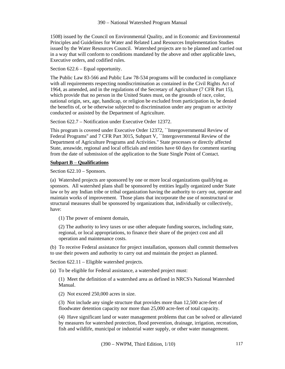1508) issued by the Council on Environmental Quality, and in Economic and Environmental Principles and Guidelines for Water and Related Land Resources Implementation Studies issued by the Water Resources Council. Watershed projects are to be planned and carried out in a way that will conform to conditions mandated by the above and other applicable laws, Executive orders, and codified rules.

Section 622.6 – Equal opportunity.

The Public Law 83-566 and Public Law 78-534 programs will be conducted in compliance with all requirements respecting nondiscrimination as contained in the Civil Rights Act of 1964, as amended, and in the regulations of the Secretary of Agriculture (7 CFR Part 15), which provide that no person in the United States must, on the grounds of race, color, national origin, sex, age, handicap, or religion be excluded from participation in, be denied the benefits of, or be otherwise subjected to discrimination under any program or activity conducted or assisted by the Department of Agriculture.

Section 622.7 – Notification under Executive Order 12372.

This program is covered under Executive Order 12372, ``Intergovernmental Review of Federal Programs" and 7 CFR Part 3015, Subpart V, "Intergovernmental Review of the Department of Agriculture Programs and Activities.'' State processes or directly affected State, areawide, regional and local officials and entities have 60 days for comment starting from the date of submission of the application to the State Single Point of Contact.

#### **Subpart B** – **Qualifications**

Section 622.10 – Sponsors.

(a) Watershed projects are sponsored by one or more local organizations qualifying as sponsors. All watershed plans shall be sponsored by entities legally organized under State law or by any Indian tribe or tribal organization having the authority to carry out, operate and maintain works of improvement. Those plans that incorporate the use of nonstructural or structural measures shall be sponsored by organizations that, individually or collectively, have:

(1) The power of eminent domain,

(2) The authority to levy taxes or use other adequate funding sources, including state, regional, or local appropriations, to finance their share of the project cost and all operation and maintenance costs.

(b) To receive Federal assistance for project installation, sponsors shall commit themselves to use their powers and authority to carry out and maintain the project as planned.

Section 622.11 – Eligible watershed projects.

(a) To be eligible for Federal assistance, a watershed project must:

(1) Meet the definition of a watershed area as defined in NRCS's National Watershed Manual.

(2) Not exceed 250,000 acres in size.

(3) Not include any single structure that provides more than 12,500 acre-feet of floodwater detention capacity nor more than 25,000 acre-feet of total capacity.

(4) Have significant land or water management problems that can be solved or alleviated by measures for watershed protection, flood prevention, drainage, irrigation, recreation, fish and wildlife, municipal or industrial water supply, or other water management.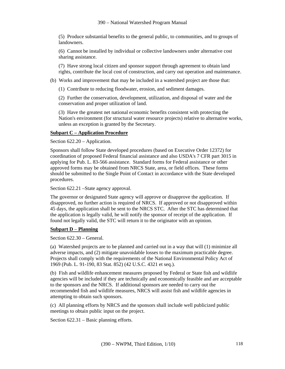(5) Produce substantial benefits to the general public, to communities, and to groups of landowners.

(6) Cannot be installed by individual or collective landowners under alternative cost sharing assistance.

(7) Have strong local citizen and sponsor support through agreement to obtain land rights, contribute the local cost of construction, and carry out operation and maintenance.

(b) Works and improvement that may be included in a watershed project are those that:

(1) Contribute to reducing floodwater, erosion, and sediment damages.

(2) Further the conservation, development, utilization, and disposal of water and the conservation and proper utilization of land.

(3) Have the greatest net national economic benefits consistent with protecting the Nation's environment (for structural water resource projects) relative to alternative works, unless an exception is granted by the Secretary.

### **Subpart C – Application Procedure**

Section 622.20 – Application.

Sponsors shall follow State developed procedures (based on Executive Order 12372) for coordination of proposed Federal financial assistance and also USDA's 7 CFR part 3015 in applying for Pub. L. 83-566 assistance. Standard forms for Federal assistance or other approved forms may be obtained from NRCS State, area, or field offices. These forms should be submitted to the Single Point of Contact in accordance with the State developed procedures.

Section 622.21 –State agency approval.

The governor or designated State agency will approve or disapprove the application. If disapproved, no further action is required of NRCS. If approved or not disapproved within 45 days, the application shall be sent to the NRCS STC. After the STC has determined that the application is legally valid, he will notify the sponsor of receipt of the application. If found not legally valid, the STC will return it to the originator with an opinion.

#### **Subpart D** – **Planning**

Section 622.30 – General.

(a) Watershed projects are to be planned and carried out in a way that will (1) minimize all adverse impacts, and (2) mitigate unavoidable losses to the maximum practicable degree. Projects shall comply with the requirements of the National Environmental Policy Act of 1969 (Pub. L. 91-190, 83 Stat. 852) (42 U.S.C. 4321 et seq.).

(b) Fish and wildlife enhancement measures proposed by Federal or State fish and wildlife agencies will be included if they are technically and economically feasible and are acceptable to the sponsors and the NRCS. If additional sponsors are needed to carry out the recommended fish and wildlife measures, NRCS will assist fish and wildlife agencies in attempting to obtain such sponsors.

(c) All planning efforts by NRCS and the sponsors shall include well publicized public meetings to obtain public input on the project.

Section 622.31 – Basic planning efforts.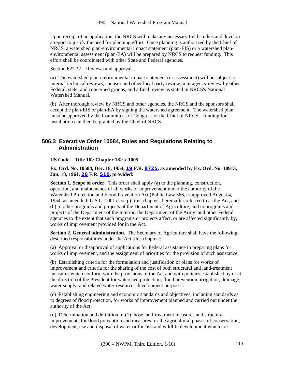Upon receipt of an application, the NRCS will make any necessary field studies and develop a report to justify the need for planning effort. Once planning is authorized by the Chief of NRCS, a watershed plan-environmental impact statement (plan-EIS) or a watershed planenvironmental assessment (plan-EA) will be prepared by NRCS to request funding. This effort shall be coordinated with other State and Federal agencies.

Section 622.32 – Reviews and approvals.

(a) The watershed plan-environmental impact statement (or assessment) will be subject to internal technical reviews, sponsor and other local party review, interagency review by other Federal, state, and concerned groups, and a final review as stated in NRCS's National Watershed Manual.

(b) After thorough review by NRCS and other agencies, the NRCS and the sponsors shall accept the plan-EIS or plan-EA by signing the watershed agreement. The watershed plan must be approved by the Committees of Congress or the Chief of NRCS. Funding for installation can then be granted by the Chief of NRCS.

# **506.3 Executive Order 10584, Rules and Regulations Relating to Administration**

**US Code – Title 16> Chapter 18> § 1005** 

**Ex. Ord. No. 10584, Dec. 18, 1954, [19](http://www4.law.cornell.edu/uscode/html/uscode/19.html) F.R. [8725](http://www4.law.cornell.edu/uscode/html/uscode/8725.html), as amended by Ex. Ord. No. 10913, Jan. 18, 1961, [26](http://www4.law.cornell.edu/uscode/html/uscode/26.html) F.R. [510](http://www4.law.cornell.edu/uscode/html/uscode/510.html), provided:** 

**Section 1. Scope of order.** This order shall apply (a) to the planning, construction, operation, and maintenance of all works of improvement under the authority of the Watershed Protection and Flood Prevention Act (Public Law 566, as approved August 4, 1954, as amended; U.S.C. 1001 et seq.) [this chapter], hereinafter referred to as the Act, and (b) to other programs and projects of the Department of Agriculture, and to programs and projects of the Department of the Interior, the Department of the Army, and other Federal agencies to the extent that such programs or projects affect, or are affected significantly by, works of improvement provided for in the Act.

**Section 2. General administration**. The Secretary of Agriculture shall have the followingdescribed responsibilities under the Act [this chapter]:

(a) Approval or disapproval of applications for Federal assistance in preparing plans for works of improvement, and the assignment of priorities for the provision of such assistance.

(b) Establishing criteria for the formulation and justification of plans for works of improvement and criteria for the sharing of the cost of both structural and land-treatment measures which conform with the provisions of the Act and with policies established by or at the direction of the President for watershed protection, flood prevention, irrigation, drainage, water supply, and related water-resources development purposes.

(c) Establishing engineering and economic standards and objectives, including standards as to degrees of flood protection, for works of improvement planned and carried out under the authority of the Act.

(d) Determination and definition of (1) those land-treatment measures and structural improvements for flood prevention and measures for the agricultural phases of conservation, development, use and disposal of water or for fish and wildlife development which are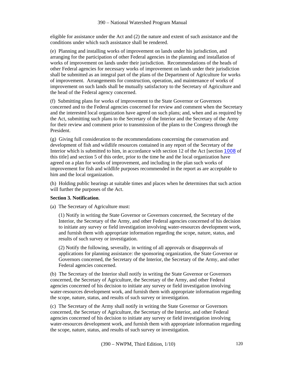eligible for assistance under the Act and (2) the nature and extent of such assistance and the conditions under which such assistance shall be rendered.

(e) Planning and installing works of improvement on lands under his jurisdiction, and arranging for the participation of other Federal agencies in the planning and installation of works of improvement on lands under their jurisdiction. Recommendations of the heads of other Federal agencies for necessary works of improvement on lands under their jurisdiction shall be submitted as an integral part of the plans of the Department of Agriculture for works of improvement. Arrangements for construction, operation, and maintenance of works of improvement on such lands shall be mutually satisfactory to the Secretary of Agriculture and the head of the Federal agency concerned.

(f) Submitting plans for works of improvement to the State Governor or Governors concerned and to the Federal agencies concerned for review and comment when the Secretary and the interested local organization have agreed on such plans; and, when and as required by the Act, submitting such plans to the Secretary of the Interior and the Secretary of the Army for their review and comment prior to transmission of the plans to the Congress through the President.

(g) Giving full consideration to the recommendations concerning the conservation and development of fish and wildlife resources contained in any report of the Secretary of the Interior which is submitted to him, in accordance with section 12 of the Act [section [1008](http://www4.law.cornell.edu/uscode/html/uscode16/usc_sec_16_00001008----000-.html) of this title] and section 5 of this order, prior to the time he and the local organization have agreed on a plan for works of improvement, and including in the plan such works of improvement for fish and wildlife purposes recommended in the report as are acceptable to him and the local organization.

(h) Holding public hearings at suitable times and places when he determines that such action will further the purposes of the Act.

#### **Section 3. Notification**.

(a) The Secretary of Agriculture must:

(1) Notify in writing the State Governor or Governors concerned, the Secretary of the Interior, the Secretary of the Army, and other Federal agencies concerned of his decision to initiate any survey or field investigation involving water-resources development work, and furnish them with appropriate information regarding the scope, nature, status, and results of such survey or investigation.

(2) Notify the following, severally, in writing of all approvals or disapprovals of applications for planning assistance: the sponsoring organization, the State Governor or Governors concerned, the Secretary of the Interior, the Secretary of the Army, and other Federal agencies concerned.

(b) The Secretary of the Interior shall notify in writing the State Governor or Governors concerned, the Secretary of Agriculture, the Secretary of the Army, and other Federal agencies concerned of his decision to initiate any survey or field investigation involving water-resources development work, and furnish them with appropriate information regarding the scope, nature, status, and results of such survey or investigation.

(c) The Secretary of the Army shall notify in writing the State Governor or Governors concerned, the Secretary of Agriculture, the Secretary of the Interior, and other Federal agencies concerned of his decision to initiate any survey or field investigation involving water-resources development work, and furnish them with appropriate information regarding the scope, nature, status, and results of such survey or investigation.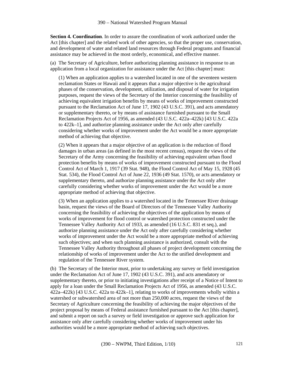**Section 4. Coordination**. In order to assure the coordination of work authorized under the Act [this chapter] and the related work of other agencies, so that the proper use, conservation, and development of water and related land resources through Federal programs and financial assistance may be achieved in the most orderly, economical, and effective manner.

(a) The Secretary of Agriculture, before authorizing planning assistance in response to an application from a local organization for assistance under the Act [this chapter] must:

(1) When an application applies to a watershed located in one of the seventeen western reclamation States or Hawaii and it appears that a major objective is the agricultural phases of the conservation, development, utilization, and disposal of water for irrigation purposes, request the views of the Secretary of the Interior concerning the feasibility of achieving equivalent irrigation benefits by means of works of improvement constructed pursuant to the Reclamation Act of June 17, 1902 ([43](http://www4.law.cornell.edu/uscode/html/uscode43/usc_sup_01_43.html) U.S.C. [391\)](http://www4.law.cornell.edu/uscode/html/uscode43/usc_sec_43_00000391----000-.html), and acts amendatory or supplementary thereto, or by means of assistance furnished pursuant to the Small Reclamation Projects Act of 1956, as amended ([43](http://www4.law.cornell.edu/uscode/html/uscode43/usc_sup_01_43.html) U.S.C. 422a–422k) [[43](http://www4.law.cornell.edu/uscode/html/uscode43/usc_sup_01_43.html) U.S.C. [422a](http://www4.law.cornell.edu/uscode/html/uscode43/usc_sec_43_00000422---a000-.html) to [422k–1](http://www4.law.cornell.edu/uscode/html/uscode43/usc_sec_43_00000422---k001-.html)], and authorize planning assistance under the Act only after carefully considering whether works of improvement under the Act would be a more appropriate method of achieving that objective.

(2) When it appears that a major objective of an application is the reduction of flood damages in urban areas (as defined in the most recent census), request the views of the Secretary of the Army concerning the feasibility of achieving equivalent urban flood protection benefits by means of works of improvement constructed pursuant to the Flood Control Act of March 1, 1917 ([39 Stat. 948\)](http://www4.law.cornell.edu/usc-cgi/get_external.cgi?type=statRef&target=date:nonech:nonestatnum:39_948), the Flood Control Act of May 15, 1928 [\(45](http://www4.law.cornell.edu/usc-cgi/get_external.cgi?type=statRef&target=date:nonech:nonestatnum:45_534)  [Stat. 534](http://www4.law.cornell.edu/usc-cgi/get_external.cgi?type=statRef&target=date:nonech:nonestatnum:45_534)), the Flood Control Act of June 22, 1936 ([49 Stat. 1570\)](http://www4.law.cornell.edu/usc-cgi/get_external.cgi?type=statRef&target=date:nonech:nonestatnum:49_1570), or acts amendatory or supplementary thereto, and authorize planning assistance under the Act only after carefully considering whether works of improvement under the Act would be a more appropriate method of achieving that objective.

(3) When an application applies to a watershed located in the Tennessee River drainage basin, request the views of the Board of Directors of the Tennessee Valley Authority concerning the feasibility of achieving the objectives of the application by means of works of improvement for flood control or watershed protection constructed under the Tennessee Valley Authority Act of 1933, as amended [\(16](http://www4.law.cornell.edu/uscode/html/uscode16/usc_sup_01_16.html) U.S.C. [831](http://www4.law.cornell.edu/uscode/html/uscode16/usc_sec_16_00000831----000-.html) et seq.), and authorize planning assistance under the Act only after carefully considering whether works of improvement under the Act would be a more appropriate method of achieving such objectives; and when such planning assistance is authorized, consult with the Tennessee Valley Authority throughout all phases of project development concerning the relationship of works of improvement under the Act to the unified development and regulation of the Tennessee River system.

(b) The Secretary of the Interior must, prior to undertaking any survey or field investigation under the Reclamation Act of June 17, 1902 ([43](http://www4.law.cornell.edu/uscode/html/uscode43/usc_sup_01_43.html) U.S.C. [391](http://www4.law.cornell.edu/uscode/html/uscode43/usc_sec_43_00000391----000-.html)), and acts amendatory or supplementary thereto, or prior to initiating investigations after receipt of a Notice of Intent to apply for a loan under the Small Reclamation Projects Act of 1956, as amended [\(43](http://www4.law.cornell.edu/uscode/html/uscode43/usc_sup_01_43.html) U.S.C. 422a–422k) [\[43](http://www4.law.cornell.edu/uscode/html/uscode43/usc_sup_01_43.html) U.S.C. [422a](http://www4.law.cornell.edu/uscode/html/uscode43/usc_sec_43_00000422---a000-.html) to [422k–1\]](http://www4.law.cornell.edu/uscode/html/uscode43/usc_sec_43_00000422---k001-.html), relating to works of improvements wholly within a watershed or subwatershed area of not more than 250,000 acres, request the views of the Secretary of Agriculture concerning the feasibility of achieving the major objectives of the project proposal by means of Federal assistance furnished pursuant to the Act [this chapter], and submit a report on such a survey or field investigation or approve such application for assistance only after carefully considering whether works of improvement under his authorities would be a more appropriate method of achieving such objectives.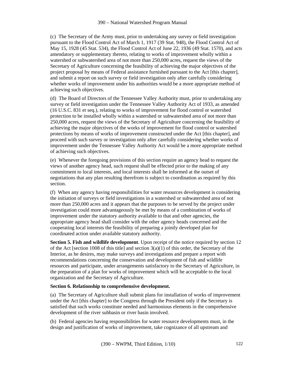(c) The Secretary of the Army must, prior to undertaking any survey or field investigation pursuant to the Flood Control Act of March 1, 1917 [\(39 Stat. 948](http://www4.law.cornell.edu/usc-cgi/get_external.cgi?type=statRef&target=date:nonech:nonestatnum:39_948)), the Flood Control Act of May 15, 1928 ([45 Stat. 534\)](http://www4.law.cornell.edu/usc-cgi/get_external.cgi?type=statRef&target=date:nonech:nonestatnum:45_534), the Flood Control Act of June 22, 1936 [\(49 Stat. 1570\)](http://www4.law.cornell.edu/usc-cgi/get_external.cgi?type=statRef&target=date:nonech:nonestatnum:49_1570), and acts amendatory or supplementary thereto, relating to works of improvement wholly within a watershed or subwatershed area of not more than 250,000 acres, request the views of the Secretary of Agriculture concerning the feasibility of achieving the major objectives of the project proposal by means of Federal assistance furnished pursuant to the Act [this chapter], and submit a report on such survey or field investigation only after carefully considering whether works of improvement under his authorities would be a more appropriate method of achieving such objectives.

(d) The Board of Directors of the Tennessee Valley Authority must, prior to undertaking any survey or field investigation under the Tennessee Valley Authority Act of 1933, as amended ([16](http://www4.law.cornell.edu/uscode/html/uscode16/usc_sup_01_16.html) U.S.C. [831](http://www4.law.cornell.edu/uscode/html/uscode16/usc_sec_16_00000831----000-.html) et seq.), relating to works of improvement for flood control or watershed protection to be installed wholly within a watershed or subwatershed area of not more than 250,000 acres, request the views of the Secretary of Agriculture concerning the feasibility of achieving the major objectives of the works of improvement for flood control or watershed protections by means of works of improvement constructed under the Act [this chapter], and proceed with such survey or investigation only after carefully considering whether works of improvement under the Tennessee Valley Authority Act would be a more appropriate method of achieving such objectives.

(e) Whenever the foregoing provisions of this section require an agency head to request the views of another agency head, such request shall be effected prior to the making of any commitment to local interests, and local interests shall be informed at the outset of negotiations that any plan resulting therefrom is subject to coordination as required by this section.

(f) When any agency having responsibilities for water resources development is considering the initiation of surveys or field investigations in a watershed or subwatershed area of not more than 250,000 acres and it appears that the purposes to be served by the project under investigation could more advantageously be met by means of a combination of works of improvement under the statutory authority available to that and other agencies, the appropriate agency head shall consider with the other agency heads concerned and the cooperating local interests the feasibility of preparing a jointly developed plan for coordinated action under available statutory authority.

**Section 5. Fish and wildlife development**. Upon receipt of the notice required by section 12 of the Act [section [1008](http://www4.law.cornell.edu/uscode/html/uscode16/usc_sec_16_00001008----000-.html) of this title] and section  $3(a)(1)$  of this order, the Secretary of the Interior, as he desires, may make surveys and investigations and prepare a report with recommendations concerning the conservation and development of fish and wildlife resources and participate, under arrangements satisfactory to the Secretary of Agriculture, in the preparation of a plan for works of improvement which will be acceptable to the local organization and the Secretary of Agriculture.

## **Section 6. Relationship to comprehensive development.**

(a) The Secretary of Agriculture shall submit plans for installation of works of improvement under the Act [this chapter] to the Congress through the President only if the Secretary is satisfied that such works constitute needed and harmonious elements in the comprehensive development of the river subbasin or river basin involved.

(b) Federal agencies having responsibilities for water resource developments must, in the design and justification of works of improvement, take cognizance of all upstream and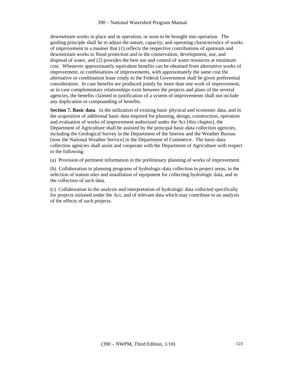downstream works in place and in operation, or soon to be brought into operation. The guiding principle shall be to adjust the nature, capacity, and operating characteristics of works of improvement in a manner that (1) reflects the respective contributions of upstream and downstream works to flood protection and to the conservation, development, use, and disposal of water, and (2) provides the best use and control of water resources at minimum cost. Whenever approximately equivalent benefits can be obtained from alternative works of improvement, or combinations of improvements, with approximately the same cost the alternative or combination lease costly to the Federal Government shall be given preferential consideration. In case benefits are produced jointly by more than one work of improvement, or in case complementary relationships exist between the projects and plans of the several agencies, the benefits claimed in justification of a system of improvements shall not include any duplication or compounding of benefits.

**Section 7. Basic data**. In the utilization of existing basic physical and economic data, and in the acquisition of additional basic data required for planning, design, construction, operation and evaluation of works of improvement authorized under the Act [this chapter], the Department of Agriculture shall be assisted by the principal basic-data collection agencies, including the Geological Survey in the Department of the Interior and the Weather Bureau [now the National Weather Service] in the Department of Commerce. The basic-data collection agencies shall assist and cooperate with the Department of Agriculture with respect to the following:

(a) Provision of pertinent information in the preliminary planning of works of improvement.

(b) Collaboration in planning programs of hydrologic-data collection in project areas, in the selection of station sites and installation of equipment for collecting hydrologic data, and in the collection of such data.

(c) Collaboration in the analysis and interpretation of hydrologic data collected specifically for projects initiated under the Act, and of relevant data which may contribute to an analysis of the effects of such projects.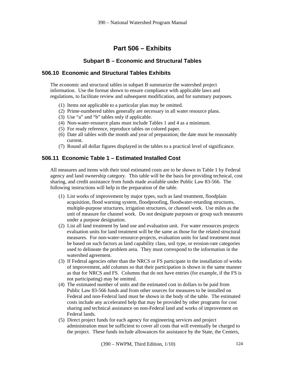# **Part 506 – Exhibits**

# **Subpart B – Economic and Structural Tables**

# **506.10 Economic and Structural Tables Exhibits**

The economic and structural tables in subpart B summarize the watershed project information. Use the format shown to ensure compliance with applicable laws and regulations, to facilitate review and subsequent modification, and for summary purposes.

- (1) Items not applicable to a particular plan may be omitted.
- (2) Prime-numbered tables generally are necessary in all water resource plans.
- (3) Use "a" and "b" tables only if applicable.
- (4) Non-water-resource plans must include Tables 1 and 4 as a minimum.
- (5) For ready reference, reproduce tables on colored paper.
- (6) Date all tables with the month and year of preparation; the date must be reasonably current.
- (7) Round all dollar figures displayed in the tables to a practical level of significance.

# **506.11 Economic Table 1 – Estimated Installed Cost**

All measures and items with their total estimated costs are to be shown in Table 1 by Federal agency and land ownership category. This table will be the basis for providing technical, cost sharing, and credit assistance from funds made available under Public Law 83-566. The following instructions will help in the preparation of the table.

- (1) List works of improvement by major types, such as land treatment, floodplain acquisition, flood warning system, floodproofing, floodwater-retarding structures, multiple-purpose structures, irrigation structures, or channel work. Use miles as the unit of measure for channel work. Do not designate purposes or group such measures under a purpose designation.
- (2) List all land treatment by land use and evaluation unit. For water resources projects evaluation units for land treatment will be the same as those for the related structural measures. For non-water-resource-projects, evaluation units for land treatment must be based on such factors as land capability class, soil type, or erosion-rate categories used to delineate the problem area. They must correspond to the information in the watershed agreement.
- (3) If Federal agencies other than the NRCS or FS participate in the installation of works of improvement, add columns so that their participation is shown in the same manner as that for NRCS and FS. Columns that do not have entries (for example, if the FS is not participating) may be omitted.
- (4) The estimated number of units and the estimated cost in dollars to be paid from Public Law 83-566 funds and from other sources for measures to be installed on Federal and non-Federal land must be shown in the body of the table. The estimated costs include any accelerated help that may be provided by other programs for cost sharing and technical assistance on non-Federal land and works of improvement on Federal lands.
- (5) Direct project funds for each agency for engineering services and project administration must be sufficient to cover all costs that will eventually be charged to the project. These funds include allowances for assistance by the State, the Centers,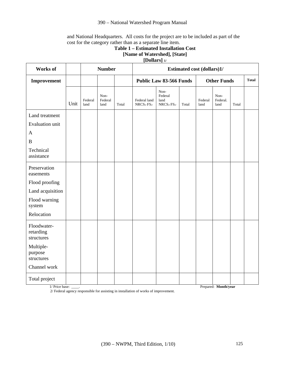### 390 – National Watershed Program Manual

and National Headquarters. All costs for the project are to be included as part of the cost for the category rather than as a separate line item.

## **Table 1 – Estimated Installation Cost [Name of Watershed], [State] [Dollars] 1/**

| Works of                               |      |                 | <b>Number</b>           |       | Estimated cost (dollars)1/                                                               |                                                              |       |                 |                          |       |       |  |
|----------------------------------------|------|-----------------|-------------------------|-------|------------------------------------------------------------------------------------------|--------------------------------------------------------------|-------|-----------------|--------------------------|-------|-------|--|
| Improvement                            |      |                 |                         |       |                                                                                          | <b>Other Funds</b><br><b>Public Law 83-566 Funds</b>         |       |                 |                          |       | Total |  |
|                                        | Unit | Federal<br>land | Non-<br>Federal<br>land | Total | Federal land<br>$\mbox{NRCS\textsubscript{2}\prime} \, \mbox{FS\textsubscript{2}\prime}$ | Non-<br>Federal<br>land<br>NRCS <sub>2/FS<sub>2</sub>/</sub> | Total | Federal<br>land | Non-<br>Federal.<br>land | Total |       |  |
| Land treatment                         |      |                 |                         |       |                                                                                          |                                                              |       |                 |                          |       |       |  |
| Evaluation unit                        |      |                 |                         |       |                                                                                          |                                                              |       |                 |                          |       |       |  |
| $\mathbf{A}$                           |      |                 |                         |       |                                                                                          |                                                              |       |                 |                          |       |       |  |
| $\, {\bf B}$                           |      |                 |                         |       |                                                                                          |                                                              |       |                 |                          |       |       |  |
| Technical<br>assistance                |      |                 |                         |       |                                                                                          |                                                              |       |                 |                          |       |       |  |
| Preservation<br>easements              |      |                 |                         |       |                                                                                          |                                                              |       |                 |                          |       |       |  |
| Flood proofing                         |      |                 |                         |       |                                                                                          |                                                              |       |                 |                          |       |       |  |
| Land acquisition                       |      |                 |                         |       |                                                                                          |                                                              |       |                 |                          |       |       |  |
| Flood warning<br>system                |      |                 |                         |       |                                                                                          |                                                              |       |                 |                          |       |       |  |
| Relocation                             |      |                 |                         |       |                                                                                          |                                                              |       |                 |                          |       |       |  |
| Floodwater-<br>retarding<br>structures |      |                 |                         |       |                                                                                          |                                                              |       |                 |                          |       |       |  |
| Multiple-                              |      |                 |                         |       |                                                                                          |                                                              |       |                 |                          |       |       |  |
| purpose<br>structures                  |      |                 |                         |       |                                                                                          |                                                              |       |                 |                          |       |       |  |
| Channel work                           |      |                 |                         |       |                                                                                          |                                                              |       |                 |                          |       |       |  |
| Total project<br>1/ Price base:        |      |                 |                         |       |                                                                                          |                                                              |       |                 | Prepared: Month/year     |       |       |  |

2/ Federal agency responsible for assisting in installation of works of improvement.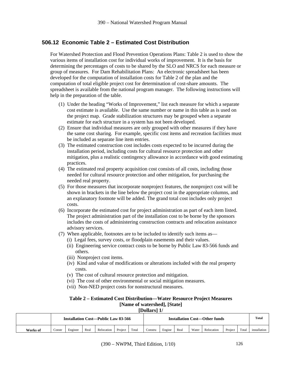# **506.12 Economic Table 2 – Estimated Cost Distribution**

For Watershed Protection and Flood Prevention Operations Plans: Table 2 is used to show the various items of installation cost for individual works of improvement. It is the basis for determining the percentages of costs to be shared by the SLO and NRCS for each measure or group of measures. For Dam Rehabilitation Plans: An electronic spreadsheet has been developed for the computation of installation costs for Table 2 of the plan and the computation of total eligible project cost for determination of cost-share amounts. The spreadsheet is available from the national program manager. The following instructions will help in the preparation of the table.

- (1) Under the heading "Works of Improvement," list each measure for which a separate cost estimate is available. Use the same number or name in this table as is used on the project map. Grade stabilization structures may be grouped when a separate estimate for each structure in a system has not been developed.
- (2) Ensure that individual measures are only grouped with other measures if they have the same cost sharing. For example, specific cost items and recreation facilities must be included as separate line item entries.
- (3) The estimated construction cost includes costs expected to be incurred during the installation period, including costs for cultural resource protection and other mitigation, plus a realistic contingency allowance in accordance with good estimating practices.
- (4) The estimated real property acquisition cost consists of all costs, including those needed for cultural resource protection and other mitigation, for purchasing the needed real property.
- (5) For those measures that incorporate nonproject features, the nonproject cost will be shown in brackets in the line below the project cost in the appropriate columns, and an explanatory footnote will be added. The grand total cost includes only project costs.
- (6) Incorporate the estimated cost for project administration as part of each item listed. The project administration part of the installation cost to be borne by the sponsors includes the costs of administering construction contracts and relocation assistance advisory services.
- (7) When applicable, footnotes are to be included to identify such items as—
	- (i) Legal fees, survey costs, or floodplain easements and their values.
	- (ii) Engineering service contract costs to be borne by Public Law 83-566 funds and others.
	- (iii) Nonproject cost items.
	- (iv) Kind and value of modifications or alterations included with the real property costs.
	- (v) The cost of cultural resource protection and mitigation.
	- (vi) The cost of other environmental or social mitigation measures.
	- (vii) Non-NED project costs for nonstructural measures.

# **Table 2 – Estimated Cost Distribution—Water Resource Project Measures [Name of watershed], [State]**

**[Dollars] 1/** 

|          |        | <b>Installation Cost—Public Law 83-566</b> |      |            |         |       |         |        |      |       | <b>Installation Cost—Other funds</b> |         |       | Total        |
|----------|--------|--------------------------------------------|------|------------|---------|-------|---------|--------|------|-------|--------------------------------------|---------|-------|--------------|
| Works of | Constr | Enginee                                    | Real | Relocation | Project | Total | Constru | Engine | Real | Water | Relocation                           | Project | Total | installation |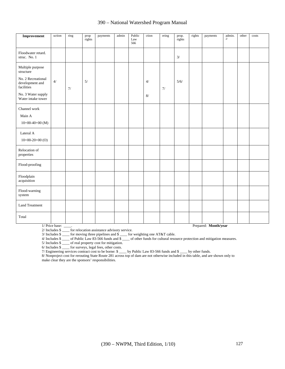### 390 – National Watershed Program Manual

| Improvement                                         | uction | ring | prop<br>rights | payments | admin | Public<br>Law<br>566 | ction | ering | prop.<br>rights | rights | payments | admin.<br>$2/$ | other | costs |
|-----------------------------------------------------|--------|------|----------------|----------|-------|----------------------|-------|-------|-----------------|--------|----------|----------------|-------|-------|
| Floodwater retard.<br>struc. No. 1                  |        |      |                |          |       |                      |       |       | 3/              |        |          |                |       |       |
| Multiple purpose<br>structure                       |        |      |                |          |       |                      |       |       |                 |        |          |                |       |       |
| No. 2 Recreational<br>development and<br>facilities | 4/     | 7/   | 5/             |          |       |                      | 4/    | 7/    | $5/6/$          |        |          |                |       |       |
| No. 3 Water supply<br>Water intake tower            |        |      |                |          |       |                      | 8/    |       |                 |        |          |                |       |       |
| Channel work<br>Main A<br>$10+00-40+00$ (M)         |        |      |                |          |       |                      |       |       |                 |        |          |                |       |       |
| Lateral A<br>$10+00-20+00$ (O)                      |        |      |                |          |       |                      |       |       |                 |        |          |                |       |       |
| Relocation of<br>properties                         |        |      |                |          |       |                      |       |       |                 |        |          |                |       |       |
| Flood-proofing                                      |        |      |                |          |       |                      |       |       |                 |        |          |                |       |       |
| Floodplain<br>acquisition                           |        |      |                |          |       |                      |       |       |                 |        |          |                |       |       |
| Flood-warning<br>system                             |        |      |                |          |       |                      |       |       |                 |        |          |                |       |       |
| <b>Land Treatment</b>                               |        |      |                |          |       |                      |       |       |                 |        |          |                |       |       |
| Total                                               |        |      |                |          |       |                      |       |       |                 |        |          |                |       |       |

1/ Price base: \_\_\_\_. Prepared: **Month/year** 2/ Includes  $\frac{2}{\sqrt{3}}$  for relocation assistance advisory service.<br>3/ Includes  $\frac{2}{\sqrt{3}}$  for moving three pipelines and  $\frac{2}{\sqrt{3}}$  for

3/ Includes  $\frac{1}{\sqrt{3}}$  for moving three pipelines and  $\frac{1}{\sqrt{3}}$  for weighting one AT&T cable.<br>4/ Includes  $\frac{1}{\sqrt{3}}$  of Public Law 83-566 funds and  $\frac{1}{\sqrt{3}}$  of other funds for cultural reso 4/ Includes  $\frac{1}{2}$  of Public Law 83-566 funds and  $\frac{1}{2}$  of other funds for cultural resource protection and mitigation measures.<br>5/ Includes  $\frac{1}{2}$  of real property cost for mitigation.

of real property cost for mitigation.

6/ Includes \$ \_\_\_\_ for surveys, legal fees, other costs.

7/ Engineering services contract cost to be borne: \$ \_\_\_\_ by Public Law 83-566 funds and \$ \_\_\_\_ by other funds.

8/ Nonproject cost for rerouting State Route 281 across top of dam are not otherwise included in this table, and are shown only to make clear they are the sponsors' responsibilities.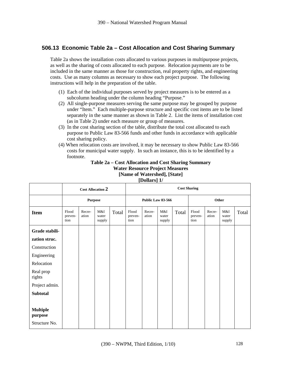# **506.13 Economic Table 2a – Cost Allocation and Cost Sharing Summary**

Table 2a shows the installation costs allocated to various purposes in multipurpose projects, as well as the sharing of costs allocated to each purpose. Relocation payments are to be included in the same manner as those for construction, real property rights, and engineering costs. Use as many columns as necessary to show each project purpose. The following instructions will help in the preparation of the table.

- (1) Each of the individual purposes served by project measures is to be entered as a subcolumn heading under the column heading "Purpose."
- (2) All single-purpose measures serving the same purpose may be grouped by purpose under "Item." Each multiple-purpose structure and specific cost items are to be listed separately in the same manner as shown in Table 2. List the items of installation cost (as in Table 2) under each measure or group of measures.
- (3) In the cost sharing section of the table, distribute the total cost allocated to each purpose to Public Law 83-566 funds and other funds in accordance with applicable cost sharing policy.
- (4) When relocation costs are involved, it may be necessary to show Public Law 83-566 costs for municipal water supply. In such an instance, this is to be identified by a footnote.

### **Table 2a – Cost Allocation and Cost Sharing Summary Water Resource Project Measures [Name of Watershed], [State] [Dollars] 1/**

|                            |                          | <b>Cost Allocation 2</b> |                        |       |                                           |                   |                        | <b>Cost Sharing</b> |                          |                 |                        |       |  |
|----------------------------|--------------------------|--------------------------|------------------------|-------|-------------------------------------------|-------------------|------------------------|---------------------|--------------------------|-----------------|------------------------|-------|--|
|                            |                          | <b>Purpose</b>           |                        |       |                                           | Public Law 83-566 |                        |                     |                          | Other           |                        |       |  |
| <b>Item</b>                | Flood<br>preven-<br>tion | Recre-<br>ation          | M&I<br>water<br>supply | Total | $\operatorname{Flood}$<br>preven-<br>tion | Recre-<br>ation   | M&I<br>water<br>supply | Total               | Flood<br>preven-<br>tion | Recre-<br>ation | M&I<br>water<br>supply | Total |  |
| Grade stabili-             |                          |                          |                        |       |                                           |                   |                        |                     |                          |                 |                        |       |  |
| zation struc.              |                          |                          |                        |       |                                           |                   |                        |                     |                          |                 |                        |       |  |
| Construction               |                          |                          |                        |       |                                           |                   |                        |                     |                          |                 |                        |       |  |
| Engineering                |                          |                          |                        |       |                                           |                   |                        |                     |                          |                 |                        |       |  |
| Relocation                 |                          |                          |                        |       |                                           |                   |                        |                     |                          |                 |                        |       |  |
| Real prop<br>rights        |                          |                          |                        |       |                                           |                   |                        |                     |                          |                 |                        |       |  |
| Project admin.             |                          |                          |                        |       |                                           |                   |                        |                     |                          |                 |                        |       |  |
| <b>Subtotal</b>            |                          |                          |                        |       |                                           |                   |                        |                     |                          |                 |                        |       |  |
|                            |                          |                          |                        |       |                                           |                   |                        |                     |                          |                 |                        |       |  |
| <b>Multiple</b><br>purpose |                          |                          |                        |       |                                           |                   |                        |                     |                          |                 |                        |       |  |
| Structure No.              |                          |                          |                        |       |                                           |                   |                        |                     |                          |                 |                        |       |  |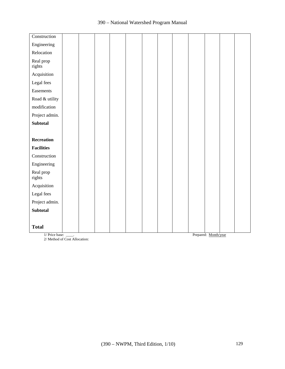# 390 – National Watershed Program Manual

| Construction        |  |  |  |  |  |  |
|---------------------|--|--|--|--|--|--|
| Engineering         |  |  |  |  |  |  |
| Relocation          |  |  |  |  |  |  |
| Real prop<br>rights |  |  |  |  |  |  |
| Acquisition         |  |  |  |  |  |  |
| Legal fees          |  |  |  |  |  |  |
| Easements           |  |  |  |  |  |  |
| Road & utility      |  |  |  |  |  |  |
| modification        |  |  |  |  |  |  |
| Project admin.      |  |  |  |  |  |  |
| <b>Subtotal</b>     |  |  |  |  |  |  |
|                     |  |  |  |  |  |  |
| Recreation          |  |  |  |  |  |  |
| <b>Facilities</b>   |  |  |  |  |  |  |
| Construction        |  |  |  |  |  |  |
| Engineering         |  |  |  |  |  |  |
| Real prop<br>rights |  |  |  |  |  |  |
| Acquisition         |  |  |  |  |  |  |
| Legal fees          |  |  |  |  |  |  |
| Project admin.      |  |  |  |  |  |  |
| <b>Subtotal</b>     |  |  |  |  |  |  |
|                     |  |  |  |  |  |  |
| <b>Total</b>        |  |  |  |  |  |  |

2/ Method of Cost Allocation:

1/ Price base: \_\_\_\_. Prepared: Month/year Prepared: Month/year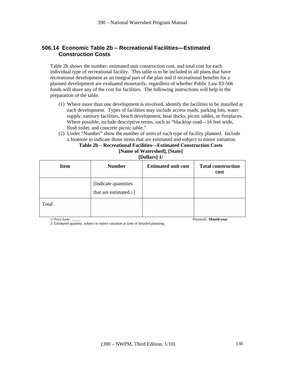# **506.14 Economic Table 2b – Recreational Facilities—Estimated Construction Costs**

Table 2b shows the number, estimated unit construction cost, and total cost for each individual type of recreational facility. This table is to be included in all plans that have recreational development as an integral part of the plan and if recreational benefits for a planned development are evaluated monetarily, regardless of whether Public Law 83-566 funds will share any of the cost for facilities. The following instructions will help in the preparation of the table.

- (1) Where more than one development is involved, identify the facilities to be installed at each development. Types of facilities may include access roads, parking lots, water supply, sanitary facilities, beach development, boat docks, picnic tables, or fireplaces. Where possible, include descriptive terms, such as "blacktop road—16 feet wide, flush toilet, and concrete picnic table."
- (2) Under "Number" show the number of units of each type of facility planned. Include a footnote to indicate those items that are estimated and subject to minor variation.

# **Table 2b – Recreational Facilities—Estimated Construction Costs [Name of Watershed], [State]**

| <b>Item</b>              | <b>Number</b>                                     | <b>Estimated unit cost</b> | <b>Total construction</b><br>cost |
|--------------------------|---------------------------------------------------|----------------------------|-----------------------------------|
|                          | [Indicate quantities]<br>that are estimated. $2/$ |                            |                                   |
| Total                    |                                                   |                            |                                   |
| 1/ Price base:<br>$\sim$ |                                                   |                            | Prepared: Month/vear              |

**[Dollars] 1/** 

2/ Estimated quantity, subject to minor variation at time of detailed planning.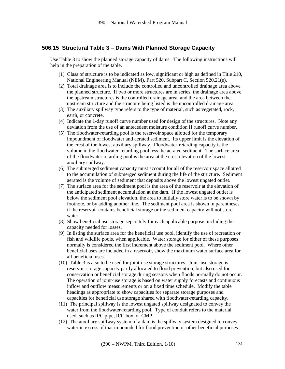# **506.15 Structural Table 3 – Dams With Planned Storage Capacity**

Use Table 3 to show the planned storage capacity of dams. The following instructions will help in the preparation of the table.

- (1) Class of structure is to be indicated as low, significant or high as defined in Title 210, National Engineering Manual (NEM), Part 520, Subpart C, Section 520.21(e).
- (2) Total drainage area is to include the controlled and uncontrolled drainage area above the planned structure. If two or more structures are in series, the drainage area above the upstream structures is the controlled drainage area, and the area between the upstream structure and the structure being listed is the uncontrolled drainage area.
- (3) The auxiliary spillway type refers to the type of material, such as vegetated, rock, earth, or concrete.
- (4) Indicate the 1-day runoff curve number used for design of the structures. Note any deviation from the use of an antecedent moisture condition II runoff curve number.
- (5) The floodwater-retarding pool is the reservoir space allotted for the temporary impoundment of floodwater and aerated sediment. Its upper limit is the elevation of the crest of the lowest auxiliary spillway. Floodwater-retarding capacity is the volume in the floodwater-retarding pool less the aerated sediment. The surface area of the floodwater retarding pool is the area at the crest elevation of the lowest auxiliary spillway.
- (6) The submerged sediment capacity must account for all of the reservoir space allotted to the accumulation of submerged sediment during the life of the structure. Sediment aerated is the volume of sediment that deposits above the lowest ungated outlet.
- (7) The surface area for the sediment pool is the area of the reservoir at the elevation of the anticipated sediment accumulation at the dam. If the lowest ungated outlet is below the sediment pool elevation, the area to initially store water is to be shown by footnote, or by adding another line. The sediment pool area is shown in parentheses if the reservoir contains beneficial storage or the sediment capacity will not store water.
- (8) Show beneficial use storage separately for each applicable purpose, including the capacity needed for losses.
- (9) In listing the surface area for the beneficial use pool, identify the use of recreation or fish and wildlife pools, when applicable. Water storage for either of these purposes normally is considered the first increment above the sediment pool. Where other beneficial uses are included in a reservoir, show the maximum water surface area for all beneficial uses.
- (10) Table 3 is also to be used for joint-use storage structures. Joint-use storage is reservoir storage capacity partly allocated to flood prevention, but also used for conservation or beneficial storage during seasons when floods normally do not occur. The operation of joint-use storage is based on water supply forecasts and continuous inflow and outflow measurements or on a fixed time schedule. Modify the table headings as appropriate to show capacities for separate storage purposes and capacities for beneficial use storage shared with floodwater-retarding capacity.
- (11) The principal spillway is the lowest ungated spillway designated to convey the water from the floodwater-retarding pool. Type of conduit refers to the material used, such as R/C pipe, R/C box, or CMP.
- (12) The auxiliary spillway system of a dam is the spillway system designed to convey water in excess of that impounded for flood prevention or other beneficial purposes.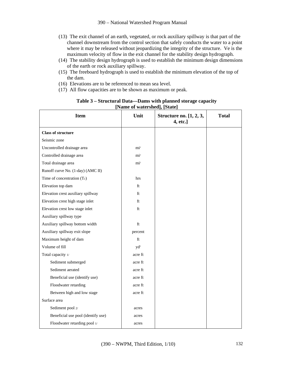- (13) The exit channel of an earth, vegetated, or rock auxiliary spillway is that part of the channel downstream from the control section that safely conducts the water to a point where it may be released without jeopardizing the integrity of the structure. Ve is the maximum velocity of flow in the exit channel for the stability design hydrograph.
- (14) The stability design hydrograph is used to establish the minimum design dimensions of the earth or rock auxiliary spillway.
- (15) The freeboard hydrograph is used to establish the minimum elevation of the top of the dam.
- (16) Elevations are to be referenced to mean sea level.
- (17) All flow capacities are to be shown as maximum or peak.

| <b>Item</b>                        | Unit            | Structure no. $[1, 2, 3, 3]$<br>4, etc.] | <b>Total</b> |
|------------------------------------|-----------------|------------------------------------------|--------------|
| <b>Class of structure</b>          |                 |                                          |              |
| Seismic zone                       |                 |                                          |              |
| Uncontrolled drainage area         | mi <sup>2</sup> |                                          |              |
| Controlled drainage area           | mi <sup>2</sup> |                                          |              |
| Total drainage area                | mi <sup>2</sup> |                                          |              |
| Runoff curve No. (1-day) (AMC II)  |                 |                                          |              |
| Time of concentration $(T_c)$      | hrs             |                                          |              |
| Elevation top dam                  | ft              |                                          |              |
| Elevation crest auxiliary spillway | ft              |                                          |              |
| Elevation crest high stage inlet   | ft              |                                          |              |
| Elevation crest low stage inlet    | ft              |                                          |              |
| Auxiliary spillway type            |                 |                                          |              |
| Auxiliary spillway bottom width    | ft              |                                          |              |
| Auxiliary spillway exit slope      | percent         |                                          |              |
| Maximum height of dam              | ft              |                                          |              |
| Volume of fill                     | $y d^3$         |                                          |              |
| Total capacity 1/                  | acre ft         |                                          |              |
| Sediment submerged                 | acre ft         |                                          |              |
| Sediment aerated                   | acre ft         |                                          |              |
| Beneficial use (identify use)      | acre ft         |                                          |              |
| Floodwater retarding               | acre ft         |                                          |              |
| Between high and low stage         | acre ft         |                                          |              |
| Surface area                       |                 |                                          |              |
| Sediment pool 2/                   | acres           |                                          |              |
| Beneficial use pool (identify use) | acres           |                                          |              |
| Floodwater retarding pool 1/       | acres           |                                          |              |

## **Table 3 – Structural Data—Dams with planned storage capacity [Name of watershed], [State]**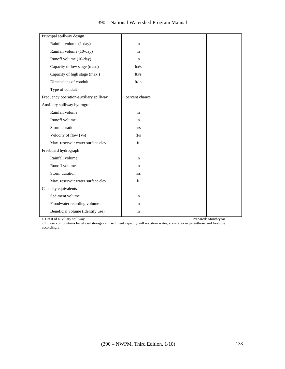# 390 – National Watershed Program Manual

| Principal spillway design              |                |
|----------------------------------------|----------------|
| Rainfall volume (1-day)                | in             |
| Rainfall volume (10-day)               | in             |
| Runoff volume (10-day)                 | in             |
| Capacity of low stage (max.)           | ft3/s          |
| Capacity of high stage (max.)          | ft3/s          |
| Dimensions of conduit                  | ft/in          |
| Type of conduit                        |                |
| Frequency operation-auxiliary spillway | percent chance |
| Auxiliary spillway hydrograph          |                |
| Rainfall volume                        | in             |
| Runoff volume                          | in             |
| Storm duration                         | hrs            |
| Velocity of flow (Ve)                  | ft/s           |
| Max. reservoir water surface elev.     | ft             |
| Freeboard hydrograph                   |                |
| Rainfall volume                        | in             |
| Runoff volume                          | in             |
| Storm duration                         | hrs            |
| Max. reservoir water surface elev.     | ft             |
| Capacity equivalents                   |                |
| Sediment volume                        | in             |
| Floodwater retarding volume            | in             |
| Beneficial volume (identify use)       | in             |

1/ Crest of auxiliary spillway. Prepared: Month/year

2/ If reservoir contains beneficial storage or if sediment capacity will not store water, show area in parenthesis and footnote accordingly.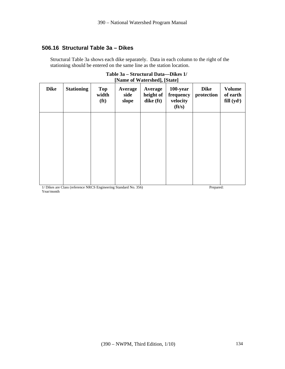# **506.16 Structural Table 3a – Dikes**

Structural Table 3a shows each dike separately. Data in each column to the right of the stationing should be entered on the same line as the station location.

| <b>Dike</b> | <b>Stationing</b>                                                  | <b>Top</b><br>width<br>(f <sup>t</sup> ) | Average<br>side<br>slope | Average<br>height of<br>dike (ft) | 100-year<br>frequency<br>velocity<br>$({\bf ft/s})$ | <b>Dike</b><br>protection | <b>Volume</b><br>of earth<br>fill $(yd^3)$ |
|-------------|--------------------------------------------------------------------|------------------------------------------|--------------------------|-----------------------------------|-----------------------------------------------------|---------------------------|--------------------------------------------|
|             |                                                                    |                                          |                          |                                   |                                                     |                           |                                            |
|             |                                                                    |                                          |                          |                                   |                                                     |                           |                                            |
|             | $1/Dike$ s are Class (reference NRCS Engineering Standard No. 356) |                                          |                          |                                   |                                                     | Prenard'                  |                                            |

| Table 3a – Structural Data—Dikes 1/ |  |
|-------------------------------------|--|
| [Name of Watershed], [State]        |  |

1/ Dikes are Class (reference NRCS Engineering Standard No. 356) Prepared: Year/month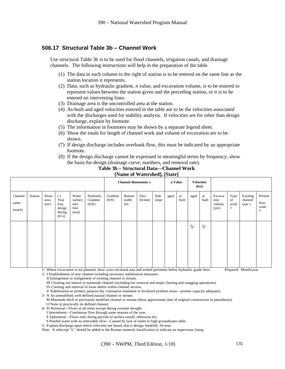# **506.17 Structural Table 3b – Channel Work**

Use structural Table 3b is to be used for flood channels, irrigation canals, and drainage channels. The following instructions will help in the preparation of the table.

- (1) The data in each column to the right of station is to be entered on the same line as the station location it represents.
- (2) Data, such as hydraulic gradient, *n* value, and excavation volume, is to be entered to represent values between the station given and the preceding station, or it is to be entered on intervening lines.
- (3) Drainage area is the uncontrolled area at the station.
- (4) As-built and aged velocities entered in the table are to be the velocities associated with the discharges used for stability analysis. If velocities are for other than design discharge, explain by footnote.
- (5) The information in footnotes may be shown by a separate legend sheet.
- (6) Show the totals for length of channel work and volume of excavation are to be shown.
- (7) If design discharge includes overbank flow, this must be indicated by an appropriate footnote.
- (8) If the design discharge cannot be expressed in meaningful terms by frequency, show the basis for design (drainage curve, numbers, and removal rate).

|                            |         |                            |                                                                     |                                            |                                          |                                   | <b>Channel dimensions 1/</b>                |                   | $\rightarrow$ | n Value |             | <b>Velocities</b><br>$({\bf ft/s})$ |             |                                                 |                          |                                |                                |
|----------------------------|---------|----------------------------|---------------------------------------------------------------------|--------------------------------------------|------------------------------------------|-----------------------------------|---------------------------------------------|-------------------|---------------|---------|-------------|-------------------------------------|-------------|-------------------------------------------------|--------------------------|--------------------------------|--------------------------------|
| Channel<br>name<br>(reach) | Station | Drain<br>area.<br>$(mi^2)$ | $\left( \right)$<br>Year<br>freq<br>design<br>dischg.<br>$(ft^3/s)$ | Water<br>surface<br>elev<br>feet.<br>(msl) | Hydraulic<br>Gradient<br>$({\rm ft/ft})$ | Gradient<br>$({\rm ft}/{\rm ft})$ | <b>Bottom</b><br>width<br>(f <sub>t</sub> ) | Elev.<br>(ft/msl) | Side<br>slope | aged    | as<br>built | aged                                | as<br>built | Excava-<br>tion<br>volume<br>(yd <sub>3</sub> ) | Type<br>of<br>work<br>2/ | Existing<br>channel<br>type 3/ | Present<br>flow<br>cond.<br>4/ |
|                            |         |                            |                                                                     |                                            |                                          |                                   |                                             |                   |               |         |             | 5/                                  | 5/          |                                                 |                          |                                |                                |

#### **Table 3b – Structural Data—Channel Work [Name of Watershed], [State]**

1/ Where excavation is not planned, show cross-sectional area and wetted perimeter below hydraulic grade lines. Prepared: Month/year

2/ I Establishment of new channel including necessary stabilization measures.

- II Enlargement or realignment of existing channel or stream.
- III Cleaning out natural or manmade channel (including bar removal and major clearing and snagging operations).
- IV Clearing and removal of loose debris within channel section.

V Stabilization as primary purpose (by continuous treatment or localized problem areas—present capacity adequate).

3/ N An unmodified, well-defined natural channel or stream.

 M Manmade ditch or previously modified channel or stream (show approximate date of original construction in parenthesis). O None or practically no defined channel.

- 4/ Pr Perennial—Flows at all times except during extreme drought.
	- I Intermittent—Continuous flow through some seasons of the year.
	- E Ephemeral—Flows only during periods of surface runoff, otherwise dry.

S Ponded water with no noticeable flow—Caused by lack of outlet or high groundwater table.

5/ Explain discharge upon which velocities are based, that is design, bankfull, 10-year.

Note: A subscript "L" should be added to the Roman numeral classification to indicate an impervious lining.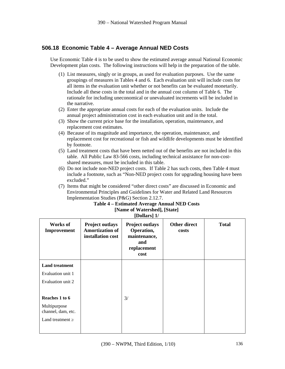# **506.18 Economic Table 4 – Average Annual NED Costs**

Use Economic Table 4 is to be used to show the estimated average annual National Economic Development plan costs. The following instructions will help in the preparation of the table.

- (1) List measures, singly or in groups, as used for evaluation purposes. Use the same groupings of measures in Tables 4 and 6. Each evaluation unit will include costs for all items in the evaluation unit whether or not benefits can be evaluated monetarily. Include all these costs in the total and in the annual cost column of Table 6. The rationale for including uneconomical or unevaluated increments will be included in the narrative.
- (2) Enter the appropriate annual costs for each of the evaluation units. Include the annual project administration cost in each evaluation unit and in the total.
- (3) Show the current price base for the installation, operation, maintenance, and replacement cost estimates.
- (4) Because of its magnitude and importance, the operation, maintenance, and replacement cost for recreational or fish and wildlife developments must be identified by footnote.
- (5) Land treatment costs that have been netted out of the benefits are not included in this table. All Public Law 83-566 costs, including technical assistance for non-costshared measures, must be included in this table.
- (6) Do not include non-NED project costs. If Table 2 has such costs, then Table 4 must include a footnote, such as "Non-NED project costs for upgrading housing have been excluded."
- (7) Items that might be considered "other direct costs" are discussed in Economic and Environmental Principles and Guidelines for Water and Related Land Resources Implementation Studies (P&G) Section 2.12.7.

| Works of<br>Improvement            | <b>Project outlays</b><br><b>Amortization of</b><br>installation cost | <b>Project outlays</b><br>Operation,<br>maintenance,<br>and<br>replacement<br>cost | Other direct<br>costs | <b>Total</b> |
|------------------------------------|-----------------------------------------------------------------------|------------------------------------------------------------------------------------|-----------------------|--------------|
| <b>Land treatment</b>              |                                                                       |                                                                                    |                       |              |
| Evaluation unit 1                  |                                                                       |                                                                                    |                       |              |
| Evaluation unit 2                  |                                                                       |                                                                                    |                       |              |
| Reaches 1 to 6                     |                                                                       | 3/                                                                                 |                       |              |
| Multipurpose<br>channel, dam, etc. |                                                                       |                                                                                    |                       |              |
| Land treatment 2/                  |                                                                       |                                                                                    |                       |              |

# **Table 4 – Estimated Average Annual NED Costs [Name of Watershed], [State]**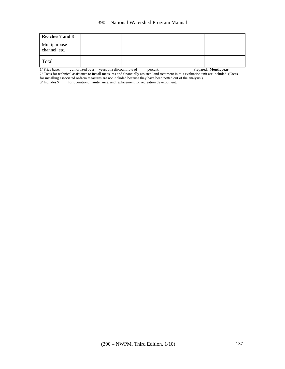# 390 – National Watershed Program Manual

| <b>Reaches 7 and 8</b>        |  |  |
|-------------------------------|--|--|
| Multipurpose<br>channel, etc. |  |  |
| Total                         |  |  |

1/ Price base: \_\_\_\_ , amortized over \_\_years at a discount rate of \_\_\_\_\_percent. Prepared: **Month/year**

2/ Costs for technical assistance to install measures and financially assisted land treatment in this evaluation unit are included. (Costs for installing associated onfarm measures are not included because they have been netted out of the analysis.)

3/ Includes \$ \_\_\_\_ for operation, maintenance, and replacement for recreation development.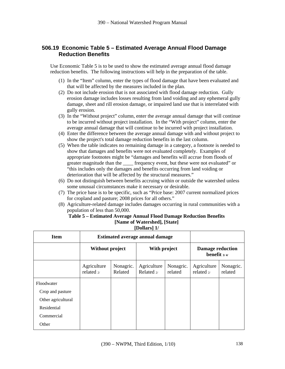# **506.19 Economic Table 5 – Estimated Average Annual Flood Damage Reduction Benefits**

Use Economic Table 5 is to be used to show the estimated average annual flood damage reduction benefits. The following instructions will help in the preparation of the table.

- (1) In the "Item" column, enter the types of flood damage that have been evaluated and that will be affected by the measures included in the plan.
- (2) Do not include erosion that is not associated with flood damage reduction. Gully erosion damage includes losses resulting from land voiding and any ephemeral gully damage, sheet and rill erosion damage, or impaired land use that is interrelated with gully erosion.
- (3) In the "Without project" column, enter the average annual damage that will continue to be incurred without project installation. In the "With project" column, enter the average annual damage that will continue to be incurred with project installation.
- (4) Enter the difference between the average annual damage with and without project to show the project's total damage reduction benefits in the last column.
- (5) When the table indicates no remaining damage in a category, a footnote is needed to show that damages and benefits were not evaluated completely. Examples of appropriate footnotes might be "damages and benefits will accrue from floods of greater magnitude than the \_\_\_\_ frequency event, but these were not evaluated" or "this includes only the damages and benefits occurring from land voiding or deterioration that will be affected by the structural measures."
- (6) Do not distinguish between benefits accruing within or outside the watershed unless some unusual circumstances make it necessary or desirable.
- (7) The price base is to be specific, such as "Price base: 2007 current normalized prices for cropland and pasture; 2008 prices for all others."
- (8) Agriculture-related damage includes damages occurring in rural communities with a population of less than 50,000.

#### **Table 5 – Estimated Average Annual Flood Damage Reduction Benefits [Name of Watershed], [State] [Dollars] 1/**

| <b>Item</b>        | <b>Estimated average annual damage</b> |                      |                             |                      |                                         |                      |
|--------------------|----------------------------------------|----------------------|-----------------------------|----------------------|-----------------------------------------|----------------------|
|                    | Without project                        |                      | With project                |                      | <b>Damage reduction</b><br>benefit 3/4/ |                      |
|                    | Agriculture<br>related $2$             | Nonagric.<br>Related | Agriculture<br>Related $2/$ | Nonagric.<br>related | Agriculture<br>related $2$              | Nonagric.<br>related |
| Floodwater         |                                        |                      |                             |                      |                                         |                      |
| Crop and pasture   |                                        |                      |                             |                      |                                         |                      |
| Other agricultural |                                        |                      |                             |                      |                                         |                      |
| Residential        |                                        |                      |                             |                      |                                         |                      |
| Commercial         |                                        |                      |                             |                      |                                         |                      |
| Other              |                                        |                      |                             |                      |                                         |                      |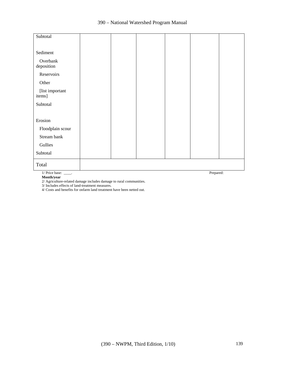# 390 – National Watershed Program Manual

| Subtotal                  |  |  |           |  |
|---------------------------|--|--|-----------|--|
|                           |  |  |           |  |
| Sediment                  |  |  |           |  |
| Overbank<br>deposition    |  |  |           |  |
| Reservoirs                |  |  |           |  |
| Other                     |  |  |           |  |
| [list important<br>items] |  |  |           |  |
| Subtotal                  |  |  |           |  |
|                           |  |  |           |  |
| Erosion                   |  |  |           |  |
| Floodplain scour          |  |  |           |  |
| Stream bank               |  |  |           |  |
| Gullies                   |  |  |           |  |
| Subtotal                  |  |  |           |  |
| Total                     |  |  |           |  |
| $1/$ Price base: $\_\_$ . |  |  | Prepared: |  |

**Month/year**

2/ Agriculture-related damage includes damage to rural communities.

3/ Includes effects of land-treatment measures.

4/ Costs and benefits for onfarm land treatment have been netted out.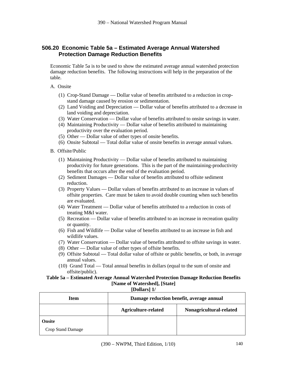# **506.20 Economic Table 5a – Estimated Average Annual Watershed Protection Damage Reduction Benefits**

Economic Table 5a is to be used to show the estimated average annual watershed protection damage reduction benefits. The following instructions will help in the preparation of the table.

- A. Onsite
	- (1) Crop-Stand Damage Dollar value of benefits attributed to a reduction in cropstand damage caused by erosion or sedimentation.
	- (2) Land Voiding and Depreciation Dollar value of benefits attributed to a decrease in land voiding and depreciation.
	- (3) Water Conservation Dollar value of benefits attributed to onsite savings in water.
	- (4) Maintaining Productivity Dollar value of benefits attributed to maintaining productivity over the evaluation period.
	- (5) Other Dollar value of other types of onsite benefits.
	- (6) Onsite Subtotal Total dollar value of onsite benefits in average annual values.
- B. Offsite/Public
	- (1) Maintaining Productivity Dollar value of benefits attributed to maintaining productivity for future generations. This is the part of the maintaining-productivity benefits that occurs after the end of the evaluation period.
	- (2) Sediment Damages Dollar value of benefits attributed to offsite sediment reduction.
	- (3) Property Values Dollar values of benefits attributed to an increase in values of offsite properties. Care must be taken to avoid double counting when such benefits are evaluated.
	- (4) Water Treatment Dollar value of benefits attributed to a reduction in costs of treating M&I water.
	- (5) Recreation Dollar value of benefits attributed to an increase in recreation quality or quantity.
	- (6) Fish and Wildlife Dollar value of benefits attributed to an increase in fish and wildlife values.
	- (7) Water Conservation Dollar value of benefits attributed to offsite savings in water.
	- (8) Other Dollar value of other types of offsite benefits.
	- (9) Offsite Subtotal Total dollar value of offsite or public benefits, or both, in average annual values.
	- (10) Grand Total Total annual benefits in dollars (equal to the sum of onsite and offsite/public).

#### **Table 5a – Estimated Average Annual Watershed Protection Damage Reduction Benefits [Name of Watershed], [State] [Dollars] 1/**

| Item                               | Damage reduction benefit, average annual |                         |  |  |
|------------------------------------|------------------------------------------|-------------------------|--|--|
|                                    | Agriculture-related                      | Nonagricultural-related |  |  |
| <b>Onsite</b><br>Crop Stand Damage |                                          |                         |  |  |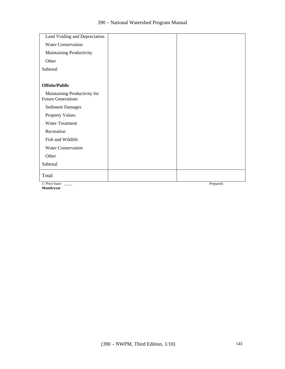| Land Voiding and Depreciation                             |           |
|-----------------------------------------------------------|-----------|
| <b>Water Conservation</b>                                 |           |
| Maintaining Productivity                                  |           |
| Other                                                     |           |
| Subtotal                                                  |           |
|                                                           |           |
| <b>Offsite/Public</b>                                     |           |
| Maintaining Productivity for<br><b>Future Generations</b> |           |
| <b>Sediment Damages</b>                                   |           |
| <b>Property Values</b>                                    |           |
| Water Treatment                                           |           |
| Recreation                                                |           |
| Fish and Wildlife                                         |           |
| Water Conservation                                        |           |
| Other                                                     |           |
| Subtotal                                                  |           |
| Total                                                     |           |
| 1/ Price base:<br>$\overline{\phantom{a}}$                | Prepared: |

**Month/year**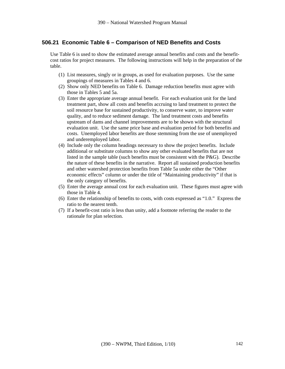# **506.21 Economic Table 6 – Comparison of NED Benefits and Costs**

Use Table 6 is used to show the estimated average annual benefits and costs and the benefitcost ratios for project measures. The following instructions will help in the preparation of the table.

- (1) List measures, singly or in groups, as used for evaluation purposes. Use the same groupings of measures in Tables 4 and 6.
- (2) Show only NED benefits on Table 6. Damage reduction benefits must agree with those in Tables 5 and 5a.
- (3) Enter the appropriate average annual benefit. For each evaluation unit for the land treatment part, show all costs and benefits accruing to land treatment to protect the soil resource base for sustained productivity, to conserve water, to improve water quality, and to reduce sediment damage. The land treatment costs and benefits upstream of dams and channel improvements are to be shown with the structural evaluation unit. Use the same price base and evaluation period for both benefits and costs. Unemployed labor benefits are those stemming from the use of unemployed and underemployed labor.
- (4) Include only the column headings necessary to show the project benefits. Include additional or substitute columns to show any other evaluated benefits that are not listed in the sample table (such benefits must be consistent with the P&G). Describe the nature of these benefits in the narrative. Report all sustained production benefits and other watershed protection benefits from Table 5a under either the "Other economic effects" column or under the title of "Maintaining productivity" if that is the only category of benefits.
- (5) Enter the average annual cost for each evaluation unit. These figures must agree with those in Table 4.
- (6) Enter the relationship of benefits to costs, with costs expressed as "1.0." Express the ratio to the nearest tenth.
- (7) If a benefit-cost ratio is less than unity, add a footnote referring the reader to the rationale for plan selection.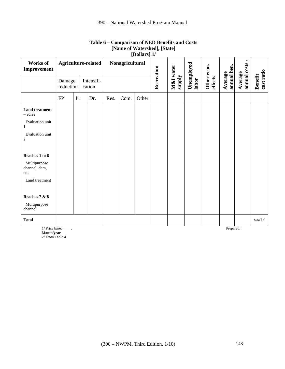| [Dollars] 1/                          |                                        |     |                      |      |                 |       |            |                     |                     |                        |                        |                          |                              |
|---------------------------------------|----------------------------------------|-----|----------------------|------|-----------------|-------|------------|---------------------|---------------------|------------------------|------------------------|--------------------------|------------------------------|
| Works of<br>Improvement               | Agriculture-related                    |     |                      |      | Nonagricultural |       |            |                     |                     |                        |                        | $\overline{\phantom{a}}$ |                              |
|                                       | Damage<br>reduction                    |     | Intensifi-<br>cation |      |                 |       | Recreation | M&I water<br>xiddns | Unemployed<br>labor | Other econ.<br>effects | annual ben.<br>Average | annual costs<br>Average  | cost ratio<br><b>Benefit</b> |
|                                       | FP                                     | Ir. | Dr.                  | Res. | Com.            | Other |            |                     |                     |                        |                        |                          |                              |
| <b>Land treatment</b><br>$-$ acres    |                                        |     |                      |      |                 |       |            |                     |                     |                        |                        |                          |                              |
| Evaluation unit<br>1                  |                                        |     |                      |      |                 |       |            |                     |                     |                        |                        |                          |                              |
| Evaluation unit<br>$\overline{2}$     |                                        |     |                      |      |                 |       |            |                     |                     |                        |                        |                          |                              |
| Reaches 1 to 6                        |                                        |     |                      |      |                 |       |            |                     |                     |                        |                        |                          |                              |
| Multipurpose<br>channel, dam,<br>etc. |                                        |     |                      |      |                 |       |            |                     |                     |                        |                        |                          |                              |
| Land treatment                        |                                        |     |                      |      |                 |       |            |                     |                     |                        |                        |                          |                              |
| Reaches 7 & 8                         |                                        |     |                      |      |                 |       |            |                     |                     |                        |                        |                          |                              |
| Multipurpose<br>channel               |                                        |     |                      |      |                 |       |            |                     |                     |                        |                        |                          |                              |
| <b>Total</b>                          |                                        |     |                      |      |                 |       |            |                     |                     |                        |                        |                          | x.x:1.0                      |
|                                       | $1/$ Price base: $\_\_$ .<br>Prepared: |     |                      |      |                 |       |            |                     |                     |                        |                        |                          |                              |

# **Table 6 – Comparison of NED Benefits and Costs [Name of Watershed], [State]**

**Month/year**

2/ From Table 4.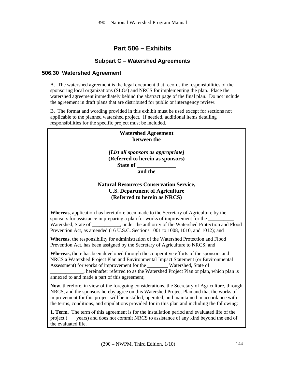# **Part 506 – Exhibits**

# **Subpart C – Watershed Agreements**

## **506.30 Watershed Agreement**

A. The watershed agreement is the legal document that records the responsibilities of the sponsoring local organizations (SLOs) and NRCS for implementing the plan. Place the watershed agreement immediately behind the abstract page of the final plan. Do not include the agreement in draft plans that are distributed for public or interagency review.

B. The format and wording provided in this exhibit must be used except for sections not applicable to the planned watershed project. If needed, additional items detailing responsibilities for the specific project must be included.

| <b>Watershed Agreement</b><br>between the                                                                                                                                                                                                                                                                                                                                                    |
|----------------------------------------------------------------------------------------------------------------------------------------------------------------------------------------------------------------------------------------------------------------------------------------------------------------------------------------------------------------------------------------------|
| [List all sponsors as appropriate]<br>(Referred to herein as sponsors)<br>State of the state of the state of the state of the state of the state of the state of the state of the state of the state of the state of the state of the state of the state of the state of the state of the state of the s<br>and the                                                                          |
| <b>Natural Resources Conservation Service,</b><br><b>U.S. Department of Agriculture</b><br>(Referred to herein as NRCS)                                                                                                                                                                                                                                                                      |
| <b>Whereas</b> , application has heretofore been made to the Secretary of Agriculture by the<br>sponsors for assistance in preparing a plan for works of improvement for the<br>Watershed, State of _________, under the authority of the Watershed Protection and Flood<br>Prevention Act, as amended (16 U.S.C. Sections 1001 to 1008, 1010, and 1012); and                                |
| Whereas, the responsibility for administration of the Watershed Protection and Flood<br>Prevention Act, has been assigned by the Secretary of Agriculture to NRCS; and                                                                                                                                                                                                                       |
| Whereas, there has been developed through the cooperative efforts of the sponsors and<br>NRCS a Watershed Project Plan and Environmental Impact Statement (or Environmental<br>Assessment) for works of improvement for the ___________ Watershed, State of<br>hereinafter referred to as the Watershed Project Plan or plan, which plan is<br>annexed to and made a part of this agreement; |
| Now, therefore, in view of the foregoing considerations, the Secretary of Agriculture, through<br>NRCS, and the sponsors hereby agree on this Watershed Project Plan and that the works of<br>improvement for this project will be installed, operated, and maintained in accordance with<br>the terms, conditions, and stipulations provided for in this plan and including the following:  |
| <b>1. Term.</b> The term of this agreement is for the installation period and evaluated life of the<br>project ( years) and does not commit NRCS to assistance of any kind beyond the end of<br>the evaluated life.                                                                                                                                                                          |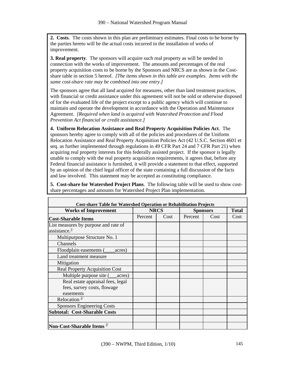**2. Costs**. The costs shown in this plan are preliminary estimates. Final costs to be borne by the parties hereto will be the actual costs incurred in the installation of works of improvement.

**3. Real property**. The sponsors will acquire such real property as will be needed in connection with the works of improvement. The amounts and percentages of the real property acquisition costs to be borne by the Sponsors and NRCS are as shown in the Costshare table in section 5 hereof. *[The items shown in this table are examples. Items with the same cost-share rate may be combined into one entry.]*

The sponsors agree that all land acquired for measures, other than land treatment practices, with financial or credit assistance under this agreement will not be sold or otherwise disposed of for the evaluated life of the project except to a public agency which will continue to maintain and operate the development in accordance with the Operation and Maintenance Agreement*. [Required when land is acquired with Watershed Protection and Flood Prevention Act financial or credit assistance.]* 

**4. Uniform Relocation Assistance and Real Property Acquisition Policies Act**. The sponsors hereby agree to comply with all of the policies and procedures of the Uniform Relocation Assistance and Real Property Acquisition Policies Act (42 U.S.C. Section 4601 et seq. as further implemented through regulations in 49 CFR Part 24 and 7 CFR Part 21) when acquiring real property interests for this federally assisted project. If the sponsor is legally unable to comply with the real property acquisition requirements, it agrees that, before any Federal financial assistance is furnished, it will provide a statement to that effect, supported by an opinion of the chief legal officer of the state containing a full discussion of the facts and law involved. This statement may be accepted as constituting compliance.

**5. Cost-share for Watershed Project Plans**. The following table will be used to show costshare percentages and amounts for Watershed Project Plan implementation.

| <b>Cost-share Table for Watershed Operation or Rehabilitation Projects</b> | <b>NRCS</b> |      |                 |      | <b>Total</b> |  |
|----------------------------------------------------------------------------|-------------|------|-----------------|------|--------------|--|
| <b>Works of Improvement</b>                                                |             |      | <b>Sponsors</b> |      |              |  |
| <b>Cost-Sharable Items</b>                                                 | Percent     | Cost | Percent         | Cost | Cost         |  |
| List measures by purpose and rate of<br>assistance. $\frac{1}{2}$          |             |      |                 |      |              |  |
| Multipurpose Structure No. 1                                               |             |      |                 |      |              |  |
| Channels                                                                   |             |      |                 |      |              |  |
| Floodplain easements (<br>acres)                                           |             |      |                 |      |              |  |
| Land treatment measure                                                     |             |      |                 |      |              |  |
| Mitigation                                                                 |             |      |                 |      |              |  |
| <b>Real Property Acquisition Cost</b>                                      |             |      |                 |      |              |  |
| Multiple purpose site ( <i>seperalies</i> )                                |             |      |                 |      |              |  |
| Real estate appraisal fees, legal                                          |             |      |                 |      |              |  |
| fees, survey costs, flowage                                                |             |      |                 |      |              |  |
| easements                                                                  |             |      |                 |      |              |  |
| Relocation $\frac{2}{3}$                                                   |             |      |                 |      |              |  |
| <b>Sponsors Engineering Costs</b>                                          |             |      |                 |      |              |  |
| <b>Subtotal: Cost-Sharable Costs</b>                                       |             |      |                 |      |              |  |
|                                                                            |             |      |                 |      |              |  |
| Non-Cost-Sharable Items <sup>3/</sup>                                      |             |      |                 |      |              |  |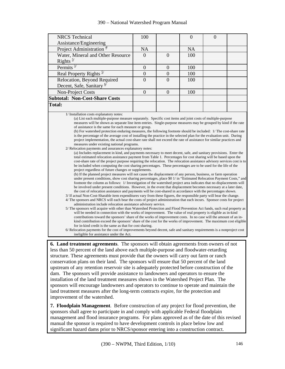### 390 – National Watershed Program Manual

| <b>NRCS</b> Technical                             | 100       |                  | $\Omega$  | $\theta$ |  |
|---------------------------------------------------|-----------|------------------|-----------|----------|--|
| Assistance/Engineering                            |           |                  |           |          |  |
| Project Administration $\frac{4}{1}$              | <b>NA</b> |                  | <b>NA</b> |          |  |
| Water, Mineral and Other Resource                 | 0         |                  | 100       |          |  |
| Rights $\frac{5}{2}$                              |           |                  |           |          |  |
| Permits $\frac{5}{ }$                             | 0         | $\left( \right)$ | 100       |          |  |
| Real Property Rights $\frac{5}{2}$                | 0         |                  | 100       |          |  |
| Relocation, Beyond Required                       | 0         |                  | 100       |          |  |
| Decent, Safe, Sanitary <sup><math>6/</math></sup> |           |                  |           |          |  |
| Non-Project Costs                                 | 0         |                  | 100       |          |  |
| <b>Subtotal: Non-Cost-Share Costs</b>             |           |                  |           |          |  |
| <b>Total:</b>                                     |           |                  |           |          |  |
|                                                   |           |                  |           |          |  |

1/ Installation costs explanatory notes:

 (a) List each multiple-purpose measure separately. Specific cost items and joint costs of multiple-purpose measures will be shown as separate line item entries. Single-purpose measures may be grouped by kind if the rate of assistance is the same for each measure or group.

 (b) For watershed protection enduring measures, the following footnote should be included: 1/ The cost-share rate is the percentage of the average cost of installing the practice in the selected plan for the evaluation unit. During project implementation, the actual cost-share rate shall not exceed the rate of assistance for similar practices and measures under existing national programs.

2/ Relocation payments and assurances explanatory notes:

 (a) Includes replacement in kind, and payments necessary to meet decent, safe, and sanitary provisions. Enter the total estimated relocation assistance payment from Table 1. Percentages for cost sharing will be based upon the cost-share rate of the project purpose requiring the relocation. The relocation assistance advisory services cost is to be included when computing the cost sharing percentages. These percentages are to be used for the life of the project regardless of future changes or supplements.

 (b) If the planned project measures will not cause the displacement of any person, business, or farm operation under present conditions, show cost sharing percentages, place \$0 1/ in "Estimated Relocation Payment Costs," and footnote the column as follows: 1/ Investigation of the watershed project area indicates that no displacements will be involved under present conditions. However, in the event that displacement becomes necessary at a later date, the cost of relocation assistance and payments will be cost-shared in accordance with the percentages shown.

3/ If actual Non-Cost-Sharable item expenditures vary from these figures, the responsible party will bear the change. 4/ The sponsors and NRCS will each bear the costs of project administration that each incurs. Sponsor costs for project

administration include relocation assistance advisory service.

5/ The sponsors will acquire with other than Watershed Protection and Flood Prevention Act funds, such real property as will be needed in connection with the works of improvement. The value of real property is eligible as in-kind contributions toward the sponsors' share of the works of improvement costs. In no case will the amount of an inkind contribution exceed the sponsors' share of the cost for the works of improvement. The maximum cost eligible for in-kind credit is the same as that for cost sharing.

6/ Relocation payments for the cost of improvements beyond decent, safe and sanitary requirements is a nonproject cost ineligible for assistance under the Act.

**6. Land treatment agreements**. The sponsors will obtain agreements from owners of not less than 50 percent of the land above each multiple-purpose and floodwater-retarding structure. These agreements must provide that the owners will carry out farm or ranch conservation plans on their land. The sponsors will ensure that 50 percent of the land upstream of any retention reservoir site is adequately protected before construction of the dam. The sponsors will provide assistance to landowners and operators to ensure the installation of the land treatment measures shown in the Watershed Project Plan. The sponsors will encourage landowners and operators to continue to operate and maintain the land treatment measures after the long-term contracts expire, for the protection and improvement of the watershed.

**7. Floodplain Management**. Before construction of any project for flood prevention, the sponsors shall agree to participate in and comply with applicable Federal floodplain management and flood insurance programs. For plans approved as of the date of this revised manual the sponsor is required to have development controls in place below low and significant hazard dams prior to NRCS/sponsor entering into a construction contract.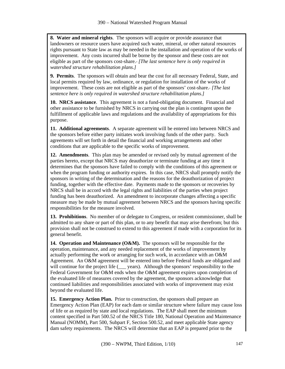**8. Water and mineral rights**. The sponsors will acquire or provide assurance that landowners or resource users have acquired such water, mineral, or other natural resources rights pursuant to State law as may be needed in the installation and operation of the works of improvement. Any costs incurred shall be borne by the sponsor and these costs are not eligible as part of the sponsors cost-share. *[The last sentence here is only required in watershed structure rehabilitation plans.]* 

**9. Permits**. The sponsors will obtain and bear the cost for all necessary Federal, State, and local permits required by law, ordinance, or regulation for installation of the works of improvement. These costs are not eligible as part of the sponsors' cost-share. *[The last sentence here is only required in watershed structure rehabilitation plans.]* 

**10. NRCS assistance**. This agreement is not a fund-obligating document. Financial and other assistance to be furnished by NRCS in carrying out the plan is contingent upon the fulfillment of applicable laws and regulations and the availability of appropriations for this purpose.

**11. Additional agreements**. A separate agreement will be entered into between NRCS and the sponsors before either party initiates work involving funds of the other party. Such agreements will set forth in detail the financial and working arrangements and other conditions that are applicable to the specific works of improvement.

**12. Amendments**. This plan may be amended or revised only by mutual agreement of the parties hereto, except that NRCS may deauthorize or terminate funding at any time it determines that the sponsors have failed to comply with the conditions of this agreement or when the program funding or authority expires. In this case, NRCS shall promptly notify the sponsors in writing of the determination and the reasons for the deauthorization of project funding, together with the effective date. Payments made to the sponsors or recoveries by NRCS shall be in accord with the legal rights and liabilities of the parties when project funding has been deauthorized. An amendment to incorporate changes affecting a specific measure may be made by mutual agreement between NRCS and the sponsors having specific responsibilities for the measure involved.

**13. Prohibitions**. No member of or delegate to Congress, or resident commissioner, shall be admitted to any share or part of this plan, or to any benefit that may arise therefrom; but this provision shall not be construed to extend to this agreement if made with a corporation for its general benefit.

**14. Operation and Maintenance (O&M).** The sponsors will be responsible for the operation, maintenance, and any needed replacement of the works of improvement by actually performing the work or arranging for such work, in accordance with an O&M Agreement. An O&M agreement will be entered into before Federal funds are obligated and will continue for the project life  $($  years). Although the sponsors' responsibility to the Federal Government for O&M ends when the O&M agreement expires upon completion of the evaluated life of measures covered by the agreement, the sponsors acknowledge that continued liabilities and responsibilities associated with works of improvement may exist beyond the evaluated life.

**15. Emergency Action Plan.** Prior to construction, the sponsors shall prepare an Emergency Action Plan (EAP) for each dam or similar structure where failure may cause loss of life or as required by state and local regulations. The EAP shall meet the minimum content specified in Part 500.52 of the NRCS Title 180, National Operation and Maintenance Manual (NOMM), Part 500, Subpart F, Section 500.52, and meet applicable State agency dam safety requirements. The NRCS will determine that an EAP is prepared prior to the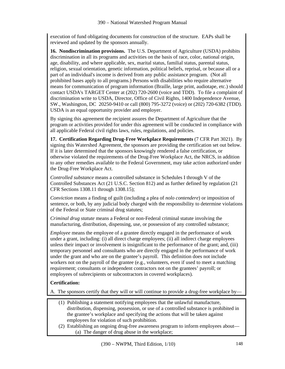execution of fund obligating documents for construction of the structure. EAPs shall be reviewed and updated by the sponsors annually.

**16. Nondiscrimination provisions.** The U.S. Department of Agriculture (USDA) prohibits discrimination in all its programs and activities on the basis of race, color, national origin, age, disability, and where applicable, sex, marital status, familial status, parental status, religion, sexual orientation, genetic information, political beliefs, reprisal, or because all or a part of an individual's income is derived from any public assistance program. (Not all prohibited bases apply to all programs.) Persons with disabilities who require alternative means for communication of program information (Braille, large print, audiotape, etc.) should contact USDA's TARGET Center at (202) 720-2600 (voice and TDD). To file a complaint of discrimination write to USDA, Director, Office of Civil Rights, 1400 Independence Avenue, SW., Washington, DC 20250-9410 or call (800) 795-3272 (voice) or (202) 720-6382 (TDD). USDA is an equal opportunity provider and employer.

By signing this agreement the recipient assures the Department of Agriculture that the program or activities provided for under this agreement will be conducted in compliance with all applicable Federal civil rights laws, rules, regulations, and policies.

**17. Certification Regarding Drug-Free Workplace Requirements** (7 CFR Part 3021). By signing this Watershed Agreement, the sponsors are providing the certification set out below. If it is later determined that the sponsors knowingly rendered a false certification, or otherwise violated the requirements of the Drug-Free Workplace Act, the NRCS, in addition to any other remedies available to the Federal Government, may take action authorized under the Drug-Free Workplace Act.

*Controlled substance* means a controlled substance in Schedules I through V of the Controlled Substances Act (21 U.S.C. Section 812) and as further defined by regulation (21 CFR Sections 1308.11 through 1308.15);

*Conviction* means a finding of guilt (including a plea of *nolo contendere*) or imposition of sentence, or both, by any judicial body charged with the responsibility to determine violations of the Federal or State criminal drug statutes;

*Criminal drug statute* means a Federal or non-Federal criminal statute involving the manufacturing, distribution, dispensing, use, or possession of any controlled substance;

*Employee* means the employee of a grantee directly engaged in the performance of work under a grant, including: (i) all direct charge employees; (ii) all indirect charge employees unless their impact or involvement is insignificant to the performance of the grant; and, (iii) temporary personnel and consultants who are directly engaged in the performance of work under the grant and who are on the grantee's payroll. This definition does not include workers not on the payroll of the grantee (e.g., volunteers, even if used to meet a matching requirement; consultants or independent contractors not on the grantees' payroll; or employees of subrecipients or subcontractors in covered workplaces).

# **Certification:**

A. The sponsors certify that they will or will continue to provide a drug-free workplace by—

- (1) Publishing a statement notifying employees that the unlawful manufacture, distribution, dispensing, possession, or use of a controlled substance is prohibited in the grantee's workplace and specifying the actions that will be taken against employees for violation of such prohibition.
- (2) Establishing an ongoing drug-free awareness program to inform employees about— (a) The danger of drug abuse in the workplace;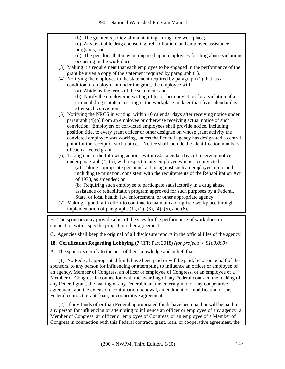- (b) The grantee's policy of maintaining a drug-free workplace;
- (c) Any available drug counseling, rehabilitation, and employee assistance programs; and

 (d) The penalties that may be imposed upon employees for drug abuse violations occurring in the workplace.

- (3) Making it a requirement that each employee to be engaged in the performance of the grant be given a copy of the statement required by paragraph (1).
- (4) Notifying the employee in the statement required by paragraph (1) that, as a condition of employment under the grant, the employee will—
	- (a) Abide by the terms of the statement; and

 (b) Notify the employer in writing of his or her conviction for a violation of a criminal drug statute occurring in the workplace no later than five calendar days after such conviction.

- (5) Notifying the NRCS in writing, within 10 calendar days after receiving notice under paragraph (4)(b) from an employee or otherwise receiving actual notice of such conviction. Employers of convicted employees shall provide notice, including position title, to every grant officer or other designee on whose grant activity the convicted employee was working, unless the Federal agency has designated a central point for the receipt of such notices. Notice shall include the identification numbers of each affected grant.
- (6) Taking one of the following actions, within 30 calendar days of receiving notice under paragraph (4) (b), with respect to any employee who is so convicted—

 (a) Taking appropriate personnel action against such an employee, up to and including termination, consistent with the requirements of the Rehabilitation Act of 1973, as amended; or

 (b) Requiring such employee to participate satisfactorily in a drug abuse assistance or rehabilitation program approved for such purposes by a Federal, State, or local health, law enforcement, or other appropriate agency.

(7) Making a good faith effort to continue to maintain a drug-free workplace through implementation of paragraphs  $(1)$ ,  $(2)$ ,  $(3)$ ,  $(4)$ ,  $(5)$ , and  $(6)$ .

B. The sponsors may provide a list of the sites for the performance of work done in connection with a specific project or other agreement.

C. Agencies shall keep the original of all disclosure reports in the official files of the agency.

**18. Certification Regarding Lobbying** (7 CFR Part 3018) *(for projects > \$100,000)* 

A. The sponsors certify to the best of their knowledge and belief, that:

 (1) No Federal appropriated funds have been paid or will be paid, by or on behalf of the sponsors, to any person for influencing or attempting to influence an officer or employee of an agency, Member of Congress, an officer or employee of Congress, or an employee of a Member of Congress in connection with the awarding of any Federal contract, the making of any Federal grant, the making of any Federal loan, the entering into of any cooperative agreement, and the extension, continuation, renewal, amendment, or modification of any Federal contract, grant, loan, or cooperative agreement.

 (2) If any funds other than Federal appropriated funds have been paid or will be paid to any person for influencing or attempting to influence an officer or employee of any agency, a Member of Congress, an officer or employee of Congress, or an employee of a Member of Congress in connection with this Federal contract, grant, loan, or cooperative agreement, the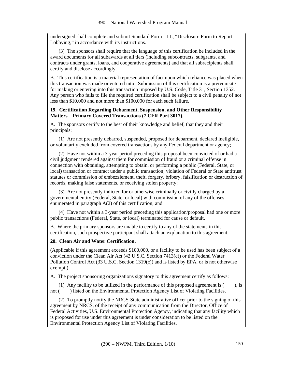undersigned shall complete and submit Standard Form LLL, "Disclosure Form to Report Lobbying," in accordance with its instructions.

 (3) The sponsors shall require that the language of this certification be included in the award documents for all subawards at all tiers (including subcontracts, subgrants, and contracts under grants, loans, and cooperative agreements) and that all subrecipients shall certify and disclose accordingly.

B. This certification is a material representation of fact upon which reliance was placed when this transaction was made or entered into. Submission of this certification is a prerequisite for making or entering into this transaction imposed by U.S. Code, Title 31, Section 1352. Any person who fails to file the required certification shall be subject to a civil penalty of not less than \$10,000 and not more than \$100,000 for each such failure.

### **19. Certification Regarding Debarment, Suspension, and Other Responsibility Matters—Primary Covered Transactions (7 CFR Part 3017).**

A. The sponsors certify to the best of their knowledge and belief, that they and their principals:

 (1) Are not presently debarred, suspended, proposed for debarment, declared ineligible, or voluntarily excluded from covered transactions by any Federal department or agency;

 (2) Have not within a 3-year period preceding this proposal been convicted of or had a civil judgment rendered against them for commission of fraud or a criminal offense in connection with obtaining, attempting to obtain, or performing a public (Federal, State, or local) transaction or contract under a public transaction; violation of Federal or State antitrust statutes or commission of embezzlement, theft, forgery, bribery, falsification or destruction of records, making false statements, or receiving stolen property;

 (3) Are not presently indicted for or otherwise criminally or civilly charged by a governmental entity (Federal, State, or local) with commission of any of the offenses enumerated in paragraph A(2) of this certification; and

 (4) Have not within a 3-year period preceding this application/proposal had one or more public transactions (Federal, State, or local) terminated for cause or default.

B. Where the primary sponsors are unable to certify to any of the statements in this certification, such prospective participant shall attach an explanation to this agreement.

## **20. Clean Air and Water Certification.**

(Applicable if this agreement exceeds \$100,000, or a facility to be used has been subject of a conviction under the Clean Air Act (42 U.S.C. Section 7413(c)) or the Federal Water Pollution Control Act (33 U.S.C. Section 1319(c)) and is listed by EPA, or is not otherwise exempt.)

A. The project sponsoring organizations signatory to this agreement certify as follows:

(1) Any facility to be utilized in the performance of this proposed agreement is  $($ ,  $)$ , is not (  $\Box$ ) listed on the Environmental Protection Agency List of Violating Facilities.

 (2) To promptly notify the NRCS-State administrative officer prior to the signing of this agreement by NRCS, of the receipt of any communication from the Director, Office of Federal Activities, U.S. Environmental Protection Agency, indicating that any facility which is proposed for use under this agreement is under consideration to be listed on the Environmental Protection Agency List of Violating Facilities.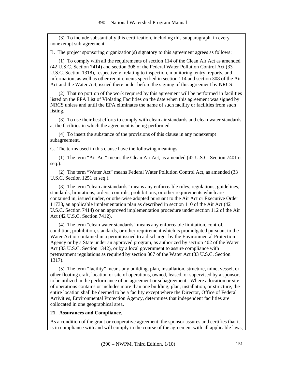(3) To include substantially this certification, including this subparagraph, in every nonexempt sub-agreement.

B. The project sponsoring organization(s) signatory to this agreement agrees as follows:

 (1) To comply with all the requirements of section 114 of the Clean Air Act as amended (42 U.S.C. Section 7414) and section 308 of the Federal Water Pollution Control Act (33 U.S.C. Section 1318), respectively, relating to inspection, monitoring, entry, reports, and information, as well as other requirements specified in section 114 and section 308 of the Air Act and the Water Act, issued there under before the signing of this agreement by NRCS.

 (2) That no portion of the work required by this agreement will be performed in facilities listed on the EPA List of Violating Facilities on the date when this agreement was signed by NRCS unless and until the EPA eliminates the name of such facility or facilities from such listing.

 (3) To use their best efforts to comply with clean air standards and clean water standards at the facilities in which the agreement is being performed.

 (4) To insert the substance of the provisions of this clause in any nonexempt subagreement.

C. The terms used in this clause have the following meanings:

 (1) The term "Air Act" means the Clean Air Act, as amended (42 U.S.C. Section 7401 et seq.).

 (2) The term "Water Act" means Federal Water Pollution Control Act, as amended (33 U.S.C. Section 1251 et seq.).

 (3) The term "clean air standards" means any enforceable rules, regulations, guidelines, standards, limitations, orders, controls, prohibitions, or other requirements which are contained in, issued under, or otherwise adopted pursuant to the Air Act or Executive Order 11738, an applicable implementation plan as described in section 110 of the Air Act (42 U.S.C. Section 7414) or an approved implementation procedure under section 112 of the Air Act (42 U.S.C. Section 7412).

 (4) The term "clean water standards" means any enforceable limitation, control, condition, prohibition, standards, or other requirement which is promulgated pursuant to the Water Act or contained in a permit issued to a discharger by the Environmental Protection Agency or by a State under an approved program, as authorized by section 402 of the Water Act (33 U.S.C. Section 1342), or by a local government to assure compliance with pretreatment regulations as required by section 307 of the Water Act (33 U.S.C. Section 1317).

 (5) The term "facility" means any building, plan, installation, structure, mine, vessel, or other floating craft, location or site of operations, owned, leased, or supervised by a sponsor, to be utilized in the performance of an agreement or subagreement. Where a location or site of operations contains or includes more than one building, plan, installation, or structure, the entire location shall be deemed to be a facility except where the Director, Office of Federal Activities, Environmental Protection Agency, determines that independent facilities are collocated in one geographical area.

### **21. Assurances and Compliance.**

As a condition of the grant or cooperative agreement, the sponsor assures and certifies that it is in compliance with and will comply in the course of the agreement with all applicable laws,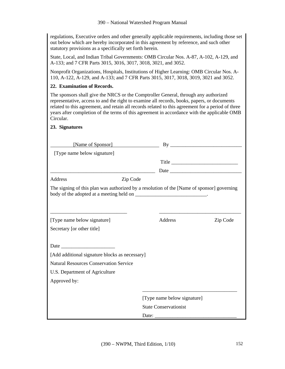regulations, Executive orders and other generally applicable requirements, including those set out below which are hereby incorporated in this agreement by reference, and such other statutory provisions as a specifically set forth herein.

State, Local, and Indian Tribal Governments: OMB Circular Nos. A-87, A-102, A-129, and A-133; and 7 CFR Parts 3015, 3016, 3017, 3018, 3021, and 3052.

Nonprofit Organizations, Hospitals, Institutions of Higher Learning: OMB Circular Nos. A-110, A-122, A-129, and A-133; and 7 CFR Parts 3015, 3017, 3018, 3019, 3021 and 3052.

### **22. Examination of Records.**

The sponsors shall give the NRCS or the Comptroller General, through any authorized representative, access to and the right to examine all records, books, papers, or documents related to this agreement, and retain all records related to this agreement for a period of three years after completion of the terms of this agreement in accordance with the applicable OMB Circular.

### **23. Signatures**

| [Name of Sponsor]                                                                                                                                                        |          |                              |          |
|--------------------------------------------------------------------------------------------------------------------------------------------------------------------------|----------|------------------------------|----------|
| [Type name below signature]                                                                                                                                              |          |                              |          |
|                                                                                                                                                                          |          |                              |          |
|                                                                                                                                                                          |          |                              |          |
| <b>Address</b>                                                                                                                                                           | Zip Code |                              |          |
| The signing of this plan was authorized by a resolution of the [Name of sponsor] governing<br>body of the adopted at a meeting held on ________________________________. |          |                              |          |
| [Type name below signature]                                                                                                                                              |          | Address                      | Zip Code |
| Secretary [or other title]                                                                                                                                               |          |                              |          |
|                                                                                                                                                                          |          |                              |          |
| [Add additional signature blocks as necessary]                                                                                                                           |          |                              |          |
| <b>Natural Resources Conservation Service</b>                                                                                                                            |          |                              |          |
| U.S. Department of Agriculture                                                                                                                                           |          |                              |          |
| Approved by:                                                                                                                                                             |          |                              |          |
|                                                                                                                                                                          |          |                              |          |
|                                                                                                                                                                          |          | [Type name below signature]  |          |
|                                                                                                                                                                          |          | <b>State Conservationist</b> |          |
|                                                                                                                                                                          |          |                              |          |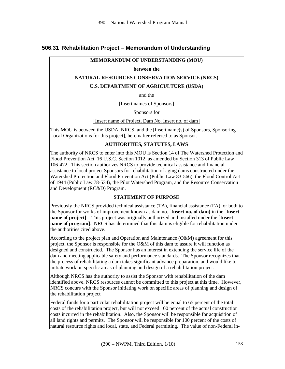## **506.31 Rehabilitation Project – Memorandum of Understanding**

### **MEMORANDUM OF UNDERSTANDING (MOU)**

#### **between the**

### **NATURAL RESOURCES CONSERVATION SERVICE (NRCS)**

### **U.S. DEPARTMENT OF AGRICULTURE (USDA)**

and the

[Insert names of Sponsors]

Sponsors for

[Insert name of Project, Dam No. Insert no. of dam]

This MOU is between the USDA, NRCS, and the [Insert name(s) of Sponsors, Sponsoring Local Organizations for this project], hereinafter referred to as Sponsor.

### **AUTHORITIES, STATUTES, LAWS**

The authority of NRCS to enter into this MOU is Section 14 of The Watershed Protection and Flood Prevention Act, 16 U.S.C. Section 1012, as amended by Section 313 of Public Law 106-472. This section authorizes NRCS to provide technical assistance and financial assistance to local project Sponsors for rehabilitation of aging dams constructed under the Watershed Protection and Flood Prevention Act (Public Law 83-566), the Flood Control Act of 1944 (Public Law 78-534), the Pilot Watershed Program, and the Resource Conservation and Development (RC&D) Program.

### **STATEMENT OF PURPOSE**

Previously the NRCS provided technical assistance (TA), financial assistance (FA), or both to the Sponsor for works of improvement known as dam no. [**Insert no. of dam]** in the [**Insert name of project]**. This project was originally authorized and installed under the [**Insert name of program]**. NRCS has determined that this dam is eligible for rehabilitation under the authorities cited above.

According to the project plan and Operation and Maintenance (O&M) agreement for this project, the Sponsor is responsible for the O&M of this dam to assure it will function as designed and constructed. The Sponsor has an interest in extending the service life of the dam and meeting applicable safety and performance standards. The Sponsor recognizes that the process of rehabilitating a dam takes significant advance preparation, and would like to initiate work on specific areas of planning and design of a rehabilitation project.

Although NRCS has the authority to assist the Sponsor with rehabilitation of the dam identified above, NRCS resources cannot be committed to this project at this time. However, NRCS concurs with the Sponsor initiating work on specific areas of planning and design of the rehabilitation project

Federal funds for a particular rehabilitation project will be equal to 65 percent of the total costs of the rehabilitation project, but will not exceed 100 percent of the actual construction costs incurred in the rehabilitation. Also, the Sponsor will be responsible for acquisition of all land rights and permits. The Sponsor will be responsible for 100 percent of the costs of natural resource rights and local, state, and Federal permitting. The value of non-Federal in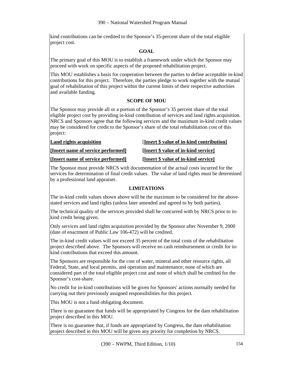kind contributions can be credited to the Sponsor's 35-percent share of the total eligible project cost.

## **GOAL**

The primary goal of this MOU is to establish a framework under which the Sponsor may proceed with work on specific aspects of the proposed rehabilitation project.

This MOU establishes a basis for cooperation between the parties to define acceptable in-kind contributions for this project. Therefore, the parties pledge to work together with the mutual goal of rehabilitation of this project within the current limits of their respective authorities and available funding.

### **SCOPE OF MOU**

The Sponsor may provide all or a portion of the Sponsor's 35 percent share of the total eligible project cost by providing in-kind contribution of services and land rights acquisition. NRCS and Sponsors agree that the following services and the maximum in-kind credit values may be considered for credit to the Sponsor's share of the total rehabilitation cost of this project:

| <b>Land rights acquisition</b>     | [Insert \$ value of in-kind contribution] |
|------------------------------------|-------------------------------------------|
| [Insert name of service performed] | [Insert \$ value of in-kind service]      |
| [Insert name of service performed] | [Insert \$ value of in-kind service]      |

The Sponsor must provide NRCS with documentation of the actual costs incurred for the services for determination of final credit values. The value of land rights must be determined by a professional land appraiser.

## **LIMITATIONS**

The in-kind credit values shown above will be the maximum to be considered for the abovestated services and land rights (unless later amended and agreed to by both parties).

The technical quality of the services provided shall be concurred with by NRCS prior to inkind credit being given.

Only services and land rights acquisition provided by the Sponsor after November 9, 2000 (date of enactment of Public Law 106-472) will be credited.

The in-kind credit values will not exceed 35 percent of the total costs of the rehabilitation project described above. The Sponsors will receive no cash reimbursement or credit for inkind contributions that exceed this amount.

The Sponsors are responsible for the cost of water, mineral and other resource rights, all Federal, State, and local permits, and operation and maintenance; none of which are considered part of the total eligible project cost and none of which shall be credited for the Sponsor's cost-share.

No credit for in-kind contributions will be given for Sponsors' actions normally needed for carrying out their previously assigned responsibilities for this project.

This MOU is not a fund obligating document.

There is no guarantee that funds will be appropriated by Congress for the dam rehabilitation project described in this MOU.

There is no guarantee that, if funds are appropriated by Congress, the dam rehabilitation project described in this MOU will be given any priority for completion by NRCS.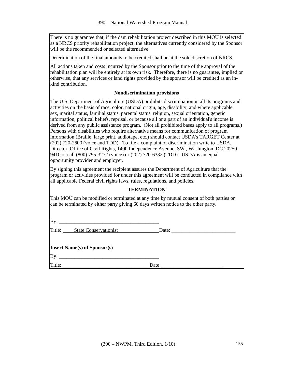There is no guarantee that, if the dam rehabilitation project described in this MOU is selected as a NRCS priority rehabilitation project, the alternatives currently considered by the Sponsor will be the recommended or selected alternative.

Determination of the final amounts to be credited shall be at the sole discretion of NRCS.

All actions taken and costs incurred by the Sponsor prior to the time of the approval of the rehabilitation plan will be entirely at its own risk. Therefore, there is no guarantee, implied or otherwise, that any services or land rights provided by the sponsor will be credited as an inkind contribution.

### **Nondiscrimination provisions**

The U.S. Department of Agriculture (USDA) prohibits discrimination in all its programs and activities on the basis of race, color, national origin, age, disability, and where applicable, sex, marital status, familial status, parental status, religion, sexual orientation, genetic information, political beliefs, reprisal, or because all or a part of an individual's income is derived from any public assistance program. (Not all prohibited bases apply to all programs.) Persons with disabilities who require alternative means for communication of program information (Braille, large print, audiotape, etc.) should contact USDA's TARGET Center at (202) 720-2600 (voice and TDD). To file a complaint of discrimination write to USDA, Director, Office of Civil Rights, 1400 Independence Avenue, SW., Washington, DC 20250- 9410 or call (800) 795-3272 (voice) or (202) 720-6382 (TDD). USDA is an equal opportunity provider and employer.

By signing this agreement the recipient assures the Department of Agriculture that the program or activities provided for under this agreement will be conducted in compliance with all applicable Federal civil rights laws, rules, regulations, and policies.

## **TERMINATION**

This MOU can be modified or terminated at any time by mutual consent of both parties or can be terminated by either party giving 60 days written notice to the other party.

 $\mathbf{B} \mathbf{v}$ :

Title: State Conservationist Date:

 $\mathbf{By:}$ 

Title: \_\_\_\_\_\_\_\_\_\_\_\_\_\_\_\_\_\_\_\_\_\_\_\_\_\_\_\_\_\_\_\_\_\_Date: \_\_\_\_\_\_\_\_\_\_\_\_\_\_\_\_\_\_\_\_\_\_\_\_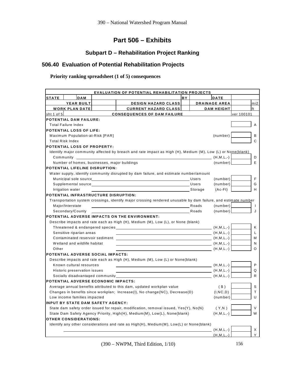# **Part 506 – Exhibits**

# **Subpart D – Rehabilitation Project Ranking**

# **506.40 Evaluation of Potential Rehabilitation Projects**

# **Priority ranking spreadsheet (1 of 5) consequences**

|              |                                              | <b>EVALUATION OF POTENTIAL REHABILITATION PROJECTS</b>                                                                                                                                                                         |           |                |                      |            |              |
|--------------|----------------------------------------------|--------------------------------------------------------------------------------------------------------------------------------------------------------------------------------------------------------------------------------|-----------|----------------|----------------------|------------|--------------|
| <b>STATE</b> | <b>DAM</b>                                   |                                                                                                                                                                                                                                | <b>BY</b> |                | <b>DATE</b>          |            |              |
|              | YEAR BUILT                                   | <b>DESIGN HAZARD CLASS</b>                                                                                                                                                                                                     |           |                | <b>DRAINAGE AREA</b> |            | mi2          |
|              | <b>WORK PLAN DATE</b>                        | <b>CURRENT HAZARD CLASS</b>                                                                                                                                                                                                    |           |                | <b>DAM HEIGHT</b>    |            | ft           |
| sht 1 of 5   |                                              | <b>CONSEQUENCES OF DAM FAILURE</b>                                                                                                                                                                                             |           |                |                      | ver 100101 |              |
|              | <b>POTENTIAL DAM FAILURE:</b>                |                                                                                                                                                                                                                                |           |                |                      |            |              |
|              | <b>Total Failure Index</b>                   |                                                                                                                                                                                                                                |           |                |                      |            | A            |
|              | <b>POTENTIAL LOSS OF LIFE:</b>               |                                                                                                                                                                                                                                |           |                |                      |            |              |
|              | Maximum Population-at-Risk [PAR]             |                                                                                                                                                                                                                                |           |                | (number)             |            | B            |
|              | <b>Total Risk Index</b>                      |                                                                                                                                                                                                                                |           |                |                      |            | C            |
|              | <b>POTENTIAL LOSS OF PROPERTY:</b>           |                                                                                                                                                                                                                                |           |                |                      |            |              |
|              |                                              | Identify major community affected by breach and rate impact as High (H), Medium (M), Low (L) or None(blank)                                                                                                                    |           |                |                      |            |              |
| Community    |                                              | <u> Alexandria de la contrada de la contrada de la contrada de la contrada de la contrada de la contrada de la c</u>                                                                                                           |           |                | $(H, M, L, -)$       |            | D            |
|              | Number of homes, businesses, major buildings |                                                                                                                                                                                                                                |           |                | (number)             |            | E            |
|              | <b>POTENTIAL LIFELINE DISRUPTION:</b>        |                                                                                                                                                                                                                                |           |                |                      |            |              |
|              |                                              | Water supply, identify community disrupted by dam failure, and estimate number/amount                                                                                                                                          |           |                |                      |            |              |
|              |                                              |                                                                                                                                                                                                                                |           |                | (number)             |            | F            |
|              |                                              |                                                                                                                                                                                                                                |           |                | (number)             |            | G            |
|              | Irrigation water                             | <u>Storage</u> Storage Storage Storage                                                                                                                                                                                         |           |                | $(Ac-Ft)$            |            | H            |
|              | <b>POTENTIAL INFRASTRUCTURE DISRUPTION:</b>  |                                                                                                                                                                                                                                |           |                |                      |            |              |
|              |                                              | Transportation system crossings, identify major crossing rendered unusable by dam failure, and estimate number                                                                                                                 |           |                |                      |            |              |
|              | Major/Interstate                             |                                                                                                                                                                                                                                |           |                | (number)             |            | $\mathbf{I}$ |
|              | Secondary/County                             |                                                                                                                                                                                                                                |           | Roads          | (number)             |            | J            |
|              |                                              | POTENTIAL ADVERSE IMPACTS ON THE ENVIRONMENT:                                                                                                                                                                                  |           |                |                      |            |              |
|              |                                              | Describe impacts and rate each as High (H), Medium (M), Low (L), or None (blank)                                                                                                                                               |           |                |                      |            |              |
|              |                                              |                                                                                                                                                                                                                                |           |                |                      |            | K            |
|              | Sensitive riparian areas                     | $(H, M, L, -)$                                                                                                                                                                                                                 |           |                |                      |            | L            |
|              |                                              |                                                                                                                                                                                                                                |           |                |                      |            | M            |
|              | Wetland and wildlife habitat                 | $(H, M, L, -)$                                                                                                                                                                                                                 |           |                |                      |            | N            |
| Other        |                                              |                                                                                                                                                                                                                                |           | $(H, M, L, -)$ |                      |            | $\Omega$     |
|              | <b>POTENTIAL ADVERSE SOCIAL IMPACTS:</b>     |                                                                                                                                                                                                                                |           |                |                      |            |              |
|              |                                              | Describe impacts and rate each as High (H), Medium (M), Low (L) or None(blank)                                                                                                                                                 |           |                |                      |            |              |
|              | Known cultural resources                     | $(H, M, L, -)$                                                                                                                                                                                                                 |           |                |                      |            | P            |
|              | Historic preservation issues                 | $(H, M, L, -)$                                                                                                                                                                                                                 |           |                |                      |            | Q            |
|              |                                              | Socially disadvantaged community example and the set of the set of the set of the set of the set of the set of the set of the set of the set of the set of the set of the set of the set of the set of the set of the set of t |           |                |                      |            | R            |
|              | POTENTIAL ADVERSE ECONOMIC IMPACTS:          |                                                                                                                                                                                                                                |           |                |                      |            |              |
|              |                                              | Average annual benefits attributed to this dam, updated workplan value                                                                                                                                                         |           |                | $($ \$)              |            | S            |
|              |                                              | Changes in benefits since workplan; Increase(I), No change(NC), Decrease(D)                                                                                                                                                    |           |                | (I, NC, D)           |            | T.           |
|              | Low income families impacted                 |                                                                                                                                                                                                                                |           |                | (number)             |            | U            |
|              | <b>INPUT BY STATE DAM SAFETY AGENCY:</b>     |                                                                                                                                                                                                                                |           |                |                      |            |              |
|              |                                              | State dam safety order issued for repair, modification, removal issued, Yes(Y), No(N)                                                                                                                                          |           |                | (Y, N)               |            | V            |
|              |                                              | State Dam Safety Agency Priority, High(H), Medium(M), Low(L), None(blank)                                                                                                                                                      |           |                | $(H, M, L, -)$       |            | W            |
|              | <b>OTHER CONSIDERATIONS:</b>                 |                                                                                                                                                                                                                                |           |                |                      |            |              |
|              |                                              | Identify any other considerations and rate as High(H), Medium(M), Low(L) or None(blank)                                                                                                                                        |           |                |                      |            |              |
|              |                                              |                                                                                                                                                                                                                                |           |                | $(H, M, L, -)$       |            | X            |
|              |                                              |                                                                                                                                                                                                                                |           |                | $(H, M, L, -)$       |            | Y            |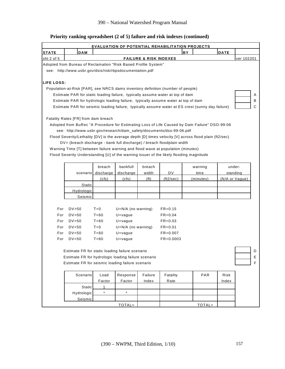# 390 – National Watershed Program Manual

|              | <b>EVALUATION OF POTENTIAL REHABILITATION PROJECTS</b>                                                 |              |                      |                                   |               |    |                 |                |            |    |
|--------------|--------------------------------------------------------------------------------------------------------|--------------|----------------------|-----------------------------------|---------------|----|-----------------|----------------|------------|----|
| <b>STATE</b> | <b>DAM</b>                                                                                             |              |                      |                                   |               | BY |                 | <b>DATE</b>    |            |    |
| sht 2 of 5   |                                                                                                        |              |                      | <b>FAILURE &amp; RISK INDEXES</b> |               |    |                 |                | ver 102201 |    |
|              | Adopted from Bureau of Reclamation "Risk Based Profile System"                                         |              |                      |                                   |               |    |                 |                |            |    |
|              | see: http://www.usbr.gov/dsis/risk/rbpsdocumentation.pdf                                               |              |                      |                                   |               |    |                 |                |            |    |
|              |                                                                                                        |              |                      |                                   |               |    |                 |                |            |    |
| LIFE LOSS:   |                                                                                                        |              |                      |                                   |               |    |                 |                |            |    |
|              | Population-at-Risk [PAR], see NRCS dams inventory definition (number of people)                        |              |                      |                                   |               |    |                 |                |            |    |
|              | Estimate PAR for static loading failure, typically assume water at top of dam                          |              |                      |                                   |               |    |                 |                |            | Α  |
|              | Estimate PAR for hydrologic loading failure, typically assume water at top of dam                      |              |                      |                                   |               |    |                 |                |            | В  |
|              | Estimate PAR for seismic loading failure, typically assume water at ES crest (sunny day failure)       |              |                      |                                   |               |    |                 |                |            | C  |
|              |                                                                                                        |              |                      |                                   |               |    |                 |                |            |    |
|              | Fatality Rates [FR] from dam breach                                                                    |              |                      |                                   |               |    |                 |                |            |    |
|              | Adopted from BuRec "A Procedure for Estimating Loss of Life Caused by Dam Failure" DSO-99-06           |              |                      |                                   |               |    |                 |                |            |    |
|              | see: http://www.usbr.gov/research/dam_safety/documents/dso-99-06.pdf                                   |              |                      |                                   |               |    |                 |                |            |    |
|              | Flood Severity/Lethality [DV] is the average depth [D] times velocity [V] across flood plain (ft2/sec) |              |                      |                                   |               |    |                 |                |            |    |
|              | DV= (breach discharge - bank full discharge) / breach floodplain width                                 |              |                      |                                   |               |    |                 |                |            |    |
|              | Warning Time [T] between failure warning and flood wave at population (minutes)                        |              |                      |                                   |               |    |                 |                |            |    |
|              | Flood Severity Understanding [U] of the warning issuer of the likely flooding magnitude                |              |                      |                                   |               |    |                 |                |            |    |
|              |                                                                                                        | breach       | bankfull             | breach                            |               |    |                 | under-         |            |    |
|              |                                                                                                        | discharge    | discharge            | width                             | <b>DV</b>     |    | warning<br>time | standing       |            |    |
|              | scenario                                                                                               | (cfs)        | (cfs)                | (f <sub>t</sub> )                 | ft2/sec)      |    | (minutes)       | (N/A or Vaque) |            |    |
|              | <b>Static</b>                                                                                          |              |                      |                                   |               |    |                 |                |            |    |
|              | Hydrologic                                                                                             |              |                      |                                   |               |    |                 |                |            |    |
|              | Seismic                                                                                                |              |                      |                                   |               |    |                 |                |            |    |
|              |                                                                                                        |              |                      |                                   |               |    |                 |                |            |    |
| For          | DV>50                                                                                                  | $T=0$        | $U=N/A$ (no warning) |                                   | $FR = 0.15$   |    |                 |                |            |    |
| For          | DV>50                                                                                                  | T < 60       | $U = \vee$ ague      |                                   | $FR = 0.04$   |    |                 |                |            |    |
| For          | DV>50                                                                                                  | T > 60       | $U = \vee$ ague      |                                   | $FR = 0.03$   |    |                 |                |            |    |
| For          | DV < 50                                                                                                | $T=0$        | $U=N/A$ (no warning) |                                   | $FR = 0.01$   |    |                 |                |            |    |
| For          | DV < 50                                                                                                | T < 60       | $U = \vee$ ague      |                                   | $FR = 0.007$  |    |                 |                |            |    |
| For          | DV < 50                                                                                                | T > 60       | $U = v$ ague         |                                   | $FR = 0.0003$ |    |                 |                |            |    |
|              |                                                                                                        |              |                      |                                   |               |    |                 |                |            |    |
|              | Estimate FR for static loading failure scenario                                                        |              |                      |                                   |               |    |                 |                |            |    |
|              | Estimate FR for hydrologic loading failure scenario                                                    |              |                      |                                   |               |    |                 |                |            | Е  |
|              | Estimate FR for seismic loading failure scenario                                                       |              |                      |                                   |               |    |                 |                |            | F. |
|              |                                                                                                        |              |                      |                                   |               |    |                 |                |            |    |
|              | Scenario                                                                                               | Load         | Response             | Failure                           | Fatality      |    | PAR             | Risk           |            |    |
|              |                                                                                                        | Factor       | Factor               | Index                             | Rate          |    |                 | Index          |            |    |
|              | <b>Static</b>                                                                                          | $\mathbf{1}$ |                      |                                   |               |    |                 |                |            |    |
|              | Hydrologic                                                                                             | $\star$      | $\star$              |                                   |               |    |                 |                |            |    |
|              | Seismic                                                                                                |              |                      |                                   |               |    |                 |                |            |    |
|              |                                                                                                        |              | TOTAL=               |                                   |               |    | TOTAL=          |                |            |    |

# **Priority ranking spreadsheet (2 of 5) failure and risk indexes (continued)**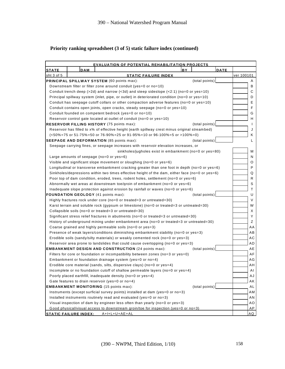# **Priority ranking spreadsheet (3 of 5) static failure index (continued)**

|              |            | <b>EVALUATION OF POTENTIAL REHABILITATION PROJECTS</b>                                               |    |                |             |            |                          |
|--------------|------------|------------------------------------------------------------------------------------------------------|----|----------------|-------------|------------|--------------------------|
| <b>STATE</b> | <b>DAM</b> |                                                                                                      | BY |                | <b>DATE</b> |            |                          |
| sht 3 of 5   |            | <b>STATIC FAILURE INDEX</b>                                                                          |    |                |             | ver 100101 |                          |
|              |            | <b>PRINCIPAL SPILLWAY SYSTEM (60 points max):</b>                                                    |    | (total points) |             |            | A                        |
|              |            | Downstream filter or filter zone around conduit (yes=0 or no=10)                                     |    |                |             |            | В                        |
|              |            | Conduit trench deep (>2d) and narrow (<3d) and steep sideslope (<2:1) (no=0 or yes=10)               |    |                |             |            | C                        |
|              |            | Principal spillway system (inlet, pipe, or outlet) in deteriorated condition (no=0 or yes=10)        |    |                |             |            | D                        |
|              |            | Conduit has seepage cutoff collars or other compaction adverse features (no=0 or yes=10)             |    |                |             |            | E                        |
|              |            | Conduit contains open joints, open cracks, steady seepage (no=0 or yes=10)                           |    |                |             |            | F                        |
|              |            | Conduit founded on competent bedrock (yes=0 or no=10)                                                |    |                |             |            | G                        |
|              |            | Reservoir control gate located at outlet of conduit (no=0 or yes=10)                                 |    |                |             |            | н                        |
|              |            | RESERVOIR FILLING HISTORY (75 points max):                                                           |    | (total points) |             |            | I                        |
|              |            | Reservoir has filled to x% of effective height (earth spillway crest minus original streambed)       |    |                |             |            | J                        |
|              |            | $(50\% = 75$ or $51-75\% = 50$ or $76-90\% = 25$ or $91-95\% = 10$ or $96-100\% = 5$ or $>100\% = 0$ |    |                |             |            | κ                        |
|              |            | <b>SEEPAGE AND DEFORMATION (85 points max):</b>                                                      |    | (total points) |             |            | L                        |
|              |            | Seepage carrying fines, or seepage increases with reservoir elevation increases, or                  |    |                |             |            |                          |
|              |            | sinkholes/jugholes exist in embankment (no=0 or yes=80)                                              |    |                |             |            | М                        |
|              |            | Large amounts of seepage (no=0 or yes=6)                                                             |    |                |             |            | N                        |
|              |            | Visible and significant slope movement or sloughing (no=0 or yes=6)                                  |    |                |             |            | O                        |
|              |            | Longitudinal or transverse embankment cracking greater than one foot in depth (no=0 or yes=6)        |    |                |             |            | P                        |
|              |            | Sinkholes/depressions within two times effective height of the dam, either face (no=0 or yes=6)      |    |                |             |            | Q                        |
|              |            | Poor top of dam condition, eroded, trees, rodent holes, settlement (no=0 or yes=6)                   |    |                |             |            | R                        |
|              |            | Abnormally wet areas at downstream toe/groin of embankment (no=0 or yes=6)                           |    |                |             |            | S                        |
|              |            | Inadequate slope protection against erosion by rainfall or waves (no=0 or yes=6)                     |    |                |             |            | T                        |
|              |            | FOUNDATION GEOLOGY (41 points max):                                                                  |    | (total points) |             |            | U                        |
|              |            | Highly fractures rock under core (no=0 or treated=3 or untreated=30)                                 |    |                |             |            | V                        |
|              |            | Karst terrain and soluble rock (gypsum or limestone) (no=0 or treated=3 or untreated=30)             |    |                |             |            | W                        |
|              |            | Collapsible soils (no=0 or treated=3 or untreated=30)                                                |    |                |             |            | X                        |
|              |            | Significant stress relief fractures in abutments (no=0 or treated=3 or untreated=30)                 |    |                |             |            | Y                        |
|              |            | History of underground mining under embankment area (no=0 or treated=3 or untreated=30)              |    |                |             |            | Ζ                        |
|              |            | Coarse grained and highly permeable soils (no=0 or yes=3)                                            |    |                |             |            | AA                       |
|              |            | Presence of weak layers/conditions diminishing embankment stability (no=0 or yes=3)                  |    |                |             |            | $\mathsf{A}\,\mathsf{B}$ |
|              |            | Erodible soils (sandy/silty materials) or weakly cemented rock (no=0 or yes=3)                       |    |                |             |            | AC                       |
|              |            | Reservoir area prone to landslides that could cause overtopping (no=0 or yes=3)                      |    |                |             |            | AD                       |
|              |            | <b>EMBANKMENT DESIGN AND CONSTRUCTION (24 points max):</b>                                           |    | (total points) |             |            | AЕ                       |
|              |            | Filters for core or foundation or incompatibility between zones (no=3 or yes=0)                      |    |                |             |            | AF                       |
|              |            | Embankment or foundation drainage system (yes=0 or no=4)                                             |    |                |             |            | AG                       |
|              |            | Erodible core material (sands, silts, dispersive clays) (no=0 or yes=4)                              |    |                |             |            | AΗ                       |
|              |            | Incomplete or no foundation cutoff of shallow permeable layers (no=0 or yes=4)                       |    |                |             |            | $\mathsf{A}\mathsf{I}$   |
|              |            | Poorly placed earthfill, inadequate density (no=0 or yes=4)                                          |    |                |             |            | ΑJ                       |
|              |            | Gate features to drain reservoir (yes=0 or no=4)                                                     |    |                |             |            | AK                       |
|              |            | <b>EMBANKMENT MONITORING (15 points max):</b>                                                        |    | (total points) |             |            | AL                       |
|              |            | Instruments (except surficial survey points) installed at dam (yes=0 or no=3)                        |    |                |             |            | ΑM                       |
|              |            | Installed instruments routinely read and evaluated (yes=0 or no=3)                                   |    |                |             |            | ΑN                       |
|              |            | Visual inspection of dam by engineer less often than yearly (no=0 or yes=3)                          |    |                |             |            | AO                       |
|              |            | Good physical/visual access to downstream groin/toe for inspection (yes=0 or no=3)                   |    |                |             |            | AP                       |
|              |            | STATIC FAILURE INDEX: A+I+L+U+AE+AL                                                                  |    |                |             |            | AQ                       |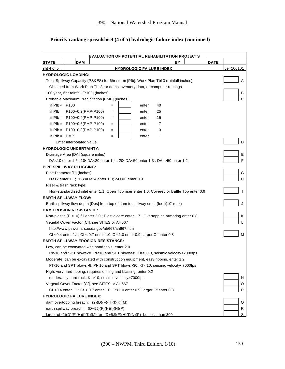# **Priority ranking spreadsheet (4 of 5) hydrologic failure index (continued)**

|                          | <b>EVALUATION OF POTENTIAL REHABILITATION PROJECTS</b>                                       |            |  |  |  |  |  |  |
|--------------------------|----------------------------------------------------------------------------------------------|------------|--|--|--|--|--|--|
| <b>STATE</b>             | ΒY<br><b>DATE</b><br><b>DAM</b>                                                              |            |  |  |  |  |  |  |
| sht 4 of 5               | <b>HYDROLOGIC FAILURE INDEX</b>                                                              | ver 100101 |  |  |  |  |  |  |
|                          | <b>HYDROLOGIC LOADING:</b>                                                                   |            |  |  |  |  |  |  |
|                          | Total Spillway Capacity (PS&ES) for 6hr storm [Pfb], Work Plan Tbl 3 (rainfall inches)       | Α          |  |  |  |  |  |  |
|                          | Obtained from Work Plan Tbl 3, or dams inventory data, or computer routings                  |            |  |  |  |  |  |  |
|                          | 100 year, 6hr rainfall [P100] (inches)                                                       | в          |  |  |  |  |  |  |
|                          | Probable Maximum Precipitation [PMP] (inches)                                                | C          |  |  |  |  |  |  |
| if $Pfb <$ $P100$        | 40<br>enter<br>$=$                                                                           |            |  |  |  |  |  |  |
|                          | if $Pfb = P100+0.2(PMP-P100)$<br>enter<br>25<br>$=$                                          |            |  |  |  |  |  |  |
|                          | if $Pfb = P100+0.4(PMP-P100)$<br>15<br>enter<br>$=$                                          |            |  |  |  |  |  |  |
|                          | if $Pfb = P100+0.6(PMP-P100)$<br>7<br>enter<br>$=$                                           |            |  |  |  |  |  |  |
|                          | if $Pfb = P100+0.8(PMP-P100)$<br>3<br>enter<br>$=$                                           |            |  |  |  |  |  |  |
| if $Pfb = PMP$           | 1<br>enter<br>$=$                                                                            |            |  |  |  |  |  |  |
|                          | Enter interpolated value                                                                     | D          |  |  |  |  |  |  |
|                          | <b>HYDROLOGIC UNCERTAINTY:</b>                                                               |            |  |  |  |  |  |  |
|                          | Drainage Area [DA] (square miles)                                                            | Е          |  |  |  |  |  |  |
|                          | DA<10 enter 1.5; 10 <da<20 1.3;="" 1.4;="" 20<da<50="" da="" enter="">50 enter 1.2</da<20>   | F          |  |  |  |  |  |  |
|                          | <b>PIPE SPILLWAY PLUGGING:</b>                                                               |            |  |  |  |  |  |  |
|                          | Pipe Diameter [D] (inches)                                                                   | G          |  |  |  |  |  |  |
|                          | D<12 enter 1.1; 12<=D<24 enter 1.0; 24<=D enter 0.9                                          | н          |  |  |  |  |  |  |
| Riser & trash rack type: |                                                                                              |            |  |  |  |  |  |  |
|                          | Non-standardized inlet enter 1.1, Open Top riser enter 1.0; Covered or Baffle Top enter 0.9  |            |  |  |  |  |  |  |
|                          | <b>EARTH SPILLWAY FLOW:</b>                                                                  |            |  |  |  |  |  |  |
|                          | Earth spillway flow depth [Des] from top of dam to spillway crest (feet)(10' max)            | J          |  |  |  |  |  |  |
|                          | <b>DAM EROSION RESISTANCE:</b>                                                               |            |  |  |  |  |  |  |
|                          | Non-plastic (PI<10) fill enter 2.0 ; Plastic core enter 1.7 ; Overtopping armoring enter 0.8 | Κ          |  |  |  |  |  |  |
|                          | Vegetal Cover Factor [Cf], see SITES or AH667                                                |            |  |  |  |  |  |  |
|                          | http://www.pswcrl.ars.usda.gov/ah667/ah667.htm                                               |            |  |  |  |  |  |  |
|                          | Cf <0.4 enter 1.1; Cf < 0.7 enter 1.0; Cf < 1.0 enter 0.9; larger Cf enter 0.8               | М          |  |  |  |  |  |  |
|                          | <b>EARTH SPILLWAY EROSION RESISTANCE:</b>                                                    |            |  |  |  |  |  |  |
|                          | Low, can be excavated with hand tools, enter 2.0                                             |            |  |  |  |  |  |  |
|                          | PI>10 and SPT blows<8, PI<10 and SPT blows>8, Kh<0.10, seismic velocity<2000fps              |            |  |  |  |  |  |  |
|                          | Moderate, can be excavated with construction equipment, easy ripping, enter 1.2              |            |  |  |  |  |  |  |
|                          | PI>10 and SPT blows>8, PI<10 and SPT blows>30, Kh<10, seismic velocity<7000fps               |            |  |  |  |  |  |  |
|                          | High, very hard ripping, requires drilling and blasting, enter 0.2                           |            |  |  |  |  |  |  |
|                          | moderately hard rock, Kh>10, seismic velocity>7000fps                                        | N          |  |  |  |  |  |  |
|                          | Vegetal Cover Factor [Cf], see SITES or AH667                                                | O          |  |  |  |  |  |  |
|                          | Cf <0.4 enter 1.1; Cf < 0.7 enter 1.0; Cf < 1.0 enter 0.9; larger Cf enter 0.8               | P          |  |  |  |  |  |  |
|                          | <b>HYDROLOGIC FAILURE INDEX:</b>                                                             |            |  |  |  |  |  |  |
|                          | dam overtopping breach: $(2)(D)(F)(H)(I)(K)(M)$                                              | Q          |  |  |  |  |  |  |
|                          | earth spillway breach: (D+5J)(F)(H)(I)(N)(P)                                                 | R          |  |  |  |  |  |  |
|                          | larger of $(2)(D)(F)(H)(I)(K)(M)$ or $(D+5J)(F)(H)(I)(N)(P)$ but less than 300               | S          |  |  |  |  |  |  |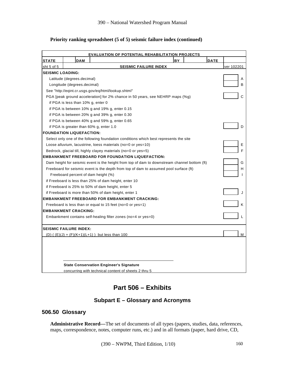# **Priority ranking spreadsheet (5 of 5) seismic failure index (continued)**

|                         |                                    | <b>EVALUATION OF POTENTIAL REHABILITATION PROJECTS</b>                                       |            |
|-------------------------|------------------------------------|----------------------------------------------------------------------------------------------|------------|
| <b>STATE</b>            | <b>DAM</b>                         | BY<br><b>DATE</b>                                                                            |            |
| sht 5 of 5              |                                    | <b>SEISMIC FAILURE INDEX</b>                                                                 | ver 102201 |
| <b>SEISMIC LOADING:</b> |                                    |                                                                                              |            |
|                         | Latitude (degrees.decimal)         |                                                                                              | Α          |
|                         | Longitude (degrees.decimal)        |                                                                                              | В          |
|                         |                                    | See "http://eqint.cr.usgs.gov/eq/html/lookup.shtml"                                          |            |
|                         |                                    | PGA [peak ground acceleration] for 2% chance in 50 years, see NEHRP maps (%g)                | C          |
|                         | if PGA is less than 10% g, enter 0 |                                                                                              |            |
|                         |                                    | if PGA is between 10% g and 19% g, enter 0.15                                                |            |
|                         |                                    | if PGA is between 20% g and 39% g, enter 0.30                                                |            |
|                         |                                    | if PGA is between 40% g and 59% g, enter 0.65                                                |            |
|                         |                                    | if PGA is greater than 60% g, enter 1.0                                                      | D          |
|                         | <b>FOUNDATION LIQUEFACTION:</b>    |                                                                                              |            |
|                         |                                    | Select only one of the following foundation conditions which best represents the site        |            |
|                         |                                    | Loose alluvium, lacustrine, loess materials (no=0 or yes=10)                                 | Ε          |
|                         |                                    | Bedrock, glacial till, highly clayey materials (no=0 or yes=5)                               | F          |
|                         |                                    | <b>EMBANKMENT FREEBOARD FOR FOUNDATION LIQUEFACTION:</b>                                     |            |
|                         |                                    | Dam height for seismic event is the height from top of dam to downstream channel bottom (ft) | G          |
|                         |                                    | Freeboard for seismic event is the depth from top of dam to assumed pool surface (ft)        | н          |
|                         |                                    | Freeboard percent of dam height (%)                                                          |            |
|                         |                                    | if Freeboard is less than 25% of dam height, enter 10                                        |            |
|                         |                                    | if Freeboard is 25% to 50% of dam height, enter 5                                            |            |
|                         |                                    | if Freeboard is more than 50% of dam height, enter 1                                         |            |
|                         |                                    | <b>EMBANKMENT FREEBOARD FOR EMBANKMENT CRACKING:</b>                                         |            |
|                         |                                    | Freeboard is less than or equal to 15 feet (no=0 or yes=1)                                   | K          |
|                         | <b>EMBANKMENT CRACKING:</b>        |                                                                                              |            |
|                         |                                    | Embankment contains self-healing filter zones (no=4 or yes=0)                                |            |
|                         | <b>SEISMIC FAILURE INDEX:</b>      |                                                                                              |            |
|                         |                                    | (D) ( $(E)(J) + (F)(K+1)(L+1)$ ) but less than 100                                           | M          |
|                         |                                    |                                                                                              |            |
|                         |                                    |                                                                                              |            |
|                         |                                    | <b>State Conservation Engineer's Signature</b>                                               |            |
|                         |                                    | concurring with technical content of sheets 2 thru 5                                         |            |

# **Part 506 – Exhibits**

# **Subpart E – Glossary and Acronyms**

# **506.50 Glossary**

**Administrative Record—**The set of documents of all types (papers, studies, data, references, maps, correspondence, notes, computer runs, etc.) and in all formats (paper, hard drive, CD,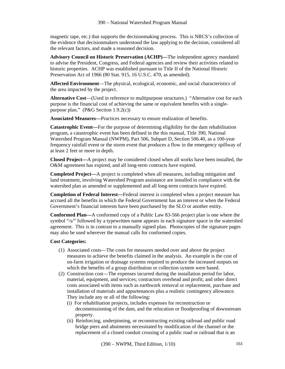magnetic tape, etc.) that supports the decisionmaking process. This is NRCS's collection of the evidence that decisionmakers understood the law applying to the decision, considered all the relevant factors, and made a reasoned decision.

**Advisory Council on Historic Preservation (ACHP)—**The independent agency mandated to advise the President, Congress, and Federal agencies and review their activities related to historic properties. ACHP was established pursuant to Title II of the National Historic Preservation Act of 1966 (80 Stat. 915, 16 U.S.C. 470, as amended).

**Affected Environment**—The physical, ecological, economic, and social characteristics of the area impacted by the project.

**Alternative Cost**—(Used in reference to multipurpose structures.) "Alternative cost for each purpose is the financial cost of achieving the same or equivalent benefits with a singlepurpose plan." (P&G Section 1.9.2(c))

**Associated Measures—**Practices necessary to ensure realization of benefits.

**Catastrophic Event—**For the purpose of determining eligibility for the dam rehabilitation program, a catastrophic event has been defined in the this manual, Title 390, National Watershed Program Manual (NWPM), Part 506, Subpart D, Section 506.40, as a 100-year frequency rainfall event or the storm event that produces a flow in the emergency spillway of at least 2 feet or more in depth.

**Closed Project—**A project may be considered closed when all works have been installed, the O&M agreement has expired, and all long-term contracts have expired.

**Completed Project—**A project is completed when all measures, including mitigation and land treatment, involving Watershed Program assistance are installed in compliance with the watershed plan as amended or supplemented and all long-term contracts have expired.

**Completion of Federal Interest—**Federal interest is completed when a project measure has accrued all the benefits in which the Federal Government has an interest or when the Federal Government's financial interests have been purchased by the SLO or another entity.

**Conformed Plan—**A conformed copy of a Public Law 83-566 project plan is one where the symbol "/s/" followed by a typewritten name appears in each signature space in the watershed agreement. This is in contrast to a manually signed plan. Photocopies of the signature pages may also be used wherever the manual calls for conformed copies.

#### **Cost Categories:**

- (1) Associated costs—The costs for measures needed over and above the project measures to achieve the benefits claimed in the analysis. An example is the cost of on-farm irrigation or drainage systems required to produce the increased outputs on which the benefits of a group distribution or collection system were based.
- (2) Construction cost—The expenses incurred during the installation period for labor, material, equipment, and services; contractors overhead and profit; and other direct costs associated with items such as earthwork removal or replacement, purchase and installation of materials and appurtenances plus a realistic contingency allowance. They include any or all of the following:
	- (i) For rehabilitation projects, includes expenses for reconstruction or decommissioning of the dam, and the relocation or floodproofing of downstream property.
	- (ii) Reinforcing, underpinning, or reconstructing existing railroad and public road bridge piers and abutments necessitated by modification of the channel or the replacement of a closed conduit crossing of a public road or railroad that is an

 $(390 - NWPM, Third Edition, 1/10)$  161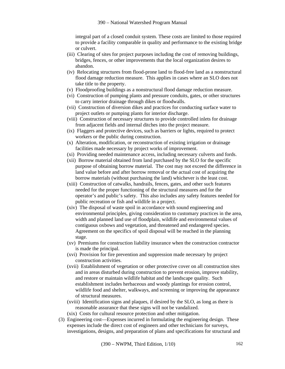integral part of a closed conduit system. These costs are limited to those required to provide a facility comparable in quality and performance to the existing bridge or culvert.

- (iii) Clearing of sites for project purposes including the cost of removing buildings, bridges, fences, or other improvements that the local organization desires to abandon.
- (iv) Relocating structures from flood-prone land to flood-free land as a nonstructural flood damage reduction measure. This applies in cases where an SLO does not take title to the property.
- (v) Floodproofing buildings as a nonstructural flood damage reduction measure.
- (vi) Construction of pumping plants and pressure conduits, gates, or other structures to carry interior drainage through dikes or floodwalls.
- (vii) Construction of diversion dikes and practices for conducting surface water to project outlets or pumping plants for interior discharge.
- (viii) Construction of necessary structures to provide controlled inlets for drainage from adjacent fields and internal ditches into the project measure.
- (ix) Flaggers and protective devices, such as barriers or lights, required to protect workers or the public during construction.
- (x) Alteration, modification, or reconstruction of existing irrigation or drainage facilities made necessary by project works of improvement.
- (xi) Providing needed maintenance access, including necessary culverts and fords.
- (xii) Borrow material obtained from land purchased by the SLO for the specific purpose of obtaining borrow material. The cost may not exceed the difference in land value before and after borrow removal or the actual cost of acquiring the borrow materials (without purchasing the land) whichever is the least cost.
- (xiii) Construction of catwalks, handrails, fences, gates, and other such features needed for the proper functioning of the structural measures and for the operator's and public's safety. This also includes any safety features needed for public recreation or fish and wildlife in a project.
- (xiv) The disposal of waste spoil in accordance with sound engineering and environmental principles, giving consideration to customary practices in the area, width and planned land use of floodplain, wildlife and environmental values of contiguous oxbows and vegetation, and threatened and endangered species. Agreement on the specifics of spoil disposal will be reached in the planning stage.
- (xv) Premiums for construction liability insurance when the construction contractor is made the principal.
- (xvi) Provision for fire prevention and suppression made necessary by project construction activities.
- (xvii) Establishment of vegetation or other protective cover on all construction sites and in areas disturbed during construction to prevent erosion, improve stability, and restore or maintain wildlife habitat and the landscape quality. Such establishment includes herbaceous and woody plantings for erosion control, wildlife food and shelter, walkways, and screening or improving the appearance of structural measures.
- (xviii) Identification signs and plaques, if desired by the SLO, as long as there is reasonable assurance that these signs will not be vandalized.
- (xix) Costs for cultural resource protection and other mitigation.
- (3) Engineering cost—Expenses incurred in formulating the engineering design. These expenses include the direct cost of engineers and other technicians for surveys, investigations, designs, and preparation of plans and specifications for structural and

(390 – NWPM, Third Edition, 1/10) 162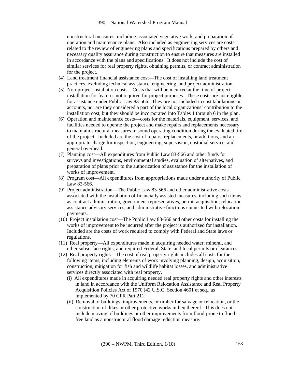nonstructural measures, including associated vegetative work, and preparation of operation and maintenance plans. Also included as engineering services are costs related to the review of engineering plans and specifications prepared by others and necessary quality assurance during construction to ensure that measures are installed in accordance with the plans and specifications. It does not include the cost of similar services for real property rights, obtaining permits, or contract administration for the project.

- (4) Land treatment financial assistance cost—The cost of installing land treatment practices, excluding technical assistance, engineering, and project administration.
- (5) Non-project installation costs—Costs that will be incurred at the time of project installation for features not required for project purposes. These costs are not eligible for assistance under Public Law 83-566. They are not included in cost tabulations or accounts, nor are they considered a part of the local organizations' contribution to the installation cost, but they should be incorporated into Tables 1 through 6 in the plan.
- (6) Operation and maintenance costs—costs for the materials, equipment, services, and facilities needed to operate the project and make repairs and replacements necessary to maintain structural measures in sound operating condition during the evaluated life of the project. Included are the cost of repairs, replacements, or additions, and an appropriate charge for inspection, engineering, supervision, custodial service, and general overhead.
- (7) Planning cost—All expenditures from Public Law 83-566 and other funds for surveys and investigations, environmental studies, evaluation of alternatives, and preparation of plans prior to the authorization of assistance for the installation of works of improvement.
- (8) Program cost—All expenditures from appropriations made under authority of Public Law 83-566.
- (9) Project administration—The Public Law 83-566 and other administrative costs associated with the installation of financially assisted measures, including such items as contract administration, government representatives, permit acquisition, relocation assistance advisory services, and administrative functions connected with relocation payments.
- (10) Project installation cost—The Public Law 83-566 and other costs for installing the works of improvement to be incurred after the project is authorized for installation. Included are the costs of work required to comply with Federal and State laws or regulations.
- (11) Real property—All expenditures made in acquiring needed water, mineral, and other subsurface rights, and required Federal, State, and local permits or clearances.
- (12) Real property rights—The cost of real property rights includes all costs for the following items, including elements of work involving planning, design, acquisition, construction, mitigation for fish and wildlife habitat losses, and administrative services directly associated with real property.
	- (i) All expenditures made in acquiring needed real property rights and other interests in land in accordance with the Uniform Relocation Assistance and Real Property Acquisition Policies Act of 1970 (42 U.S.C. Section 4601 et seq., as implemented by 70 CFR Part 21).
	- (ii) Removal of buildings, improvements, or timber for salvage or relocation, or the construction of dikes or other protective works in lieu thereof. This does not include moving of buildings or other improvements from flood-prone to floodfree land as a nonstructural flood damage reduction measure.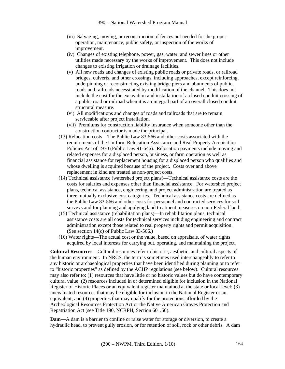- (iii) Salvaging, moving, or reconstruction of fences not needed for the proper operation, maintenance, public safety, or inspection of the works of improvement.
- (iv) Changes of existing telephone, power, gas, water, and sewer lines or other utilities made necessary by the works of improvement. This does not include changes to existing irrigation or drainage facilities.
- (v) All new roads and changes of existing public roads or private roads, or railroad bridges, culverts, and other crossings, including approaches, except reinforcing, underpinning or reconstructing existing bridge piers and abutments of public roads and railroads necessitated by modification of the channel. This does not include the cost for the excavation and installation of a closed conduit crossing of a public road or railroad when it is an integral part of an overall closed conduit structural measure.
- (vi) All modifications and changes of roads and railroads that are to remain serviceable after project installation.
- (vii) Premiums for construction liability insurance when someone other than the construction contractor is made the principal.
- (13) Relocation costs—The Public Law 83-566 and other costs associated with the requirements of the Uniform Relocation Assistance and Real Property Acquisition Policies Act of 1970 (Public Law 91-646). Relocation payments include moving and related expenses for a displaced person, business, or farm operation as well as financial assistance for replacement housing for a displaced person who qualifies and whose dwelling is acquired because of the project. Costs over and above replacement in kind are treated as non-project costs.
- (14) Technical assistance (watershed project plans)—Technical assistance costs are the costs for salaries and expenses other than financial assistance. For watershed project plans, technical assistance, engineering, and project administration are treated as three mutually exclusive cost categories. Technical assistance costs are defined as the Public Law 83-566 and other costs for personnel and contracted services for soil surveys and for planning and applying land treatment measures on non-Federal land.
- (15) Technical assistance (rehabilitation plans)—In rehabilitation plans, technical assistance costs are all costs for technical services including engineering and contract administration except those related to real property rights and permit acquisition. (See section 14(c) of Public Law 83-566.)
- (16) Water rights—The actual cost or the value, based on appraisals, of water rights acquired by local interests for carrying out, operating, and maintaining the project.

**Cultural Resources**—Cultural resources refer to historic, aesthetic, and cultural aspects of the human environment. In NRCS, the term is sometimes used interchangeably to refer to any historic or archaeological properties that have been identified during planning or to refer to "historic properties" as defined by the ACHP regulations (see below). Cultural resources may also refer to: (1) resources that have little or no historic values but do have contemporary cultural value; (2) resources included in or determined eligible for inclusion in the National Register of Historic Places or an equivalent register maintained at the state or local level; (3) unevaluated resources that may be eligible for inclusion in the National Register or an equivalent; and (4) properties that may qualify for the protections afforded by the Archeological Resources Protection Act or the Native American Graves Protection and Repatriation Act (see Title 190, NCRPH, Section 601.60).

**Dam—**A dam is a barrier to confine or raise water for storage or diversion, to create a hydraulic head, to prevent gully erosion, or for retention of soil, rock or other debris. A dam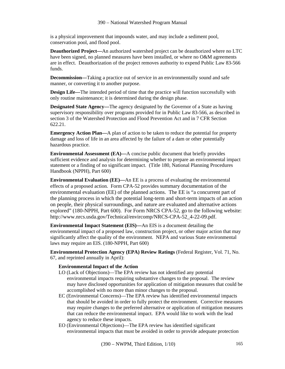is a physical improvement that impounds water, and may include a sediment pool, conservation pool, and flood pool.

**Deauthorized Project—**An authorized watershed project can be deauthorized where no LTC have been signed, no planned measures have been installed, or where no O&M agreements are in effect. Deauthorization of the project removes authority to expend Public Law 83-566 funds.

**Decommission—**Taking a practice out of service in an environmentally sound and safe manner, or converting it to another purpose.

**Design Life—**The intended period of time that the practice will function successfully with only routine maintenance; it is determined during the design phase.

**Designated State Agency—The agency designated by the Governor of a State as having** supervisory responsibility over programs provided for in Public Law 83-566, as described in section 3 of the Watershed Protection and Flood Prevention Act and in 7 CFR Section 622.21.

**Emergency Action Plan—**A plan of action to be taken to reduce the potential for property damage and loss of life in an area affected by the failure of a dam or other potentially hazardous practice.

**Environmental Assessment (EA)—**A concise public document that briefly provides sufficient evidence and analysis for determining whether to prepare an environmental impact statement or a finding of no significant impact. (Title 180, National Planning Procedures Handbook (NPPH), Part 600)

**Environmental Evaluation (EE)—**An EE is a process of evaluating the environmental effects of a proposed action. Form CPA-52 provides summary documentation of the environmental evaluation (EE) of the planned actions. The EE is "a concurrent part of the planning process in which the potential long-term and short-term impacts of an action on people, their physical surroundings, and nature are evaluated and alternative actions explored" (180-NPPH, Part 600). For Form NRCS CPA-52, go to the following website: http://www.nrcs.usda.gov/Technical/envircomp/NRCS-CPA-52\_4-22-09.pdf.

**Environmental Impact Statement (EIS)—**An EIS is a document detailing the environmental impact of a proposed law, construction project, or other major action that may significantly affect the quality of the environment. NEPA and various State environmental laws may require an EIS. (180-NPPH, Part 600)

**Environmental Protection Agency (EPA) Review Ratings** (Federal Register, Vol. 71, No. 67, and reprinted annually in April):

### **Environmental Impact of the Action**

- LO (Lack of Objections)—The EPA review has not identified any potential environmental impacts requiring substantive changes to the proposal. The review may have disclosed opportunities for application of mitigation measures that could be accomplished with no more than minor changes to the proposal.
- EC (Environmental Concerns)—The EPA review has identified environmental impacts that should be avoided in order to fully protect the environment. Corrective measures may require changes to the preferred alternative or application of mitigation measures that can reduce the environmental impact. EPA would like to work with the lead agency to reduce these impacts.
- EO (Environmental Objections)—The EPA review has identified significant environmental impacts that must be avoided in order to provide adequate protection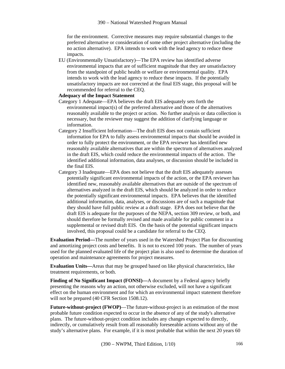for the environment. Corrective measures may require substantial changes to the preferred alternative or consideration of some other project alternative (including the no action alternative). EPA intends to work with the lead agency to reduce these impacts.

EU (Environmentally Unsatisfactory)—The EPA review has identified adverse environmental impacts that are of sufficient magnitude that they are unsatisfactory from the standpoint of public health or welfare or environmental quality. EPA intends to work with the lead agency to reduce these impacts. If the potentially unsatisfactory impacts are not corrected at the final EIS stage, this proposal will be recommended for referral to the CEQ.

#### **Adequacy of the Impact Statement**

- Category 1 Adequate—EPA believes the draft EIS adequately sets forth the environmental impact(s) of the preferred alternative and those of the alternatives reasonably available to the project or action. No further analysis or data collection is necessary, but the reviewer may suggest the addition of clarifying language or information.
- Category 2 Insufficient Information—The draft EIS does not contain sufficient information for EPA to fully assess environmental impacts that should be avoided in order to fully protect the environment, or the EPA reviewer has identified new reasonably available alternatives that are within the spectrum of alternatives analyzed in the draft EIS, which could reduce the environmental impacts of the action. The identified additional information, data analyses, or discussion should be included in the final EIS.
- Category 3 Inadequate—EPA does not believe that the draft EIS adequately assesses potentially significant environmental impacts of the action, or the EPA reviewer has identified new, reasonably available alternatives that are outside of the spectrum of alternatives analyzed in the draft EIS, which should be analyzed in order to reduce the potentially significant environmental impacts. EPA believes that the identified additional information, data, analyses, or discussions are of such a magnitude that they should have full public review at a draft stage. EPA does not believe that the draft EIS is adequate for the purposes of the NEPA, section 309 review, or both, and should therefore be formally revised and made available for public comment in a supplemental or revised draft EIS. On the basis of the potential significant impacts involved, this proposal could be a candidate for referral to the CEQ.

**Evaluation Period—**The number of years used in the Watershed Project Plan for discounting and amortizing project costs and benefits. It is not to exceed 100 years. The number of years used for the planned evaluated life of the project plan is also used to determine the duration of operation and maintenance agreements for project measures.

**Evaluation Units—**Areas that may be grouped based on like physical characteristics, like treatment requirements, or both.

**Finding of No Significant Impact (FONSI)—**A document by a Federal agency briefly presenting the reasons why an action, not otherwise excluded, will not have a significant effect on the human environment and for which an environmental impact statement therefore will not be prepared (40 CFR Section 1508.12).

**Future-without-project (FWOP)**—The future-without-project is an estimation of the most probable future condition expected to occur in the absence of any of the study's alternative plans. The future-without-project condition includes any changes expected to directly, indirectly, or cumulatively result from all reasonably foreseeable actions without any of the study's alternative plans. For example, if it is most probable that within the next 20 years 60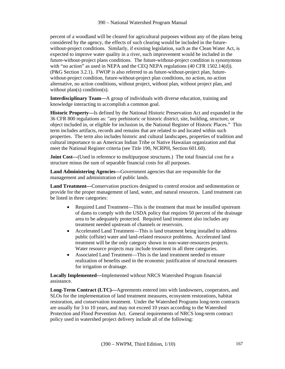percent of a woodland will be cleared for agricultural purposes without any of the plans being considered by the agency, the effects of such clearing would be included in the futurewithout-project conditions. Similarly, if existing legislation, such as the Clean Water Act, is expected to improve water quality in a river, such improvement would be included in the future-without-project plans conditions. The future-without-project condition is synonymous with "no action" as used in NEPA and the CEO NEPA regulations (40 CFR 1502.14(d)). (P&G Section 3.2.1). FWOP is also referred to as future-without-project plan, futurewithout-project condition, future-without-project plan conditions, no action, no action alternative, no action conditions, without project, without plan, without project plan, and without plan(s) condition(s).

**Interdisciplinary Team—**A group of individuals with diverse education, training and knowledge interacting to accomplish a common goal.

**Historic Property—**Is defined by the National Historic Preservation Act and expanded in the 36 CFR 800 regulations as: "any prehistoric or historic district, site, building, structure, or object included in, or eligible for inclusion in, the National Register of Historic Places." This term includes artifacts, records and remains that are related to and located within such properties. The term also includes historic and cultural landscapes, properties of tradition and cultural importance to an American Indian Tribe or Native Hawaiian organization and that meet the National Register criteria (see Title 190, NCRPH, Section 601.60).

**Joint Cost**—(Used in reference to multipurpose structures.) The total financial cost for a structure minus the sum of separable financial costs for all purposes.

**Land Administering Agencies—**Government agencies that are responsible for the management and administration of public lands.

**Land Treatment—**Conservation practices designed to control erosion and sedimentation or provide for the proper management of land, water, and natural resources. Land treatment can be listed in three categories:

- Required Land Treatment—This is the treatment that must be installed upstream of dams to comply with the USDA policy that requires 50 percent of the drainage area to be adequately protected. Required land treatment also includes any treatment needed upstream of channels or reservoirs.
- Accelerated Land Treatment—This is land treatment being installed to address public (offsite) water and land-related resource problems. Accelerated land treatment will be the only category shown in non-water-resources projects. Water resource projects may include treatment in all three categories.
- Associated Land Treatment—This is the land treatment needed to ensure realization of benefits used in the economic justification of structural measures for irrigation or drainage.

**Locally Implemented—**Implemented without NRCS Watershed Program financial assistance.

**Long-Term Contract (LTC)—**Agreements entered into with landowners, cooperators, and SLOs for the implementation of land treatment measures, ecosystem restorations, habitat restoration, and conservation treatment. Under the Watershed Programs long-term contracts are usually for 3 to 10 years, and may not exceed 10 years according to the Watershed Protection and Flood Prevention Act. General requirements of NRCS long-term contract policy used in watershed project delivery include all of the following: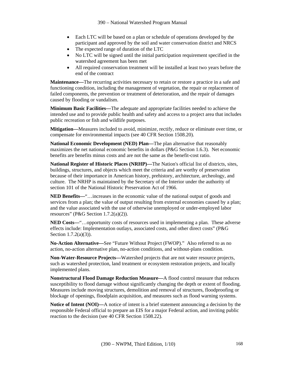- Each LTC will be based on a plan or schedule of operations developed by the participant and approved by the soil and water conservation district and NRCS
- The expected range of duration of the LTC
- No LTC will be signed until the initial participation requirement specified in the watershed agreement has been met
- All required conservation treatment will be installed at least two years before the end of the contract

**Maintenance—**The recurring activities necessary to retain or restore a practice in a safe and functioning condition, including the management of vegetation, the repair or replacement of failed components, the prevention or treatment of deterioration, and the repair of damages caused by flooding or vandalism.

**Minimum Basic Facilities—**The adequate and appropriate facilities needed to achieve the intended use and to provide public health and safety and access to a project area that includes public recreation or fish and wildlife purposes.

**Mitigation—**Measures included to avoid, minimize, rectify, reduce or eliminate over time, or compensate for environmental impacts (see 40 CFR Section 1508.20).

**National Economic Development (NED) Plan—**The plan alternative that reasonably maximizes the net national economic benefits in dollars (P&G Section 1.6.3). Net economic benefits are benefits minus costs and are not the same as the benefit-cost ratio.

**National Register of Historic Places (NRHP)—**The Nation's official list of districts, sites, buildings, structures, and objects which meet the criteria and are worthy of preservation because of their importance in American history, prehistory, architecture, archeology, and culture. The NRHP is maintained by the Secretary of the Interior under the authority of section 101 of the National Historic Preservation Act of 1966.

**NED Benefits—**"…increases in the economic value of the national output of goods and services from a plan; the value of output resulting from external economies caused by a plan; and the value associated with the use of otherwise unemployed or under-employed labor resources" (P&G Section  $1.7.2(a)(2)$ ).

**NED Costs—**"…opportunity costs of resources used in implementing a plan. These adverse effects include: Implementation outlays, associated costs, and other direct costs" (P&G Section 1.7.2(a)(3)).

**No-Action Alternative—**See "Future Without Project (FWOP)." Also referred to as no action, no-action alternative plan, no-action conditions, and without-plans condition.

**Non-Water-Resource Projects—**Watershed projects that are not water resource projects, such as watershed protection, land treatment or ecosystem restoration projects, and locally implemented plans.

**Nonstructural Flood Damage Reduction Measure—**A flood control measure that reduces susceptibility to flood damage without significantly changing the depth or extent of flooding. Measures include moving structures, demolition and removal of structures, floodproofing or blockage of openings, floodplain acquisition, and measures such as flood warning systems.

**Notice of Intent (NOI)—**A notice of intent is a brief statement announcing a decision by the responsible Federal official to prepare an EIS for a major Federal action, and inviting public reaction to the decision (see 40 CFR Section 1508.22).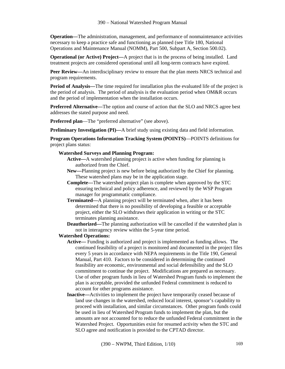**Operation—**The administration, management, and performance of nonmaintenance activities necessary to keep a practice safe and functioning as planned (see Title 180, National Operations and Maintenance Manual (NOMM), Part 500, Subpart A, Section 500.02).

**Operational (or Active) Project—**A project that is in the process of being installed. Land treatment projects are considered operational until all long-term contracts have expired.

**Peer Review—**An interdisciplinary review to ensure that the plan meets NRCS technical and program requirements.

**Period of Analysis—**The time required for installation plus the evaluated life of the project is the period of analysis. The period of analysis is the evaluation period when OM&R occurs and the period of implementation when the installation occurs.

**Preferred Alternative—**The option and course of action that the SLO and NRCS agree best addresses the stated purpose and need.

**Preferred plan—The "preferred alternative" (see above).** 

**Preliminary Investigation (PI)—A** brief study using existing data and field information.

**Program Operations Information Tracking System (POINTS)**—POINTS definitions for project plans status:

### **Watershed Surveys and Planning Program:**

- **Active—**A watershed planning project is active when funding for planning is authorized from the Chief.
- **New—**Planning project is new before being authorized by the Chief for planning. These watershed plans may be in the application stage.
- **Complete—**The watershed project plan is complete when approved by the STC ensuring technical and policy adherence, and reviewed by the WSP Program manager for programmatic compliance.
- **Terminated—**A planning project will be terminated when, after it has been determined that there is no possibility of developing a feasible or acceptable project, either the SLO withdraws their application in writing or the STC terminates planning assistance.

**Deauthorized—**The planning authorization will be cancelled if the watershed plan is not in interagency review within the 5-year time period.

### **Watershed Operations:**

- **Active—** Funding is authorized and project is implemented as funding allows. The continued feasibility of a project is monitored and documented in the project files every 5 years in accordance with NEPA requirements in the Title 190, General Manual, Part 410. Factors to be considered in determining the continued feasibility are economic, environmental and social defensibility and the SLO commitment to continue the project. Modifications are prepared as necessary. Use of other program funds in lieu of Watershed Program funds to implement the plan is acceptable, provided the unfunded Federal commitment is reduced to account for other programs assistance.
- **Inactive—**Activities to implement the project have temporarily ceased because of land use changes in the watershed, reduced local interest, sponsor's capability to proceed with installation, and similar circumstances. Other program funds could be used in lieu of Watershed Program funds to implement the plan, but the amounts are not accounted for to reduce the unfunded Federal commitment in the Watershed Project. Opportunities exist for resumed activity when the STC and SLO agree and notification is provided to the CPTAD director.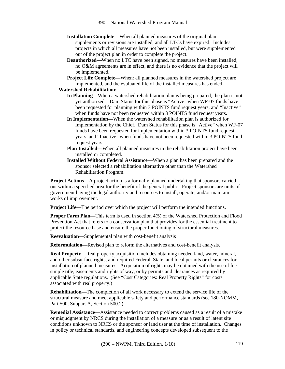- **Installation Complete—**When all planned measures of the original plan, supplements or revisions are installed, and all LTCs have expired. Includes projects in which all measures have not been installed, but were supplemented out of the project plan in order to complete the project.
- **Deauthorized—**When no LTC have been signed, no measures have been installed, no O&M agreements are in effect, and there is no evidence that the project will be implemented.

**Project Life Complete—**When: all planned measures in the watershed project are implemented, and the evaluated life of the installed measures has ended.

## **Watershed Rehabilitation:**

- **In Planning**—When a watershed rehabilitation plan is being prepared, the plan is not yet authorized. Dam Status for this phase is "Active" when WF-07 funds have been requested for planning within 3 POINTS fund request years, and "Inactive" when funds have not been requested within 3 POINTS fund request years.
- **In Implementation—**When the watershed rehabilitation plan is authorized for implementation by the Chief. Dam Status for this phase is "Active" when WF-07 funds have been requested for implementation within 3 POINTS fund request years, and "Inactive" when funds have not been requested within 3 POINTS fund request years.
- **Plan Installed—**When all planned measures in the rehabilitation project have been installed or completed.
- **Installed Without Federal Assistance—**When a plan has been prepared and the sponsor selected a rehabilitation alternative other than the Watershed Rehabilitation Program.

**Project Actions—**A project action is a formally planned undertaking that sponsors carried out within a specified area for the benefit of the general public. Project sponsors are units of government having the legal authority and resources to install, operate, and/or maintain works of improvement.

**Project Life—**The period over which the project will perform the intended functions.

**Proper Farm Plan—This term is used in section 4(5) of the Watershed Protection and Flood** Prevention Act that refers to a conservation plan that provides for the essential treatment to protect the resource base and ensure the proper functioning of structural measures.

**Reevaluation—**Supplemental plan with cost-benefit analysis

**Reformulation—**Revised plan to reform the alternatives and cost-benefit analysis.

**Real Property—**Real property acquisition includes obtaining needed land, water, mineral, and other subsurface rights, and required Federal, State, and local permits or clearances for installation of planned measures. Acquisition of rights may be obtained with the use of fee simple title, easements and rights of way, or by permits and clearances as required by applicable State regulations. (See "Cost Categories: Real Property Rights" for costs associated with real property.)

**Rehabilitation—**The completion of all work necessary to extend the service life of the structural measure and meet applicable safety and performance standards (see 180-NOMM, Part 500, Subpart A, Section 500.2).

**Remedial Assistance—**Assistance needed to correct problems caused as a result of a mistake or misjudgment by NRCS during the installation of a measure or as a result of latent site conditions unknown to NRCS or the sponsor or land user at the time of installation. Changes in policy or technical standards, and engineering concepts developed subsequent to the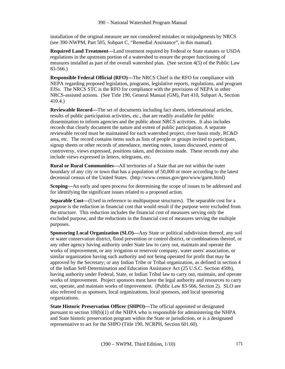installation of the original measure are not considered mistakes or misjudgments by NRCS (see 390-NWPM, Part 505, Subpart C, "Remedial Assistance", in this manual).

**Required Land Treatment—**Land treatment required by Federal or State statutes or USDA regulations in the upstream portion of a watershed to ensure the proper functioning of measures installed as part of the overall watershed plan. (See section 4(5) of the Public Law 83-566.)

**Responsible Federal Official (RFO)—**The NRCS Chief is the RFO for compliance with NEPA regarding proposed legislation, programs, legislative reports, regulations, and program EISs. The NRCS STC is the RFO for compliance with the provisions of NEPA in other NRCS-assisted actions. (See Title 190, General Manual (GM), Part 410, Subpart A, Section 410.4.)

**Reviewable Record—**The set of documents including fact sheets, informational articles, results of public participation activities, etc., that are readily available for public dissemination to inform agencies and the public about NRCS activities. It also includes records that clearly document the nature and extent of public participation. A separate reviewable record must be maintained for each watershed project, river basin study, RC&D area, etc. The record contains items such as lists of people or groups invited to participate, signup sheets or other records of attendance, meeting notes, issues discussed, extent of controversy, views expressed, positions taken, and decisions made. These records may also include views expressed in letters, telegrams, etc.

**Rural or Rural Communities—**All territories of a State that are not within the outer boundary of any city or town that has a population of 50,000 or more according to the latest decennial census of the United States. [\(http://www.census.gov/geo/www/garm.html\)](http://www.census.gov/geo/www/garm.html)

**Scoping—**An early and open process for determining the scope of issues to be addressed and for identifying the significant issues related to a proposed action.

**Separable Cost**—(Used in reference to multipurpose structures). The separable cost for a purpose is the reduction in financial cost that would result if the purpose were excluded from the structure. This reduction includes the financial cost of measures serving only the excluded purpose, and the reductions in the financial cost of measures serving the multiple purposes.

**Sponsoring Local Organization (SLO)—**Any State or political subdivision thereof, any soil or water conservation district, flood prevention or control district, or combinations thereof, or any other agency having authority under State law to carry out, maintain and operate the works of improvement, or any irrigation or reservoir company, water users' association, or similar organization having such authority and not being operated for profit that may be approved by the Secretary; or any Indian Tribe or Tribal organization, as defined in section 4 of the Indian Self-Determination and Education Assistance Act (25 U.S.C. Section 450b), having authority under Federal, State, or Indian Tribal law to carry out, maintain, and operate works of improvement. Project sponsors must have the legal authority and resources to carry out, operate, and maintain works of improvement. (Public Law 83-566, Section 2). SLO are also referred to as sponsors, local organizations, local sponsors, and local sponsoring organizations.

**State Historic Preservation Officer (SHPO)—**The official appointed or designated pursuant to section  $10I(b)(1)$  of the NHPA who is responsible for administering the NHPA and State historic preservation program within the State or jurisdiction, or is a designated representative to act for the SHPO (Title 190, NCRPH, Section 601.60).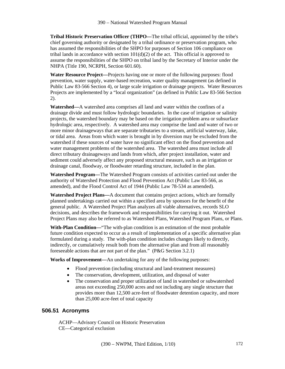**Tribal Historic Preservation Officer (THPO—**The tribal official, appointed by the tribe's chief governing authority or designated by a tribal ordinance or preservation program, who has assumed the responsibilities of the SHPO for purposes of Section 106 compliance on tribal lands in accordance with section  $101(d)(2)$  of the act. This official is approved to assume the responsibilities of the SHPO on tribal land by the Secretary of Interior under the NHPA (Title 190, NCRPH, Section 601.60).

**Water Resource Project—**Projects having one or more of the following purposes: flood prevention, water supply, water-based recreation, water quality management (as defined in Public Law 83-566 Section 4), or large scale irrigation or drainage projects. Water Resources Projects are implemented by a "local organization" (as defined in Public Law 83-566 Section 2).

**Watershed—**A watershed area comprises all land and water within the confines of a drainage divide and must follow hydrologic boundaries. In the case of irrigation or salinity projects, the watershed boundary may be based on the irrigation problem area or subsurface hydrologic area, respectively. A watershed area may comprise the land and water of two or more minor drainageways that are separate tributaries to a stream, artificial waterway, lake, or tidal area. Areas from which water is brought in by diversion may be excluded from the watershed if these sources of water have no significant effect on the flood prevention and water management problems of the watershed area. The watershed area must include all direct tributary drainageways and lands from which, after project installation, water and sediment could adversely affect any proposed structural measure, such as an irrigation or drainage canal, floodway, or floodwater retarding structure, included in the plan.

**Watershed Program—**The Watershed Program consists of activities carried out under the authority of Watershed Protection and Flood Prevention Act (Public Law 83-566, as amended), and the Flood Control Act of 1944 (Public Law 78-534 as amended).

**Watershed Project Plans—**A document that contains project actions, which are formally planned undertakings carried out within a specified area by sponsors for the benefit of the general public. A Watershed Project Plan analyzes all viable alternatives, records SLO decisions, and describes the framework and responsibilities for carrying it out. Watershed Project Plans may also be referred to as Watershed Plans, Watershed Program Plans, or Plans.

**With-Plan Condition—**"The with-plan condition is an estimation of the most probable future condition expected to occur as a result of implementation of a specific alternative plan formulated during a study. The with-plan condition includes changes likely to directly, indirectly, or cumulatively result both from the alternative plan and from all reasonably foreseeable actions that are not part of the plan." (P&G Section 3.2.1)

**Works of Improvement—**An undertaking for any of the following purposes:

- Flood prevention (including structural and land-treatment measures)
- The conservation, development, utilization, and disposal of water
- The conservation and proper utilization of land in watershed or subwatershed areas not exceeding 250,000 acres and not including any single structure that provides more than 12,500 acre-feet of floodwater detention capacity, and more than 25,000 acre-feet of total capacity

## **506.51 Acronyms**

ACHP—Advisory Council on Historic Preservation CE—Categorical exclusion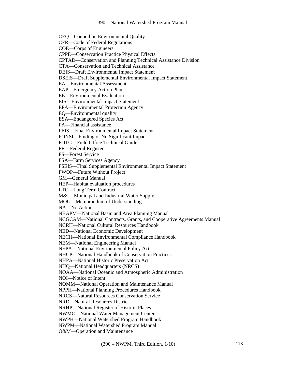CEQ—Council on Environmental Quality

CFR—Code of Federal Regulations

COE—Corps of Engineers

CPPE—Conservation Practice Physical Effects

CPTAD—Conservation and Planning Technical Assistance Division

CTA—Conservation and Technical Assistance

DEIS—Draft Environmental Impact Statement

DSEIS—Draft Supplemental Environmental Impact Statement

EA—Environmental Assessment

EAP—Emergency Action Plan

EE—Environmental Evaluation

EIS—Environmental Impact Statement

EPA—Environmental Protection Agency

EQ—Environmental quality

ESA—Endangered Species Act

FA—Financial assistance

FEIS—Final Environmental Impact Statement

FONSI—Finding of No Significant Impact

FOTG—Field Office Technical Guide

FR—Federal Register

FS—Forest Service

FSA—Farm Services Agency

FSEIS—Final Supplemental Environmental Impact Statement

FWOP—Future Without Project

GM—General Manual

HEP—Habitat evaluation procedures

LTC—Long Term Contract

M&I—Municipal and Industrial Water Supply

MOU—Memorandum of Understanding

NA—No Action

NBAPM—National Basin and Area Planning Manual

NCGCAM—National Contracts, Grants, and Cooperative Agreements Manual

NCRH—National Cultural Resources Handbook

NED—National Economic Development

NECH—National Environmental Compliance Handbook

NEM—National Engineering Manual

NEPA—National Environmental Policy Act

NHCP—National Handbook of Conservation Practices

NHPA—National Historic Preservation Act

NHQ—National Headquarters (NRCS)

NOAA—National Oceanic and Atmospheric Administration

NOI—Notice of Intent

NOMM—National Operation and Maintenance Manual

NPPH—National Planning Procedures Handbook

NRCS—Natural Resources Conservation Service

NRD—Natural Resources District

NRHP—National Register of Historic Places

NWMC—National Water Management Center

NWPH—National Watershed Program Handbook

NWPM—National Watershed Program Manual

O&M—Operation and Maintenance